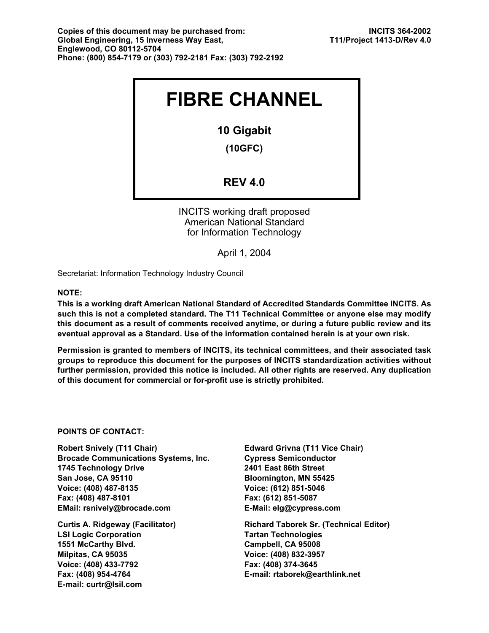# **FIBRE CHANNEL**

**10 Gigabit**

**(10GFC)**

# **REV 4.0**

INCITS working draft proposed American National Standard for Information Technology

April 1, 2004

Secretariat: Information Technology Industry Council

# **NOTE:**

**This is a working draft American National Standard of Accredited Standards Committee INCITS. As such this is not a completed standard. The T11 Technical Committee or anyone else may modify this document as a result of comments received anytime, or during a future public review and its eventual approval as a Standard. Use of the information contained herein is at your own risk.** 

**Permission is granted to members of INCITS, its technical committees, and their associated task groups to reproduce this document for the purposes of INCITS standardization activities without further permission, provided this notice is included. All other rights are reserved. Any duplication of this document for commercial or for-profit use is strictly prohibited.**

# **POINTS OF CONTACT:**

**Robert Snively (T11 Chair) Brocade Communications Systems, Inc. 1745 Technology Drive San Jose, CA 95110 Voice: (408) 487-8135 Fax: (408) 487-8101 EMail: rsnively@brocade.com**

**Curtis A. Ridgeway (Facilitator) LSI Logic Corporation 1551 McCarthy Blvd. Milpitas, CA 95035 Voice: (408) 433-7792 Fax: (408) 954-4764 E-mail: curtr@lsil.com**

**Edward Grivna (T11 Vice Chair) Cypress Semiconductor 2401 East 86th Street Bloomington, MN 55425 Voice: (612) 851-5046 Fax: (612) 851-5087 E-Mail: elg@cypress.com**

**Richard Taborek Sr. (Technical Editor) Tartan Technologies Campbell, CA 95008 Voice: (408) 832-3957 Fax: (408) 374-3645 E-mail: rtaborek@earthlink.net**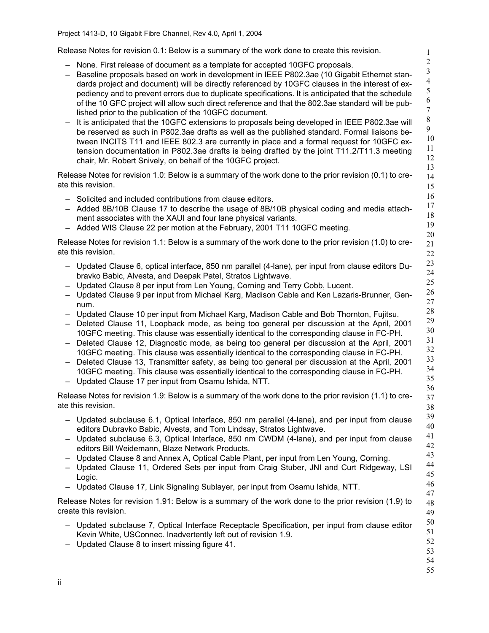Release Notes for revision 0.1: Below is a summary of the work done to create this revision.

- None. First release of document as a template for accepted 10GFC proposals.
- Baseline proposals based on work in development in IEEE P802.3ae (10 Gigabit Ethernet standards project and document) will be directly referenced by 10GFC clauses in the interest of expediency and to prevent errors due to duplicate specifications. It is anticipated that the schedule of the 10 GFC project will allow such direct reference and that the 802.3ae standard will be published prior to the publication of the 10GFC document.
- It is anticipated that the 10GFC extensions to proposals being developed in IEEE P802.3ae will be reserved as such in P802.3ae drafts as well as the published standard. Formal liaisons between INCITS T11 and IEEE 802.3 are currently in place and a formal request for 10GFC extension documentation in P802.3ae drafts is being drafted by the joint T11.2/T11.3 meeting chair, Mr. Robert Snively, on behalf of the 10GFC project.

Release Notes for revision 1.0: Below is a summary of the work done to the prior revision (0.1) to create this revision.

- Solicited and included contributions from clause editors.
- Added 8B/10B Clause 17 to describe the usage of 8B/10B physical coding and media attachment associates with the XAUI and four lane physical variants.
- Added WIS Clause 22 per motion at the February, 2001 T11 10GFC meeting.

Release Notes for revision 1.1: Below is a summary of the work done to the prior revision (1.0) to create this revision.

- Updated Clause 6, optical interface, 850 nm parallel (4-lane), per input from clause editors Dubravko Babic, Alvesta, and Deepak Patel, Stratos Lightwave.
- Updated Clause 8 per input from Len Young, Corning and Terry Cobb, Lucent.
- Updated Clause 9 per input from Michael Karg, Madison Cable and Ken Lazaris-Brunner, Gennum.
- Updated Clause 10 per input from Michael Karg, Madison Cable and Bob Thornton, Fujitsu.
- Deleted Clause 11, Loopback mode, as being too general per discussion at the April, 2001 10GFC meeting. This clause was essentially identical to the corresponding clause in FC-PH.
- 31 32 33 – Deleted Clause 12, Diagnostic mode, as being too general per discussion at the April, 2001 10GFC meeting. This clause was essentially identical to the corresponding clause in FC-PH.
- 34 35 – Deleted Clause 13, Transmitter safety, as being too general per discussion at the April, 2001 10GFC meeting. This clause was essentially identical to the corresponding clause in FC-PH.
- Updated Clause 17 per input from Osamu Ishida, NTT.

Release Notes for revision 1.9: Below is a summary of the work done to the prior revision (1.1) to create this revision.

- Updated subclause 6.1, Optical Interface, 850 nm parallel (4-lane), and per input from clause editors Dubravko Babic, Alvesta, and Tom Lindsay, Stratos Lightwave.
- Updated subclause 6.3, Optical Interface, 850 nm CWDM (4-lane), and per input from clause editors Bill Weidemann, Blaze Network Products.
- Updated Clause 8 and Annex A, Optical Cable Plant, per input from Len Young, Corning.
- Updated Clause 11, Ordered Sets per input from Craig Stuber, JNI and Curt Ridgeway, LSI Logic.
- Updated Clause 17, Link Signaling Sublayer, per input from Osamu Ishida, NTT.

Release Notes for revision 1.91: Below is a summary of the work done to the prior revision (1.9) to create this revision.

- Updated subclause 7, Optical Interface Receptacle Specification, per input from clause editor Kevin White, USConnec. Inadvertently left out of revision 1.9.
- Updated Clause 8 to insert missing figure 41.

ii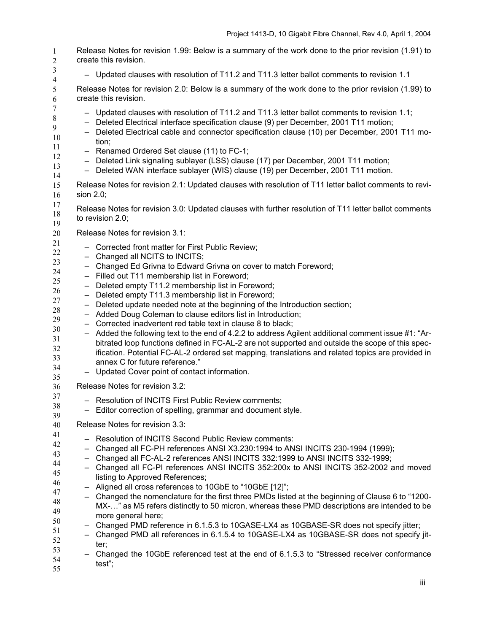1 2 3 4 5 6 7 8 9 10 11 12 13 14 15 16 17 18 19 20 21 22 23 24 25 26 27 28 29 30 31 32 33 34 35 36 37 38 39 40 41 42 43 44 45 46 47 48 49 50 51 52 53 54 55 Release Notes for revision 1.99: Below is a summary of the work done to the prior revision (1.91) to create this revision. – Updated clauses with resolution of T11.2 and T11.3 letter ballot comments to revision 1.1 Release Notes for revision 2.0: Below is a summary of the work done to the prior revision (1.99) to create this revision. – Updated clauses with resolution of T11.2 and T11.3 letter ballot comments to revision 1.1; – Deleted Electrical interface specification clause (9) per December, 2001 T11 motion; – Deleted Electrical cable and connector specification clause (10) per December, 2001 T11 motion; – Renamed Ordered Set clause (11) to FC-1; – Deleted Link signaling sublayer (LSS) clause (17) per December, 2001 T11 motion; – Deleted WAN interface sublayer (WIS) clause (19) per December, 2001 T11 motion. Release Notes for revision 2.1: Updated clauses with resolution of T11 letter ballot comments to revision 2.0; Release Notes for revision 3.0: Updated clauses with further resolution of T11 letter ballot comments to revision 2.0; Release Notes for revision 3.1: – Corrected front matter for First Public Review; – Changed all NCITS to INCITS; – Changed Ed Grivna to Edward Grivna on cover to match Foreword; – Filled out T11 membership list in Foreword; – Deleted empty T11.2 membership list in Foreword; – Deleted empty T11.3 membership list in Foreword; – Deleted update needed note at the beginning of the Introduction section; – Added Doug Coleman to clause editors list in Introduction; – Corrected inadvertent red table text in clause 8 to black; – Added the following text to the end of 4.2.2 to address Agilent additional comment issue #1: "Arbitrated loop functions defined in FC-AL-2 are not supported and outside the scope of this specification. Potential FC-AL-2 ordered set mapping, translations and related topics are provided in [annex C](#page-94-0) for future reference." – Updated Cover point of contact information. Release Notes for revision 3.2: – Resolution of INCITS First Public Review comments; – Editor correction of spelling, grammar and document style. Release Notes for revision 3.3: – Resolution of INCITS Second Public Review comments: – Changed all FC-PH references ANSI X3.230:1994 to ANSI INCITS 230-1994 (1999); – Changed all FC-AL-2 references ANSI INCITS 332:1999 to ANSI INCITS 332-1999; – Changed all FC-PI references ANSI INCITS 352:200x to ANSI INCITS 352-2002 and moved listing to Approved References; – Aligned all cross references to 10GbE to "10GbE [12]"; – Changed the nomenclature for the first three PMDs listed at the beginning of Clause 6 to "1200- MX-…" as M5 refers distinctly to 50 micron, whereas these PMD descriptions are intended to be more general here; – Changed PMD reference in 6.1.5.3 to 10GASE-LX4 as 10GBASE-SR does not specify jitter; – Changed PMD all references in 6.1.5.4 to 10GASE-LX4 as 10GBASE-SR does not specify jitter; – Changed the 10GbE referenced test at the end of 6.1.5.3 to "Stressed receiver conformance test";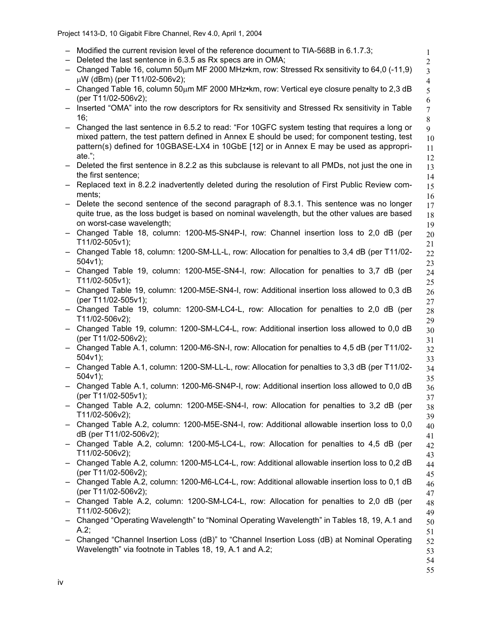Project 1413-D, 10 Gigabit Fibre Channel, Rev 4.0, April 1, 2004

- 1 2 3 4 5 6 7 8 9 10 11 12 13 14 15 16 17 18 19 20 21 22 23 24 25 26 27 28 29 30 31 32 33 34 35 36 37 38 39 40 41 42 43 44 45 46 47 48 49 50 51 52 53 54 – Modified the current revision level of the reference document to TIA-568B in 6.1.7.3; – Deleted the last sentence in 6.3.5 as Rx specs are in OMA; – Changed Table 16, column 50µm MF 2000 MHz**•**km, row: Stressed Rx sensitivity to 64,0 (-11,9) µW (dBm) (per T11/02-506v2); – Changed Table 16, column 50µm MF 2000 MHz**•**km, row: Vertical eye closure penalty to 2,3 dB (per T11/02-506v2); – Inserted "OMA" into the row descriptors for Rx sensitivity and Stressed Rx sensitivity in Table 16; – Changed the last sentence in 6.5.2 to read: "For 10GFC system testing that requires a long or mixed pattern, the test pattern defined in Annex E should be used; for component testing, test pattern(s) defined for 10GBASE-LX4 in 10GbE [12] or in Annex E may be used as appropriate."; – Deleted the first sentence in 8.2.2 as this subclause is relevant to all PMDs, not just the one in the first sentence; – Replaced text in 8.2.2 inadvertently deleted during the resolution of First Public Review comments; – Delete the second sentence of the second paragraph of 8.3.1. This sentence was no longer quite true, as the loss budget is based on nominal wavelength, but the other values are based on worst-case wavelength; – Changed Table 18, column: 1200-M5-SN4P-I, row: Channel insertion loss to 2,0 dB (per T11/02-505v1); – Changed Table 18, column: 1200-SM-LL-L, row: Allocation for penalties to 3,4 dB (per T11/02- 504v1); – Changed Table 19, column: 1200-M5E-SN4-I, row: Allocation for penalties to 3,7 dB (per T11/02-505v1); – Changed Table 19, column: 1200-M5E-SN4-I, row: Additional insertion loss allowed to 0,3 dB (per T11/02-505v1); – Changed Table 19, column: 1200-SM-LC4-L, row: Allocation for penalties to 2,0 dB (per T11/02-506v2); – Changed Table 19, column: 1200-SM-LC4-L, row: Additional insertion loss allowed to 0,0 dB (per T11/02-506v2); – Changed Table A.1, column: 1200-M6-SN-I, row: Allocation for penalties to 4,5 dB (per T11/02- 504v1); – Changed Table A.1, column: 1200-SM-LL-L, row: Allocation for penalties to 3,3 dB (per T11/02- 504v1); – Changed Table A.1, column: 1200-M6-SN4P-I, row: Additional insertion loss allowed to 0,0 dB (per T11/02-505v1); – Changed Table A.2, column: 1200-M5E-SN4-I, row: Allocation for penalties to 3,2 dB (per T11/02-506v2); – Changed Table A.2, column: 1200-M5E-SN4-I, row: Additional allowable insertion loss to 0,0 dB (per T11/02-506v2); – Changed Table A.2, column: 1200-M5-LC4-L, row: Allocation for penalties to 4,5 dB (per T11/02-506v2); – Changed Table A.2, column: 1200-M5-LC4-L, row: Additional allowable insertion loss to 0,2 dB (per T11/02-506v2); – Changed Table A.2, column: 1200-M6-LC4-L, row: Additional allowable insertion loss to 0,1 dB (per T11/02-506v2); – Changed Table A.2, column: 1200-SM-LC4-L, row: Allocation for penalties to 2,0 dB (per T11/02-506v2); – Changed "Operating Wavelength" to "Nominal Operating Wavelength" in Tables 18, 19, A.1 and A.2; – Changed "Channel Insertion Loss (dB)" to "Channel Insertion Loss (dB) at Nominal Operating Wavelength" via footnote in Tables 18, 19, A.1 and A.2;
	- 55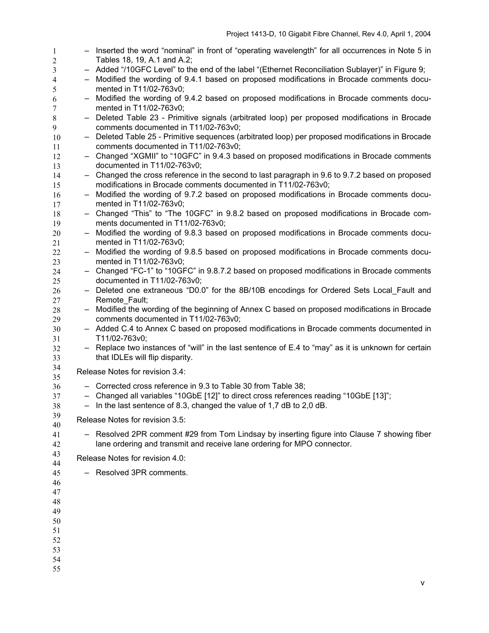| $\mathbf{1}$<br>$\overline{2}$ |                          | - Inserted the word "nominal" in front of "operating wavelength" for all occurrences in Note 5 in<br>Tables 18, 19, A.1 and A.2; |
|--------------------------------|--------------------------|----------------------------------------------------------------------------------------------------------------------------------|
|                                |                          | Added "/10GFC Level" to the end of the label "(Ethernet Reconciliation Sublayer)" in Figure 9;                                   |
| $\mathfrak{Z}$                 |                          |                                                                                                                                  |
| $\overline{4}$                 |                          | Modified the wording of 9.4.1 based on proposed modifications in Brocade comments docu-                                          |
| 5                              |                          | mented in T11/02-763v0;                                                                                                          |
| 6                              | -                        | Modified the wording of 9.4.2 based on proposed modifications in Brocade comments docu-                                          |
| $\overline{7}$                 |                          | mented in T11/02-763v0;                                                                                                          |
| $\,8\,$                        |                          | Deleted Table 23 - Primitive signals (arbitrated loop) per proposed modifications in Brocade                                     |
| 9                              |                          | comments documented in T11/02-763v0;                                                                                             |
| 10                             |                          | Deleted Table 25 - Primitive sequences (arbitrated loop) per proposed modifications in Brocade                                   |
| 11                             |                          | comments documented in T11/02-763v0;                                                                                             |
| 12                             |                          | - Changed "XGMII" to "10GFC" in 9.4.3 based on proposed modifications in Brocade comments                                        |
| 13                             |                          | documented in T11/02-763v0;                                                                                                      |
| 14                             | $\overline{\phantom{0}}$ | Changed the cross reference in the second to last paragraph in 9.6 to 9.7.2 based on proposed                                    |
| 15                             |                          | modifications in Brocade comments documented in T11/02-763v0;                                                                    |
| 16                             | —                        | Modified the wording of 9.7.2 based on proposed modifications in Brocade comments docu-                                          |
| 17                             |                          | mented in T11/02-763v0;                                                                                                          |
| 18                             |                          | Changed "This" to "The 10GFC" in 9.8.2 based on proposed modifications in Brocade com-                                           |
| 19                             |                          | ments documented in T11/02-763v0;                                                                                                |
| 20                             | —                        | Modified the wording of 9.8.3 based on proposed modifications in Brocade comments docu-                                          |
| 21                             |                          | mented in T11/02-763v0;                                                                                                          |
|                                |                          | Modified the wording of 9.8.5 based on proposed modifications in Brocade comments docu-                                          |
| 22                             | -                        |                                                                                                                                  |
| 23                             |                          | mented in T11/02-763v0;                                                                                                          |
| 24                             |                          | - Changed "FC-1" to "10GFC" in 9.8.7.2 based on proposed modifications in Brocade comments                                       |
| 25                             |                          | documented in T11/02-763v0;                                                                                                      |
| 26                             |                          | - Deleted one extraneous "D0.0" for the 8B/10B encodings for Ordered Sets Local_Fault and                                        |
| 27                             |                          | Remote_Fault;                                                                                                                    |
| 28                             |                          | - Modified the wording of the beginning of Annex C based on proposed modifications in Brocade                                    |
| 29                             |                          | comments documented in T11/02-763v0;                                                                                             |
| 30                             |                          | - Added C.4 to Annex C based on proposed modifications in Brocade comments documented in                                         |
| 31                             |                          | T11/02-763v0;                                                                                                                    |
| 32                             |                          | - Replace two instances of "will" in the last sentence of E.4 to "may" as it is unknown for certain                              |
| 33                             |                          | that IDLEs will flip disparity.                                                                                                  |
| 34                             |                          | Release Notes for revision 3.4:                                                                                                  |
| 35                             |                          |                                                                                                                                  |
| 36                             |                          | - Corrected cross reference in 9.3 to Table 30 from Table 38;                                                                    |
| 37                             |                          | - Changed all variables "10GbE [12]" to direct cross references reading "10GbE [13]";                                            |
| $38\,$                         |                          | $-$ In the last sentence of 8.3, changed the value of 1,7 dB to 2,0 dB.                                                          |
| 39                             |                          | Release Notes for revision 3.5:                                                                                                  |
| 40                             |                          |                                                                                                                                  |
| 41                             |                          | - Resolved 2PR comment #29 from Tom Lindsay by inserting figure into Clause 7 showing fiber                                      |
| 42                             |                          | lane ordering and transmit and receive lane ordering for MPO connector.                                                          |
| 43                             |                          |                                                                                                                                  |
| 44                             |                          | Release Notes for revision 4.0:                                                                                                  |
| 45                             |                          | - Resolved 3PR comments.                                                                                                         |
| 46                             |                          |                                                                                                                                  |
| 47                             |                          |                                                                                                                                  |
| 48                             |                          |                                                                                                                                  |
| 49                             |                          |                                                                                                                                  |
| 50                             |                          |                                                                                                                                  |
| 51                             |                          |                                                                                                                                  |
| 52                             |                          |                                                                                                                                  |
|                                |                          |                                                                                                                                  |
| 53                             |                          |                                                                                                                                  |
| 54<br>55                       |                          |                                                                                                                                  |
|                                |                          |                                                                                                                                  |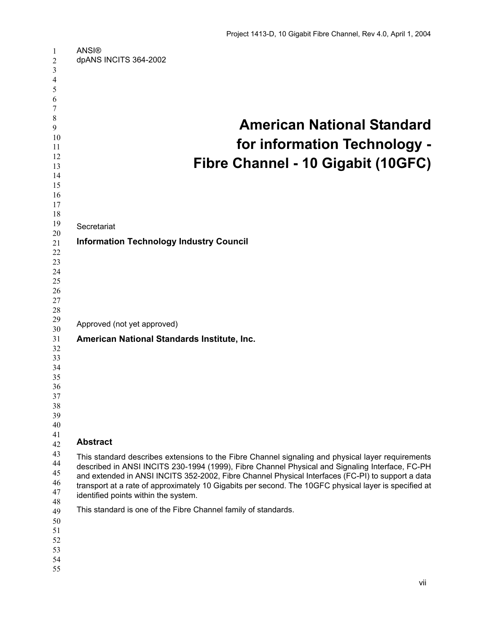| $\mathbf{1}$ | <b>ANSI®</b>                                                                                          |
|--------------|-------------------------------------------------------------------------------------------------------|
| 2            | dpANS INCITS 364-2002                                                                                 |
| 3            |                                                                                                       |
| 4            |                                                                                                       |
| 5            |                                                                                                       |
| 6            |                                                                                                       |
| 7            |                                                                                                       |
| 8            |                                                                                                       |
| 9            | <b>American National Standard</b>                                                                     |
| 10           |                                                                                                       |
| 11           | for information Technology -                                                                          |
| 12           |                                                                                                       |
|              | Fibre Channel - 10 Gigabit (10GFC)                                                                    |
| 13           |                                                                                                       |
| 14           |                                                                                                       |
| 15           |                                                                                                       |
| 16           |                                                                                                       |
| 17           |                                                                                                       |
| 18           |                                                                                                       |
| 19           | Secretariat                                                                                           |
| 20           |                                                                                                       |
| 21           | <b>Information Technology Industry Council</b>                                                        |
| 22           |                                                                                                       |
| 23           |                                                                                                       |
| 24           |                                                                                                       |
| 25           |                                                                                                       |
| 26           |                                                                                                       |
| 27           |                                                                                                       |
| 28           |                                                                                                       |
| 29           |                                                                                                       |
| 30           | Approved (not yet approved)                                                                           |
| 31           | American National Standards Institute, Inc.                                                           |
| 32           |                                                                                                       |
| 33           |                                                                                                       |
| 34           |                                                                                                       |
| 35           |                                                                                                       |
|              |                                                                                                       |
| 36           |                                                                                                       |
| 37           |                                                                                                       |
| 38           |                                                                                                       |
| 39           |                                                                                                       |
| 40           |                                                                                                       |
| 41           | <b>Abstract</b>                                                                                       |
| 42           |                                                                                                       |
| 43           | This standard describes extensions to the Fibre Channel signaling and physical layer requirements     |
| 44           | described in ANSI INCITS 230-1994 (1999), Fibre Channel Physical and Signaling Interface, FC-PH       |
| 45           | and extended in ANSI INCITS 352-2002, Fibre Channel Physical Interfaces (FC-PI) to support a data     |
| 46           | transport at a rate of approximately 10 Gigabits per second. The 10GFC physical layer is specified at |
| 47           | identified points within the system.                                                                  |
| 48           |                                                                                                       |
| 49           | This standard is one of the Fibre Channel family of standards.                                        |
| 50           |                                                                                                       |
| 51           |                                                                                                       |
| 52           |                                                                                                       |
| 53           |                                                                                                       |
| 54           |                                                                                                       |
| 55           |                                                                                                       |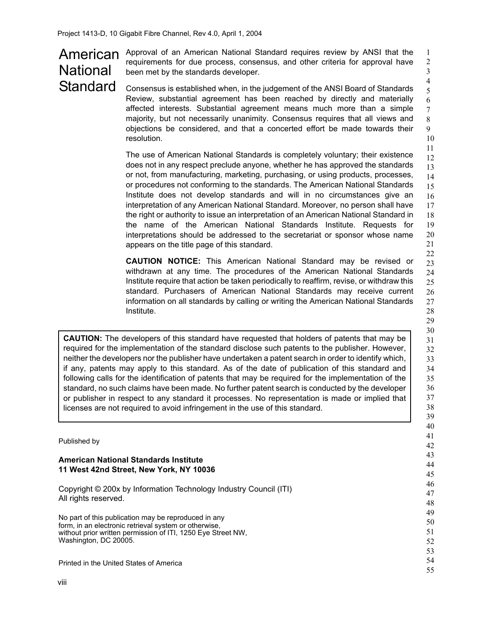# **National Standard**

American Approval of an American National Standard requires review by ANSI that the requirements for due process, consensus, and other criteria for approval have been met by the standards developer.

> Consensus is established when, in the judgement of the ANSI Board of Standards Review, substantial agreement has been reached by directly and materially affected interests. Substantial agreement means much more than a simple majority, but not necessarily unanimity. Consensus requires that all views and objections be considered, and that a concerted effort be made towards their resolution.

11 12 13 14 15 16 17 18 19 20 21 The use of American National Standards is completely voluntary; their existence does not in any respect preclude anyone, whether he has approved the standards or not, from manufacturing, marketing, purchasing, or using products, processes, or procedures not conforming to the standards. The American National Standards Institute does not develop standards and will in no circumstances give an interpretation of any American National Standard. Moreover, no person shall have the right or authority to issue an interpretation of an American National Standard in the name of the American National Standards Institute. Requests for interpretations should be addressed to the secretariat or sponsor whose name appears on the title page of this standard.

22 23 24 **CAUTION NOTICE:** This American National Standard may be revised or withdrawn at any time. The procedures of the American National Standards Institute require that action be taken periodically to reaffirm, revise, or withdraw this standard. Purchasers of American National Standards may receive current information on all standards by calling or writing the American National Standards Institute.

**CAUTION:** The developers of this standard have requested that holders of patents that may be required for the implementation of the standard disclose such patents to the publisher. However, neither the developers nor the publisher have undertaken a patent search in order to identify which, if any, patents may apply to this standard. As of the date of publication of this standard and following calls for the identification of patents that may be required for the implementation of the standard, no such claims have been made. No further patent search is conducted by the developer or publisher in respect to any standard it processes. No representation is made or implied that licenses are not required to avoid infringement in the use of this standard.

Published by **American National Standards Institute 11 West 42nd Street, New York, NY 10036** Copyright © 200x by Information Technology Industry Council (ITI) All rights reserved. No part of this publication may be reproduced in any form, in an electronic retrieval system or otherwise, without prior written permission of ITI, 1250 Eye Street NW, Washington, DC 20005. Printed in the United States of America

55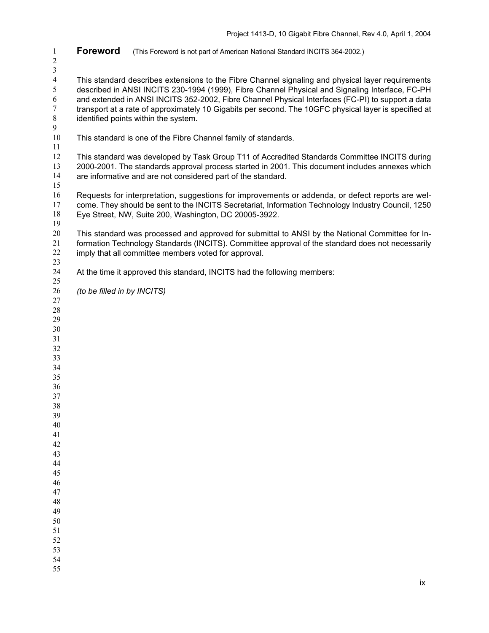ix

# <span id="page-8-0"></span>**Foreword** (This Foreword is not part of American National Standard INCITS 364-2002.)

 This standard describes extensions to the Fibre Channel signaling and physical layer requirements described in ANSI INCITS 230-1994 (1999), Fibre Channel Physical and Signaling Interface, FC-PH and extended in ANSI INCITS 352-2002, Fibre Channel Physical Interfaces (FC-PI) to support a data transport at a rate of approximately 10 Gigabits per second. The 10GFC physical layer is specified at identified points within the system.

 This standard is one of the Fibre Channel family of standards.

 This standard was developed by Task Group T11 of Accredited Standards Committee INCITS during 2000-2001. The standards approval process started in 2001. This document includes annexes which are informative and are not considered part of the standard.

 

 Requests for interpretation, suggestions for improvements or addenda, or defect reports are welcome. They should be sent to the INCITS Secretariat, Information Technology Industry Council, 1250 Eye Street, NW, Suite 200, Washington, DC 20005-3922.

 This standard was processed and approved for submittal to ANSI by the National Committee for Information Technology Standards (INCITS). Committee approval of the standard does not necessarily imply that all committee members voted for approval.

- At the time it approved this standard, INCITS had the following members:
	- *(to be filled in by INCITS)*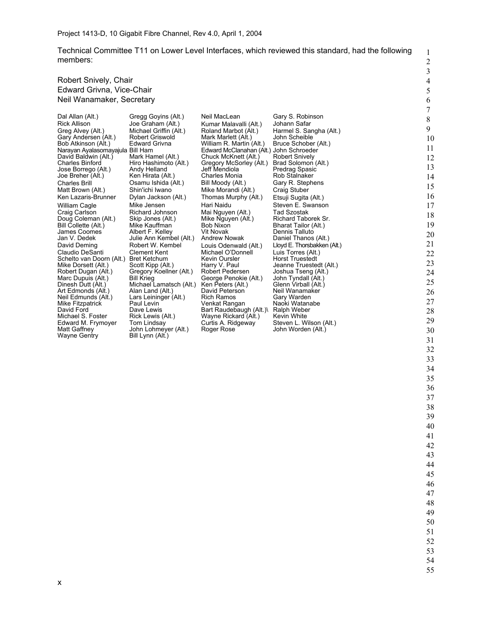Technical Committee T11 on Lower Level Interfaces, which reviewed this standard, had the following members:

# Robert Snively, Chair Edward Grivna, Vice-Chair Neil Wanamaker, Secretary

|                                                          |                                              |                                                                     |                                                   | 7  |  |
|----------------------------------------------------------|----------------------------------------------|---------------------------------------------------------------------|---------------------------------------------------|----|--|
| Dal Allan (Alt.)                                         | Gregg Goyins (Alt.)                          | Neil MacLean                                                        | Gary S. Robinson                                  | 8  |  |
| <b>Rick Allison</b>                                      | Joe Graham (Alt.)                            | Kumar Malavalli (Alt.)                                              | Johann Safar                                      | 9  |  |
| Greg Alvey (Alt.)                                        | Michael Griffin (Alt.)                       | Roland Marbot (Alt.)                                                | Harmel S. Sangha (Alt.)                           |    |  |
| Gary Andersen (Alt.)                                     | <b>Robert Griswold</b>                       | Mark Marlett (Alt.)                                                 | John Scheible                                     | 10 |  |
| Bob Atkinson (Alt.)                                      | Edward Grivna                                | William R. Martin (Alt.)<br>Edward McClanahan (Alt.) John Schroeder | Bruce Schober (Alt.)                              | 11 |  |
| Narayan Ayalasomayajula Bill Ham<br>David Baldwin (Alt.) | Mark Hamel (Alt.)                            | Chuck McKnett (Alt.)                                                | <b>Robert Snively</b>                             |    |  |
| <b>Charles Binford</b>                                   | Hiro Hashimoto (Alt.)                        | Gregory McSorley (Alt.)                                             | Brad Solomon (Alt.)                               | 12 |  |
| Jose Borrego (Alt.)                                      | Andy Helland                                 | Jeff Mendiola                                                       | Predrag Spasic                                    | 13 |  |
| Joe Breher (Alt.)                                        | Ken Hirata (Alt.)                            | Charles Monia                                                       | <b>Rob Stalnaker</b>                              | 14 |  |
| <b>Charles Brill</b>                                     | Osamu Ishida (Alt.)                          | Bill Moody (Alt.)                                                   | Gary R. Stephens                                  |    |  |
| Matt Brown (Alt.)                                        | Shin'ichi Iwano                              | Mike Morandi (Alt.)                                                 | Craig Stuber                                      | 15 |  |
| Ken Lazaris-Brunner                                      | Dylan Jackson (Alt.)                         | Thomas Murphy (Alt.)                                                | Etsuji Sugita (Alt.)                              | 16 |  |
| William Cagle                                            | Mike Jensen                                  | Hari Naidu                                                          | Steven E. Swanson                                 | 17 |  |
| Craig Carlson                                            | Richard Johnson                              | Mai Nguyen (Alt.)                                                   | Tad Szostak                                       | 18 |  |
| Doug Coleman (Alt.)                                      | Skip Jones (Alt.)                            | Mike Nguyen (Alt.)                                                  | Richard Taborek Sr.                               |    |  |
| Bill Collette (Alt.)                                     | Mike Kauffman                                | <b>Bob Nixon</b>                                                    | Bharat Tailor (Alt.)                              | 19 |  |
| James Coomes                                             | Albert F. Kelley                             | Vit Novak                                                           | Dennis Talluto                                    | 20 |  |
| Jan V. Dedek                                             | Julie Ann Kembel (Alt.)                      | Andrew Nowak                                                        | Daniel Thanos (Alt.)                              | 21 |  |
| David Deming                                             | Robert W. Kembel                             | Louis Odenwald (Alt.)                                               | Lloyd E. Thorsbakken (Alt.)                       |    |  |
| Claudio DeSanti                                          | <b>Clement Kent</b>                          | Michael O'Donnell                                                   | Luis Torres (Alt.)                                | 22 |  |
| Schelto van Doorn (Alt.)                                 | <b>Bret Ketchum</b>                          | Kevin Oursler<br>Harry V. Paul                                      | <b>Horst Truestedt</b><br>Jeanne Truestedt (Alt.) | 23 |  |
| Mike Dorsett (Alt.)<br>Robert Dugan (Alt.)               | Scott Kipp (Alt.)<br>Gregory Koellner (Alt.) | Robert Pedersen                                                     | Joshua Tseng (Alt.)                               |    |  |
| Marc Dupuis (Alt.)                                       | <b>Bill Krieg</b>                            | George Penokie (Alt.)                                               | John Tyndall (Alt.)                               | 24 |  |
| Dinesh Dutt (Alt.)                                       | Michael Lamatsch (Alt.)                      | Ken Peters (Alt.)                                                   | Glenn Virball (Alt.)                              | 25 |  |
| Art Edmonds (Alt.)                                       | Alan Land (Alt.)                             | David Peterson                                                      | Neil Wanamaker                                    | 26 |  |
| Neil Edmunds (Alt.)                                      | Lars Leininger (Alt.)                        | <b>Rich Ramos</b>                                                   | Gary Warden                                       |    |  |
| Mike Fitzpatrick                                         | Paul Levin                                   | Venkat Rangan                                                       | Naoki Watanabe                                    | 27 |  |
| David Ford                                               | Dave Lewis                                   | Bart Raudebaugh (Alt.)\                                             | Ralph Weber                                       | 28 |  |
| Michael S. Foster<br>Edward M. Frymoyer                  | Rick Lewis (Alt.)<br>Tom Lindsav             | Wayne Rickard (Alt.)<br>Curtis A. Ridgeway                          | Kevin White<br>Steven L. Wilson (Alt.)            | 29 |  |
| Matt Gaffney                                             | John Lohmeyer (Alt.)                         | Roger Rose                                                          | John Worden (Alt.)                                | 30 |  |
| Wayne Gentry                                             | Bill Lynn (Alt.)                             |                                                                     |                                                   |    |  |
|                                                          |                                              |                                                                     |                                                   | 31 |  |

x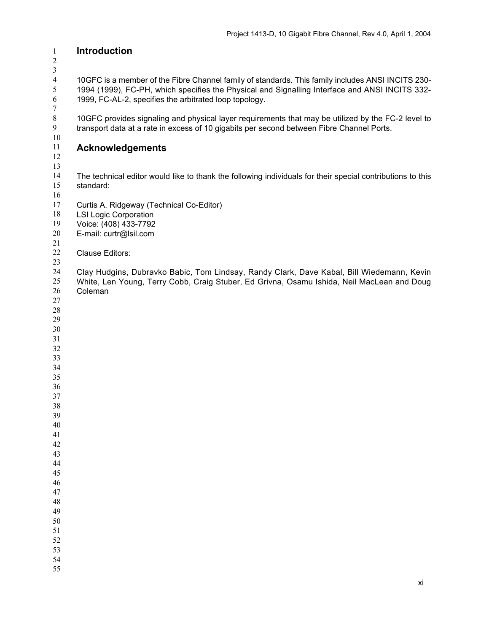# <span id="page-10-0"></span>**Introduction**

10GFC is a member of the Fibre Channel family of standards. This family includes ANSI INCITS 230- 1994 (1999), FC-PH, which specifies the Physical and Signalling Interface and ANSI INCITS 332- 1999, FC-AL-2, specifies the arbitrated loop topology.

10GFC provides signaling and physical layer requirements that may be utilized by the FC-2 level to transport data at a rate in excess of 10 gigabits per second between Fibre Channel Ports.

# **Acknowledgements**

 

 The technical editor would like to thank the following individuals for their special contributions to this standard:

- Curtis A. Ridgeway (Technical Co-Editor)
- LSI Logic Corporation
- Voice: (408) 433-7792
- E-mail: curtr@lsil.com
- 
- Clause Editors:
- 

 Clay Hudgins, Dubravko Babic, Tom Lindsay, Randy Clark, Dave Kabal, Bill Wiedemann, Kevin White, Len Young, Terry Cobb, Craig Stuber, Ed Grivna, Osamu Ishida, Neil MacLean and Doug Coleman

- 
- 
- 
- 
- 
- 
- 
- 
- 
- 
- 
- 
- 
- 
- 
- 
- 
- 

 

- 
- 
- 
- 

xi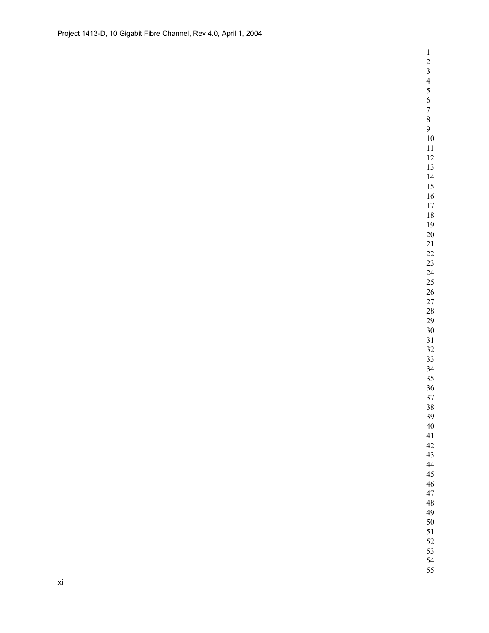| $\overline{\mathbf{c}}$ |
|-------------------------|
| $\frac{3}{4}$           |
|                         |
| 5                       |
| 6                       |
| 7                       |
| 8                       |
| 9                       |
| 10                      |
| 11<br>12                |
| 13                      |
| 14                      |
| 15                      |
| 16                      |
| 17                      |
| 18                      |
| 19                      |
| 20                      |
| $\overline{21}$         |
| 22                      |
| 23                      |
| 24                      |
| 25                      |
| 26                      |
| 27                      |
| 28                      |
| 29<br>30                |
| 31                      |
| 32                      |
| 33                      |
| 34                      |
| 35                      |
| 36                      |
| 37                      |
| 38                      |
| 39                      |
| 40                      |
| 41                      |
| 42<br>43                |
| 44                      |
| 45                      |
| 46                      |
| 47                      |
| 48                      |
| 49                      |
| 50                      |
| 51                      |
| 52                      |
| 53                      |
| 54                      |
| 55                      |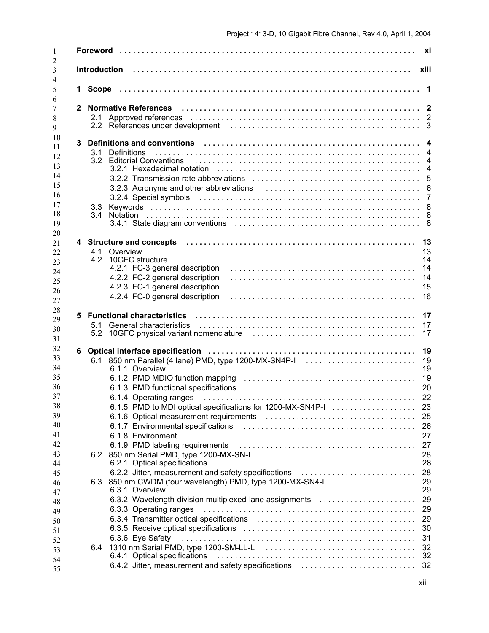| <b>Introduction</b>                                                                                                                                                                                                      |                                                          |  |  |
|--------------------------------------------------------------------------------------------------------------------------------------------------------------------------------------------------------------------------|----------------------------------------------------------|--|--|
|                                                                                                                                                                                                                          |                                                          |  |  |
|                                                                                                                                                                                                                          |                                                          |  |  |
|                                                                                                                                                                                                                          |                                                          |  |  |
|                                                                                                                                                                                                                          | $\overline{4}$<br>$\overline{4}$                         |  |  |
|                                                                                                                                                                                                                          | $6\phantom{1}6$                                          |  |  |
|                                                                                                                                                                                                                          |                                                          |  |  |
| 4 Structure and concepts (and all and all and all and all and all and all and all and all and all and all and a<br>4.2.4 FC-0 general description                                                                        | 13<br>13<br>14<br>14<br>14<br>15<br>16                   |  |  |
| 5.1                                                                                                                                                                                                                      | 17<br>17<br>17                                           |  |  |
| 6.1 850 nm Parallel (4 lane) PMD, type 1200-MX-SN4P-I<br>6.1.8 Environment                                                                                                                                               | 19<br>19<br>19<br>19<br>20<br>25<br>26<br>27<br>27<br>28 |  |  |
| 6.2.2 Jitter, measurement and safety specifications<br>6.3 850 nm CWDM (four wavelength) PMD, type 1200-MX-SN4-I<br>6.3.2 Wavelength-division multiplexed-lane assignments<br>6.3.3 Operating ranges<br>6.3.6 Eye Safety | 28<br>28<br>29<br>29<br>29<br>29<br>29<br>30<br>31       |  |  |
| 6.4<br>6.4.1 Optical specifications                                                                                                                                                                                      | 32<br>-32                                                |  |  |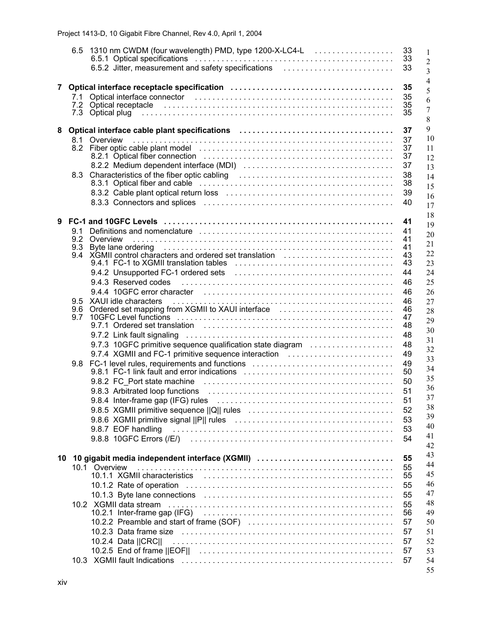|    | 6.5        | 1310 nm CWDM (four wavelength) PMD, type 1200-X-LC4-L                                                                                                                                                                          | 33<br>33 | 1                                |
|----|------------|--------------------------------------------------------------------------------------------------------------------------------------------------------------------------------------------------------------------------------|----------|----------------------------------|
|    |            | 6.5.2 Jitter, measurement and safety specifications                                                                                                                                                                            | 33       | $\overline{c}$<br>$\overline{3}$ |
|    |            |                                                                                                                                                                                                                                |          | $\overline{4}$                   |
| 7  |            |                                                                                                                                                                                                                                | 35       | 5                                |
|    |            |                                                                                                                                                                                                                                | 35       | 6                                |
|    |            |                                                                                                                                                                                                                                | 35<br>35 | $\boldsymbol{7}$                 |
|    |            |                                                                                                                                                                                                                                |          | 8                                |
| 8  |            |                                                                                                                                                                                                                                | 37       | 9                                |
|    |            | 8.1 Overview                                                                                                                                                                                                                   | 37       | 10                               |
|    |            |                                                                                                                                                                                                                                | 37       | 11                               |
|    |            |                                                                                                                                                                                                                                | 37       | 12                               |
|    |            |                                                                                                                                                                                                                                | 37       | 13                               |
|    |            | 8.3 Characteristics of the fiber optic cabling                                                                                                                                                                                 | 38<br>38 | 14                               |
|    |            |                                                                                                                                                                                                                                | 39       | 15                               |
|    |            |                                                                                                                                                                                                                                | 40       | 16                               |
|    |            |                                                                                                                                                                                                                                |          | 17<br>18                         |
| 9  |            |                                                                                                                                                                                                                                | 41       | 19                               |
|    | 9.1        |                                                                                                                                                                                                                                | 41       | 20                               |
|    | 9.2        | Overview                                                                                                                                                                                                                       | 41       | 21                               |
|    |            | 9.3 Byte lane ordering contained and ordered set translation contained and set of the SGMII control characters and ordered set translation contained and control characters and ordered set translation contained and containe | 41<br>43 | 22                               |
|    |            |                                                                                                                                                                                                                                | 43       | 23                               |
|    |            |                                                                                                                                                                                                                                | 44       | 24                               |
|    |            | 9.4.3 Reserved codes                                                                                                                                                                                                           | 46       | 25                               |
|    |            |                                                                                                                                                                                                                                | 46       | 26                               |
|    | 9.5        | XAUI idle characters                                                                                                                                                                                                           | 46       | 27                               |
|    | 9.6<br>9.7 | Ordered set mapping from XGMII to XAUI interface                                                                                                                                                                               | 46<br>47 | 28                               |
|    |            |                                                                                                                                                                                                                                | 48       | 29                               |
|    |            |                                                                                                                                                                                                                                | 48       | 30                               |
|    |            | 9.7.3 10GFC primitive sequence qualification state diagram                                                                                                                                                                     | 48       | 31                               |
|    |            | 9.7.4 XGMII and FC-1 primitive sequence interaction <i>[1] 1.1.1.1.1.1.1.1.1.1.1.1.1.1.1</i>                                                                                                                                   | 49       | 32                               |
|    |            | 9.8 FC-1 level rules, requirements and functions                                                                                                                                                                               | 49       | 33<br>34                         |
|    |            |                                                                                                                                                                                                                                | 50       | 35                               |
|    |            |                                                                                                                                                                                                                                | 50       | 36                               |
|    |            |                                                                                                                                                                                                                                | 51<br>51 | 37                               |
|    |            |                                                                                                                                                                                                                                | 52       | 38                               |
|    |            |                                                                                                                                                                                                                                | 53       | 39                               |
|    |            | 9.8.7 EOF handling                                                                                                                                                                                                             | 53       | 40                               |
|    |            |                                                                                                                                                                                                                                | 54       | 41                               |
|    |            |                                                                                                                                                                                                                                |          | 42                               |
| 10 |            | 10 gigabit media independent interface (XGMII)                                                                                                                                                                                 | 55       | 43                               |
|    |            | 10.1 Overview                                                                                                                                                                                                                  | 55       | 44                               |
|    |            |                                                                                                                                                                                                                                | 55       | 45                               |
|    |            |                                                                                                                                                                                                                                | 55       | 46                               |
|    |            |                                                                                                                                                                                                                                | 55       | 47<br>48                         |
|    |            |                                                                                                                                                                                                                                | 55<br>56 | 49                               |
|    |            |                                                                                                                                                                                                                                | 57       | 50                               |
|    |            |                                                                                                                                                                                                                                | 57       | 51                               |
|    |            |                                                                                                                                                                                                                                | 57       | 52                               |
|    |            |                                                                                                                                                                                                                                | 57       | 53                               |
|    |            |                                                                                                                                                                                                                                | 57       | 54                               |
|    |            |                                                                                                                                                                                                                                |          | 55                               |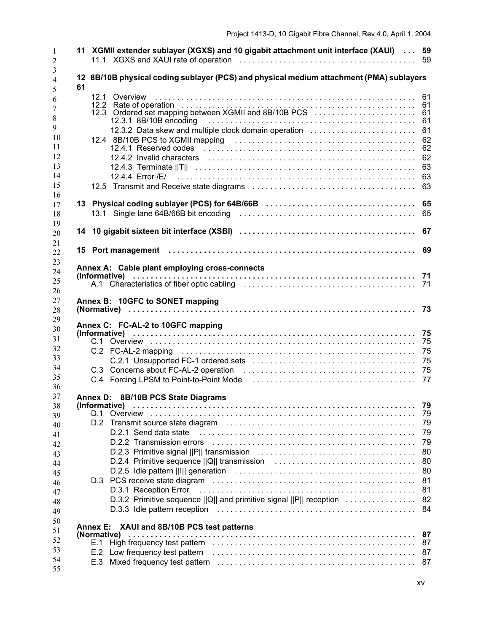| 1<br>2                |    | 11 XGMII extender sublayer (XGXS) and 10 gigabit attachment unit interface (XAUI)  59                                                                                                                                                                                                       |                      |
|-----------------------|----|---------------------------------------------------------------------------------------------------------------------------------------------------------------------------------------------------------------------------------------------------------------------------------------------|----------------------|
| 3<br>$\overline{4}$   | 61 | 12 8B/10B physical coding sublayer (PCS) and physical medium attachment (PMA) sublayers                                                                                                                                                                                                     |                      |
| 5<br>6<br>7<br>8<br>9 |    | 12.2 Rate of operation <i>manufally contained as CAD Rate of operation</i> on the set mapping between XGMII and 8B/10B PCS manufally contained as 61<br>12.3.2 Data skew and multiple clock domain operation                                                                                | 61<br>61<br>61       |
| 10<br>11<br>12<br>13  |    | 12.4.2 Invalid characters (etc.), etc.), etc.), etc., etc., etc., etc., etc., etc., etc., etc., etc., etc., e                                                                                                                                                                               | 62<br>62<br>62<br>63 |
| 14<br>15              |    |                                                                                                                                                                                                                                                                                             | 63<br>63             |
| 16<br>17<br>18        |    |                                                                                                                                                                                                                                                                                             |                      |
| 19<br>20              |    |                                                                                                                                                                                                                                                                                             |                      |
| 21<br>22<br>23        |    |                                                                                                                                                                                                                                                                                             |                      |
| 24<br>25<br>26        |    | Annex A: Cable plant employing cross-connects<br>(Informative)<br>A.1 Characteristics of fiber optic cabling<br>The matter of the result of the continuum of the cabling<br>Theorem and the cabling<br>Theorem and the continuum of the contract of the principle of the contract of the co |                      |
| 27<br>28              |    | Annex B: 10GFC to SONET mapping                                                                                                                                                                                                                                                             |                      |
| 29<br>30              |    | Annex C: FC-AL-2 to 10GFC mapping                                                                                                                                                                                                                                                           |                      |
| 31                    |    |                                                                                                                                                                                                                                                                                             | -75                  |
| 32                    |    |                                                                                                                                                                                                                                                                                             |                      |
| 33                    |    |                                                                                                                                                                                                                                                                                             |                      |
| 34<br>35<br>36        |    |                                                                                                                                                                                                                                                                                             | 77                   |
| 37                    |    | Annex D: 8B/10B PCS State Diagrams                                                                                                                                                                                                                                                          |                      |
| 38                    |    | (Informative)                                                                                                                                                                                                                                                                               | 79                   |
| 39                    |    |                                                                                                                                                                                                                                                                                             | -79                  |
| 40                    |    |                                                                                                                                                                                                                                                                                             | 79                   |
| 41                    |    | D.2.1 Send data state <i>immunicanal contention</i> and content to the state of the state of the state of the state of the state of the state of the state of the state of the state of the state of the state of the state of the                                                          | 79                   |
| 42                    |    |                                                                                                                                                                                                                                                                                             | 79                   |
| 43                    |    |                                                                                                                                                                                                                                                                                             | 80                   |
| 44                    |    |                                                                                                                                                                                                                                                                                             | 80                   |
| 45                    |    |                                                                                                                                                                                                                                                                                             | 80<br>81             |
| 46                    |    |                                                                                                                                                                                                                                                                                             | 81                   |
| 47                    |    | D.3.2 Primitive sequence   Q   and primitive signal   P   reception                                                                                                                                                                                                                         | 82                   |
| 48                    |    |                                                                                                                                                                                                                                                                                             | 84                   |
| 49                    |    |                                                                                                                                                                                                                                                                                             |                      |
| 50<br>51              |    | Annex E: XAUI and 8B/10B PCS test patterns                                                                                                                                                                                                                                                  |                      |
| 52                    |    | $rac{1}{2}$<br>(Normative)                                                                                                                                                                                                                                                                  |                      |
| 53                    |    |                                                                                                                                                                                                                                                                                             | -87                  |
| 54                    |    | E.3                                                                                                                                                                                                                                                                                         |                      |
| 55                    |    |                                                                                                                                                                                                                                                                                             |                      |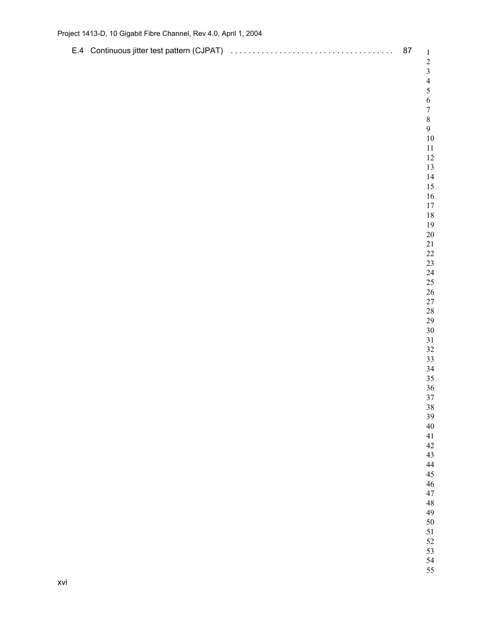|     | Project 1413-D, 10 Gigabit Fibre Channel, Rev 4.0, April 1, 2004 |  |                              |  |  |
|-----|------------------------------------------------------------------|--|------------------------------|--|--|
| E.4 |                                                                  |  | 87<br>$\mathbf{1}$           |  |  |
|     |                                                                  |  | $\sqrt{2}$                   |  |  |
|     |                                                                  |  | $\overline{3}$               |  |  |
|     |                                                                  |  | $\overline{4}$<br>$\sqrt{5}$ |  |  |
|     |                                                                  |  | $\sqrt{6}$                   |  |  |
|     |                                                                  |  | $\boldsymbol{7}$             |  |  |
|     |                                                                  |  | $8\,$                        |  |  |
|     |                                                                  |  | $\overline{9}$<br>$10\,$     |  |  |
|     |                                                                  |  | 11                           |  |  |
|     |                                                                  |  | $12\,$                       |  |  |
|     |                                                                  |  | 13                           |  |  |
|     |                                                                  |  | 14<br>15                     |  |  |
|     |                                                                  |  | $16\,$                       |  |  |
|     |                                                                  |  | $17\,$                       |  |  |
|     |                                                                  |  | $18\,$                       |  |  |
|     |                                                                  |  | 19<br>$20\,$                 |  |  |
|     |                                                                  |  | $21\,$                       |  |  |
|     |                                                                  |  | $22\,$                       |  |  |
|     |                                                                  |  | $23\,$                       |  |  |
|     |                                                                  |  | 24<br>25                     |  |  |
|     |                                                                  |  | $26\,$                       |  |  |
|     |                                                                  |  | $27\,$                       |  |  |
|     |                                                                  |  | $28\,$                       |  |  |
|     |                                                                  |  | $29\,$<br>$30\,$             |  |  |
|     |                                                                  |  | 31                           |  |  |
|     |                                                                  |  | $32\,$                       |  |  |
|     |                                                                  |  | 33                           |  |  |
|     |                                                                  |  | $34\,$<br>35                 |  |  |
|     |                                                                  |  |                              |  |  |
|     |                                                                  |  | $\frac{36}{37}$              |  |  |
|     |                                                                  |  | 38                           |  |  |
|     |                                                                  |  | 39<br>40                     |  |  |
|     |                                                                  |  | $41\,$                       |  |  |
|     |                                                                  |  | 42                           |  |  |
|     |                                                                  |  | 43                           |  |  |
|     |                                                                  |  | 44<br>45                     |  |  |
|     |                                                                  |  | 46                           |  |  |
|     |                                                                  |  | $47\,$                       |  |  |
|     |                                                                  |  | $\sqrt{48}$                  |  |  |
|     |                                                                  |  | 49<br>50                     |  |  |
|     |                                                                  |  | 51                           |  |  |
|     |                                                                  |  | 52                           |  |  |
|     |                                                                  |  | 53                           |  |  |
|     |                                                                  |  | 54<br>55                     |  |  |
|     |                                                                  |  |                              |  |  |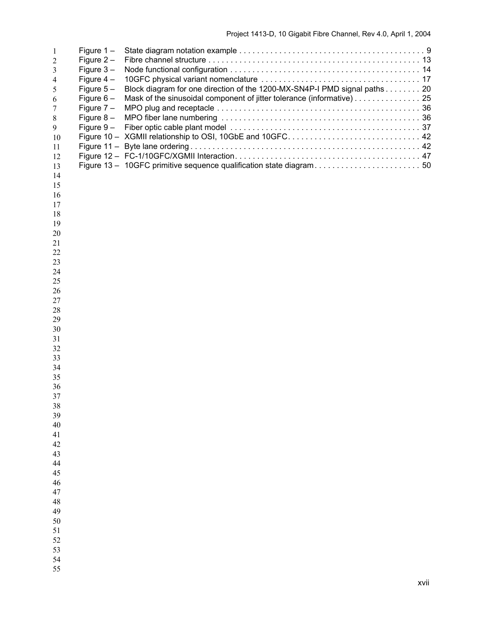|                 | Figure $1 -$ |                                                                           |  |
|-----------------|--------------|---------------------------------------------------------------------------|--|
| 2               | Figure $2 -$ |                                                                           |  |
| $\mathcal{E}$   | Figure $3 -$ |                                                                           |  |
| $\overline{4}$  |              |                                                                           |  |
| .5              | Figure $5-$  | Block diagram for one direction of the 1200-MX-SN4P-I PMD signal paths 20 |  |
| 6               | Figure $6-$  | Mask of the sinusoidal component of jitter tolerance (informative) 25     |  |
| $7\phantom{.0}$ |              |                                                                           |  |
| 8               |              |                                                                           |  |
| 9               |              |                                                                           |  |
| 10              |              |                                                                           |  |
| 11              |              |                                                                           |  |
| 12              |              |                                                                           |  |
| 13              |              |                                                                           |  |
| 14              |              |                                                                           |  |
| -15             |              |                                                                           |  |

# 

 

# 

 

# 

#### 

# 

 

#### 

  $\frac{55}{34}$ 

# 

# 

 

# 

 

# 

# 

 

# 

#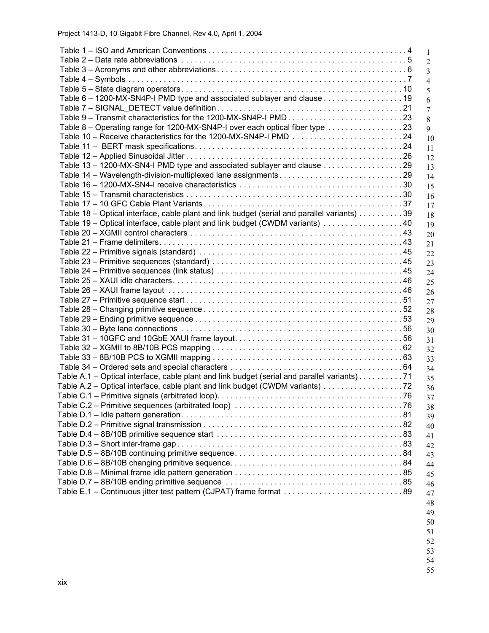|                                                                                             | -1             |
|---------------------------------------------------------------------------------------------|----------------|
|                                                                                             | $\sqrt{2}$     |
|                                                                                             | $\overline{3}$ |
|                                                                                             | $\overline{4}$ |
|                                                                                             | 5              |
| Table 6 – 1200-MX-SN4P-I PMD type and associated sublayer and clause 19                     | 6              |
|                                                                                             | 7              |
|                                                                                             | 8              |
| Table 8 – Operating range for 1200-MX-SN4P-I over each optical fiber type 23                | 9              |
|                                                                                             | 10             |
|                                                                                             | 11             |
|                                                                                             | 12             |
| Table 13 - 1200-MX-SN4-I PMD type and associated sublayer and clause 29                     | 13             |
| Table 14 - Wavelength-division-multiplexed lane assignments29                               | 14             |
|                                                                                             | 15             |
|                                                                                             | 16             |
|                                                                                             | 17             |
| Table 18 – Optical interface, cable plant and link budget (serial and parallel variants) 39 | 18             |
| Table 19 – Optical interface, cable plant and link budget (CWDM variants) 40                | 19             |
|                                                                                             | 20             |
|                                                                                             | 21             |
|                                                                                             | 22             |
|                                                                                             | 23             |
|                                                                                             | 24             |
|                                                                                             | 25             |
|                                                                                             | 26             |
|                                                                                             | 27             |
|                                                                                             | 28             |
|                                                                                             | 29             |
|                                                                                             | 30             |
|                                                                                             | 31             |
|                                                                                             | 32             |
|                                                                                             | 33             |
|                                                                                             | 34             |
| Table A.1 – Optical interface, cable plant and link budget (serial and parallel variants)71 | 35             |
| Table A.2 – Optical interface, cable plant and link budget (CWDM variants) 72               | 36             |
|                                                                                             | 37             |
|                                                                                             | 38             |
|                                                                                             | 39             |
|                                                                                             | 40             |
|                                                                                             | 41             |
|                                                                                             | 42             |
|                                                                                             | 43             |
|                                                                                             | 44             |
|                                                                                             | 45             |
|                                                                                             | 46             |
|                                                                                             | 47             |
|                                                                                             |                |

- 51
- 52 53

54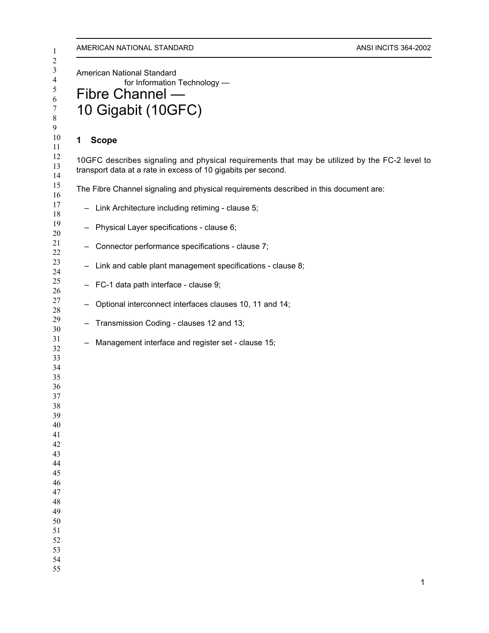<span id="page-20-0"></span>AMERICAN NATIONAL STANDARD **ANSI INCITS 364-2002** ANSI INCITS 364-2002 American National Standard for Information Technology — Fibre Channel — 10 Gigabit (10GFC) **1 Scope** 10GFC describes signaling and physical requirements that may be utilized by the FC-2 level to transport data at a rate in excess of 10 gigabits per second. The Fibre Channel signaling and physical requirements described in this document are: – Link Architecture including retiming - clause [5;](#page-36-4) – Physical Layer specifications - clause [6;](#page-38-5) – Connector performance specifications - clause [7;](#page-54-4) – Link and cable plant management specifications - clause [8;](#page-56-7) – FC-1 data path interface - clause [9;](#page-60-4) – Optional interconnect interfaces clauses [10](#page-74-6), [11](#page-78-2) and [14](#page-86-1); – Transmission Coding - clauses [12](#page-80-6) and [13;](#page-84-2) – Management interface and register set - clause [15;](#page-88-1)

| ۰, |  |
|----|--|
|    |  |
|    |  |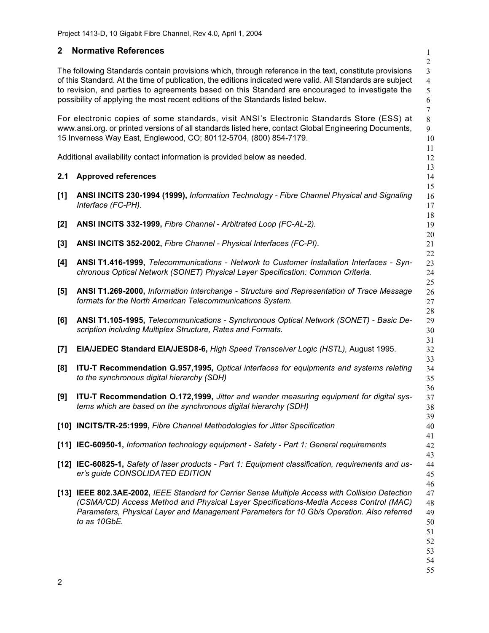# <span id="page-21-0"></span>**2 Normative References**

The following Standards contain provisions which, through reference in the text, constitute provisions of this Standard. At the time of publication, the editions indicated were valid. All Standards are subject to revision, and parties to agreements based on this Standard are encouraged to investigate the possibility of applying the most recent editions of the Standards listed below.

For electronic copies of some standards, visit ANSI's Electronic Standards Store (ESS) at www.ansi.org. or printed versions of all standards listed here, contact Global Engineering Documents, 15 Inverness Way East, Englewood, CO; 80112-5704, (800) 854-7179.

Additional availability contact information is provided below as needed.

#### <span id="page-21-1"></span>**2.1 Approved references**

- **[1] ANSI INCITS 230-1994 (1999),** *Information Technology Fibre Channel Physical and Signaling Interface (FC-PH).*
- **[2] ANSI INCITS 332-1999,** *Fibre Channel Arbitrated Loop (FC-AL-2).*
- **[3] ANSI INCITS 352-2002,** *Fibre Channel Physical Interfaces (FC-PI)*.
- **[4] ANSI T1.416-1999,** *Telecommunications Network to Customer Installation Interfaces Synchronous Optical Network (SONET) Physical Layer Specification: Common Criteria.*
- **[5] ANSI T1.269-2000,** *Information Interchange Structure and Representation of Trace Message formats for the North American Telecommunications System.*
- **[6] ANSI T1.105-1995,** *Telecommunications Synchronous Optical Network (SONET) Basic Description including Multiplex Structure, Rates and Formats.*
- **[7] EIA/JEDEC Standard EIA/JESD8-6,** *High Speed Transceiver Logic (HSTL),* August 1995.
- **[8] ITU-T Recommendation G.957,1995,** *Optical interfaces for equipments and systems relating to the synchronous digital hierarchy (SDH)*
- **[9] ITU-T Recommendation O.172,1999,** *Jitter and wander measuring equipment for digital systems which are based on the synchronous digital hierarchy (SDH)*

**[10] INCITS/TR-25:1999,** *Fibre Channel Methodologies for Jitter Specification*

**[11] IEC-60950-1,** *Information technology equipment - Safety - Part 1: General requirements*

- **[12] IEC-60825-1,** *Safety of laser products Part 1: Equipment classification, requirements and user's guide CONSOLIDATED EDITION*
- <span id="page-21-3"></span><span id="page-21-2"></span> **[13] IEEE 802.3AE-2002,** *IEEE Standard for Carrier Sense Multiple Access with Collision Detection (CSMA/CD) Access Method and Physical Layer Specifications-Media Access Control (MAC) Parameters, Physical Layer and Management Parameters for 10 Gb/s Operation. Also referred to as 10GbE.*
	-

- 
-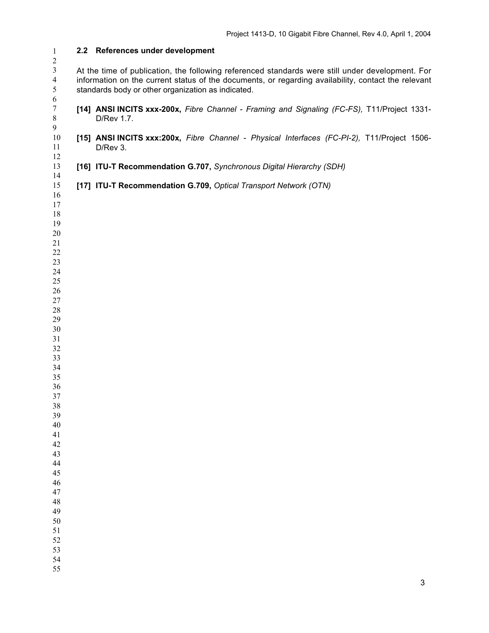# <span id="page-22-0"></span>**2.2 References under development**

At the time of publication, the following referenced standards were still under development. For information on the current status of the documents, or regarding availability, contact the relevant standards body or other organization as indicated.

- **[14] ANSI INCITS xxx-200x,** *Fibre Channel Framing and Signaling (FC-FS),* T11/Project 1331- D/Rev 1.7.
- **[15] ANSI INCITS xxx:200x,** *Fibre Channel Physical Interfaces (FC-PI-2),* T11/Project 1506- D/Rev 3.
- **[16] ITU-T Recommendation G.707,** *Synchronous Digital Hierarchy (SDH)*
- **[17] ITU-T Recommendation G.709,** *Optical Transport Network (OTN)*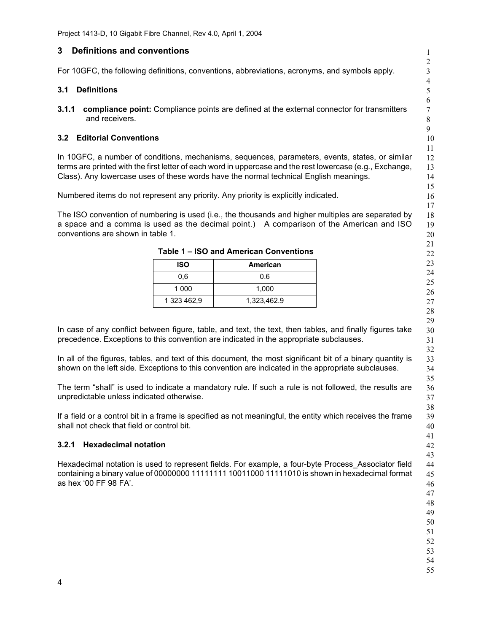# <span id="page-23-0"></span>**3 Definitions and conventions**

For 10GFC, the following definitions, conventions, abbreviations, acronyms, and symbols apply.

#### <span id="page-23-1"></span>**3.1 Definitions**

**3.1.1 compliance point:** Compliance points are defined at the external connector for transmitters and receivers.

#### <span id="page-23-2"></span>**3.2 Editorial Conventions**

In 10GFC, a number of conditions, mechanisms, sequences, parameters, events, states, or similar terms are printed with the first letter of each word in uppercase and the rest lowercase (e.g., Exchange, Class). Any lowercase uses of these words have the normal technical English meanings.

Numbered items do not represent any priority. Any priority is explicitly indicated.

<span id="page-23-4"></span>The ISO convention of numbering is used (i.e., the thousands and higher multiples are separated by a space and a comma is used as the decimal point.) A comparison of the American and ISO conventions are shown in [table 1.](#page-23-4)

| ISO         | <b>American</b> |
|-------------|-----------------|
| 0.6         | 0.6             |
| 1 000       | 1,000           |
| 1 323 462,9 | 1,323,462.9     |

#### **Table 1 – ISO and American Conventions**

In case of any conflict between figure, table, and text, the text, then tables, and finally figures take precedence. Exceptions to this convention are indicated in the appropriate subclauses.

In all of the figures, tables, and text of this document, the most significant bit of a binary quantity is shown on the left side. Exceptions to this convention are indicated in the appropriate subclauses.

The term "shall" is used to indicate a mandatory rule. If such a rule is not followed, the results are unpredictable unless indicated otherwise.

If a field or a control bit in a frame is specified as not meaningful, the entity which receives the frame shall not check that field or control bit.

#### <span id="page-23-3"></span>**3.2.1 Hexadecimal notation**

Hexadecimal notation is used to represent fields. For example, a four-byte Process\_Associator field containing a binary value of 00000000 11111111 10011000 11111010 is shown in hexadecimal format as hex '00 FF 98 FA'.

- 
- 
- 
- 
-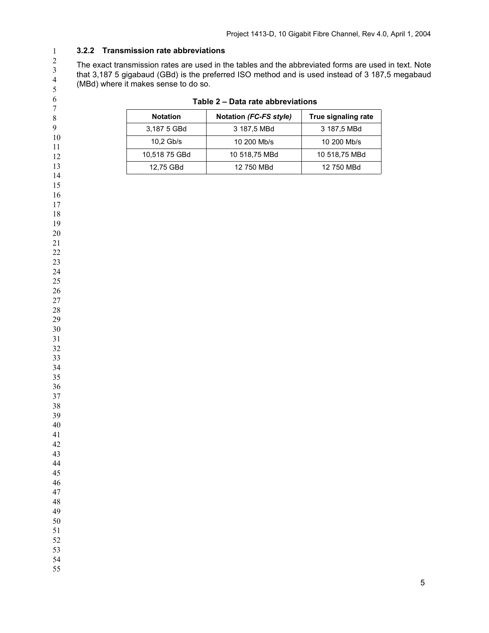# <span id="page-24-0"></span>**3.2.2 Transmission rate abbreviations**

<span id="page-24-1"></span>The exact transmission rates are used in the tables and the abbreviated forms are used in text. Note that 3,187 5 gigabaud (GBd) is the preferred ISO method and is used instead of 3 187,5 megabaud (MBd) where it makes sense to do so.

| <b>Notation</b> | Notation (FC-FS style) | True signaling rate |
|-----------------|------------------------|---------------------|
| 3,187 5 GBd     | 3 187,5 MBd            | 3 187,5 MBd         |
| 10.2 Gb/s       | 10 200 Mb/s            | 10 200 Mb/s         |
| 10,518 75 GBd   | 10 518,75 MBd          | 10 518,75 MBd       |
| 12,75 GBd       | 12 750 MBd             | 12 750 MBd          |

#### **Table 2 – Data rate abbreviations**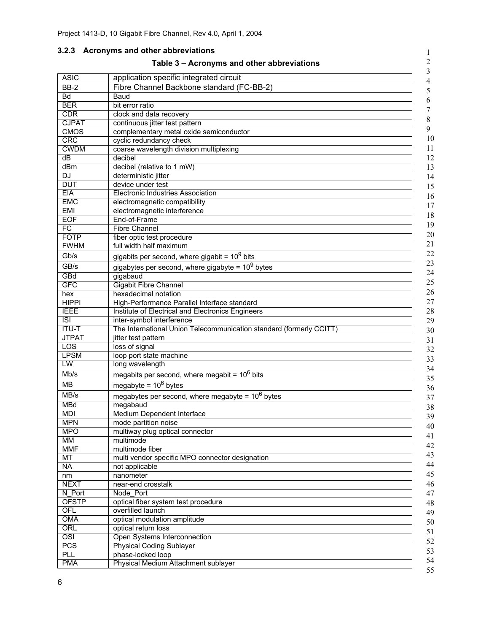# <span id="page-25-0"></span>**3.2.3 Acronyms and other abbreviations**

# **Table 3 – Acronyms and other abbreviations**

<span id="page-25-1"></span>

| <b>ASIC</b>       | application specific integrated circuit                             |  |
|-------------------|---------------------------------------------------------------------|--|
| <b>BB-2</b>       | Fibre Channel Backbone standard (FC-BB-2)                           |  |
| <b>Bd</b>         | Baud                                                                |  |
| <b>BER</b>        | bit error ratio                                                     |  |
| CDR               | clock and data recovery                                             |  |
| <b>CJPAT</b>      | continuous jitter test pattern                                      |  |
| <b>CMOS</b>       | complementary metal oxide semiconductor                             |  |
| <b>CRC</b>        | cyclic redundancy check                                             |  |
| <b>CWDM</b>       | coarse wavelength division multiplexing                             |  |
| dB                | decibel                                                             |  |
| dBm               | decibel (relative to 1 mW)                                          |  |
| <b>DJ</b>         | deterministic jitter                                                |  |
| <b>DUT</b>        | device under test                                                   |  |
| <b>EIA</b>        | <b>Electronic Industries Association</b>                            |  |
| <b>EMC</b>        | electromagnetic compatibility                                       |  |
| <b>EMI</b>        | electromagnetic interference                                        |  |
| <b>EOF</b>        | End-of-Frame                                                        |  |
| FC<br><b>FOTP</b> | <b>Fibre Channel</b>                                                |  |
|                   | fiber optic test procedure                                          |  |
| <b>FWHM</b>       | full width half maximum                                             |  |
| Gb/s              | gigabits per second, where gigabit = $10^9$ bits                    |  |
| GB/s              | gigabytes per second, where gigabyte = $10^9$ bytes                 |  |
| <b>GBd</b>        | gigabaud                                                            |  |
| <b>GFC</b>        | <b>Gigabit Fibre Channel</b>                                        |  |
| hex               | hexadecimal notation                                                |  |
| <b>HIPPI</b>      | High-Performance Parallel Interface standard                        |  |
| <b>IEEE</b>       | Institute of Electrical and Electronics Engineers                   |  |
| <b>ISI</b>        | inter-symbol interference                                           |  |
| <b>ITU-T</b>      | The International Union Telecommunication standard (formerly CCITT) |  |
| <b>JTPAT</b>      | jitter test pattern                                                 |  |
| <b>LOS</b>        | loss of signal                                                      |  |
| <b>LPSM</b>       | loop port state machine                                             |  |
| LW                | long wavelength                                                     |  |
| Mb/s              | megabits per second, where megabit = $10^6$ bits                    |  |
| <b>MB</b>         | megabyte = $10^6$ bytes                                             |  |
| MB/s              | megabytes per second, where megabyte = $10^6$ bytes                 |  |
| MBd               | megabaud                                                            |  |
| MDI               | Medium Dependent Interface                                          |  |
| <b>MPN</b>        | mode partition noise                                                |  |
| <b>MPO</b>        | multiway plug optical connector                                     |  |
| МM                | multimode                                                           |  |
| <b>MMF</b>        | multimode fiber                                                     |  |
| МT                | multi vendor specific MPO connector designation                     |  |
| <b>NA</b>         | not applicable                                                      |  |
| nm                | nanometer                                                           |  |
| <b>NEXT</b>       | near-end crosstalk                                                  |  |
| N Port            | Node_Port                                                           |  |
| <b>OFSTP</b>      | optical fiber system test procedure                                 |  |
| <b>OFL</b>        | overfilled launch                                                   |  |
| <b>OMA</b>        | optical modulation amplitude                                        |  |
| ORL               | optical return loss                                                 |  |
| OSI               | Open Systems Interconnection                                        |  |
| <b>PCS</b>        | <b>Physical Coding Sublayer</b>                                     |  |
| PLL               | phase-locked loop                                                   |  |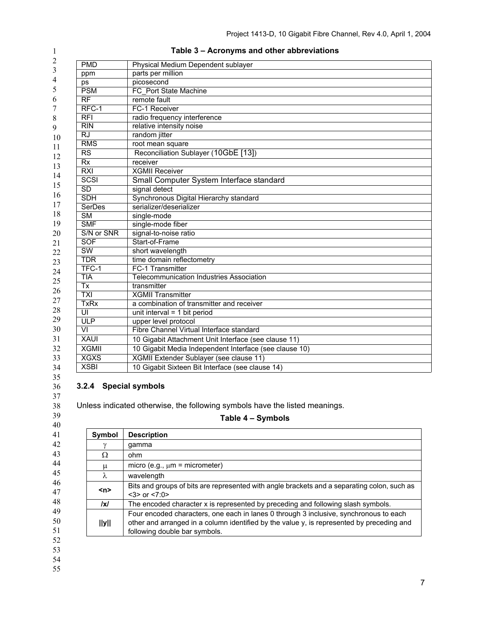| <b>PMD</b>                                                | Physical Medium Dependent sublayer                     |
|-----------------------------------------------------------|--------------------------------------------------------|
| ppm                                                       | parts per million                                      |
| ps                                                        | picosecond                                             |
| <b>PSM</b>                                                | FC Port State Machine                                  |
| RF                                                        | remote fault                                           |
| RFC-1                                                     | FC-1 Receiver                                          |
| <b>RFI</b>                                                | radio frequency interference                           |
| RIN                                                       | relative intensity noise                               |
| <b>RJ</b>                                                 | random jitter                                          |
| <b>RMS</b>                                                | root mean square                                       |
| RS                                                        | Reconciliation Sublayer (10GbE [13])                   |
| Rx                                                        | receiver                                               |
| RXI                                                       | <b>XGMII Receiver</b>                                  |
| SCSI                                                      | Small Computer System Interface standard               |
| SD                                                        | signal detect                                          |
| <b>SDH</b>                                                | Synchronous Digital Hierarchy standard                 |
| <b>SerDes</b>                                             | serializer/deserializer                                |
| <b>SM</b>                                                 | single-mode                                            |
| <b>SMF</b>                                                | single-mode fiber                                      |
| S/N or SNR                                                | signal-to-noise ratio                                  |
| <b>SOF</b>                                                | Start-of-Frame                                         |
| <b>SW</b>                                                 | short wavelength                                       |
| <b>TDR</b>                                                | time domain reflectometry                              |
| TFC-1                                                     | FC-1 Transmitter                                       |
| <b>TIA</b>                                                | <b>Telecommunication Industries Association</b>        |
| Tx                                                        | transmitter                                            |
| <b>TXI</b>                                                | <b>XGMII Transmitter</b>                               |
| <b>TxRx</b>                                               | a combination of transmitter and receiver              |
| $\overline{\mathsf{U}}$<br>unit interval = $1$ bit period |                                                        |
| <b>ULP</b>                                                | upper level protocol                                   |
| $\overline{\mathsf{v}}$                                   | Fibre Channel Virtual Interface standard               |
| <b>XAUI</b>                                               | 10 Gigabit Attachment Unit Interface (see clause 11)   |
| <b>XGMII</b>                                              | 10 Gigabit Media Independent Interface (see clause 10) |
| <b>XGXS</b>                                               | XGMII Extender Sublayer (see clause 11)                |
| <b>XSBI</b>                                               | 10 Gigabit Sixteen Bit Interface (see clause 14)       |

# **Table 3 – Acronyms and other abbreviations**

# <span id="page-26-0"></span>**3.2.4 Special symbols**

<span id="page-26-1"></span>Unless indicated otherwise, the following symbols have the listed meanings.

 **Table 4 – Symbols**

| Symbol  | <b>Description</b>                                                                                                                                                                                                  |  |  |  |
|---------|---------------------------------------------------------------------------------------------------------------------------------------------------------------------------------------------------------------------|--|--|--|
|         | gamma                                                                                                                                                                                                               |  |  |  |
| Ω       | ohm                                                                                                                                                                                                                 |  |  |  |
| μ       | micro (e.g., $\mu$ m = micrometer)                                                                                                                                                                                  |  |  |  |
| λ       | wavelength                                                                                                                                                                                                          |  |  |  |
| $n$     | Bits and groups of bits are represented with angle brackets and a separating colon, such as<br>$<3$ > or $<7:0$                                                                                                     |  |  |  |
| lxI     | The encoded character x is represented by preceding and following slash symbols.                                                                                                                                    |  |  |  |
| $\ y\ $ | Four encoded characters, one each in lanes 0 through 3 inclusive, synchronous to each<br>other and arranged in a column identified by the value y, is represented by preceding and<br>following double bar symbols. |  |  |  |

52 53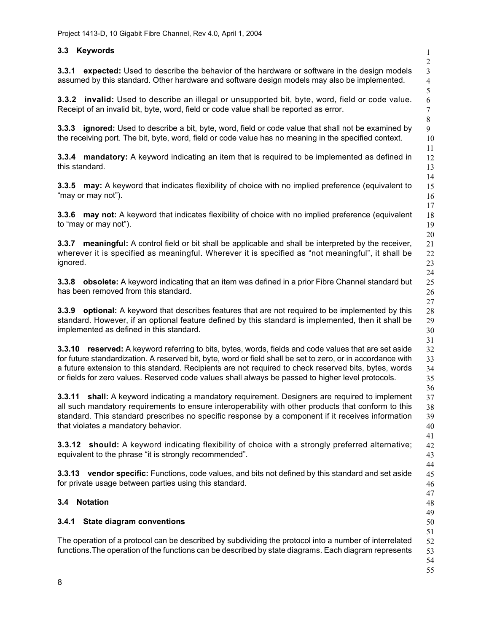# <span id="page-27-0"></span>**3.3 Keywords**

**3.3.1 expected:** Used to describe the behavior of the hardware or software in the design models assumed by this standard. Other hardware and software design models may also be implemented.

**3.3.2 invalid:** Used to describe an illegal or unsupported bit, byte, word, field or code value. Receipt of an invalid bit, byte, word, field or code value shall be reported as error.

**3.3.3 ignored:** Used to describe a bit, byte, word, field or code value that shall not be examined by the receiving port. The bit, byte, word, field or code value has no meaning in the specified context.

**3.3.4 mandatory:** A keyword indicating an item that is required to be implemented as defined in this standard.

**3.3.5 may:** A keyword that indicates flexibility of choice with no implied preference (equivalent to "may or may not").

**3.3.6 may not:** A keyword that indicates flexibility of choice with no implied preference (equivalent to "may or may not").

**3.3.7 meaningful:** A control field or bit shall be applicable and shall be interpreted by the receiver, wherever it is specified as meaningful. Wherever it is specified as "not meaningful", it shall be ignored.

**3.3.8 obsolete:** A keyword indicating that an item was defined in a prior Fibre Channel standard but has been removed from this standard.

**3.3.9 optional:** A keyword that describes features that are not required to be implemented by this standard. However, if an optional feature defined by this standard is implemented, then it shall be implemented as defined in this standard.

32 33 34 35 **3.3.10 reserved:** A keyword referring to bits, bytes, words, fields and code values that are set aside for future standardization. A reserved bit, byte, word or field shall be set to zero, or in accordance with a future extension to this standard. Recipients are not required to check reserved bits, bytes, words or fields for zero values. Reserved code values shall always be passed to higher level protocols.

**3.3.11 shall:** A keyword indicating a mandatory requirement. Designers are required to implement all such mandatory requirements to ensure interoperability with other products that conform to this standard. This standard prescribes no specific response by a component if it receives information that violates a mandatory behavior.

**3.3.12 should:** A keyword indicating flexibility of choice with a strongly preferred alternative; equivalent to the phrase "it is strongly recommended".

**3.3.13 vendor specific:** Functions, code values, and bits not defined by this standard and set aside for private usage between parties using this standard.

#### <span id="page-27-1"></span>**3.4 Notation**

#### <span id="page-27-2"></span>**3.4.1 State diagram conventions**

52 53 The operation of a protocol can be described by subdividing the protocol into a number of interrelated functions.The operation of the functions can be described by state diagrams. Each diagram represents

> 54 55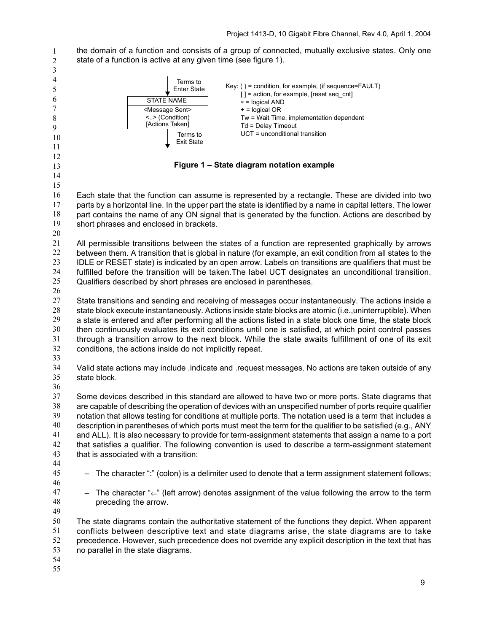<span id="page-28-0"></span>1 2 3 4 5 6 7 8 9 10 11 12 13 14 15 16 17 18 19 20 21 22 23 24 25 26 27 28 29 30 31 32 33 34 35 36 37 38 39 40 41 42 43 44 45 46 47 48 49 50 51 52 53 the domain of a function and consists of a group of connected, mutually exclusive states. Only one state of a function is active at any given time (see [figure 1](#page-28-0)). Each state that the function can assume is represented by a rectangle. These are divided into two parts by a horizontal line. In the upper part the state is identified by a name in capital letters. The lower part contains the name of any ON signal that is generated by the function. Actions are described by short phrases and enclosed in brackets. All permissible transitions between the states of a function are represented graphically by arrows between them. A transition that is global in nature (for example, an exit condition from all states to the IDLE or RESET state) is indicated by an open arrow. Labels on transitions are qualifiers that must be fulfilled before the transition will be taken.The label UCT designates an unconditional transition. Qualifiers described by short phrases are enclosed in parentheses. State transitions and sending and receiving of messages occur instantaneously. The actions inside a state block execute instantaneously. Actions inside state blocks are atomic (i.e.,uninterruptible). When a state is entered and after performing all the actions listed in a state block one time, the state block then continuously evaluates its exit conditions until one is satisfied, at which point control passes through a transition arrow to the next block. While the state awaits fulfillment of one of its exit conditions, the actions inside do not implicitly repeat. Valid state actions may include .indicate and .request messages. No actions are taken outside of any state block. Some devices described in this standard are allowed to have two or more ports. State diagrams that are capable of describing the operation of devices with an unspecified number of ports require qualifier notation that allows testing for conditions at multiple ports. The notation used is a term that includes a description in parentheses of which ports must meet the term for the qualifier to be satisfied (e.g., ANY and ALL). It is also necessary to provide for term-assignment statements that assign a name to a port that satisfies a qualifier. The following convention is used to describe a term-assignment statement that is associated with a transition: – The character ":" (colon) is a delimiter used to denote that a term assignment statement follows;  $-$  The character " $\epsilon$ " (left arrow) denotes assignment of the value following the arrow to the term preceding the arrow. The state diagrams contain the authoritative statement of the functions they depict. When apparent conflicts between descriptive text and state diagrams arise, the state diagrams are to take precedence. However, such precedence does not override any explicit description in the text that has no parallel in the state diagrams.  **Figure 1 – State diagram notation example** Terms to STATE NAME <..> (Condition) [Actions Taken] <Message Sent> Enter State Terms to Exit State [ ] = action, for example, [reset seq\_cnt] ∗ = logical AND + = logical OR Tw = Wait Time, implementation dependent Td = Delay Timeout UCT = unconditional transition Key: ( ) = condition, for example, (if sequence=FAULT)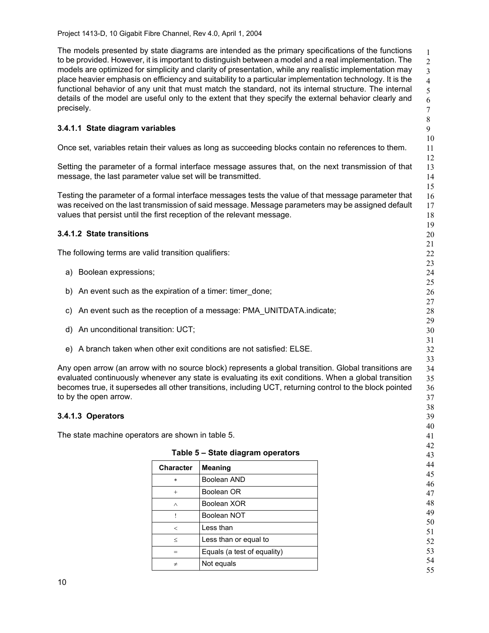1 2 3 4 5 6 7 The models presented by state diagrams are intended as the primary specifications of the functions to be provided. However, it is important to distinguish between a model and a real implementation. The models are optimized for simplicity and clarity of presentation, while any realistic implementation may place heavier emphasis on efficiency and suitability to a particular implementation technology. It is the functional behavior of any unit that must match the standard, not its internal structure. The internal details of the model are useful only to the extent that they specify the external behavior clearly and precisely.

#### **3.4.1.1 State diagram variables**

Once set, variables retain their values as long as succeeding blocks contain no references to them.

Setting the parameter of a formal interface message assures that, on the next transmission of that message, the last parameter value set will be transmitted.

Testing the parameter of a formal interface messages tests the value of that message parameter that was received on the last transmission of said message. Message parameters may be assigned default values that persist until the first reception of the relevant message.

#### **3.4.1.2 State transitions**

The following terms are valid transition qualifiers:

- a) Boolean expressions;
- b) An event such as the expiration of a timer: timer\_done;
- c) An event such as the reception of a message: PMA\_UNITDATA.indicate;
- d) An unconditional transition: UCT;
- e) A branch taken when other exit conditions are not satisfied: ELSE.

34 35 36 37 Any open arrow (an arrow with no source block) represents a global transition. Global transitions are evaluated continuously whenever any state is evaluating its exit conditions. When a global transition becomes true, it supersedes all other transitions, including UCT, returning control to the block pointed to by the open arrow.

#### **3.4.1.3 Operators**

<span id="page-29-0"></span>The state machine operators are shown in [table 5](#page-29-0).

|                  | Table 5 - State diagram operators |  |
|------------------|-----------------------------------|--|
| <b>Character</b> | <b>Meaning</b>                    |  |
| *                | Boolean AND                       |  |
| $+$              | Boolean OR                        |  |
| Λ                | Boolean XOR                       |  |
| ı                | Boolean NOT                       |  |
| $\,<\,$          | Less than                         |  |
| $\leq$           | Less than or equal to             |  |
| $=$              | Equals (a test of equality)       |  |
| $\neq$           | Not equals                        |  |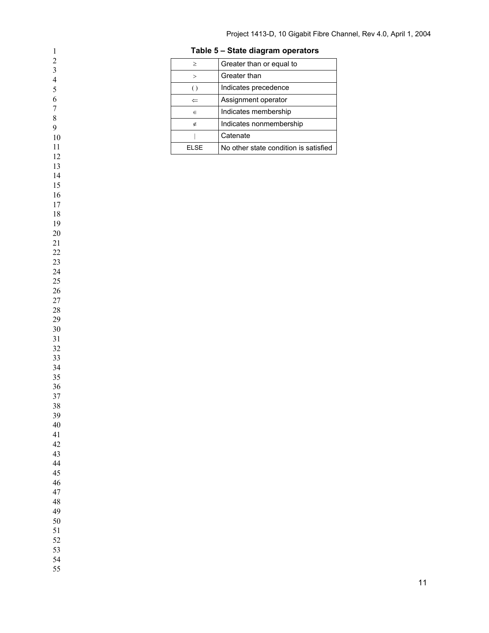| Greater than or equal to<br>$\geq$<br>$\overline{\mathbf{3}}$<br>Greater than<br>$\, >$<br>$\overline{\mathcal{L}}$<br>Indicates precedence<br>$\left( \right)$<br>5<br>6<br>Assignment operator<br>$\Leftarrow$<br>$\boldsymbol{7}$<br>Indicates membership<br>$\in$<br>$\,8\,$<br>Indicates nonmembership<br>$\not\in$<br>9<br>Catenate<br>$10\,$<br>$11\,$<br>No other state condition is satisfied<br><b>ELSE</b><br>12<br>13<br>14<br>15<br>16<br>$17\,$<br>$18\,$<br>19<br>$20\,$<br>21<br>22<br>23<br>24<br>25<br>$26\,$<br>$27\,$<br>$28\,$<br>29<br>$30\,$<br>$31\,$<br>32<br>33<br>34<br>35<br>36<br>37<br>$38\,$<br>39<br>40<br>41<br>42<br>43<br>44<br>45<br>46<br>$47\,$<br>48<br>49<br>50<br>51<br>52<br>53<br>54<br>55 | $\,1$          | Table 5 - State diagram operators |
|---------------------------------------------------------------------------------------------------------------------------------------------------------------------------------------------------------------------------------------------------------------------------------------------------------------------------------------------------------------------------------------------------------------------------------------------------------------------------------------------------------------------------------------------------------------------------------------------------------------------------------------------------------------------------------------------------------------------------------------|----------------|-----------------------------------|
|                                                                                                                                                                                                                                                                                                                                                                                                                                                                                                                                                                                                                                                                                                                                       | $\overline{c}$ |                                   |
|                                                                                                                                                                                                                                                                                                                                                                                                                                                                                                                                                                                                                                                                                                                                       |                |                                   |
|                                                                                                                                                                                                                                                                                                                                                                                                                                                                                                                                                                                                                                                                                                                                       |                |                                   |
|                                                                                                                                                                                                                                                                                                                                                                                                                                                                                                                                                                                                                                                                                                                                       |                |                                   |
|                                                                                                                                                                                                                                                                                                                                                                                                                                                                                                                                                                                                                                                                                                                                       |                |                                   |
|                                                                                                                                                                                                                                                                                                                                                                                                                                                                                                                                                                                                                                                                                                                                       |                |                                   |
|                                                                                                                                                                                                                                                                                                                                                                                                                                                                                                                                                                                                                                                                                                                                       |                |                                   |
|                                                                                                                                                                                                                                                                                                                                                                                                                                                                                                                                                                                                                                                                                                                                       |                |                                   |
|                                                                                                                                                                                                                                                                                                                                                                                                                                                                                                                                                                                                                                                                                                                                       |                |                                   |
|                                                                                                                                                                                                                                                                                                                                                                                                                                                                                                                                                                                                                                                                                                                                       |                |                                   |
|                                                                                                                                                                                                                                                                                                                                                                                                                                                                                                                                                                                                                                                                                                                                       |                |                                   |
|                                                                                                                                                                                                                                                                                                                                                                                                                                                                                                                                                                                                                                                                                                                                       |                |                                   |
|                                                                                                                                                                                                                                                                                                                                                                                                                                                                                                                                                                                                                                                                                                                                       |                |                                   |
|                                                                                                                                                                                                                                                                                                                                                                                                                                                                                                                                                                                                                                                                                                                                       |                |                                   |
|                                                                                                                                                                                                                                                                                                                                                                                                                                                                                                                                                                                                                                                                                                                                       |                |                                   |
|                                                                                                                                                                                                                                                                                                                                                                                                                                                                                                                                                                                                                                                                                                                                       |                |                                   |
|                                                                                                                                                                                                                                                                                                                                                                                                                                                                                                                                                                                                                                                                                                                                       |                |                                   |
|                                                                                                                                                                                                                                                                                                                                                                                                                                                                                                                                                                                                                                                                                                                                       |                |                                   |
|                                                                                                                                                                                                                                                                                                                                                                                                                                                                                                                                                                                                                                                                                                                                       |                |                                   |
|                                                                                                                                                                                                                                                                                                                                                                                                                                                                                                                                                                                                                                                                                                                                       |                |                                   |
|                                                                                                                                                                                                                                                                                                                                                                                                                                                                                                                                                                                                                                                                                                                                       |                |                                   |
|                                                                                                                                                                                                                                                                                                                                                                                                                                                                                                                                                                                                                                                                                                                                       |                |                                   |
|                                                                                                                                                                                                                                                                                                                                                                                                                                                                                                                                                                                                                                                                                                                                       |                |                                   |
|                                                                                                                                                                                                                                                                                                                                                                                                                                                                                                                                                                                                                                                                                                                                       |                |                                   |
|                                                                                                                                                                                                                                                                                                                                                                                                                                                                                                                                                                                                                                                                                                                                       |                |                                   |
|                                                                                                                                                                                                                                                                                                                                                                                                                                                                                                                                                                                                                                                                                                                                       |                |                                   |
|                                                                                                                                                                                                                                                                                                                                                                                                                                                                                                                                                                                                                                                                                                                                       |                |                                   |
|                                                                                                                                                                                                                                                                                                                                                                                                                                                                                                                                                                                                                                                                                                                                       |                |                                   |
|                                                                                                                                                                                                                                                                                                                                                                                                                                                                                                                                                                                                                                                                                                                                       |                |                                   |
|                                                                                                                                                                                                                                                                                                                                                                                                                                                                                                                                                                                                                                                                                                                                       |                |                                   |
|                                                                                                                                                                                                                                                                                                                                                                                                                                                                                                                                                                                                                                                                                                                                       |                |                                   |
|                                                                                                                                                                                                                                                                                                                                                                                                                                                                                                                                                                                                                                                                                                                                       |                |                                   |
|                                                                                                                                                                                                                                                                                                                                                                                                                                                                                                                                                                                                                                                                                                                                       |                |                                   |
|                                                                                                                                                                                                                                                                                                                                                                                                                                                                                                                                                                                                                                                                                                                                       |                |                                   |
|                                                                                                                                                                                                                                                                                                                                                                                                                                                                                                                                                                                                                                                                                                                                       |                |                                   |
|                                                                                                                                                                                                                                                                                                                                                                                                                                                                                                                                                                                                                                                                                                                                       |                |                                   |
|                                                                                                                                                                                                                                                                                                                                                                                                                                                                                                                                                                                                                                                                                                                                       |                |                                   |
|                                                                                                                                                                                                                                                                                                                                                                                                                                                                                                                                                                                                                                                                                                                                       |                |                                   |
|                                                                                                                                                                                                                                                                                                                                                                                                                                                                                                                                                                                                                                                                                                                                       |                |                                   |
|                                                                                                                                                                                                                                                                                                                                                                                                                                                                                                                                                                                                                                                                                                                                       |                |                                   |
|                                                                                                                                                                                                                                                                                                                                                                                                                                                                                                                                                                                                                                                                                                                                       |                |                                   |
|                                                                                                                                                                                                                                                                                                                                                                                                                                                                                                                                                                                                                                                                                                                                       |                |                                   |
|                                                                                                                                                                                                                                                                                                                                                                                                                                                                                                                                                                                                                                                                                                                                       |                |                                   |
|                                                                                                                                                                                                                                                                                                                                                                                                                                                                                                                                                                                                                                                                                                                                       |                |                                   |
|                                                                                                                                                                                                                                                                                                                                                                                                                                                                                                                                                                                                                                                                                                                                       |                |                                   |
|                                                                                                                                                                                                                                                                                                                                                                                                                                                                                                                                                                                                                                                                                                                                       |                |                                   |
|                                                                                                                                                                                                                                                                                                                                                                                                                                                                                                                                                                                                                                                                                                                                       |                |                                   |

# **Table 5 – State diagram operators**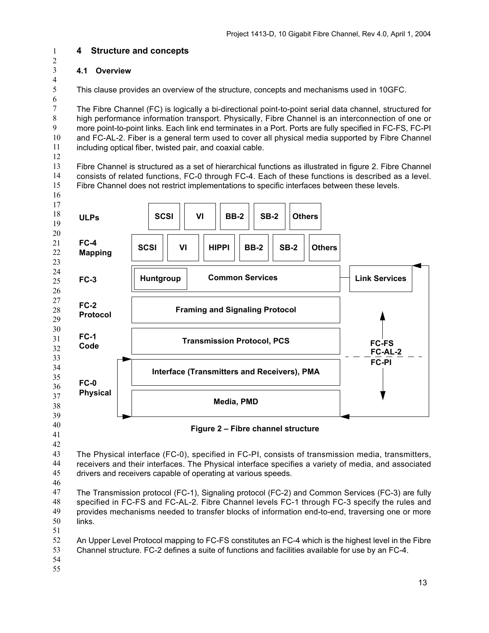# <span id="page-32-0"></span>**4 Structure and concepts**

# <span id="page-32-1"></span>**4.1 Overview**

This clause provides an overview of the structure, concepts and mechanisms used in 10GFC.

10 11 12 The Fibre Channel (FC) is logically a bi-directional point-to-point serial data channel, structured for high performance information transport. Physically, Fibre Channel is an interconnection of one or more point-to-point links. Each link end terminates in a Port. Ports are fully specified in FC-FS, FC-PI and FC-AL-2. Fiber is a general term used to cover all physical media supported by Fibre Channel including optical fiber, twisted pair, and coaxial cable.

13 14 15 Fibre Channel is structured as a set of hierarchical functions as illustrated in [figure 2](#page-32-2). Fibre Channel consists of related functions, FC-0 through FC-4. Each of these functions is described as a level. Fibre Channel does not restrict implementations to specific interfaces between these levels.



# <span id="page-32-2"></span> **Figure 2 – Fibre channel structure**

43 44 45 46 The Physical interface (FC-0), specified in FC-PI, consists of transmission media, transmitters, receivers and their interfaces. The Physical interface specifies a variety of media, and associated drivers and receivers capable of operating at various speeds.

47 48 49 50 51 The Transmission protocol (FC-1), Signaling protocol (FC-2) and Common Services (FC-3) are fully specified in FC-FS and FC-AL-2. Fibre Channel levels FC-1 through FC-3 specify the rules and provides mechanisms needed to transfer blocks of information end-to-end, traversing one or more links.

- 52 53 An Upper Level Protocol mapping to FC-FS constitutes an FC-4 which is the highest level in the Fibre Channel structure. FC-2 defines a suite of functions and facilities available for use by an FC-4.
- 54 55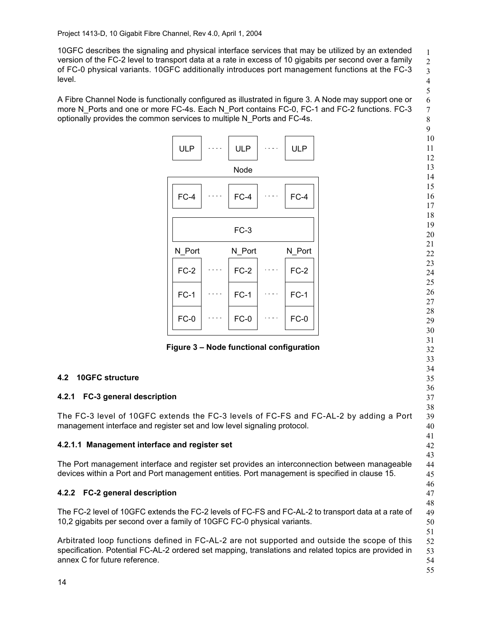10GFC describes the signaling and physical interface services that may be utilized by an extended version of the FC-2 level to transport data at a rate in excess of 10 gigabits per second over a family of FC-0 physical variants. 10GFC additionally introduces port management functions at the FC-3 level.

A Fibre Channel Node is functionally configured as illustrated in [figure 3](#page-33-3). A Node may support one or more N\_Ports and one or more FC-4s. Each N\_Port contains FC-0, FC-1 and FC-2 functions. FC-3 optionally provides the common services to multiple N\_Ports and FC-4s.



<span id="page-33-3"></span> **Figure 3 – Node functional configuration**

# <span id="page-33-0"></span>**4.2 10GFC structure**

# <span id="page-33-1"></span>**4.2.1 FC-3 general description**

The FC-3 level of 10GFC extends the FC-3 levels of FC-FS and FC-AL-2 by adding a Port management interface and register set and low level signaling protocol.

# **4.2.1.1 Management interface and register set**

The Port management interface and register set provides an interconnection between manageable devices within a Port and Port management entities. Port management is specified in clause [15](#page-88-1).

# <span id="page-33-2"></span>**4.2.2 FC-2 general description**

The FC-2 level of 10GFC extends the FC-2 levels of FC-FS and FC-AL-2 to transport data at a rate of 10,2 gigabits per second over a family of 10GFC FC-0 physical variants.

 Arbitrated loop functions defined in FC-AL-2 are not supported and outside the scope of this specification. Potential FC-AL-2 ordered set mapping, translations and related topics are provided in [annex C](#page-94-0) for future reference.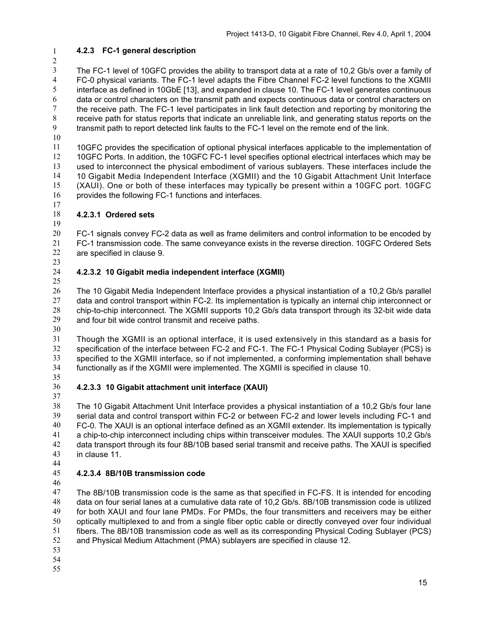# <span id="page-34-0"></span>**4.2.3 FC-1 general description**

2 3 4 5 6 7 8 9 The FC-1 level of 10GFC provides the ability to transport data at a rate of 10,2 Gb/s over a family of FC-0 physical variants. The FC-1 level adapts the Fibre Channel FC-2 level functions to the XGMII interface as defined in [10GbE \[13\],](#page-21-3) and expanded in clause [10](#page-74-6). The FC-1 level generates continuous data or control characters on the transmit path and expects continuous data or control characters on the receive path. The FC-1 level participates in link fault detection and reporting by monitoring the receive path for status reports that indicate an unreliable link, and generating status reports on the transmit path to report detected link faults to the FC-1 level on the remote end of the link.

10

1

11 12 13 14 15 16 10GFC provides the specification of optional physical interfaces applicable to the implementation of 10GFC Ports. In addition, the 10GFC FC-1 level specifies optional electrical interfaces which may be used to interconnect the physical embodiment of various sublayers. These interfaces include the 10 Gigabit Media Independent Interface (XGMII) and the 10 Gigabit Attachment Unit Interface (XAUI). One or both of these interfaces may typically be present within a 10GFC port. 10GFC provides the following FC-1 functions and interfaces.

17 18

19

# **4.2.3.1 Ordered sets**

20 21 22 FC-1 signals convey FC-2 data as well as frame delimiters and control information to be encoded by FC-1 transmission code. The same conveyance exists in the reverse direction. 10GFC Ordered Sets are specified in clause [9](#page-60-4).

23 24 25

# **4.2.3.2 10 Gigabit media independent interface (XGMII)**

26 27 28 29 The 10 Gigabit Media Independent Interface provides a physical instantiation of a 10,2 Gb/s parallel data and control transport within FC-2. Its implementation is typically an internal chip interconnect or chip-to-chip interconnect. The XGMII supports 10,2 Gb/s data transport through its 32-bit wide data and four bit wide control transmit and receive paths.

30

31 32 33 34 Though the XGMII is an optional interface, it is used extensively in this standard as a basis for specification of the interface between FC-2 and FC-1. The FC-1 Physical Coding Sublayer (PCS) is specified to the XGMII interface, so if not implemented, a conforming implementation shall behave functionally as if the XGMII were implemented. The XGMII is specified in clause [10.](#page-74-6)

- 35
- 36 37

# **4.2.3.3 10 Gigabit attachment unit interface (XAUI)**

38 39 40 41 42 43 The 10 Gigabit Attachment Unit Interface provides a physical instantiation of a 10,2 Gb/s four lane serial data and control transport within FC-2 or between FC-2 and lower levels including FC-1 and FC-0. The XAUI is an optional interface defined as an XGMII extender. Its implementation is typically a chip-to-chip interconnect including chips within transceiver modules. The XAUI supports 10,2 Gb/s data transport through its four 8B/10B based serial transmit and receive paths. The XAUI is specified in clause [11](#page-78-2).

44

#### 45 46 **4.2.3.4 8B/10B transmission code**

47 48 49 50 51 52 The 8B/10B transmission code is the same as that specified in FC-FS. It is intended for encoding data on four serial lanes at a cumulative data rate of 10,2 Gb/s. 8B/10B transmission code is utilized for both XAUI and four lane PMDs. For PMDs, the four transmitters and receivers may be either optically multiplexed to and from a single fiber optic cable or directly conveyed over four individual fibers. The 8B/10B transmission code as well as its corresponding Physical Coding Sublayer (PCS) and Physical Medium Attachment (PMA) sublayers are specified in clause [12.](#page-80-6)

- 53
- 54
- 55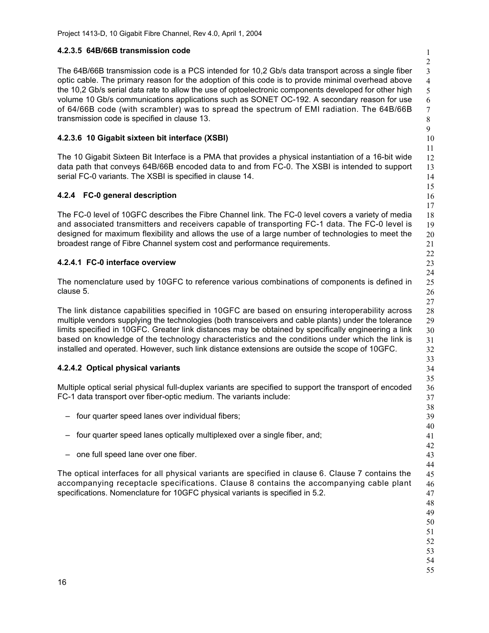# **4.2.3.5 64B/66B transmission code**

The 64B/66B transmission code is a PCS intended for 10,2 Gb/s data transport across a single fiber optic cable. The primary reason for the adoption of this code is to provide minimal overhead above the 10,2 Gb/s serial data rate to allow the use of optoelectronic components developed for other high volume 10 Gb/s communications applications such as SONET OC-192. A secondary reason for use of 64/66B code (with scrambler) was to spread the spectrum of EMI radiation. The 64B/66B transmission code is specified in clause [13.](#page-84-2)

# **4.2.3.6 10 Gigabit sixteen bit interface (XSBI)**

The 10 Gigabit Sixteen Bit Interface is a PMA that provides a physical instantiation of a 16-bit wide data path that conveys 64B/66B encoded data to and from FC-0. The XSBI is intended to support serial FC-0 variants. The XSBI is specified in clause [14](#page-86-1).

# <span id="page-35-0"></span>**4.2.4 FC-0 general description**

The FC-0 level of 10GFC describes the Fibre Channel link. The FC-0 level covers a variety of media and associated transmitters and receivers capable of transporting FC-1 data. The FC-0 level is designed for maximum flexibility and allows the use of a large number of technologies to meet the broadest range of Fibre Channel system cost and performance requirements.

# **4.2.4.1 FC-0 interface overview**

The nomenclature used by 10GFC to reference various combinations of components is defined in clause 5.

 The link distance capabilities specified in 10GFC are based on ensuring interoperability across multiple vendors supplying the technologies (both transceivers and cable plants) under the tolerance limits specified in 10GFC. Greater link distances may be obtained by specifically engineering a link based on knowledge of the technology characteristics and the conditions under which the link is installed and operated. However, such link distance extensions are outside the scope of 10GFC.

# **4.2.4.2 Optical physical variants**

Multiple optical serial physical full-duplex variants are specified to support the transport of encoded FC-1 data transport over fiber-optic medium. The variants include:

- four quarter speed lanes over individual fibers;
- four quarter speed lanes optically multiplexed over a single fiber, and;
- one full speed lane over one fiber.

The optical interfaces for all physical variants are specified in clause [6.](#page-38-5) Clause [7](#page-54-4) contains the accompanying receptacle specifications. Clause [8](#page-56-7) contains the accompanying cable plant specifications. Nomenclature for 10GFC physical variants is specified in [5.2](#page-36-5).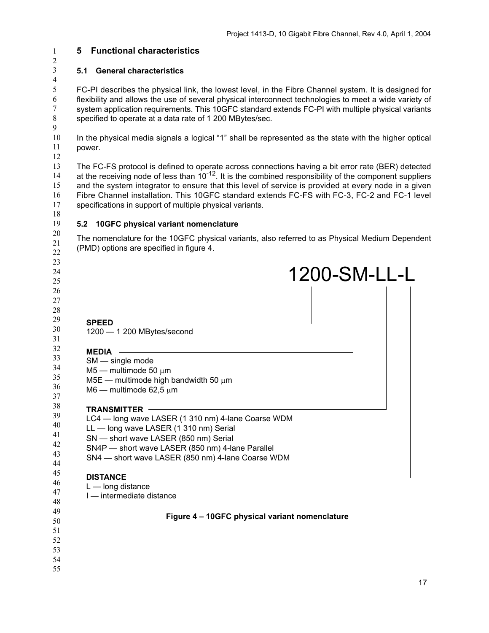# **5 Functional characteristics**

# **5.1 General characteristics**

FC-PI describes the physical link, the lowest level, in the Fibre Channel system. It is designed for flexibility and allows the use of several physical interconnect technologies to meet a wide variety of system application requirements. This 10GFC standard extends FC-PI with multiple physical variants specified to operate at a data rate of 1 200 MBytes/sec.

 In the physical media signals a logical "1" shall be represented as the state with the higher optical power.

 The FC-FS protocol is defined to operate across connections having a bit error rate (BER) detected at the receiving node of less than  $10^{-12}$ . It is the combined responsibility of the component suppliers and the system integrator to ensure that this level of service is provided at every node in a given Fibre Channel installation. This 10GFC standard extends FC-FS with FC-3, FC-2 and FC-1 level specifications in support of multiple physical variants.

 

<span id="page-36-0"></span>

# **5.2 10GFC physical variant nomenclature**

 The nomenclature for the 10GFC physical variants, also referred to as Physical Medium Dependent (PMD) options are specified in [figure 4.](#page-36-0)

| 23 |                                                    |  |
|----|----------------------------------------------------|--|
| 24 | 1200-SM-LL-L                                       |  |
| 25 |                                                    |  |
| 26 |                                                    |  |
| 27 |                                                    |  |
| 28 |                                                    |  |
| 29 | <b>SPEED</b>                                       |  |
| 30 | 1200 - 1200 MBytes/second                          |  |
| 31 |                                                    |  |
| 32 | <b>MEDIA</b>                                       |  |
| 33 | SM - single mode                                   |  |
| 34 | $M5$ — multimode 50 $\mu$ m                        |  |
| 35 | M5E — multimode high bandwidth 50 $\mu$ m          |  |
| 36 | M6 — multimode 62,5 $\mu$ m                        |  |
| 37 |                                                    |  |
| 38 | <b>TRANSMITTER</b>                                 |  |
| 39 | LC4 - long wave LASER (1 310 nm) 4-lane Coarse WDM |  |
| 40 | LL - long wave LASER (1 310 nm) Serial             |  |
| 41 | SN - short wave LASER (850 nm) Serial              |  |
| 42 | SN4P - short wave LASER (850 nm) 4-lane Parallel   |  |
| 43 | SN4 - short wave LASER (850 nm) 4-lane Coarse WDM  |  |
| 44 |                                                    |  |
| 45 | <b>DISTANCE</b>                                    |  |
| 46 | $L$ — long distance                                |  |
| 47 | I - intermediate distance                          |  |
| 48 |                                                    |  |
| 49 | Figure 4 - 10GFC physical variant nomenclature     |  |
| 50 |                                                    |  |
| 51 |                                                    |  |
| 52 |                                                    |  |
| 53 |                                                    |  |
| 54 |                                                    |  |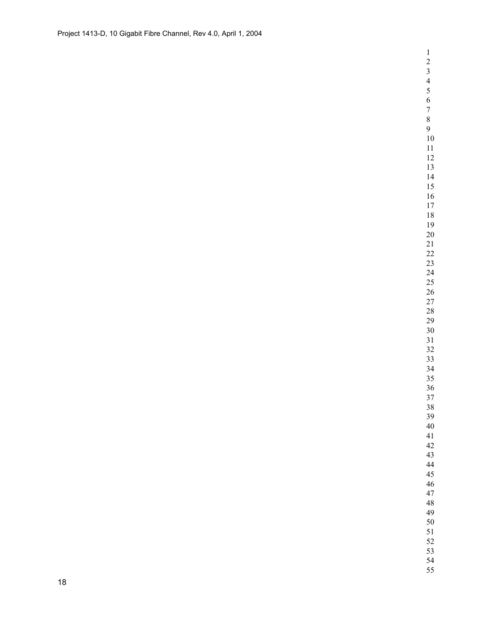| $\overline{\mathbf{c}}$ |
|-------------------------|
| $\frac{3}{4}$           |
|                         |
| 5                       |
| 6                       |
| 7                       |
| 8                       |
| 9<br>10                 |
| 11                      |
| 12                      |
| 13                      |
| $\frac{14}{5}$          |
| 15                      |
| 16                      |
| 17                      |
| 18                      |
| 19                      |
| 20                      |
| $\overline{21}$         |
| 22                      |
| 23                      |
| 24<br>25                |
| 26                      |
| 27                      |
| 28                      |
| 29                      |
| 30                      |
| 31                      |
| 32                      |
| 33                      |
| 34                      |
| 35                      |
| 36                      |
| 37<br>38                |
| 39                      |
| 40                      |
| 41                      |
| 42                      |
| 43                      |
| 44                      |
| 45                      |
| 46                      |
| 47                      |
| 48<br>49                |
| 50                      |
| 51                      |
| 52                      |
| 53                      |
| 54                      |
| 55                      |
|                         |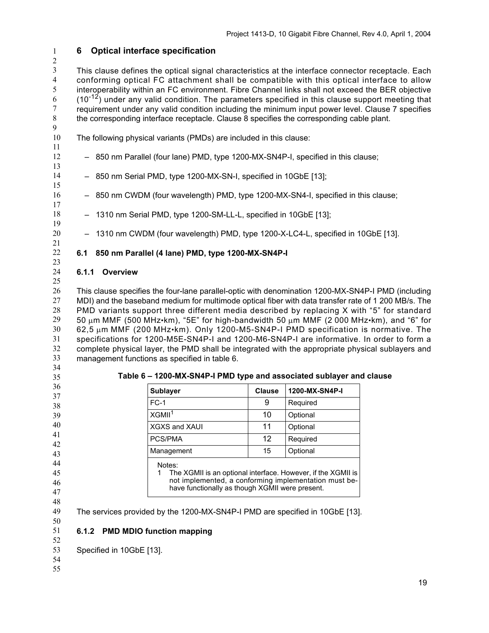# <span id="page-38-1"></span>**6 Optical interface specification**

3 4 5 6 7 8 This clause defines the optical signal characteristics at the interface connector receptacle. Each conforming optical FC attachment shall be compatible with this optical interface to allow interoperability within an FC environment. Fibre Channel links shall not exceed the BER objective  $(10^{-12})$  under any valid condition. The parameters specified in this clause support meeting that requirement under any valid condition including the minimum input power level. Clause 7 specifies the corresponding interface receptacle. Clause 8 specifies the corresponding cable plant.

- 10 The following physical variants (PMDs) are included in this clause:
	- 850 nm Parallel (four lane) PMD, type 1200-MX-SN4P-I, specified in this clause;
	- 850 nm Serial PMD, type 1200-MX-SN-I, specified in [10GbE \[13\];](#page-21-0)
- 16 – 850 nm CWDM (four wavelength) PMD, type 1200-MX-SN4-I, specified in this clause;
- 18 – 1310 nm Serial PMD, type 1200-SM-LL-L, specified in [10GbE \[13\]](#page-21-0);
	- 1310 nm CWDM (four wavelength) PMD, type 1200-X-LC4-L, specified in [10GbE \[13\].](#page-21-0)

## <span id="page-38-2"></span>**6.1 850 nm Parallel (4 lane) PMD, type 1200-MX-SN4P-I**

#### 24 **6.1.1 Overview**

26 27 28 29 30 31 32 33 This clause specifies the four-lane parallel-optic with denomination 1200-MX-SN4P-I PMD (including MDI) and the baseband medium for multimode optical fiber with data transfer rate of 1 200 MB/s. The PMD variants support three different media described by replacing X with "5" for standard 50  $\mu$ m MMF (500 MHz•km), "5E" for high-bandwidth 50  $\mu$ m MMF (2 000 MHz•km), and "6" for 62,5 µm MMF (200 MHz•km). Only 1200-M5-SN4P-I PMD specification is normative. The specifications for 1200-M5E-SN4P-I and 1200-M6-SN4P-I are informative. In order to form a complete physical layer, the PMD shall be integrated with the appropriate physical sublayers and management functions as specified in [table 6.](#page-38-0)

<span id="page-38-0"></span>34 35

1 2

9

17

25

#### **Table 6 – 1200-MX-SN4P-I PMD type and associated sublayer and clause**

| <b>Sublayer</b>                                                                                                                                                                         | <b>Clause</b> | 1200-MX-SN4P-I |  |
|-----------------------------------------------------------------------------------------------------------------------------------------------------------------------------------------|---------------|----------------|--|
| $FC-1$                                                                                                                                                                                  | 9             | Required       |  |
| XGMII <sup>1</sup>                                                                                                                                                                      | 10            | Optional       |  |
| <b>XGXS and XAUI</b>                                                                                                                                                                    | 11            | Optional       |  |
| PCS/PMA                                                                                                                                                                                 | 12            | Required       |  |
| Management                                                                                                                                                                              | 15            | Optional       |  |
| Notes:<br>The XGMII is an optional interface. However, if the XGMII is<br>1<br>not implemented, a conforming implementation must be-<br>have functionally as though XGMII were present. |               |                |  |

47 48 49

50

The services provided by the 1200-MX-SN4P-I PMD are specified in [10GbE \[13\].](#page-21-0)

#### 51 52 **6.1.2 PMD MDIO function mapping**

53 Specified in [10GbE \[13\].](#page-21-0)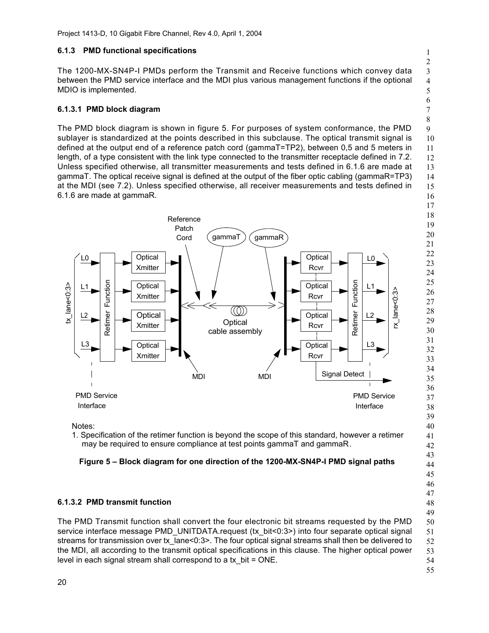## **6.1.3 PMD functional specifications**

The 1200-MX-SN4P-I PMDs perform the Transmit and Receive functions which convey data between the PMD service interface and the MDI plus various management functions if the optional MDIO is implemented.

#### **6.1.3.1 PMD block diagram**

The PMD block diagram is shown in [figure 5.](#page-39-0) For purposes of system conformance, the PMD sublayer is standardized at the points described in this subclause. The optical transmit signal is defined at the output end of a reference patch cord (gammaT=TP2), between 0,5 and 5 meters in length, of a type consistent with the link type connected to the transmitter receptacle defined in [7.2](#page-54-0). Unless specified otherwise, all transmitter measurements and tests defined in [6.1.6](#page-44-0) are made at gammaT. The optical receive signal is defined at the output of the fiber optic cabling (gammaR=TP3) at the MDI (see [7.2](#page-54-0)). Unless specified otherwise, all receiver measurements and tests defined in [6.1.6](#page-44-0) are made at gammaR.



Notes:

**6.1.3.2 PMD transmit function**

1. Specification of the retimer function is beyond the scope of this standard, however a retimer may be required to ensure compliance at test points gammaT and gammaR.

### <span id="page-39-1"></span><span id="page-39-0"></span> **Figure 5 – Block diagram for one direction of the 1200-MX-SN4P-I PMD signal paths**

44 45 46

47

48 49

55

50 51 52 53 54 The PMD Transmit function shall convert the four electronic bit streams requested by the PMD service interface message PMD\_UNITDATA.request (tx\_bit<0:3>) into four separate optical signal streams for transmission over tx\_lane<0:3>. The four optical signal streams shall then be delivered to the MDI, all according to the transmit optical specifications in this clause. The higher optical power level in each signal stream shall correspond to a tx\_bit = ONE.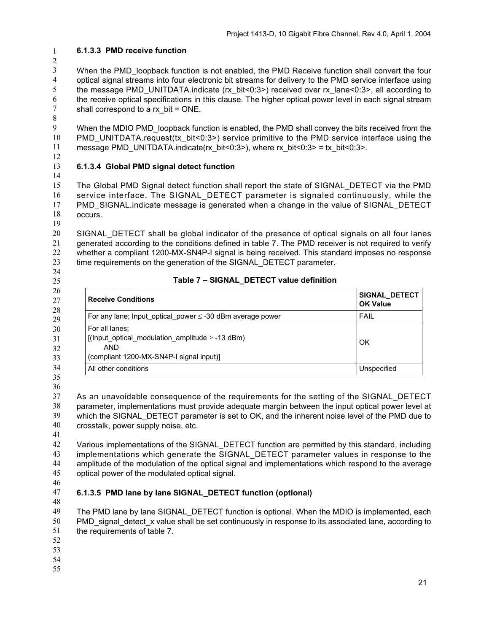# **6.1.3.3 PMD receive function**

**6.1.3.4 Global PMD signal detect function**

3 4 5 6 7 8 When the PMD loopback function is not enabled, the PMD Receive function shall convert the four optical signal streams into four electronic bit streams for delivery to the PMD service interface using the message PMD\_UNITDATA.indicate (rx\_bit<0:3>) received over rx\_lane<0:3>, all according to the receive optical specifications in this clause. The higher optical power level in each signal stream shall correspond to a  $rx$  bit = ONE.

10 11 When the MDIO PMD loopback function is enabled, the PMD shall convey the bits received from the PMD UNITDATA.request(tx bit<0:3>) service primitive to the PMD service interface using the message PMD\_UNITDATA.indicate(rx\_bit<0:3>), where rx\_bit <0:3> = tx\_bit <0:3>.

12 13

9

1 2

14

15 16 17 18 19 The Global PMD Signal detect function shall report the state of SIGNAL\_DETECT via the PMD service interface. The SIGNAL\_DETECT parameter is signaled continuously, while the PMD\_SIGNAL.indicate message is generated when a change in the value of SIGNAL\_DETECT occurs.

20 21 22 23 SIGNAL\_DETECT shall be global indicator of the presence of optical signals on all four lanes generated according to the conditions defined in [table 7.](#page-40-0) The PMD receiver is not required to verify whether a compliant 1200-MX-SN4P-I signal is being received. This standard imposes no response time requirements on the generation of the SIGNAL\_DETECT parameter.

- 24
- <span id="page-40-0"></span>25

| <b>Receive Conditions</b>                                                                                                | <b>SIGNAL DETECT</b><br><b>OK Value</b> |
|--------------------------------------------------------------------------------------------------------------------------|-----------------------------------------|
| For any lane; Input optical power $\leq$ -30 dBm average power                                                           | FAIL                                    |
| For all lanes:<br>[(Input optical modulation amplitude $\ge$ -13 dBm)<br>AND<br>(compliant 1200-MX-SN4P-I signal input)] | OK                                      |
| All other conditions                                                                                                     | Unspecified                             |

35 36

37 38 39 40 As an unavoidable consequence of the requirements for the setting of the SIGNAL\_DETECT parameter, implementations must provide adequate margin between the input optical power level at which the SIGNAL\_DETECT parameter is set to OK, and the inherent noise level of the PMD due to crosstalk, power supply noise, etc.

41

42 43 44 45 Various implementations of the SIGNAL\_DETECT function are permitted by this standard, including implementations which generate the SIGNAL\_DETECT parameter values in response to the amplitude of the modulation of the optical signal and implementations which respond to the average optical power of the modulated optical signal.

- 46
- 47 48

49 50 51 The PMD lane by lane SIGNAL\_DETECT function is optional. When the MDIO is implemented, each PMD\_signal\_detect\_x value shall be set continuously in response to its associated lane, according to the requirements of [table 7.](#page-40-0)

**6.1.3.5 PMD lane by lane SIGNAL\_DETECT function (optional)**

- 52
- 53
- 54
- 55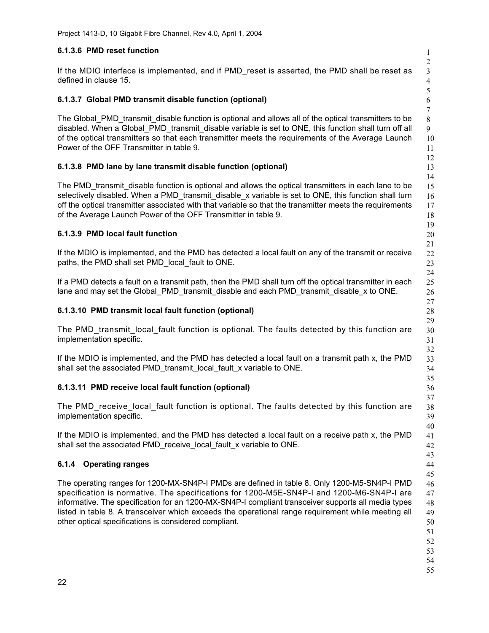### **6.1.3.6 PMD reset function**

If the MDIO interface is implemented, and if PMD reset is asserted, the PMD shall be reset as defined in [clause 15.](#page-88-0)

#### **6.1.3.7 Global PMD transmit disable function (optional)**

The Global\_PMD\_transmit\_disable function is optional and allows all of the optical transmitters to be disabled. When a Global PMD transmit disable variable is set to ONE, this function shall turn off all of the optical transmitters so that each transmitter meets the requirements of the Average Launch Power of the OFF Transmitter in [table 9](#page-42-0).

#### **6.1.3.8 PMD lane by lane transmit disable function (optional)**

The PMD transmit disable function is optional and allows the optical transmitters in each lane to be selectively disabled. When a PMD transmit disable x variable is set to ONE, this function shall turn off the optical transmitter associated with that variable so that the transmitter meets the requirements of the Average Launch Power of the OFF Transmitter in [table 9.](#page-42-0)

#### **6.1.3.9 PMD local fault function**

If the MDIO is implemented, and the PMD has detected a local fault on any of the transmit or receive paths, the PMD shall set PMD\_local\_fault to ONE.

If a PMD detects a fault on a transmit path, then the PMD shall turn off the optical transmitter in each lane and may set the Global\_PMD\_transmit\_disable and each PMD\_transmit\_disable\_x to ONE.

#### **6.1.3.10 PMD transmit local fault function (optional)**

The PMD\_transmit\_local\_fault function is optional. The faults detected by this function are implementation specific.

If the MDIO is implemented, and the PMD has detected a local fault on a transmit path x, the PMD shall set the associated PMD\_transmit\_local\_fault\_x variable to ONE.

#### **6.1.3.11 PMD receive local fault function (optional)**

The PMD receive local fault function is optional. The faults detected by this function are implementation specific.

If the MDIO is implemented, and the PMD has detected a local fault on a receive path x, the PMD shall set the associated PMD receive local fault x variable to ONE.

### **6.1.4 Operating ranges**

 The operating ranges for 1200-MX-SN4P-I PMDs are defined in [table 8](#page-42-1). Only 1200-M5-SN4P-I PMD specification is normative. The specifications for 1200-M5E-SN4P-I and 1200-M6-SN4P-I are informative. The specification for an 1200-MX-SN4P-I compliant transceiver supports all media types listed in [table 8](#page-42-1). A transceiver which exceeds the operational range requirement while meeting all other optical specifications is considered compliant.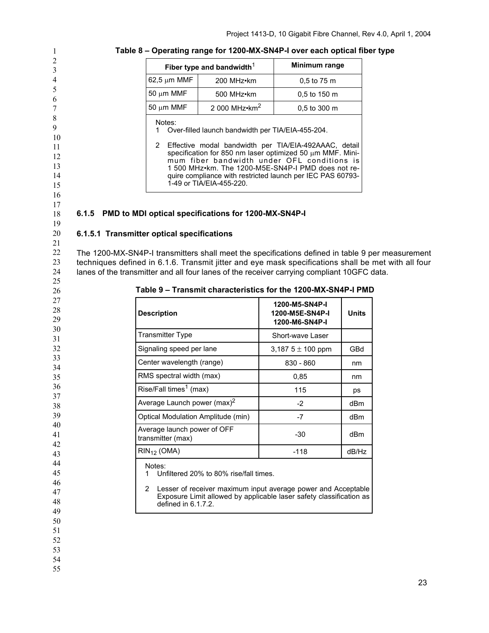|                                                                                                                                                                                                                                                                                                                                                                                       | Fiber type and bandwidth <sup>1</sup> | Minimum range |
|---------------------------------------------------------------------------------------------------------------------------------------------------------------------------------------------------------------------------------------------------------------------------------------------------------------------------------------------------------------------------------------|---------------------------------------|---------------|
| $62,5 \mu m$ MMF                                                                                                                                                                                                                                                                                                                                                                      | 200 MHz•km                            | 0.5 to 75 m   |
| $50 \mu m$ MMF                                                                                                                                                                                                                                                                                                                                                                        | 500 MHz•km                            | 0.5 to 150 m  |
| 50 µm MMF                                                                                                                                                                                                                                                                                                                                                                             | 2 000 MHz $\cdot$ km <sup>2</sup>     | 0.5 to 300 m  |
| Notes:<br>Over-filled launch bandwidth per TIA/EIA-455-204.<br>2<br>Effective modal bandwidth per TIA/EIA-492AAAC, detail<br>specification for 850 nm laser optimized 50 µm MMF. Mini-<br>mum fiber bandwidth under OFL conditions is<br>1 500 MHz•km. The 1200-M5E-SN4P-I PMD does not re-<br>quire compliance with restricted launch per IEC PAS 60793-<br>1-49 or TIA/EIA-455-220. |                                       |               |

#### <span id="page-42-1"></span> **Table 8 – Operating range for 1200-MX-SN4P-I over each optical fiber type**

 

# 

# **6.1.5 PMD to MDI optical specifications for 1200-MX-SN4P-I**

#### **6.1.5.1 Transmitter optical specifications**

 The 1200-MX-SN4P-I transmitters shall meet the specifications defined in [table 9](#page-42-0) per measurement techniques defined in [6.1.6.](#page-44-0) Transmit jitter and eye mask specifications shall be met with all four lanes of the transmitter and all four lanes of the receiver carrying compliant 10GFC data.

<span id="page-42-0"></span>

| Taple 9 – Transmit characteristics for the 1200-MA-SN4P-FPMD |                                                     |              |
|--------------------------------------------------------------|-----------------------------------------------------|--------------|
| <b>Description</b>                                           | 1200-M5-SN4P-I<br>1200-M5E-SN4P-I<br>1200-M6-SN4P-I | <b>Units</b> |
| <b>Transmitter Type</b>                                      | Short-wave Laser                                    |              |
| Signaling speed per lane                                     | 3,187 $5 \pm 100$ ppm                               | GBd          |
| Center wavelength (range)                                    | $830 - 860$                                         | nm           |
| RMS spectral width (max)                                     | 0,85                                                | nm           |
| Rise/Fall times <sup>1</sup> (max)                           | 115                                                 | ps           |
| Average Launch power $(max)^2$                               | $-2$                                                | dBm          |
| Optical Modulation Amplitude (min)                           | $-7$                                                | dBm          |
| Average launch power of OFF<br>transmitter (max)             | -30                                                 | dBm          |
| $RIN_{12}$ (OMA)                                             | $-118$                                              | dB/Hz        |
| Notes:<br>Unfiltered 20% to 80% rise/fall times.             |                                                     |              |

# **Table 9 – Transmit characteristics for the 1200-MX-SN4P-I PMD**

2 Lesser of receiver maximum input average power and Acceptable Exposure Limit allowed by applicable laser safety classification as defined in [6.1.7.2.](#page-45-0)

- 
- 
- 
-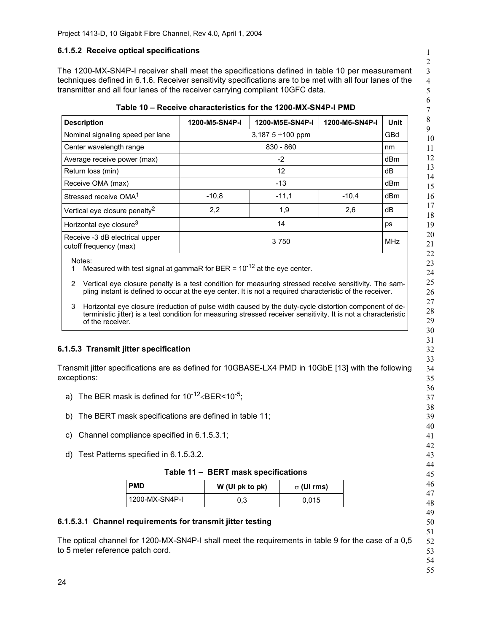### **6.1.5.2 Receive optical specifications**

The 1200-MX-SN4P-I receiver shall meet the specifications defined in [table 10](#page-43-0) per measurement techniques defined in [6.1.6.](#page-44-0) Receiver sensitivity specifications are to be met with all four lanes of the transmitter and all four lanes of the receiver carrying compliant 10GFC data.

<span id="page-43-0"></span>

| <b>Description</b>                                       | 1200-M5-SN4P-I        | 1200-M5E-SN4P-I | 1200-M6-SN4P-I | <b>Unit</b> |
|----------------------------------------------------------|-----------------------|-----------------|----------------|-------------|
| Nominal signaling speed per lane                         | 3,187 5 $\pm$ 100 ppm |                 |                | GBd         |
| Center wavelength range                                  | $830 - 860$           |                 | nm             |             |
| Average receive power (max)                              | $-2$                  |                 |                | dBm         |
| Return loss (min)                                        | 12                    |                 | dB             |             |
| Receive OMA (max)                                        | $-13$                 |                 | dBm            |             |
| Stressed receive OMA <sup>1</sup>                        | $-10.8$               | $-11,1$         | $-10.4$        | dBm         |
| Vertical eye closure penalty <sup>2</sup>                | 2,2                   | 1,9             | 2,6            | dB          |
| Horizontal eye closure <sup>3</sup>                      | 14                    |                 |                | ps          |
| Receive -3 dB electrical upper<br>cutoff frequency (max) | 3 7 5 0               |                 | <b>MHz</b>     |             |

 **Table 10 – Receive characteristics for the 1200-MX-SN4P-I PMD**

Notes:

- 1 Measured with test signal at gammaR for BER =  $10^{-12}$  at the eye center.
- 2 Vertical eye closure penalty is a test condition for measuring stressed receive sensitivity. The sampling instant is defined to occur at the eye center. It is not a required characteristic of the receiver.
- 3 Horizontal eye closure (reduction of pulse width caused by the duty-cycle distortion component of deterministic jitter) is a test condition for measuring stressed receiver sensitivity. It is not a characteristic of the receiver.

### **6.1.5.3 Transmit jitter specification**

Transmit jitter specifications are as defined for 10GBASE-LX4 PMD in [10GbE \[13\]](#page-21-0) with the following exceptions:

- a) The BER mask is defined for  $10^{-12}$  <BER <  $10^{-5}$ ;
- b) The BERT mask specifications are defined in [table 11](#page-43-1);
- c) Channel compliance specified in [6.1.5.3.1](#page-43-2);
- <span id="page-43-1"></span>d) Test Patterns specified in [6.1.5.3.2](#page-44-1).

#### **Table 11 – BERT mask specifications**

| <b>PMD</b>     | W (UI pk to pk) | $\sigma$ (UI rms) |
|----------------|-----------------|-------------------|
| 1200-MX-SN4P-I | 0.3             | 0.015             |

### <span id="page-43-2"></span>**6.1.5.3.1 Channel requirements for transmit jitter testing**

The optical channel for 1200-MX-SN4P-I shall meet the requirements in [table 9](#page-42-0) for the case of a 0,5 to 5 meter reference patch cord.

 

 

 

####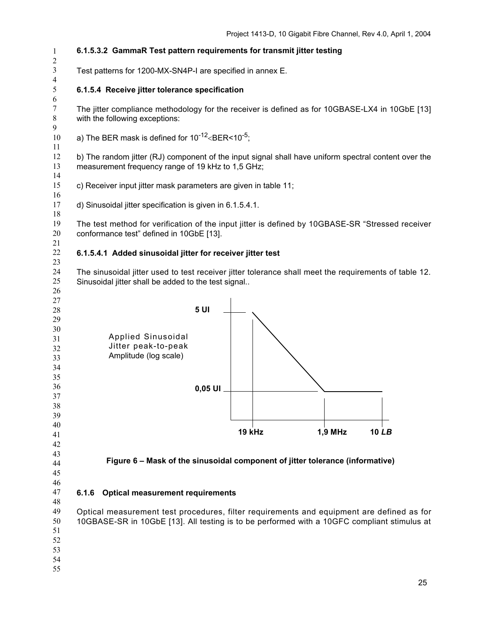# <span id="page-44-1"></span>**6.1.5.3.2 GammaR Test pattern requirements for transmit jitter testing**

Test patterns for 1200-MX-SN4P-I are specified in [annex E](#page-106-0).

# **6.1.5.4 Receive jitter tolerance specification**

The jitter compliance methodology for the receiver is defined as for 10GBASE-LX4 in [10GbE \[13\]](#page-21-0) with the following exceptions:

 a) The BER mask is defined for  $10^{-12}$  <BER <  $10^{-5}$ ;

 b) The random jitter (RJ) component of the input signal shall have uniform spectral content over the measurement frequency range of 19 kHz to 1,5 GHz;

 c) Receiver input jitter mask parameters are given in [table 11](#page-43-1);

 d) Sinusoidal jitter specification is given in [6.1.5.4.1](#page-44-2).

 The test method for verification of the input jitter is defined by 10GBASE-SR "Stressed receiver conformance test" defined in [10GbE \[13\]](#page-21-0).

#### <span id="page-44-2"></span> **6.1.5.4.1 Added sinusoidal jitter for receiver jitter test**

 The sinusoidal jitter used to test receiver jitter tolerance shall meet the requirements of [table 12.](#page-45-1) Sinusoidal jitter shall be added to the test signal..





 **Figure 6 – Mask of the sinusoidal component of jitter tolerance (informative)**

#### <span id="page-44-0"></span> **6.1.6 Optical measurement requirements**

 Optical measurement test procedures, filter requirements and equipment are defined as for 10GBASE-SR in [10GbE \[13\]](#page-21-0). All testing is to be performed with a 10GFC compliant stimulus at

- 
- 
- 
-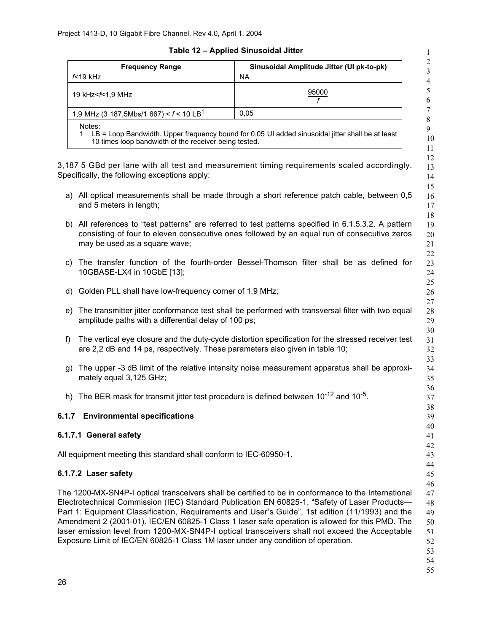|  |  |  | Table 12 - Applied Sinusoidal Jitter |  |
|--|--|--|--------------------------------------|--|
|--|--|--|--------------------------------------|--|

<span id="page-45-1"></span><span id="page-45-0"></span>

|    |                                                                                                  | Table 12 – Applied Sinusoidal Jitter                                                                                                                                                                                                                                                                                                                                                                                                                                                                         |
|----|--------------------------------------------------------------------------------------------------|--------------------------------------------------------------------------------------------------------------------------------------------------------------------------------------------------------------------------------------------------------------------------------------------------------------------------------------------------------------------------------------------------------------------------------------------------------------------------------------------------------------|
|    | <b>Frequency Range</b>                                                                           | Sinusoidal Amplitude Jitter (UI pk-to-pk)                                                                                                                                                                                                                                                                                                                                                                                                                                                                    |
|    | $f$ <19 kHz                                                                                      | <b>NA</b>                                                                                                                                                                                                                                                                                                                                                                                                                                                                                                    |
|    | 19 kHz <f<1,9 mhz<="" td=""><td>95000<br/>f</td></f<1,9>                                         | 95000<br>f                                                                                                                                                                                                                                                                                                                                                                                                                                                                                                   |
|    | 1,9 MHz (3 187,5Mbs/1 667) < $f$ < 10 LB <sup>1</sup>                                            | 0,05                                                                                                                                                                                                                                                                                                                                                                                                                                                                                                         |
|    | Notes:<br>10 times loop bandwidth of the receiver being tested.                                  | 1 LB = Loop Bandwidth. Upper frequency bound for 0,05 UI added sinusoidal jitter shall be at least                                                                                                                                                                                                                                                                                                                                                                                                           |
|    | Specifically, the following exceptions apply:                                                    | 3,187 5 GBd per lane with all test and measurement timing requirements scaled accordingly.                                                                                                                                                                                                                                                                                                                                                                                                                   |
|    | and 5 meters in length;                                                                          | a) All optical measurements shall be made through a short reference patch cable, between 0,5                                                                                                                                                                                                                                                                                                                                                                                                                 |
|    | may be used as a square wave;                                                                    | b) All references to "test patterns" are referred to test patterns specified in 6.1.5.3.2. A pattern<br>consisting of four to eleven consecutive ones followed by an equal run of consecutive zeros                                                                                                                                                                                                                                                                                                          |
| C) | 10GBASE-LX4 in 10GbE [13];                                                                       | The transfer function of the fourth-order Bessel-Thomson filter shall be as defined for                                                                                                                                                                                                                                                                                                                                                                                                                      |
| d) | Golden PLL shall have low-frequency corner of 1,9 MHz;                                           |                                                                                                                                                                                                                                                                                                                                                                                                                                                                                                              |
| e) | amplitude paths with a differential delay of 100 ps;                                             | The transmitter jitter conformance test shall be performed with transversal filter with two equal                                                                                                                                                                                                                                                                                                                                                                                                            |
| f) | are 2,2 dB and 14 ps, respectively. These parameters also given in table 10;                     | The vertical eye closure and the duty-cycle distortion specification for the stressed receiver test                                                                                                                                                                                                                                                                                                                                                                                                          |
| g) | mately equal 3,125 GHz;                                                                          | The upper -3 dB limit of the relative intensity noise measurement apparatus shall be approxi-                                                                                                                                                                                                                                                                                                                                                                                                                |
|    | h) The BER mask for transmit jitter test procedure is defined between $10^{-12}$ and $10^{-5}$ . |                                                                                                                                                                                                                                                                                                                                                                                                                                                                                                              |
|    | 6.1.7 Environmental specifications                                                               |                                                                                                                                                                                                                                                                                                                                                                                                                                                                                                              |
|    | 6.1.7.1 General safety                                                                           |                                                                                                                                                                                                                                                                                                                                                                                                                                                                                                              |
|    |                                                                                                  |                                                                                                                                                                                                                                                                                                                                                                                                                                                                                                              |
|    | All equipment meeting this standard shall conform to IEC-60950-1.                                |                                                                                                                                                                                                                                                                                                                                                                                                                                                                                                              |
|    | 6.1.7.2 Laser safety                                                                             |                                                                                                                                                                                                                                                                                                                                                                                                                                                                                                              |
|    |                                                                                                  | The 1200-MX-SN4P-I optical transceivers shall be certified to be in conformance to the International<br>Electrotechnical Commission (IEC) Standard Publication EN 60825-1, "Safety of Laser Products—<br>Part 1: Equipment Classification, Requirements and User's Guide", 1st edition (11/1993) and the<br>Amendment 2 (2001-01). IEC/EN 60825-1 Class 1 laser safe operation is allowed for this PMD. The<br>laser emission level from 1200-MX-SN4P-I optical transceivers shall not exceed the Acceptable |
|    | Exposure Limit of IEC/EN 60825-1 Class 1M laser under any condition of operation.                |                                                                                                                                                                                                                                                                                                                                                                                                                                                                                                              |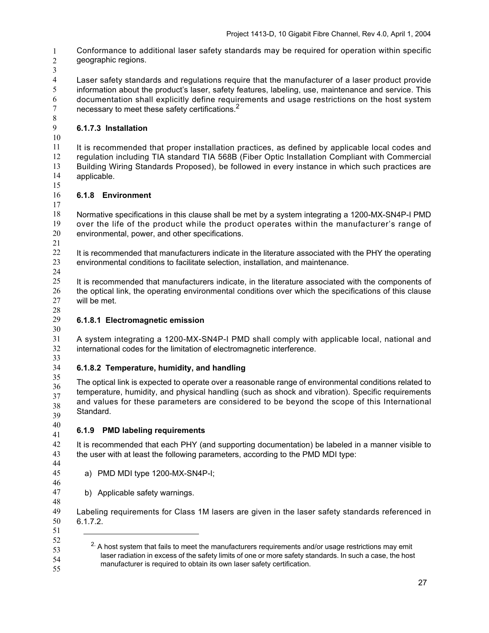1 2 Conformance to additional laser safety standards may be required for operation within specific geographic regions.

3

9 10

4 5 6 7 8 Laser safety standards and regulations require that the manufacturer of a laser product provide information about the product's laser, safety features, labeling, use, maintenance and service. This documentation shall explicitly define requirements and usage restrictions on the host system necessary to meet these safety certifications.<sup>2</sup>

# **6.1.7.3 Installation**

11 12 13 14 15 It is recommended that proper installation practices, as defined by applicable local codes and regulation including TIA standard TIA 568B (Fiber Optic Installation Compliant with Commercial Building Wiring Standards Proposed), be followed in every instance in which such practices are applicable.

## **6.1.8 Environment**

18 19 20 Normative specifications in this clause shall be met by a system integrating a 1200-MX-SN4P-I PMD over the life of the product while the product operates within the manufacturer's range of environmental, power, and other specifications.

21

16 17

22 23 24 It is recommended that manufacturers indicate in the literature associated with the PHY the operating environmental conditions to facilitate selection, installation, and maintenance.

25 26 27 It is recommended that manufacturers indicate, in the literature associated with the components of the optical link, the operating environmental conditions over which the specifications of this clause will be met.

#### 29 **6.1.8.1 Electromagnetic emission**

30 31

> 32 33

28

A system integrating a 1200-MX-SN4P-I PMD shall comply with applicable local, national and international codes for the limitation of electromagnetic interference.

#### 34 **6.1.8.2 Temperature, humidity, and handling**

35 36 37 38 39 The optical link is expected to operate over a reasonable range of environmental conditions related to temperature, humidity, and physical handling (such as shock and vibration). Specific requirements and values for these parameters are considered to be beyond the scope of this International Standard.

#### 40 41 **6.1.9 PMD labeling requirements**

42 43 It is recommended that each PHY (and supporting documentation) be labeled in a manner visible to the user with at least the following parameters, according to the PMD MDI type:

44 45 46

47 48

- a) PMD MDI type 1200-MX-SN4P-I;
- b) Applicable safety warnings.

49 50 Labeling requirements for Class 1M lasers are given in the laser safety standards referenced in [6.1.7.2.](#page-45-0)

51 52

 $2.$  A host system that fails to meet the manufacturers requirements and/or usage restrictions may emit laser radiation in excess of the safety limits of one or more safety standards. In such a case, the host manufacturer is required to obtain its own laser safety certification.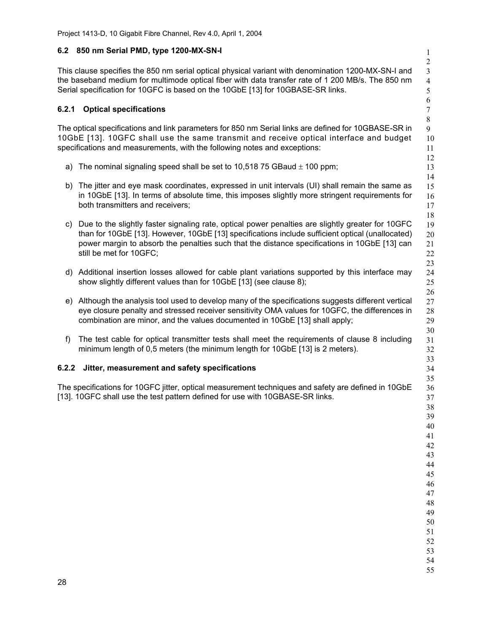### <span id="page-47-0"></span>**6.2 850 nm Serial PMD, type 1200-MX-SN-I**

This clause specifies the 850 nm serial optical physical variant with denomination 1200-MX-SN-I and the baseband medium for multimode optical fiber with data transfer rate of 1 200 MB/s. The 850 nm Serial specification for 10GFC is based on the [10GbE \[13\]](#page-21-0) for 10GBASE-SR links.

#### **6.2.1 Optical specifications**

The optical specifications and link parameters for 850 nm Serial links are defined for 10GBASE-SR in [10GbE \[13\]](#page-21-0). 10GFC shall use the same transmit and receive optical interface and budget specifications and measurements, with the following notes and exceptions:

- a) The nominal signaling speed shall be set to 10,518 75 GBaud  $\pm$  100 ppm;
- b) The jitter and eye mask coordinates, expressed in unit intervals (UI) shall remain the same as in [10GbE \[13\]](#page-21-0). In terms of absolute time, this imposes slightly more stringent requirements for both transmitters and receivers;
- c) Due to the slightly faster signaling rate, optical power penalties are slightly greater for 10GFC than for [10GbE \[13\]](#page-21-0). However, [10GbE \[13\]](#page-21-0) specifications include sufficient optical (unallocated) power margin to absorb the penalties such that the distance specifications in [10GbE \[13\]](#page-21-0) can still be met for 10GFC;
- d) Additional insertion losses allowed for cable plant variations supported by this interface may show slightly different values than for [10GbE \[13\]](#page-21-0) (see [clause 8\)](#page-56-0);
- e) Although the analysis tool used to develop many of the specifications suggests different vertical eye closure penalty and stressed receiver sensitivity OMA values for 10GFC, the differences in combination are minor, and the values documented in [10GbE \[13\]](#page-21-0) shall apply;
- f) The test cable for optical transmitter tests shall meet the requirements of [clause 8](#page-56-0) including minimum length of 0,5 meters (the minimum length for [10GbE \[13\]](#page-21-0) is 2 meters).

### **6.2.2 Jitter, measurement and safety specifications**

The specifications for 10GFC jitter, optical measurement techniques and safety are defined in [10GbE](#page-21-0) [\[13\].](#page-21-0) 10GFC shall use the test pattern defined for use with 10GBASE-SR links.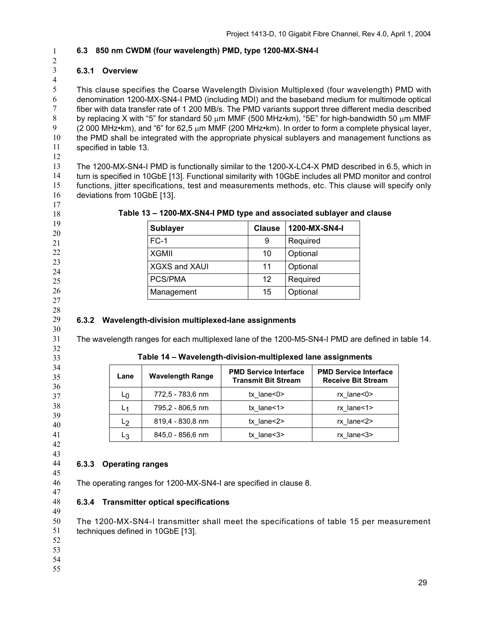# <span id="page-48-2"></span>**6.3 850 nm CWDM (four wavelength) PMD, type 1200-MX-SN4-I**

# **6.3.1 Overview**

 This clause specifies the Coarse Wavelength Division Multiplexed (four wavelength) PMD with denomination 1200-MX-SN4-I PMD (including MDI) and the baseband medium for multimode optical fiber with data transfer rate of 1 200 MB/s. The PMD variants support three different media described by replacing X with "5" for standard 50  $\mu$ m MMF (500 MHz•km), "5E" for high-bandwidth 50  $\mu$ m MMF (2 000 MHz•km), and "6" for 62,5  $\mu$ m MMF (200 MHz•km). In order to form a complete physical layer, the PMD shall be integrated with the appropriate physical sublayers and management functions as specified in [table 13](#page-48-0).

 The 1200-MX-SN4-I PMD is functionally similar to the 1200-X-LC4-X PMD described in [6.5](#page-52-0), which in turn is specified in [10GbE \[13\]](#page-21-0). Functional similarity with 10GbE includes all PMD monitor and control functions, jitter specifications, test and measurements methods, etc. This clause will specify only deviations from [10GbE \[13\]](#page-21-0).

| <b>Sublayer</b>      | <b>Clause</b>     | 1200-MX-SN4-I |
|----------------------|-------------------|---------------|
| $FC-1$               | 9                 | Required      |
| <b>XGMII</b>         | 10                | Optional      |
| <b>XGXS and XAUI</b> | 11                | Optional      |
| PCS/PMA              | $12 \overline{ }$ | Required      |
| Management           | 15                | Optional      |

#### <span id="page-48-0"></span> **Table 13 – 1200-MX-SN4-I PMD type and associated sublayer and clause**

#### 

# **6.3.2 Wavelength-division multiplexed-lane assignments**

<span id="page-48-1"></span>The wavelength ranges for each multiplexed lane of the 1200-M5-SN4-I PMD are defined in [table 14](#page-48-1).

 

 **Table 14 – Wavelength-division-multiplexed lane assignments**

| Lane           | <b>Wavelength Range</b> | <b>PMD Service Interface</b><br><b>Transmit Bit Stream</b> |                  |  |
|----------------|-------------------------|------------------------------------------------------------|------------------|--|
| L <sub>0</sub> | 772,5 - 783,6 nm        | tx $lane < 0$                                              | $rx$ lane $<0>$  |  |
| L <sub>1</sub> | 795,2 - 806,5 nm        | tx $lane<1>$                                               | $rx$ lane $<1>$  |  |
| L2             | 819,4 - 830,8 nm        | tx $lane<2>$                                               | $rx$ lane $<$ 2> |  |
| L3             | 845,0 - 856,6 nm        | tx $lane<3>$                                               | rx_lane<3>       |  |

 

 

# **6.3.3 Operating ranges**

 The operating ranges for 1200-MX-SN4-I are specified in [clause 8.](#page-56-0)

#### **6.3.4 Transmitter optical specifications**

 The 1200-MX-SN4-I transmitter shall meet the specifications of [table 15](#page-49-0) per measurement techniques defined in [10GbE \[13\].](#page-21-0)

- 
- 
- 
-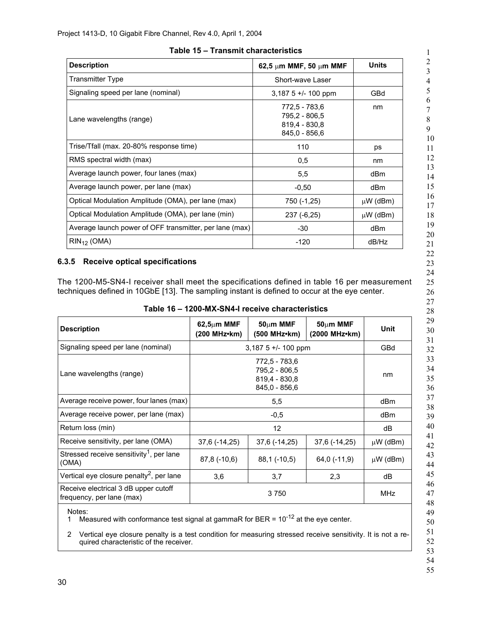<span id="page-49-0"></span>

| <b>Description</b>                                      | 62,5 $\mu$ m MMF, 50 $\mu$ m MMF                                 | <b>Units</b>  |
|---------------------------------------------------------|------------------------------------------------------------------|---------------|
| <b>Transmitter Type</b>                                 | Short-wave Laser                                                 |               |
| Signaling speed per lane (nominal)                      | $3,187$ 5 +/- 100 ppm                                            | GBd           |
| Lane wavelengths (range)                                | 772,5 - 783,6<br>795.2 - 806.5<br>819,4 - 830,8<br>845.0 - 856.6 | nm            |
| Trise/Tfall (max. 20-80% response time)                 | 110                                                              | ps            |
| RMS spectral width (max)                                | 0,5                                                              | nm            |
| Average launch power, four lanes (max)                  | 5,5                                                              | dBm           |
| Average launch power, per lane (max)                    | $-0,50$                                                          | dBm           |
| Optical Modulation Amplitude (OMA), per lane (max)      | 750 (-1,25)                                                      | $\mu$ W (dBm) |
| Optical Modulation Amplitude (OMA), per lane (min)      | 237 (-6,25)                                                      | $\mu$ W (dBm) |
| Average launch power of OFF transmitter, per lane (max) | $-30$                                                            | dBm           |
| $RIN_{12}$ (OMA)                                        | $-120$                                                           | dB/Hz         |

 **Table 15 – Transmit characteristics**

### **6.3.5 Receive optical specifications**

The 1200-M5-SN4-I receiver shall meet the specifications defined in [table 16](#page-49-1) per measurement techniques defined in [10GbE \[13\].](#page-21-0) The sampling instant is defined to occur at the eye center.

<span id="page-49-1"></span>

| <b>Description</b>                                                | $62,5 \mu m$ MMF<br>(200 MHz•km) | $50 \mu m$ MMF<br>(500 MHz•km) | $50 \mu m$ MMF<br>(2000 MHz•km) | Unit          |  |  |
|-------------------------------------------------------------------|----------------------------------|--------------------------------|---------------------------------|---------------|--|--|
| Signaling speed per lane (nominal)                                |                                  | $3,187$ 5 +/- 100 ppm          |                                 |               |  |  |
| Lane wavelengths (range)                                          |                                  | nm                             |                                 |               |  |  |
| Average receive power, four lanes (max)                           |                                  | 5,5                            |                                 | dBm           |  |  |
| Average receive power, per lane (max)                             |                                  | dBm                            |                                 |               |  |  |
| Return loss (min)                                                 | $12 \overline{ }$                |                                |                                 | dВ            |  |  |
| Receive sensitivity, per lane (OMA)                               | $37,6(-14,25)$                   | 37,6 (-14,25)                  | $37,6(-14,25)$                  | $\mu$ W (dBm) |  |  |
| Stressed receive sensitivity <sup>1</sup> , per lane<br>(OMA)     | $87,8(-10,6)$                    | $88,1(-10,5)$                  | 64,0 (-11,9)                    | $\mu$ W (dBm) |  |  |
| Vertical eye closure penalty <sup>2</sup> , per lane              | 3,6<br>2,3<br>3,7                |                                |                                 | dВ            |  |  |
| Receive electrical 3 dB upper cutoff<br>frequency, per lane (max) |                                  | 3 7 5 0                        |                                 | <b>MHz</b>    |  |  |

#### **Table 16 – 1200-MX-SN4-I receive characteristics**

Notes:

1 Measured with conformance test signal at gammaR for BER =  $10^{-12}$  at the eye center.

2 Vertical eye closure penalty is a test condition for measuring stressed receive sensitivity. It is not a required characteristic of the receiver.

<sup>51</sup> 52 53 54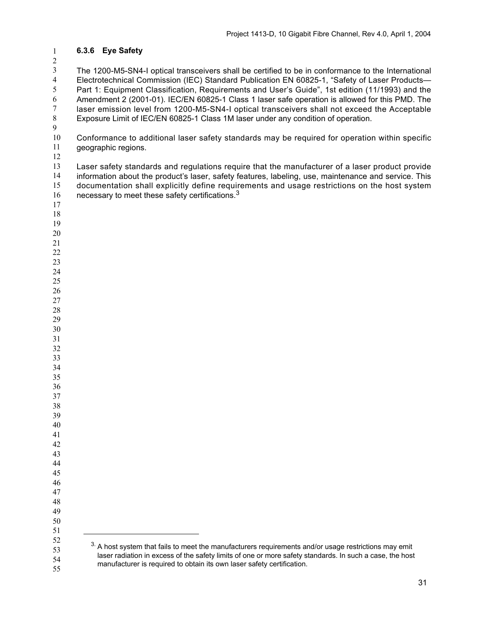## **6.3.6 Eye Safety**

 The 1200-M5-SN4-I optical transceivers shall be certified to be in conformance to the International Electrotechnical Commission (IEC) Standard Publication EN 60825-1, "Safety of Laser Products— Part 1: Equipment Classification, Requirements and User's Guide", 1st edition (11/1993) and the Amendment 2 (2001-01). IEC/EN 60825-1 Class 1 laser safe operation is allowed for this PMD. The laser emission level from 1200-M5-SN4-I optical transceivers shall not exceed the Acceptable Exposure Limit of IEC/EN 60825-1 Class 1M laser under any condition of operation.

 Conformance to additional laser safety standards may be required for operation within specific geographic regions.

 

 Laser safety standards and regulations require that the manufacturer of a laser product provide information about the product's laser, safety features, labeling, use, maintenance and service. This documentation shall explicitly define requirements and usage restrictions on the host system necessary to meet these safety certifications.<sup>3</sup>

 

- 
- 
- 
- 
- 
- 
- 
- 
- 
- 
- 
- 
- 
- 
- 
- 
- 
- 
- 
- 
- 
- 
- 
- 



 $3.$  A host system that fails to meet the manufacturers requirements and/or usage restrictions may emit laser radiation in excess of the safety limits of one or more safety standards. In such a case, the host manufacturer is required to obtain its own laser safety certification.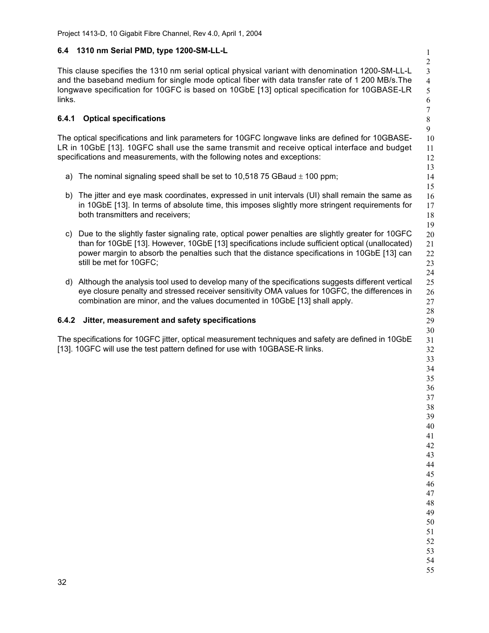### <span id="page-51-0"></span>**6.4 1310 nm Serial PMD, type 1200-SM-LL-L**

This clause specifies the 1310 nm serial optical physical variant with denomination 1200-SM-LL-L and the baseband medium for single mode optical fiber with data transfer rate of 1 200 MB/s.The longwave specification for 10GFC is based on [10GbE \[13\]](#page-21-0) optical specification for 10GBASE-LR links.

### **6.4.1 Optical specifications**

The optical specifications and link parameters for 10GFC longwave links are defined for 10GBASE-LR in [10GbE \[13\]](#page-21-0). 10GFC shall use the same transmit and receive optical interface and budget specifications and measurements, with the following notes and exceptions:

- a) The nominal signaling speed shall be set to 10,518 75 GBaud  $\pm$  100 ppm;
- b) The jitter and eye mask coordinates, expressed in unit intervals (UI) shall remain the same as in [10GbE \[13\]](#page-21-0). In terms of absolute time, this imposes slightly more stringent requirements for both transmitters and receivers;
- c) Due to the slightly faster signaling rate, optical power penalties are slightly greater for 10GFC than for [10GbE \[13\]](#page-21-0). However, [10GbE \[13\]](#page-21-0) specifications include sufficient optical (unallocated) power margin to absorb the penalties such that the distance specifications in [10GbE \[13\]](#page-21-0) can still be met for 10GFC;
- d) Although the analysis tool used to develop many of the specifications suggests different vertical eye closure penalty and stressed receiver sensitivity OMA values for 10GFC, the differences in combination are minor, and the values documented in [10GbE \[13\]](#page-21-0) shall apply.

#### **6.4.2 Jitter, measurement and safety specifications**

The specifications for 10GFC jitter, optical measurement techniques and safety are defined in [10GbE](#page-21-0) [\[13\].](#page-21-0) 10GFC will use the test pattern defined for use with 10GBASE-R links.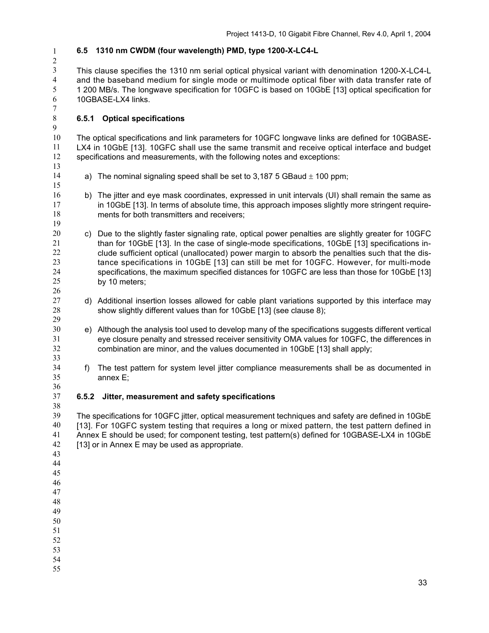# <span id="page-52-1"></span><span id="page-52-0"></span>**6.5 1310 nm CWDM (four wavelength) PMD, type 1200-X-LC4-L**

This clause specifies the 1310 nm serial optical physical variant with denomination 1200-X-LC4-L and the baseband medium for single mode or multimode optical fiber with data transfer rate of 1 200 MB/s. The longwave specification for 10GFC is based on [10GbE \[13\]](#page-21-0) optical specification for 10GBASE-LX4 links.

## **6.5.1 Optical specifications**

 The optical specifications and link parameters for 10GFC longwave links are defined for 10GBASE-LX4 in [10GbE \[13\]](#page-21-0). 10GFC shall use the same transmit and receive optical interface and budget specifications and measurements, with the following notes and exceptions:

- a) The nominal signaling speed shall be set to 3,187 5 GBaud  $\pm$  100 ppm;
- b) The jitter and eye mask coordinates, expressed in unit intervals (UI) shall remain the same as in [10GbE \[13\]](#page-21-0). In terms of absolute time, this approach imposes slightly more stringent requirements for both transmitters and receivers;
- c) Due to the slightly faster signaling rate, optical power penalties are slightly greater for 10GFC than for [10GbE \[13\]](#page-21-0). In the case of single-mode specifications, [10GbE \[13\]](#page-21-0) specifications include sufficient optical (unallocated) power margin to absorb the penalties such that the distance specifications in [10GbE \[13\]](#page-21-0) can still be met for 10GFC. However, for multi-mode specifications, the maximum specified distances for 10GFC are less than those for [10GbE \[13\]](#page-21-0) by 10 meters;
	- d) Additional insertion losses allowed for cable plant variations supported by this interface may show slightly different values than for [10GbE \[13\]](#page-21-0) (see [clause 8\)](#page-56-0);
	- e) Although the analysis tool used to develop many of the specifications suggests different vertical eye closure penalty and stressed receiver sensitivity OMA values for 10GFC, the differences in combination are minor, and the values documented in [10GbE \[13\]](#page-21-0) shall apply;
	- f) The test pattern for system level jitter compliance measurements shall be as documented in [annex E](#page-106-0);

# **6.5.2 Jitter, measurement and safety specifications**

 The specifications for 10GFC jitter, optical measurement techniques and safety are defined in [10GbE](#page-21-0) [\[13\]](#page-21-0). For 10GFC system testing that requires a long or mixed pattern, the test pattern defined in Annex E should be used; for component testing, test pattern(s) defined for 10GBASE-LX4 in [10GbE](#page-21-0) [\[13\]](#page-21-0) or in Annex E may be used as appropriate.

- 
- 

- 
- 
- 
- 
- 
- 
- 
- 
-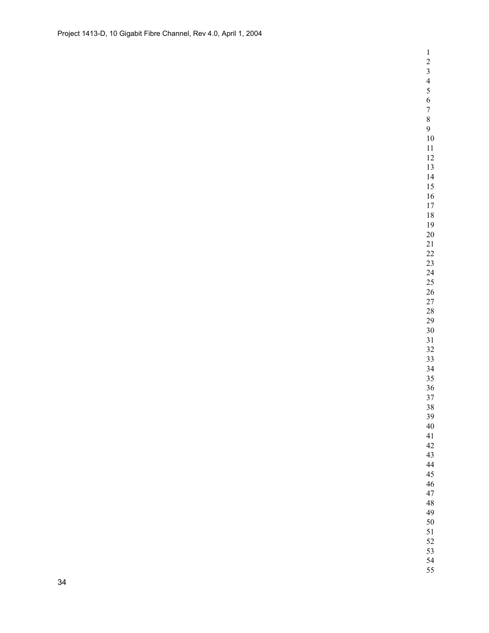| $\overline{\mathbf{c}}$ |
|-------------------------|
| $\frac{3}{4}$           |
|                         |
| 5                       |
| 6                       |
| 7                       |
| 8                       |
| 9                       |
| 10<br>11                |
| 12                      |
| 13                      |
| $\frac{14}{5}$          |
| 15                      |
| 16                      |
| 17                      |
| 18                      |
| 19                      |
| 20                      |
| $\overline{21}$         |
| 22                      |
| 23                      |
| 24                      |
| 25                      |
| 26                      |
| 27<br>28                |
| 29                      |
| 30                      |
| 31                      |
| 32                      |
| 33                      |
| 34                      |
| 35                      |
| 36                      |
| 37                      |
| 38                      |
| 39                      |
| 40                      |
| 41<br>42                |
| 43                      |
| 44                      |
| 45                      |
| 46                      |
| 47                      |
| 48                      |
| 49                      |
| 50                      |
| 51                      |
| 52                      |
| 53                      |
| 54                      |
| 55                      |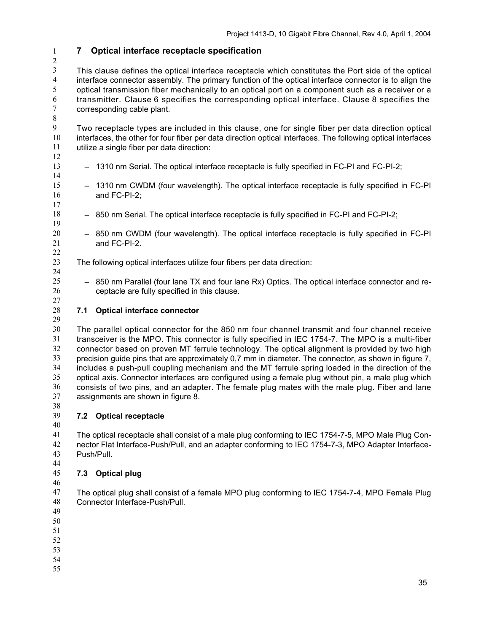#### **7 Optical interface receptacle specification**

 This clause defines the optical interface receptacle which constitutes the Port side of the optical interface connector assembly. The primary function of the optical interface connector is to align the optical transmission fiber mechanically to an optical port on a component such as a receiver or a transmitter. Clause [6](#page-38-1) specifies the corresponding optical interface. Clause [8](#page-56-0) specifies the corresponding cable plant.

 Two receptacle types are included in this clause, one for single fiber per data direction optical interfaces, the other for four fiber per data direction optical interfaces. The following optical interfaces utilize a single fiber per data direction:

 

- 1310 nm Serial. The optical interface receptacle is fully specified in FC-PI and FC-PI-2;
- 1310 nm CWDM (four wavelength). The optical interface receptacle is fully specified in FC-PI and FC-PI-2;
- 850 nm Serial. The optical interface receptacle is fully specified in FC-PI and FC-PI-2;
- – 850 nm CWDM (four wavelength). The optical interface receptacle is fully specified in FC-PI and FC-PI-2.
- The following optical interfaces utilize four fibers per data direction:
	- 850 nm Parallel (four lane TX and four lane Rx) Optics. The optical interface connector and receptacle are fully specified in this clause.
	- **7.1 Optical interface connector**
- 

 

 The parallel optical connector for the 850 nm four channel transmit and four channel receive transceiver is the MPO. This connector is fully specified in IEC 1754-7. The MPO is a multi-fiber connector based on proven MT ferrule technology. The optical alignment is provided by two high precision guide pins that are approximately 0,7 mm in diameter. The connector, as shown in [figure 7](#page-55-0), includes a push-pull coupling mechanism and the MT ferrule spring loaded in the direction of the optical axis. Connector interfaces are configured using a female plug without pin, a male plug which consists of two pins, and an adapter. The female plug mates with the male plug. Fiber and lane assignments are shown in [figure 8.](#page-55-1)

- <span id="page-54-0"></span> **7.2 Optical receptacle**
- The optical receptacle shall consist of a male plug conforming to IEC 1754-7-5, MPO Male Plug Connector Flat Interface-Push/Pull, and an adapter conforming to IEC 1754-7-3, MPO Adapter Interface-Push/Pull.

#### **7.3 Optical plug**

 The optical plug shall consist of a female MPO plug conforming to IEC 1754-7-4, MPO Female Plug Connector Interface-Push/Pull.

 

- 
- 
- 
- 
-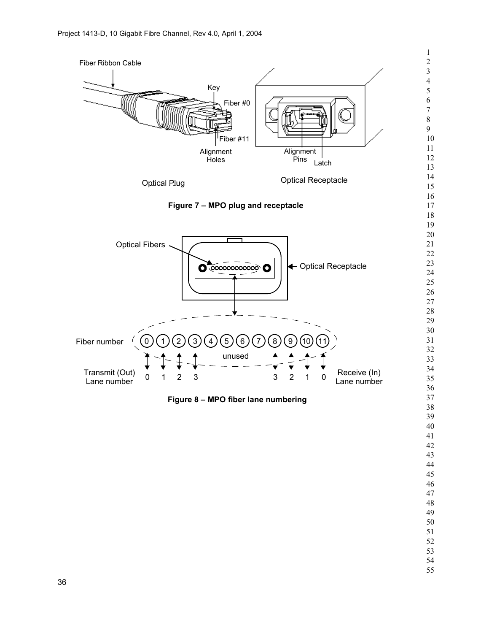<span id="page-55-0"></span>

<span id="page-55-1"></span> **Figure 8 – MPO fiber lane numbering**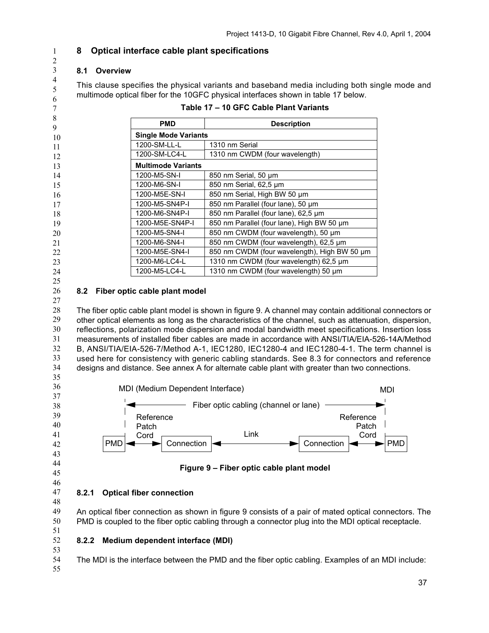# <span id="page-56-0"></span>**8 Optical interface cable plant specifications**

# **8.1 Overview**

This clause specifies the physical variants and baseband media including both single mode and multimode optical fiber for the 10GFC physical interfaces shown in [table 17](#page-56-1) below.

<span id="page-56-1"></span>

| <b>PMD</b>                  | <b>Description</b>                           |
|-----------------------------|----------------------------------------------|
| <b>Single Mode Variants</b> |                                              |
| 1200-SM-LL-L                | 1310 nm Serial                               |
| 1200-SM-LC4-L               | 1310 nm CWDM (four wavelength)               |
| <b>Multimode Variants</b>   |                                              |
| 1200-M5-SN-I                | 850 nm Serial, 50 µm                         |
| 1200-M6-SN-I                | 850 nm Serial, 62,5 µm                       |
| 1200-M5E-SN-I               | 850 nm Serial, High BW 50 µm                 |
| 1200-M5-SN4P-I              | 850 nm Parallel (four lane), 50 µm           |
| 1200-M6-SN4P-I              | 850 nm Parallel (four lane), 62,5 µm         |
| 1200-M5E-SN4P-I             | 850 nm Parallel (four lane), High BW 50 um   |
| 1200-M5-SN4-I               | 850 nm CWDM (four wavelength), 50 µm         |
| 1200-M6-SN4-I               | 850 nm CWDM (four wavelength), 62,5 µm       |
| 1200-M5E-SN4-I              | 850 nm CWDM (four wavelength), High BW 50 µm |
| 1200-M6-LC4-L               | 1310 nm CWDM (four wavelength) 62,5 µm       |
| 1200-M5-LC4-L               | 1310 nm CWDM (four wavelength) 50 µm         |

### **Table 17 – 10 GFC Cable Plant Variants**

#### 24 25 26

27

# **8.2 Fiber optic cable plant model**

28 29 30 31 32 33 34 The fiber optic cable plant model is shown in [figure 9](#page-56-2). A channel may contain additional connectors or other optical elements as long as the characteristics of the channel, such as attenuation, dispersion, reflections, polarization mode dispersion and modal bandwidth meet specifications. Insertion loss measurements of installed fiber cables are made in accordance with ANSI/TIA/EIA-526-14A/Method B, ANSI/TIA/EIA-526-7/Method A-1, IEC1280, IEC1280-4 and IEC1280-4-1. The term channel is used here for consistency with generic cabling standards. See [8.3](#page-57-0) for connectors and reference designs and distance. See annex A for alternate cable plant with greater than two connections.





# <span id="page-56-2"></span>**8.2.1 Optical fiber connection**

49 50 An optical fiber connection as shown in [figure 9](#page-56-2) consists of a pair of mated optical connectors. The PMD is coupled to the fiber optic cabling through a connector plug into the MDI optical receptacle.

51 52

# **8.2.2 Medium dependent interface (MDI)**

54 The MDI is the interface between the PMD and the fiber optic cabling. Examples of an MDI include:

55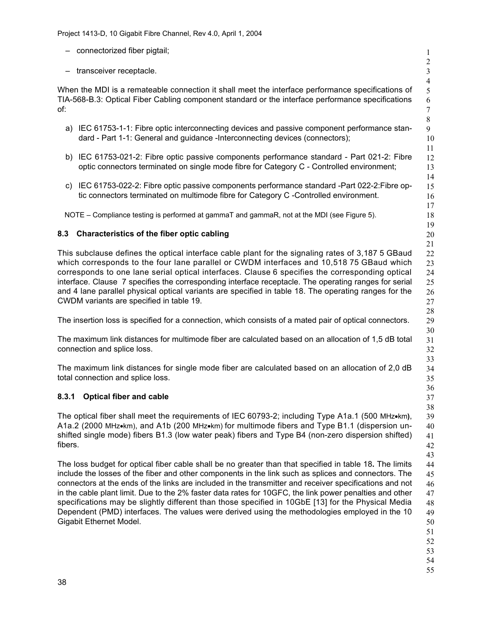<span id="page-57-0"></span>

| connectorized fiber pigtail;                                                                                                                                                                                                                                                                                                                                                                                                                                                                                                                                                                                                                                             | 1                                                  |
|--------------------------------------------------------------------------------------------------------------------------------------------------------------------------------------------------------------------------------------------------------------------------------------------------------------------------------------------------------------------------------------------------------------------------------------------------------------------------------------------------------------------------------------------------------------------------------------------------------------------------------------------------------------------------|----------------------------------------------------|
| transceiver receptacle.                                                                                                                                                                                                                                                                                                                                                                                                                                                                                                                                                                                                                                                  | $\overline{c}$<br>3                                |
| When the MDI is a remateable connection it shall meet the interface performance specifications of<br>TIA-568-B.3: Optical Fiber Cabling component standard or the interface performance specifications<br>of:                                                                                                                                                                                                                                                                                                                                                                                                                                                            | 4<br>5<br>6<br>7<br>8                              |
| a) IEC 61753-1-1: Fibre optic interconnecting devices and passive component performance stan-<br>dard - Part 1-1: General and guidance -Interconnecting devices (connectors);                                                                                                                                                                                                                                                                                                                                                                                                                                                                                            | 9<br>10<br>11                                      |
| b) IEC 61753-021-2: Fibre optic passive components performance standard - Part 021-2: Fibre<br>optic connectors terminated on single mode fibre for Category C - Controlled environment;                                                                                                                                                                                                                                                                                                                                                                                                                                                                                 | 12<br>13<br>14                                     |
| IEC 61753-022-2: Fibre optic passive components performance standard -Part 022-2: Fibre op-<br>C)<br>tic connectors terminated on multimode fibre for Category C -Controlled environment.                                                                                                                                                                                                                                                                                                                                                                                                                                                                                | 15<br>16<br>17                                     |
| NOTE – Compliance testing is performed at gammaT and gammaR, not at the MDI (see Figure 5).                                                                                                                                                                                                                                                                                                                                                                                                                                                                                                                                                                              | 18<br>19                                           |
| Characteristics of the fiber optic cabling<br>8.3                                                                                                                                                                                                                                                                                                                                                                                                                                                                                                                                                                                                                        | $20\,$<br>21                                       |
| This subclause defines the optical interface cable plant for the signaling rates of 3,187 5 GBaud<br>which corresponds to the four lane parallel or CWDM interfaces and 10,518 75 GBaud which<br>corresponds to one lane serial optical interfaces. Clause 6 specifies the corresponding optical<br>interface. Clause 7 specifies the corresponding interface receptacle. The operating ranges for serial<br>and 4 lane parallel physical optical variants are specified in table 18. The operating ranges for the<br>CWDM variants are specified in table 19.                                                                                                           | 22<br>23<br>24<br>25<br>26<br>$27\,$<br>28         |
| The insertion loss is specified for a connection, which consists of a mated pair of optical connectors.                                                                                                                                                                                                                                                                                                                                                                                                                                                                                                                                                                  | 29                                                 |
| The maximum link distances for multimode fiber are calculated based on an allocation of 1,5 dB total<br>connection and splice loss.                                                                                                                                                                                                                                                                                                                                                                                                                                                                                                                                      | 30<br>31<br>32                                     |
| The maximum link distances for single mode fiber are calculated based on an allocation of 2,0 dB<br>total connection and splice loss.                                                                                                                                                                                                                                                                                                                                                                                                                                                                                                                                    | 33<br>34<br>35                                     |
| <b>Optical fiber and cable</b><br>8.3.1                                                                                                                                                                                                                                                                                                                                                                                                                                                                                                                                                                                                                                  | 36<br>37                                           |
| The optical fiber shall meet the requirements of IEC 60793-2; including Type A1a.1 (500 MHz•km),<br>A1a.2 (2000 MHz•km), and A1b (200 MHz•km) for multimode fibers and Type B1.1 (dispersion un-<br>shifted single mode) fibers B1.3 (low water peak) fibers and Type B4 (non-zero dispersion shifted)<br>fibers.                                                                                                                                                                                                                                                                                                                                                        | 38<br>39<br>40<br>41<br>42                         |
| The loss budget for optical fiber cable shall be no greater than that specified in table 18. The limits<br>include the losses of the fiber and other components in the link such as splices and connectors. The<br>connectors at the ends of the links are included in the transmitter and receiver specifications and not<br>in the cable plant limit. Due to the 2% faster data rates for 10GFC, the link power penalties and other<br>specifications may be slightly different than those specified in 10GbE [13] for the Physical Media<br>Dependent (PMD) interfaces. The values were derived using the methodologies employed in the 10<br>Gigabit Ethernet Model. | 43<br>44<br>45<br>46<br>47<br>48<br>49<br>50<br>51 |

- 
- 52 53
- 54
- $\overline{55}$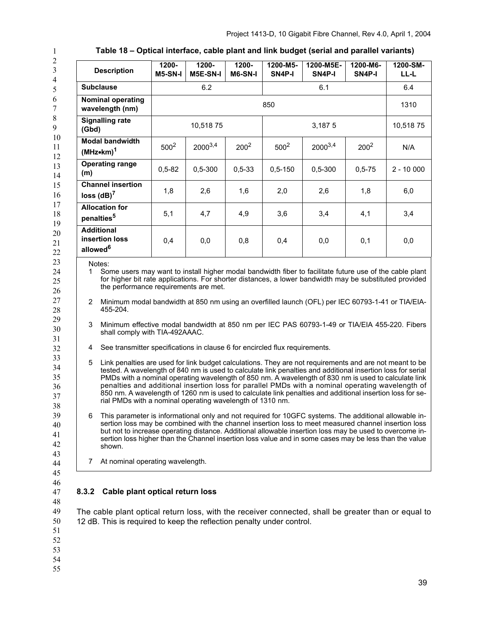# <span id="page-58-0"></span> **Table 18 – Optical interface, cable plant and link budget (serial and parallel variants)**

|                                                    | <b>Description</b>                                                                                                                                                                                                                                                                                                                                                                                                                                                                                                                                                                                                                                                                          | 1200-<br>M5-SN-I | 1200-<br>M5E-SN-I | 1200-<br>M6-SN-I | 1200-M5-<br>SN <sub>4P-I</sub> | 1200-M5E-<br>SN4P-I | 1200-M6-<br>SN <sub>4P-I</sub> | 1200-SM-<br>LL-L |
|----------------------------------------------------|---------------------------------------------------------------------------------------------------------------------------------------------------------------------------------------------------------------------------------------------------------------------------------------------------------------------------------------------------------------------------------------------------------------------------------------------------------------------------------------------------------------------------------------------------------------------------------------------------------------------------------------------------------------------------------------------|------------------|-------------------|------------------|--------------------------------|---------------------|--------------------------------|------------------|
|                                                    | <b>Subclause</b>                                                                                                                                                                                                                                                                                                                                                                                                                                                                                                                                                                                                                                                                            |                  | 6.2               |                  |                                | 6.1                 |                                | 6.4              |
|                                                    | <b>Nominal operating</b><br>wavelength (nm)                                                                                                                                                                                                                                                                                                                                                                                                                                                                                                                                                                                                                                                 |                  | 850               |                  |                                |                     |                                |                  |
| (Gbd)                                              | <b>Signalling rate</b>                                                                                                                                                                                                                                                                                                                                                                                                                                                                                                                                                                                                                                                                      |                  | 10,518 75         |                  |                                | 3,1875              |                                | 10,518 75        |
|                                                    | <b>Modal bandwidth</b><br>$(MHz*km)^{1}$                                                                                                                                                                                                                                                                                                                                                                                                                                                                                                                                                                                                                                                    | 500 <sup>2</sup> | 20003,4           | $200^2$          | 500 <sup>2</sup>               | $2000^{3,4}$        | $200^2$                        | N/A              |
| (m)                                                | <b>Operating range</b>                                                                                                                                                                                                                                                                                                                                                                                                                                                                                                                                                                                                                                                                      | $0,5 - 82$       | $0,5 - 300$       | $0,5-33$         | $0,5 - 150$                    | $0,5 - 300$         | $0,5 - 75$                     | $2 - 10000$      |
| loss $(dB)^7$                                      | <b>Channel insertion</b>                                                                                                                                                                                                                                                                                                                                                                                                                                                                                                                                                                                                                                                                    | 1,8              | 2,6               | 1,6              | 2,0                            | 2,6                 | 1,8                            | 6,0              |
|                                                    | <b>Allocation for</b><br>penalties <sup>5</sup>                                                                                                                                                                                                                                                                                                                                                                                                                                                                                                                                                                                                                                             | 5,1              | 4,7               | 4,9              | 3,6                            | 3,4                 | 4,1                            | 3,4              |
|                                                    | <b>Additional</b><br>insertion loss                                                                                                                                                                                                                                                                                                                                                                                                                                                                                                                                                                                                                                                         | 0,4              | 0,0               | 0,8              | 0,4                            | 0,0                 | 0,1                            | 0,0              |
| allowed <sup>6</sup><br>1.<br>$\mathbf{2}^{\circ}$ | Notes:<br>Some users may want to install higher modal bandwidth fiber to facilitate future use of the cable plant<br>for higher bit rate applications. For shorter distances, a lower bandwidth may be substituted provided<br>the performance requirements are met.<br>Minimum modal bandwidth at 850 nm using an overfilled launch (OFL) per IEC 60793-1-41 or TIA/EIA-                                                                                                                                                                                                                                                                                                                   |                  |                   |                  |                                |                     |                                |                  |
| 3                                                  | 455-204.<br>Minimum effective modal bandwidth at 850 nm per IEC PAS 60793-1-49 or TIA/EIA 455-220. Fibers                                                                                                                                                                                                                                                                                                                                                                                                                                                                                                                                                                                   |                  |                   |                  |                                |                     |                                |                  |
| 4                                                  | shall comply with TIA-492AAAC.                                                                                                                                                                                                                                                                                                                                                                                                                                                                                                                                                                                                                                                              |                  |                   |                  |                                |                     |                                |                  |
| 5                                                  | See transmitter specifications in clause 6 for encircled flux requirements.<br>Link penalties are used for link budget calculations. They are not requirements and are not meant to be<br>tested. A wavelength of 840 nm is used to calculate link penalties and additional insertion loss for serial<br>PMDs with a nominal operating wavelength of 850 nm. A wavelength of 830 nm is used to calculate link<br>penalties and additional insertion loss for parallel PMDs with a nominal operating wavelength of<br>850 nm. A wavelength of 1260 nm is used to calculate link penalties and additional insertion loss for se-<br>rial PMDs with a nominal operating wavelength of 1310 nm. |                  |                   |                  |                                |                     |                                |                  |
| 6                                                  | This parameter is informational only and not required for 10GFC systems. The additional allowable in-<br>sertion loss may be combined with the channel insertion loss to meet measured channel insertion loss<br>but not to increase operating distance. Additional allowable insertion loss may be used to overcome in-<br>sertion loss higher than the Channel insertion loss value and in some cases may be less than the value<br>shown.                                                                                                                                                                                                                                                |                  |                   |                  |                                |                     |                                |                  |

- 52
- 
- 53
- 54
- 55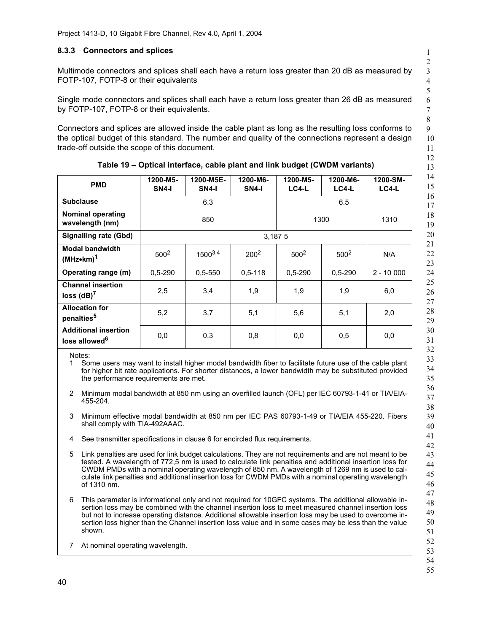### **8.3.3 Connectors and splices**

Multimode connectors and splices shall each have a return loss greater than 20 dB as measured by FOTP-107, FOTP-8 or their equivalents

Single mode connectors and splices shall each have a return loss greater than 26 dB as measured by FOTP-107, FOTP-8 or their equivalents.

Connectors and splices are allowed inside the cable plant as long as the resulting loss conforms to the optical budget of this standard. The number and quality of the connections represent a design trade-off outside the scope of this document.

<span id="page-59-0"></span>

| <b>PMD</b>                                               | 1200-M5-<br>SN <sub>4</sub> -I | 1200-M5E-<br>SN <sub>4</sub> -I | 1200-M6-<br>SN <sub>4</sub> -I | 1200-M5-<br>$LCA-L$ | 1200-M6-<br>$LCA-L$ | 1200-SM-<br>$LCA-L$ |
|----------------------------------------------------------|--------------------------------|---------------------------------|--------------------------------|---------------------|---------------------|---------------------|
| <b>Subclause</b>                                         |                                | 6.3                             |                                |                     | 6.5                 |                     |
| <b>Nominal operating</b><br>wavelength (nm)              | 850                            |                                 | 1300                           |                     | 1310                |                     |
| <b>Signalling rate (Gbd)</b>                             |                                |                                 |                                | 3,187 5             |                     |                     |
| <b>Modal bandwidth</b><br>$(MHz \cdot km)^{1}$           | $500^2$                        | $1500^{3,4}$                    | $200^2$                        | $500^2$             | $500^2$             | N/A                 |
| Operating range (m)                                      | $0,5-290$                      | $0,5 - 550$                     | $0,5-118$                      | $0,5-290$           | $0,5-290$           | $2 - 10000$         |
| <b>Channel insertion</b><br>loss $(dB)^7$                | 2,5                            | 3,4                             | 1,9                            | 1,9                 | 1,9                 | 6,0                 |
| <b>Allocation for</b><br>penalties <sup>5</sup>          | 5,2                            | 3,7                             | 5,1                            | 5,6                 | 5,1                 | 2,0                 |
| <b>Additional insertion</b><br>loss allowed <sup>b</sup> | 0,0                            | 0,3                             | 0,8                            | 0,0                 | 0,5                 | 0,0                 |

 **Table 19 – Optical interface, cable plant and link budget (CWDM variants)**

Notes:

1 Some users may want to install higher modal bandwidth fiber to facilitate future use of the cable plant for higher bit rate applications. For shorter distances, a lower bandwidth may be substituted provided the performance requirements are met.

2 Minimum modal bandwidth at 850 nm using an overfilled launch (OFL) per IEC 60793-1-41 or TIA/EIA-455-204.

3 Minimum effective modal bandwidth at 850 nm per IEC PAS 60793-1-49 or TIA/EIA 455-220. Fibers shall comply with TIA-492AAAC.

4 See transmitter specifications in clause 6 for encircled flux requirements.

5 Link penalties are used for link budget calculations. They are not requirements and are not meant to be tested. A wavelength of 772,5 nm is used to calculate link penalties and additional insertion loss for CWDM PMDs with a nominal operating wavelength of 850 nm. A wavelength of 1269 nm is used to calculate link penalties and additional insertion loss for CWDM PMDs with a nominal operating wavelength of 1310 nm.

6 This parameter is informational only and not required for 10GFC systems. The additional allowable insertion loss may be combined with the channel insertion loss to meet measured channel insertion loss but not to increase operating distance. Additional allowable insertion loss may be used to overcome insertion loss higher than the Channel insertion loss value and in some cases may be less than the value shown.

7 At nominal operating wavelength.

54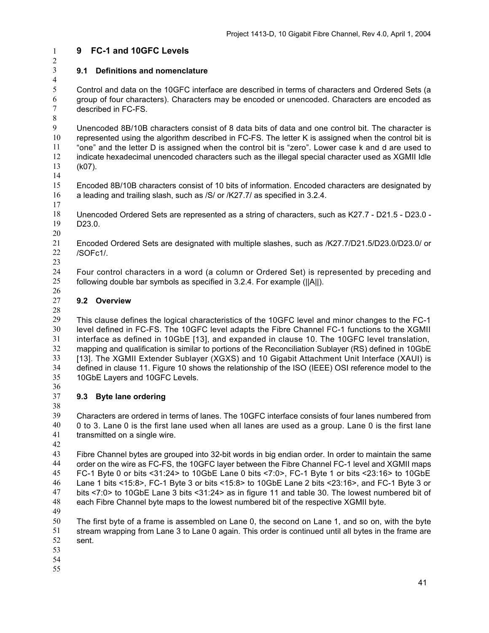# <span id="page-60-0"></span>**9 FC-1 and 10GFC Levels**

# **9.1 Definitions and nomenclature**

Control and data on the 10GFC interface are described in terms of characters and Ordered Sets (a group of four characters). Characters may be encoded or unencoded. Characters are encoded as described in FC-FS.

9 10 11 12 13 14 Unencoded 8B/10B characters consist of 8 data bits of data and one control bit. The character is represented using the algorithm described in FC-FS. The letter K is assigned when the control bit is "one" and the letter D is assigned when the control bit is "zero". Lower case k and d are used to indicate hexadecimal unencoded characters such as the illegal special character used as XGMII Idle (k07).

15 16 Encoded 8B/10B characters consist of 10 bits of information. Encoded characters are designated by a leading and trailing slash, such as /S/ or /K27.7/ as specified in [3.2.4.](#page-26-0)

18 19 Unencoded Ordered Sets are represented as a string of characters, such as K27.7 - D21.5 - D23.0 - D23.0.

20

17

21 22 Encoded Ordered Sets are designated with multiple slashes, such as /K27.7/D21.5/D23.0/D23.0/ or /SOFc1/.

23

24 25 26 Four control characters in a word (a column or Ordered Set) is represented by preceding and following double bar symbols as specified in [3.2.4](#page-26-0). For example (||A||).

#### 27 **9.2 Overview**

28

29 30 31 32 33 34 35 This clause defines the logical characteristics of the 10GFC level and minor changes to the FC-1 level defined in FC-FS. The 10GFC level adapts the Fibre Channel FC-1 functions to the XGMII interface as defined in [10GbE \[13\],](#page-21-0) and expanded in [clause 10.](#page-74-0) The 10GFC level translation, mapping and qualification is similar to portions of the Reconciliation Sublayer (RS) defined in [10GbE](#page-21-0) [\[13\].](#page-21-0) The XGMII Extender Sublayer (XGXS) and 10 Gigabit Attachment Unit Interface (XAUI) is defined in [clause 11](#page-78-0). [Figure 10](#page-61-0) shows the relationship of the ISO (IEEE) OSI reference model to the 10GbE Layers and 10GFC Levels.

36 37

38

# **9.3 Byte lane ordering**

39 40 41 Characters are ordered in terms of lanes. The 10GFC interface consists of four lanes numbered from 0 to 3. Lane 0 is the first lane used when all lanes are used as a group. Lane 0 is the first lane transmitted on a single wire.

42

43 44 45 46 47 48 Fibre Channel bytes are grouped into 32-bit words in big endian order. In order to maintain the same order on the wire as FC-FS, the 10GFC layer between the Fibre Channel FC-1 level and XGMII maps FC-1 Byte 0 or bits <31:24> to 10GbE Lane 0 bits <7:0>, FC-1 Byte 1 or bits <23:16> to 10GbE Lane 1 bits <15:8>, FC-1 Byte 3 or bits <15:8> to 10GbE Lane 2 bits <23:16>, and FC-1 Byte 3 or bits <7:0> to 10GbE Lane 3 bits <31:24> as in [figure 11](#page-61-1) and [table 30](#page-75-0). The lowest numbered bit of each Fibre Channel byte maps to the lowest numbered bit of the respective XGMII byte.

49

50 51 52 The first byte of a frame is assembled on Lane 0, the second on Lane 1, and so on, with the byte stream wrapping from Lane 3 to Lane 0 again. This order is continued until all bytes in the frame are sent.

- 53
- 54
- 55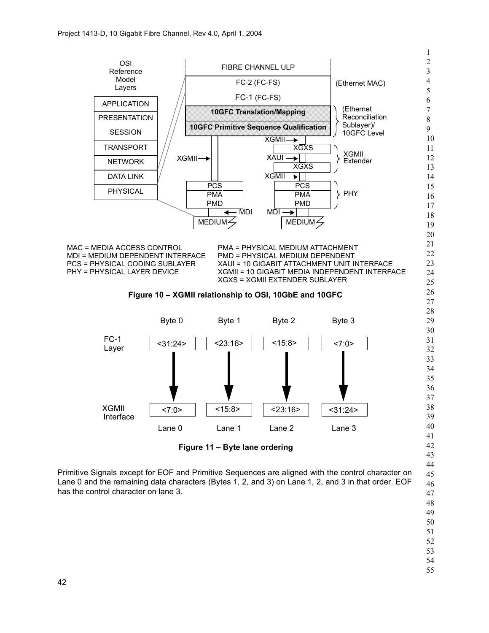

<span id="page-61-1"></span><span id="page-61-0"></span>Primitive Signals except for EOF and Primitive Sequences are aligned with the control character on Lane 0 and the remaining data characters (Bytes 1, 2, and 3) on Lane 1, 2, and 3 in that order. EOF has the control character on lane 3.

47 48 49

- 50
- 51
- 52 53
- 54
- 55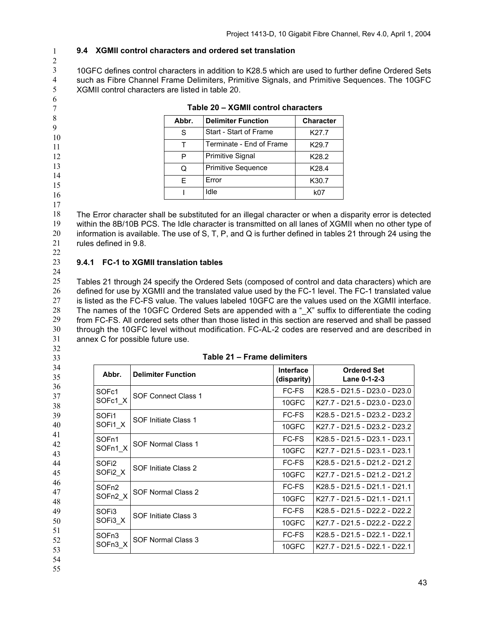# <span id="page-62-2"></span>**9.4 XGMII control characters and ordered set translation**

<span id="page-62-0"></span>10GFC defines control characters in addition to K28.5 which are used to further define Ordered Sets such as Fibre Channel Frame Delimiters, Primitive Signals, and Primitive Sequences. The 10GFC XGMII control characters are listed in [table 20.](#page-62-0)

| <b>Delimiter Function</b><br>Abbr. |                           | <b>Character</b> |
|------------------------------------|---------------------------|------------------|
| S                                  | Start - Start of Frame    | K27.7            |
| т                                  | Terminate - End of Frame  | K29.7            |
| P                                  | <b>Primitive Signal</b>   | K28.2            |
| Q                                  | <b>Primitive Sequence</b> | K28.4            |
| F                                  | Error                     | K30.7            |
|                                    | Idle                      | k07              |

#### **Table 20 – XGMII control characters**

16 17

22

24

18 19 20 21 The Error character shall be substituted for an illegal character or when a disparity error is detected within the 8B/10B PCS. The Idle character is transmitted on all lanes of XGMII when no other type of information is available. The use of S, T, P, and Q is further defined in tables [21](#page-62-1) through [24](#page-64-0) using the rules defined in [9.8](#page-68-0).

#### 23 **9.4.1 FC-1 to XGMII translation tables**

25 26 27 28 29 30 31 Tables [21](#page-62-1) through [24](#page-64-0) specify the Ordered Sets (composed of control and data characters) which are defined for use by XGMII and the translated value used by the FC-1 level. The FC-1 translated value is listed as the FC-FS value. The values labeled 10GFC are the values used on the XGMII interface. The names of the 10GFC Ordered Sets are appended with a "\_X" suffix to differentiate the coding from FC-FS. All ordered sets other than those listed in this section are reserved and shall be passed through the 10GFC level without modification. FC-AL-2 codes are reserved and are described in [annex C](#page-94-0) for possible future use.

- 32
- <span id="page-62-1"></span>33 34 35 36 37 38 39 40 41 42 43 44 45 46 47 48 49 50 51 52  **Table 21 – Frame delimiters Abbr.** Delimiter Function **Interface (disparity) Ordered Set Lane 0-1-2-3** SOFc1<br>SOFc1 X SOFc1 SOF Connect Class 1 FC-FS K28.5 - D21.5 - D23.0 - D23.0<br>SOFc1\_X SOF Connect Class 1 10GFC K27.7 - D21.5 - D23.0 - D23.0 SOFi1 SOFi1 SOF Initiate Class 1 FC-FS K28.5 - D21.5 - D23.2 - D23.2<br>SOFi1\_X SOF Initiate Class 1 10GFC K27.7 - D21.5 - D23.2 - D23.2 SOFn1<br>SOFn1 X SOFn1 SOF Normal Class 1 FC-FS K28.5 - D21.5 - D23.1 - D23.1<br>SOFn1\_X SOF Normal Class 1 10GFC K27.7 - D21.5 - D23.1 - D23.1 SOFi2 SOFi2<br>SOFi2\_X SOF Initiate Class 2 FC-FS K28.5 - D21.5 - D21.2 - D21.2 K27.7 - D21.5 - D21.2 - D21.2 SOFn2<br>SOFn2 X SOFn2 SOF Normal Class 2 FC-FS K28.5 - D21.5 - D21.1 - D21.1<br>SOFn2\_X SOF Normal Class 2 10GFC K27.7 - D21.5 - D21.1 - D21.1 SOFi3 SOFi3 SOF Initiate Class 3 FC-FS K28.5 - D21.5 - D22.2 - D22.2<br>SOFi3\_X SOF Initiate Class 3 10GFC K27.7 - D21.5 - D22.2 - D22.2 SOFn3 SOFn3<br>SOFn3\_X SOF Normal Class 3 The Software Contract SOFn3\_X SOFn3\_X SOFn3\_X 10GFC K27.7 - D21.5 - D22.1 - D22.1

53 54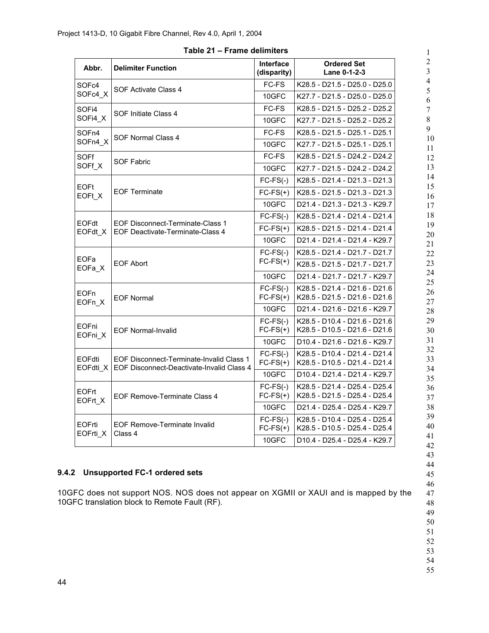| Table 21 - Frame delimiters         |                                                                      |                          |                                                                |  |  |  |
|-------------------------------------|----------------------------------------------------------------------|--------------------------|----------------------------------------------------------------|--|--|--|
| Abbr.                               | <b>Delimiter Function</b>                                            | Interface<br>(disparity) | <b>Ordered Set</b><br>Lane 0-1-2-3                             |  |  |  |
| SOF <sub>c4</sub>                   | SOF Activate Class 4                                                 | FC-FS                    | K28.5 - D21.5 - D25.0 - D25.0                                  |  |  |  |
| SOFc4 X                             |                                                                      | 10GFC                    | K27.7 - D21.5 - D25.0 - D25.0                                  |  |  |  |
| SOFi4                               | SOF Initiate Class 4                                                 | FC-FS                    | K28.5 - D21.5 - D25.2 - D25.2                                  |  |  |  |
| SOFi4_X                             |                                                                      | 10GFC                    | K27.7 - D21.5 - D25.2 - D25.2                                  |  |  |  |
| SOFn4                               | SOF Normal Class 4                                                   | FC-FS                    | K28.5 - D21.5 - D25.1 - D25.1                                  |  |  |  |
| SOFn4 X                             |                                                                      | 10GFC                    | K27.7 - D21.5 - D25.1 - D25.1                                  |  |  |  |
| SOFf                                | <b>SOF Fabric</b>                                                    | FC-FS                    | K28.5 - D21.5 - D24.2 - D24.2                                  |  |  |  |
| SOFf X                              |                                                                      | 10GFC                    | K27.7 - D21.5 - D24.2 - D24.2                                  |  |  |  |
|                                     |                                                                      | $FC-FS(-)$               | K28.5 - D21.4 - D21.3 - D21.3                                  |  |  |  |
| <b>EOFt</b><br>EOFt X               | <b>EOF Terminate</b>                                                 | $FC-FS(+)$               | K28.5 - D21.5 - D21.3 - D21.3                                  |  |  |  |
|                                     |                                                                      | 10GFC                    | D21.4 - D21.3 - D21.3 - K29.7                                  |  |  |  |
|                                     |                                                                      | $FC-FS(-)$               | K28.5 - D21.4 - D21.4 - D21.4                                  |  |  |  |
| <b>EOFdt</b><br>EOFdt X             | EOF Disconnect-Terminate-Class 1<br>EOF Deactivate-Terminate-Class 4 | $FC-FS(+)$               | K28.5 - D21.5 - D21.4 - D21.4                                  |  |  |  |
|                                     |                                                                      | 10GFC                    | D21.4 - D21.4 - D21.4 - K29.7                                  |  |  |  |
|                                     |                                                                      | $FC-FS(-)$               | K28.5 - D21.4 - D21.7 - D21.7                                  |  |  |  |
| EOFa<br>EOFa_X                      | <b>EOF Abort</b>                                                     | $FC-FS(+)$               | K28.5 - D21.5 - D21.7 - D21.7                                  |  |  |  |
|                                     |                                                                      | 10GFC                    | D21.4 - D21.7 - D21.7 - K29.7                                  |  |  |  |
| <b>EOFn</b>                         | <b>EOF Normal</b>                                                    | $FC-FS(-)$               | K28.5 - D21.4 - D21.6 - D21.6                                  |  |  |  |
| EOFn_X                              |                                                                      | $FC-FS(+)$               | K28.5 - D21.5 - D21.6 - D21.6                                  |  |  |  |
|                                     |                                                                      | 10GFC                    | D21.4 - D21.6 - D21.6 - K29.7                                  |  |  |  |
| <b>EOFni</b>                        | <b>EOF Normal-Invalid</b>                                            | $FC-FS(-)$<br>$FC-FS(+)$ | K28.5 - D10.4 - D21.6 - D21.6<br>K28.5 - D10.5 - D21.6 - D21.6 |  |  |  |
| EOFni X                             |                                                                      | 10GFC                    | D10.4 - D21.6 - D21.6 - K29.7                                  |  |  |  |
| EOFdti                              | EOF Disconnect-Terminate-Invalid Class 1                             | $FC-FS(-)$<br>$FC-FS(+)$ | K28.5 - D10.4 - D21.4 - D21.4<br>K28.5 - D10.5 - D21.4 - D21.4 |  |  |  |
| EOFdti X                            | EOF Disconnect-Deactivate-Invalid Class 4                            | 10GFC                    | D10.4 - D21.4 - D21.4 - K29.7                                  |  |  |  |
|                                     |                                                                      | $FC-FS(-)$               | K28.5 - D21.4 - D25.4 - D25.4                                  |  |  |  |
| <b>EOFrt</b><br>EOF <sub>rt</sub> X | EOF Remove-Terminate Class 4                                         | $FC-FS(+)$               | K28.5 - D21.5 - D25.4 - D25.4                                  |  |  |  |
|                                     |                                                                      | 10GFC                    | D21.4 - D25.4 - D25.4 - K29.7                                  |  |  |  |
| EOFrti                              | EOF Remove-Terminate Invalid                                         | $FC-FS(-)$               | K28.5 - D10.4 - D25.4 - D25.4                                  |  |  |  |
| EOFrti X                            | Class 4                                                              | $FC-FS(+)$               | K28.5 - D10.5 - D25.4 - D25.4                                  |  |  |  |
|                                     |                                                                      | 10GFC                    | D10.4 - D25.4 - D25.4 - K29.7                                  |  |  |  |

 **Table 21 – Frame delimiters**

#### **9.4.2 Unsupported FC-1 ordered sets**

10GFC does not support NOS. NOS does not appear on XGMII or XAUI and is mapped by the 10GFC translation block to Remote Fault (RF).

47 48 49

50

51 52

53

54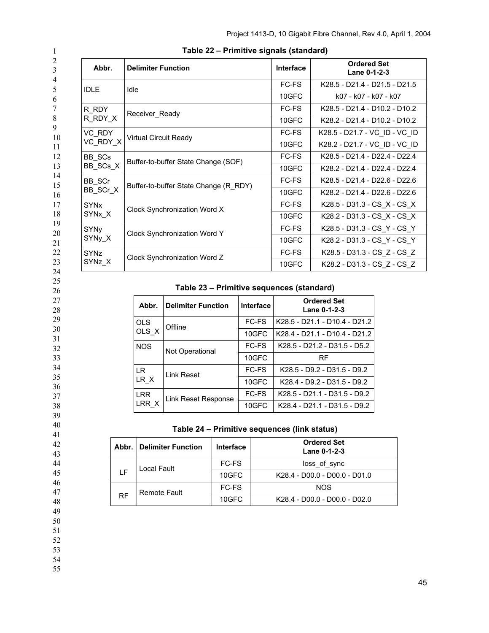|                        | Table 22 – Primitive signals (standard) |           |                                    |
|------------------------|-----------------------------------------|-----------|------------------------------------|
| Abbr.                  | <b>Delimiter Function</b>               | Interface | <b>Ordered Set</b><br>Lane 0-1-2-3 |
| <b>IDLE</b>            | Idle                                    | FC-FS     | K28.5 - D21.4 - D21.5 - D21.5      |
|                        |                                         | 10GFC     | k07 - k07 - k07 - k07              |
| R RDY                  | Receiver Ready                          | FC-FS     | K28.5 - D21.4 - D10.2 - D10.2      |
| R RDY X                |                                         | 10GFC     | K28.2 - D21.4 - D10.2 - D10.2      |
| VC RDY                 | <b>Virtual Circuit Ready</b>            | FC-FS     | K28.5 - D21.7 - VC ID - VC ID      |
| VC RDY X               |                                         | 10GFC     | K28.2 - D21.7 - VC ID - VC ID      |
| BB SCs                 | Buffer-to-buffer State Change (SOF)     | FC-FS     | K28.5 - D21.4 - D22.4 - D22.4      |
| BB_SCs_X               |                                         | 10GFC     | K28.2 - D21.4 - D22.4 - D22.4      |
| <b>BB SCr</b>          | Buffer-to-buffer State Change (R RDY)   | FC-FS     | K28.5 - D21.4 - D22.6 - D22.6      |
| BB_SCr_X               |                                         | 10GFC     | K28.2 - D21.4 - D22.6 - D22.6      |
| <b>SYN<sub>x</sub></b> | Clock Synchronization Word X            | FC-FS     | K28.5 - D31.3 - CS_X - CS_X        |
| SYNx_X                 |                                         | 10GFC     | K28.2 - D31.3 - CS_X - CS_X        |
| <b>SYNy</b>            | Clock Synchronization Word Y            | FC-FS     | K28.5 - D31.3 - CS Y - CS Y        |
| SYNy_X                 |                                         | 10GFC     | K28.2 - D31.3 - CS_Y - CS_Y        |
| <b>SYNz</b>            | Clock Synchronization Word Z            |           | K28.5 - D31.3 - CS Z - CS Z        |
| SYNz_X                 |                                         | 10GFC     | K28.2 - D31.3 - CS Z - CS Z        |

 **Table 22 – Primitive signals (standard)**

 **Table 23 – Primitive sequences (standard)**

<span id="page-64-1"></span>

| Abbr.      | <b>Delimiter Function</b>         | Interface | <b>Ordered Set</b><br>Lane 0-1-2-3 |
|------------|-----------------------------------|-----------|------------------------------------|
| <b>OLS</b> | Offline                           | FC-FS     | K28.5 - D21.1 - D10.4 - D21.2      |
| OLS X      |                                   | 10GFC     | K28.4 - D21.1 - D10.4 - D21.2      |
| <b>NOS</b> | Not Operational                   | FC-FS     | K28.5 - D21.2 - D31.5 - D5.2       |
|            |                                   | 10GFC     | <b>RF</b>                          |
| IR.        | Link Reset<br>Link Reset Response | FC-FS     | K28.5 - D9.2 - D31.5 - D9.2        |
| LR X       |                                   | 10GFC     | K28.4 - D9.2 - D31.5 - D9.2        |
| <b>LRR</b> |                                   | FC-FS     | K28.5 - D21.1 - D31.5 - D9.2       |
| LRR X      |                                   | 10GFC     | K28.4 - D21.1 - D31.5 - D9.2       |

<span id="page-64-0"></span>

| Abbr.     | <b>Delimiter Function</b> | <b>Interface</b> | <b>Ordered Set</b><br>Lane 0-1-2-3 |
|-----------|---------------------------|------------------|------------------------------------|
|           | Local Fault               | FC-FS            | loss of sync                       |
| ΙF        |                           | 10GFC            | K28.4 - D00.0 - D00.0 - D01.0      |
|           | <b>Remote Fault</b>       | FC-FS            | <b>NOS</b>                         |
| <b>RF</b> |                           | 10GFC            | K28.4 - D00.0 - D00.0 - D02.0      |

49 50 51

- 52
- 53
- 54 55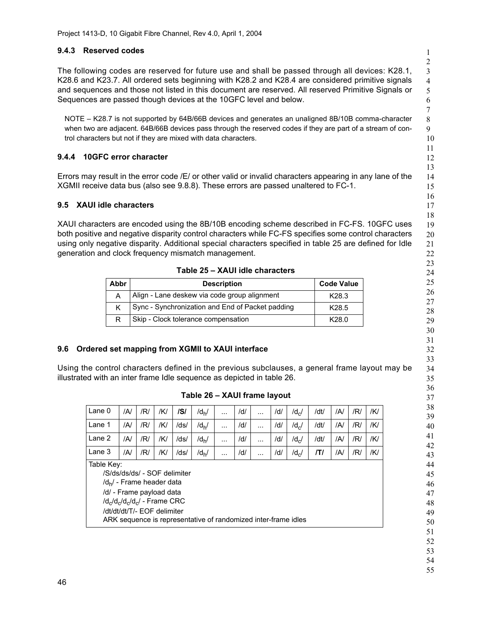#### **9.4.3 Reserved codes**

The following codes are reserved for future use and shall be passed through all devices: K28.1, K28.6 and K23.7. All ordered sets beginning with K28.2 and K28.4 are considered primitive signals and sequences and those not listed in this document are reserved. All reserved Primitive Signals or Sequences are passed though devices at the 10GFC level and below.

NOTE – K28.7 is not supported by 64B/66B devices and generates an unaligned 8B/10B comma-character when two are adjacent. 64B/66B devices pass through the reserved codes if they are part of a stream of control characters but not if they are mixed with data characters.

#### <span id="page-65-2"></span>**9.4.4 10GFC error character**

Errors may result in the error code /E/ or other valid or invalid characters appearing in any lane of the XGMII receive data bus (also see [9.8.8\)](#page-73-0). These errors are passed unaltered to FC-1.

#### **9.5 XAUI idle characters**

<span id="page-65-0"></span>XAUI characters are encoded using the 8B/10B encoding scheme described in FC-FS. 10GFC uses both positive and negative disparity control characters while FC-FS specifies some control characters using only negative disparity. Additional special characters specified in [table 25](#page-65-0) are defined for Idle generation and clock frequency mismatch management.

| Table 25 - XAUI idle characters |  |
|---------------------------------|--|
| <b>Description</b>              |  |

| Abbr | <b>Description</b>                               | <b>Code Value</b> |
|------|--------------------------------------------------|-------------------|
|      | Align - Lane deskew via code group alignment     | K <sub>28.3</sub> |
|      | Sync - Synchronization and End of Packet padding | K <sub>28.5</sub> |
|      | Skip - Clock tolerance compensation              | K28.0             |

### **9.6 Ordered set mapping from XGMII to XAUI interface**

<span id="page-65-1"></span>Using the control characters defined in the previous subclauses, a general frame layout may be illustrated with an inter frame Idle sequence as depicted in [table 26.](#page-65-1)

| Lane 0            | IAI | /R/ | /K/                                                                                                                 | /S/                          | $/dh$ /                                                        | $\cdots$  | /d/ | $\cdots$      | /d/ | $/d_c$ | /dt/ | IAI | /R  | /K/ |
|-------------------|-----|-----|---------------------------------------------------------------------------------------------------------------------|------------------------------|----------------------------------------------------------------|-----------|-----|---------------|-----|--------|------|-----|-----|-----|
| Lane 1            | IAI | /R/ | /K/                                                                                                                 | /ds/                         | $/dh$ /                                                        | $\ddotsc$ | /d/ | $\cdots$      | /d/ | $/d_c$ | /dt/ | IAI | /R/ | /K/ |
| Lane <sub>2</sub> | /A/ | /R/ | /K/                                                                                                                 | /ds/                         | $/dh$ /                                                        | $\cdots$  | /d/ | $\cdot \cdot$ | /d/ | $/d_c$ | /dt/ | IAI | /R/ | /K/ |
| Lane 3            | IAI | /R/ | /K/                                                                                                                 | /ds/                         | $/dh$ /                                                        |           | /d/ | $\cdots$      | /d/ | $/d_c$ | ITI  | /A/ | /R/ | /K/ |
| Table Key:        |     |     | $/db$ - Frame header data<br>/d/ - Frame payload data<br>$/d_c/d_c/d_c/$ - Frame CRC<br>/dt/dt/dt/T/- EOF delimiter | /S/ds/ds/ds/ - SOF delimiter | ARK sequence is representative of randomized inter-frame idles |           |     |               |     |        |      |     |     |     |
|                   |     |     |                                                                                                                     |                              |                                                                |           |     |               |     |        |      |     |     |     |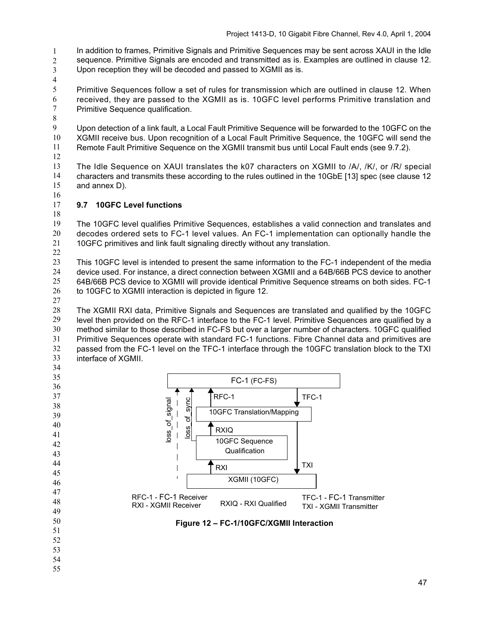1 2 3 In addition to frames, Primitive Signals and Primitive Sequences may be sent across XAUI in the Idle sequence. Primitive Signals are encoded and transmitted as is. Examples are outlined in [clause 12](#page-80-0). Upon reception they will be decoded and passed to XGMII as is.

4

5 6 7 Primitive Sequences follow a set of rules for transmission which are outlined in [clause 12.](#page-80-0) When received, they are passed to the XGMII as is. 10GFC level performs Primitive translation and Primitive Sequence qualification.

8

9 10 11 Upon detection of a link fault, a Local Fault Primitive Sequence will be forwarded to the 10GFC on the XGMII receive bus. Upon recognition of a Local Fault Primitive Sequence, the 10GFC will send the Remote Fault Primitive Sequence on the XGMII transmit bus until Local Fault ends (see [9.7.2](#page-67-0)).

12

13 14 15 16 The Idle Sequence on XAUI translates the k07 characters on XGMII to /A/, /K/, or /R/ special characters and transmits these according to the rules outlined in the [10GbE \[13\]](#page-21-0) spec (see [clause 12](#page-80-0) and [annex D\)](#page-98-0).

17 **9.7 10GFC Level functions**

19 20 21 The 10GFC level qualifies Primitive Sequences, establishes a valid connection and translates and decodes ordered sets to FC-1 level values. An FC-1 implementation can optionally handle the 10GFC primitives and link fault signaling directly without any translation.

22

18

23 24 25 26 This 10GFC level is intended to present the same information to the FC-1 independent of the media device used. For instance, a direct connection between XGMII and a 64B/66B PCS device to another 64B/66B PCS device to XGMII will provide identical Primitive Sequence streams on both sides. FC-1 to 10GFC to XGMII interaction is depicted in [figure 12](#page-66-0).

27

28 29 30 31 32 33 34 The XGMII RXI data, Primitive Signals and Sequences are translated and qualified by the 10GFC level then provided on the RFC-1 interface to the FC-1 level. Primitive Sequences are qualified by a method similar to those described in FC-FS but over a larger number of characters. 10GFC qualified Primitive Sequences operate with standard FC-1 functions. Fibre Channel data and primitives are passed from the FC-1 level on the TFC-1 interface through the 10GFC translation block to the TXI interface of XGMII.

<span id="page-66-0"></span>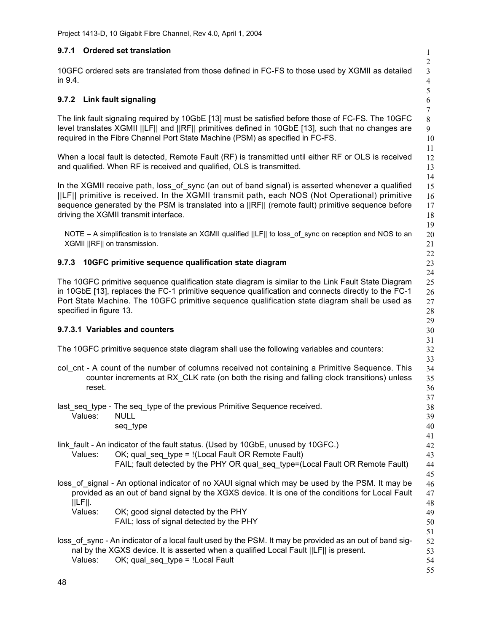#### **9.7.1 Ordered set translation**

10GFC ordered sets are translated from those defined in FC-FS to those used by XGMII as detailed in [9.4](#page-62-2).

#### <span id="page-67-0"></span>**9.7.2 Link fault signaling**

The link fault signaling required by [10GbE \[13\]](#page-21-0) must be satisfied before those of FC-FS. The 10GFC level translates XGMII ||LF|| and ||RF|| primitives defined in [10GbE \[13\]](#page-21-0), such that no changes are required in the Fibre Channel Port State Machine (PSM) as specified in FC-FS.

When a local fault is detected, Remote Fault (RF) is transmitted until either RF or OLS is received and qualified. When RF is received and qualified, OLS is transmitted.

In the XGMII receive path, loss of sync (an out of band signal) is asserted whenever a qualified ||LF|| primitive is received. In the XGMII transmit path, each NOS (Not Operational) primitive sequence generated by the PSM is translated into a  $||RF||$  (remote fault) primitive sequence before driving the XGMII transmit interface.

NOTE – A simplification is to translate an XGMII qualified  $||LF||$  to loss of sync on reception and NOS to an XGMII ||RF|| on transmission.

#### <span id="page-67-1"></span>**9.7.3 10GFC primitive sequence qualification state diagram**

The 10GFC primitive sequence qualification state diagram is similar to the Link Fault State Diagram in [10GbE \[13\]](#page-21-0), replaces the FC-1 primitive sequence qualification and connects directly to the FC-1 Port State Machine. The 10GFC primitive sequence qualification state diagram shall be used as specified in [figure 13.](#page-69-0)

#### **9.7.3.1 Variables and counters**

The 10GFC primitive sequence state diagram shall use the following variables and counters:

| col cnt - A count of the number of columns received not containing a Primitive Sequence. This |  |
|-----------------------------------------------------------------------------------------------|--|
| counter increments at RX CLK rate (on both the rising and falling clock transitions) unless   |  |
| reset.                                                                                        |  |

last seq type - The seq type of the previous Primitive Sequence received. Values: NULL seq\_type

link fault - An indicator of the fault status. (Used by 10GbE, unused by 10GFC.) Values: OK; qual\_seq\_type = !(Local Fault OR Remote Fault) FAIL; fault detected by the PHY OR qual seq type=(Local Fault OR Remote Fault)

46 47 48 49 50 loss\_of\_signal - An optional indicator of no XAUI signal which may be used by the PSM. It may be provided as an out of band signal by the XGXS device. It is one of the conditions for Local Fault  $||LF||.$ Values: OK; good signal detected by the PHY FAIL; loss of signal detected by the PHY

<sup>51</sup> 52 53 54 55 loss\_of\_sync - An indicator of a local fault used by the PSM. It may be provided as an out of band signal by the XGXS device. It is asserted when a qualified Local Fault ||LF|| is present. Values: OK; qual\_seq\_type = !Local Fault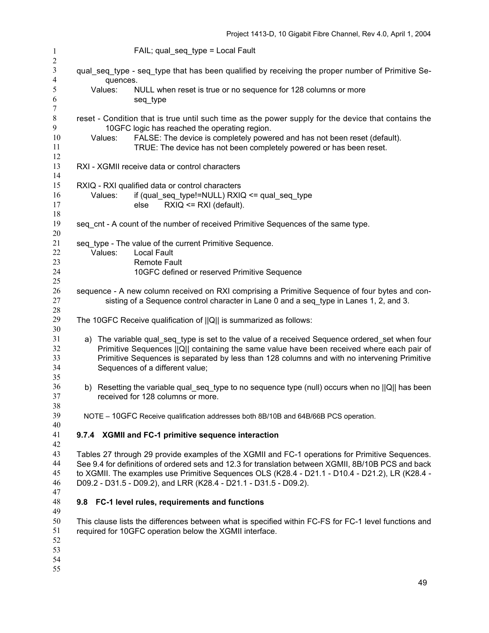<span id="page-68-0"></span>

| $\mathbf{1}$<br>$\overline{2}$   |          | FAIL; qual_seq_type = Local Fault                                                                                                                                                                                                                                                                                                                                             |
|----------------------------------|----------|-------------------------------------------------------------------------------------------------------------------------------------------------------------------------------------------------------------------------------------------------------------------------------------------------------------------------------------------------------------------------------|
| 3<br>4                           | quences. | qual_seq_type - seq_type that has been qualified by receiving the proper number of Primitive Se-                                                                                                                                                                                                                                                                              |
| 5<br>6<br>$\tau$                 | Values:  | NULL when reset is true or no sequence for 128 columns or more<br>seq_type                                                                                                                                                                                                                                                                                                    |
| $8\,$<br>9<br>10<br>11           | Values:  | reset - Condition that is true until such time as the power supply for the device that contains the<br>10GFC logic has reached the operating region.<br>FALSE: The device is completely powered and has not been reset (default).<br>TRUE: The device has not been completely powered or has been reset.                                                                      |
| 12<br>13                         |          | RXI - XGMII receive data or control characters                                                                                                                                                                                                                                                                                                                                |
| 14<br>15<br>16<br>17<br>18       | Values:  | RXIQ - RXI qualified data or control characters<br>if (qual_seq_type!=NULL) RXIQ <= qual_seq_type<br>$RXIQ \leq RXI$ (default).<br>else                                                                                                                                                                                                                                       |
| 19<br>20                         |          | seq_cnt - A count of the number of received Primitive Sequences of the same type.                                                                                                                                                                                                                                                                                             |
| 21<br>22<br>23<br>24<br>25       | Values:  | seq_type - The value of the current Primitive Sequence.<br><b>Local Fault</b><br><b>Remote Fault</b><br>10GFC defined or reserved Primitive Sequence                                                                                                                                                                                                                          |
| 26<br>27<br>$28\,$               |          | sequence - A new column received on RXI comprising a Primitive Sequence of four bytes and con-<br>sisting of a Sequence control character in Lane 0 and a seq_type in Lanes 1, 2, and 3.                                                                                                                                                                                      |
| 29<br>30                         |          | The 10GFC Receive qualification of $  Q  $ is summarized as follows:                                                                                                                                                                                                                                                                                                          |
| 31<br>32<br>33<br>34<br>35       |          | a) The variable qual_seq_type is set to the value of a received Sequence ordered set when four<br>Primitive Sequences   Q   containing the same value have been received where each pair of<br>Primitive Sequences is separated by less than 128 columns and with no intervening Primitive<br>Sequences of a different value;                                                 |
| 36<br>37<br>38                   |          | b) Resetting the variable qual seq type to no sequence type (null) occurs when no $  Q  $ has been<br>received for 128 columns or more.                                                                                                                                                                                                                                       |
| 39<br>40                         |          | NOTE - 10GFC Receive qualification addresses both 8B/10B and 64B/66B PCS operation.                                                                                                                                                                                                                                                                                           |
| 41<br>42                         |          | 9.7.4 XGMII and FC-1 primitive sequence interaction                                                                                                                                                                                                                                                                                                                           |
| 43<br>44<br>45<br>46<br>47       |          | Tables 27 through 29 provide examples of the XGMII and FC-1 operations for Primitive Sequences.<br>See 9.4 for definitions of ordered sets and 12.3 for translation between XGMII, 8B/10B PCS and back<br>to XGMII. The examples use Primitive Sequences OLS (K28.4 - D21.1 - D10.4 - D21.2), LR (K28.4 -<br>D09.2 - D31.5 - D09.2), and LRR (K28.4 - D21.1 - D31.5 - D09.2). |
| 48<br>49                         |          | 9.8 FC-1 level rules, requirements and functions                                                                                                                                                                                                                                                                                                                              |
| 50<br>51<br>52<br>53<br>54<br>55 |          | This clause lists the differences between what is specified within FC-FS for FC-1 level functions and<br>required for 10GFC operation below the XGMII interface.                                                                                                                                                                                                              |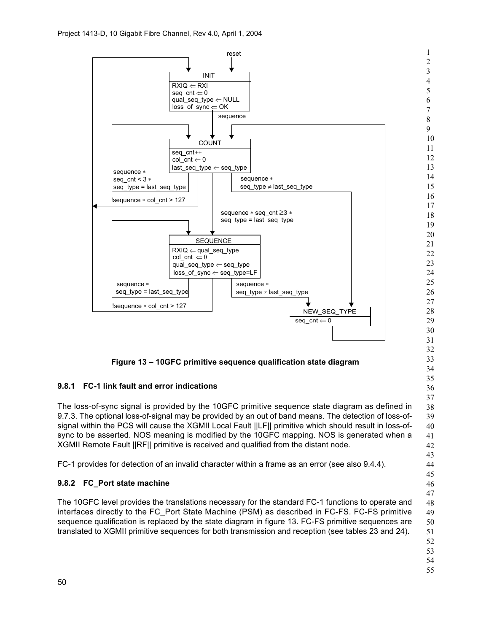

### <span id="page-69-0"></span>**9.8.1 FC-1 link fault and error indications**

The loss-of-sync signal is provided by the 10GFC primitive sequence state diagram as defined in [9.7.3](#page-67-1). The optional loss-of-signal may be provided by an out of band means. The detection of loss-ofsignal within the PCS will cause the XGMII Local Fault ||LF|| primitive which should result in loss-ofsync to be asserted. NOS meaning is modified by the 10GFC mapping. NOS is generated when a XGMII Remote Fault ||RF|| primitive is received and qualified from the distant node.

FC-1 provides for detection of an invalid character within a frame as an error (see also [9.4.4](#page-65-2)).

# **9.8.2 FC\_Port state machine**

The 10GFC level provides the translations necessary for the standard FC-1 functions to operate and interfaces directly to the FC\_Port State Machine (PSM) as described in FC-FS. FC-FS primitive sequence qualification is replaced by the state diagram in [figure 13](#page-69-0). FC-FS primitive sequences are translated to XGMII primitive sequences for both transmission and reception (see tables [23](#page-64-1) and [24](#page-64-0)).

51 52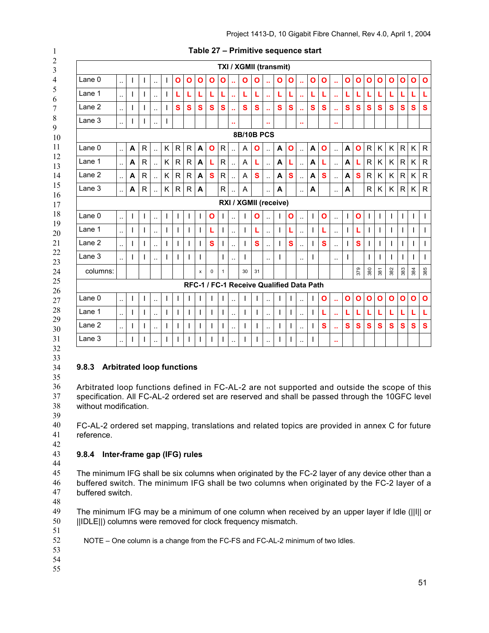<span id="page-70-0"></span>

|          |                      |   |              |                             |              |                 |                 |              |              |              |                      | Table 27 - Primitive sequence start      |              |                      |              |              |                      |              |              |                      |              |              |              |                |              |              |              |
|----------|----------------------|---|--------------|-----------------------------|--------------|-----------------|-----------------|--------------|--------------|--------------|----------------------|------------------------------------------|--------------|----------------------|--------------|--------------|----------------------|--------------|--------------|----------------------|--------------|--------------|--------------|----------------|--------------|--------------|--------------|
|          |                      |   |              |                             |              |                 |                 |              |              |              |                      | TXI / XGMII (transmit)                   |              |                      |              |              |                      |              |              |                      |              |              |              |                |              |              |              |
| Lane 0   | $\ddot{\phantom{a}}$ |   | $\mathbf{L}$ | $\ddotsc$                   | $\mathbf{I}$ | $\mathbf{o}$    | O               | O            | $\mathbf{o}$ | $\mathbf{o}$ |                      | $\mathbf{o}$                             | O            | ä.                   | $\mathbf{o}$ | $\mathbf{o}$ | ä.                   | O            | O            | à.                   | О            | $\mathbf{o}$ | $\mathbf{o}$ | $\mathbf{o}$   | $\mathbf{o}$ | Ο            | O            |
| Lane 1   | $\ddot{\phantom{a}}$ |   |              | $\ddot{\phantom{a}}$        | T            | L               |                 | L            | L            | L            | ä.                   | L                                        | г            | ä.                   | L            | L            | ä.                   | L            | L            |                      | L            | L            | L            | L              | L            |              | L            |
| Lane 2   |                      |   |              | $\ddot{\phantom{a}}$        | $\mathbf{I}$ | S               | S               | $\mathbf{s}$ | $\mathbf{s}$ | $\mathbf{s}$ |                      | S                                        | S            | $\ddot{\phantom{a}}$ | S            | $\mathbf{s}$ |                      | $\mathbf{s}$ | $\mathbf{s}$ |                      | S            | S            | $\mathbf{s}$ | S              | S            | S            | S            |
| Lane 3   | $\ddot{\phantom{a}}$ |   |              | $\ddot{\phantom{a}}$        |              |                 |                 |              |              |              |                      |                                          |              | 44                   |              |              |                      |              |              |                      |              |              |              |                |              |              |              |
|          |                      |   |              |                             |              |                 |                 |              |              |              |                      | 8B/10B PCS                               |              |                      |              |              |                      |              |              |                      |              |              |              |                |              |              |              |
| Lane 0   | $\ddot{\phantom{a}}$ | A | R            | $\ddot{\phantom{a}}$        | Κ            | $\mathsf{R}$    | $\mathsf{R}$    | A            | O            | $\mathsf{R}$ | $\ddot{\phantom{a}}$ | A                                        | O            | $\ddot{\phantom{a}}$ | A            | $\mathbf{o}$ | $\ddot{\phantom{a}}$ | A            | Ο            | $\ddot{\phantom{a}}$ | A            | O            | $\mathsf{R}$ | Κ              | Κ            | R.           | Κ            |
| Lane 1   |                      | A | R            | $\ddot{\phantom{a}}$        | K            | R               | $R_{\parallel}$ | A            | L            | ${\sf R}$    |                      | A                                        | L            | $\ddot{\phantom{a}}$ | $\mathsf{A}$ |              |                      | A            | L            |                      | A            | L            | $\mathsf{R}$ | K.             | K            | R            | Κ            |
| Lane 2   | $\ddot{\phantom{a}}$ | A | R.           | $\mathcal{L}_{\mathcal{A}}$ | K            | $\mathsf{R}$    | $\mathsf{R}$    | A            | $\mathbf{s}$ | $\mathsf{R}$ | $\ddotsc$            | $\mathsf{A}$                             | <b>S</b>     | $\mathcal{L}$        | $\mathsf{A}$ | S            | $\ddot{\phantom{a}}$ | A            | S            |                      | A            | $\mathbf{s}$ | $\mathsf{R}$ | K              | K            | $\mathsf{R}$ | K            |
| Lane 3   |                      | A | R            | $\ddot{\phantom{a}}$        | K            | $R_{\parallel}$ | R.              | A            |              | $\mathsf{R}$ |                      | A                                        |              | $\ddot{\phantom{a}}$ | A            |              | $\ddot{\phantom{a}}$ | A            |              | $\ddot{\phantom{a}}$ | A            |              | $\mathsf R$  | K.             | K            | R            | K            |
|          |                      |   |              |                             |              |                 |                 |              |              |              |                      | RXI / XGMII (receive)                    |              |                      |              |              |                      |              |              |                      |              |              |              |                |              |              |              |
| Lane 0   | $\ddot{\phantom{a}}$ |   | $\mathbf{I}$ | $\ddot{\phantom{a}}$        | I.           |                 | $\mathbf{I}$    | <sup>1</sup> | O            | $\mathbf{I}$ |                      |                                          | $\mathbf{o}$ | $\ddot{\phantom{a}}$ |              | $\mathbf{o}$ | $\ddot{\phantom{a}}$ | Ι.           | $\mathbf{o}$ | $\ddot{\phantom{a}}$ | $\mathbf{I}$ | $\mathbf{o}$ | -1           | T              | I.           |              |              |
| Lane 1   | $\ddot{\phantom{a}}$ |   |              | $\ddot{\phantom{a}}$        |              |                 | $\mathbf{I}$    |              | L            |              |                      |                                          | г            | $\ddot{\phantom{a}}$ |              |              | $\ddot{\phantom{a}}$ |              | L            | $\ddotsc$            | $\mathbf{I}$ | L            |              | $\overline{1}$ |              |              |              |
| Lane 2   |                      |   |              | $\ddot{\phantom{a}}$        |              |                 | L               |              | S            |              |                      |                                          | S            | $\ddot{\phantom{a}}$ |              | $\mathbf{s}$ |                      |              | $\mathbf{s}$ |                      | $\mathbf{I}$ | S            |              | T              |              |              |              |
| Lane 3   |                      |   |              | $\ddot{\phantom{a}}$        |              |                 |                 | T            |              |              |                      | $\mathbf{I}$                             |              | $\ddot{\phantom{a}}$ |              |              |                      |              |              |                      | $\mathbf{I}$ |              | $\mathbf{I}$ | $\mathsf{I}$   |              |              |              |
| columns: |                      |   |              |                             |              |                 |                 | $\mathsf{x}$ | $\mathbf 0$  | $\mathbf{1}$ |                      | 30                                       | 31           |                      |              |              |                      |              |              |                      |              | 379          | 380          | 381            | 382          | 383          | 384          |
|          |                      |   |              |                             |              |                 |                 |              |              |              |                      | RFC-1 / FC-1 Receive Qualified Data Path |              |                      |              |              |                      |              |              |                      |              |              |              |                |              |              |              |
| Lane 0   | $\ddot{\phantom{a}}$ |   | $\mathbf{L}$ | $\ddot{\phantom{a}}$        | $\mathbf{I}$ |                 |                 |              | <b>I</b>     |              |                      |                                          |              |                      |              | L            |                      |              | $\mathbf{o}$ | х.                   | O            | $\mathbf{o}$ | $\mathbf{o}$ | $\mathbf{o}$   | $\mathbf{o}$ | $\mathbf{o}$ | $\mathbf{o}$ |
| Lane 1   | $\ddot{\phantom{a}}$ |   |              | $\ddot{\phantom{a}}$        |              |                 |                 |              | $\mathbf{I}$ |              | $\ddot{\phantom{a}}$ |                                          | $\mathsf{I}$ | $\ddot{\phantom{a}}$ |              | L            | $\ddot{\phantom{a}}$ |              | L            |                      | L            | L            | L            | L              | L            |              |              |
| Lane 2   | $\ddot{\phantom{a}}$ |   |              | $\ddot{\phantom{a}}$        | $\mathbf{I}$ |                 |                 |              | $\mathbf{I}$ |              | $\ddot{\phantom{a}}$ | $\mathsf{L}$                             | $\mathsf{I}$ | $\ddot{\phantom{a}}$ |              | L            |                      |              | $\mathbf{s}$ |                      | S            | S            | $\mathbf{s}$ | S              | S            | S            | $\mathbf{s}$ |
| Lane 3   |                      |   | L            |                             |              |                 | L               |              | $\mathbf{I}$ |              |                      |                                          | $\mathbf{I}$ |                      |              | L            |                      |              |              |                      |              |              |              |                |              |              |              |

 **Table 27 – Primitive sequence start**

- 
- 

# **9.8.3 Arbitrated loop functions**

 Arbitrated loop functions defined in FC-AL-2 are not supported and outside the scope of this specification. All FC-AL-2 ordered set are reserved and shall be passed through the 10GFC level without modification.

 FC-AL-2 ordered set mapping, translations and related topics are provided i[n annex C](#page-94-0) for future reference.

#### **9.8.4 Inter-frame gap (IFG) rules**

 The minimum IFG shall be six columns when originated by the FC-2 layer of any device other than a buffered switch. The minimum IFG shall be two columns when originated by the FC-2 layer of a buffered switch.

 The minimum IFG may be a minimum of one column when received by an upper layer if Idle (||I|| or ||IDLE||) columns were removed for clock frequency mismatch.

NOTE – One column is a change from the FC-FS and FC-AL-2 minimum of two Idles.

| -            |
|--------------|
| I<br>۰.<br>۰ |
|              |

- 
- 
-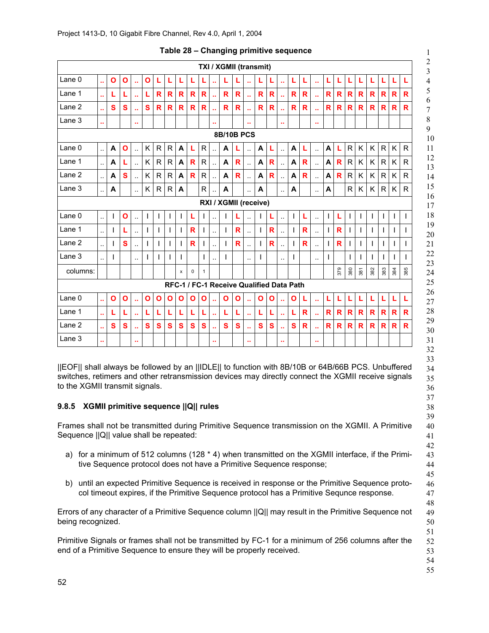|                   |                      |              |   |                      |    |              |              |             |              |              |                      | TXI / XGMII (transmit)                   |   |                      |              |    |                      |                         |             |                      |              |     |              |             |     |              |     |              |
|-------------------|----------------------|--------------|---|----------------------|----|--------------|--------------|-------------|--------------|--------------|----------------------|------------------------------------------|---|----------------------|--------------|----|----------------------|-------------------------|-------------|----------------------|--------------|-----|--------------|-------------|-----|--------------|-----|--------------|
| Lane 0            | Ω.                   | $\mathbf{o}$ | O |                      | Ο  |              | L            |             |              |              |                      |                                          |   |                      |              |    |                      |                         | L           |                      |              |     | L            |             | L   |              |     |              |
| Lane 1            | ٠.                   | L            | L |                      | L  | R            | R            | R           | R            | R            | $\ddot{\phantom{a}}$ | R                                        | R | ä.                   | R            | R. |                      | R                       | R           |                      | R            | R   | R            | R           | R   | R            | R   | R            |
| Lane 2            |                      | S            | S |                      | S  | $\mathbf R$  | $\mathsf{R}$ | $\mathbf R$ | R            | R            |                      | $\mathbf R$                              | R | $\ddot{\phantom{a}}$ | $\mathbf R$  | R. |                      | $\overline{\mathsf{R}}$ | $\mathbf R$ |                      | $\mathbf R$  | R   | R            | $\mathbf R$ | R.  | $\mathbf R$  | R   | $\mathbf R$  |
| Lane 3            | 44                   |              |   |                      |    |              |              |             |              |              | ٠.                   |                                          |   | $\mathbf{r}$         |              |    |                      |                         |             |                      |              |     |              |             |     |              |     |              |
|                   |                      |              |   |                      |    |              |              |             |              |              |                      | <b>8B/10B PCS</b>                        |   |                      |              |    |                      |                         |             |                      |              |     |              |             |     |              |     |              |
| Lane 0            | μ.                   | A            | Ο | $\ddot{\phantom{a}}$ | Κ  | R            | $\mathsf{R}$ | A           | L            | R            |                      | A                                        |   | $\ddot{\phantom{a}}$ | A            |    |                      | A                       | L           | $\ddot{\phantom{a}}$ | A            | L   | ${\sf R}$    | Κ           | Κ   | $\mathsf{R}$ | Κ   | $\mathsf{R}$ |
| Lane 1            |                      | A            | L |                      | Κ  | $\mathsf{R}$ | $\mathsf{R}$ | A           | $\mathbf R$  | R.           | $\ddotsc$            | A                                        | R | $\ddot{\phantom{a}}$ | A            | R. |                      | A                       | $\mathbf R$ | $\ddotsc$            | A            | R.  | $\mathsf{R}$ | K           | Κ   | $\mathsf{R}$ | Κ   | R            |
| Lane 2            |                      | A            | S |                      | K. | $\mathsf{R}$ | $\mathsf{R}$ | A           | R            | R            | $\ddotsc$            | A                                        | R | $\ddotsc$            | A            | R. |                      | A                       | R           |                      | A            | R   | R            | K           | K   | $\mathsf{R}$ | K   | $\mathsf{R}$ |
| Lane 3            |                      | A            |   | $\ddotsc$            | Κ  | $\mathsf{R}$ | $\mathsf{R}$ | A           |              | R.           |                      | A                                        |   | $\ddot{\phantom{a}}$ | A            |    | $\cdot$ .            | A                       |             |                      | A            |     | $\mathsf{R}$ | K           | Κ   | $\mathsf{R}$ | Κ   | $\mathsf{R}$ |
|                   |                      |              |   |                      |    |              |              |             |              |              |                      | RXI / XGMII (receive)                    |   |                      |              |    |                      |                         |             |                      |              |     |              |             |     |              |     |              |
| Lane 0            | $\ddot{\phantom{a}}$ |              | O | $\ddotsc$            |    | T            |              | I.          | L            |              |                      |                                          |   |                      |              |    | $\ddot{\phantom{a}}$ | I                       | L           | $\ddot{\phantom{a}}$ | $\mathbf{I}$ | L   | J.           |             | L   | I.           | ı   | L            |
| Lane 1            |                      | L            | L | $\ddot{\phantom{a}}$ |    | I            | $\mathbf{I}$ |             | R            | T            | $\ddotsc$            |                                          | R | $\ddotsc$            | $\mathbf{I}$ | R. | $\ddot{\phantom{a}}$ | I.                      | $\mathbf R$ | $\ddotsc$            | $\mathbf{I}$ | R   |              |             |     | T            | ı   |              |
| Lane <sub>2</sub> | $\ddot{\phantom{a}}$ |              | S |                      |    | I            |              |             | $\mathbf R$  |              | $\ddot{\phantom{a}}$ |                                          | R | $\ddot{\phantom{a}}$ |              | R. |                      | ı                       | $\mathbf R$ | $\ddotsc$            | I.           | R   |              |             |     |              |     |              |
| Lane 3            |                      |              |   | $\cdot$ .            |    | L            |              |             |              | T            |                      |                                          |   | $\ddot{\phantom{a}}$ |              |    |                      | I                       |             | $\ddotsc$            | L            |     |              |             |     | $\mathsf{I}$ |     |              |
| columns:          |                      |              |   |                      |    |              |              | X           | $\Omega$     | $\mathbf{1}$ |                      |                                          |   |                      |              |    |                      |                         |             |                      |              | 379 | 380          | 381         | 382 | 383          | 384 | 385          |
|                   |                      |              |   |                      |    |              |              |             |              |              |                      | RFC-1 / FC-1 Receive Qualified Data Path |   |                      |              |    |                      |                         |             |                      |              |     |              |             |     |              |     |              |
| Lane 0            | ä.                   | $\mathbf{o}$ | O | х.                   | Ο  | $\mathbf{o}$ | $\mathbf{o}$ | O           | $\mathbf{o}$ | $\mathbf{o}$ | $\ddot{\phantom{a}}$ | O                                        | Ο | $\mathbf{r}$         | $\mathbf{o}$ | O  | 44                   | Ο                       | L           | a.                   |              | L   | L            |             | L   | L            | L   | L            |
| Lane 1            |                      | L            | L |                      | L  | L            | L            |             | L            | L            |                      |                                          | L | ä.                   | L            |    |                      | L                       | R           | ш.                   | R            | R   | R            | R           | R.  | R            | R   | R            |
| Lane <sub>2</sub> | ä.                   | S            | S |                      | S  | S            | S            | S           | S            | S            |                      | S                                        | S | $\mathbf{r}$ .       | S            | S  |                      | S                       | $\mathbf R$ |                      | $\mathbf R$  | R.  | R            | $\mathbf R$ | R   | $\mathsf{R}$ | R   | R            |
| Lane 3            |                      |              |   |                      |    |              |              |             |              |              |                      |                                          |   | 44                   |              |    |                      |                         |             |                      |              |     |              |             |     |              |     |              |

### **Table 28 – Changing primitive sequence**

||EOF|| shall always be followed by an ||IDLE|| to function with 8B/10B or 64B/66B PCS. Unbuffered switches, retimers and other retransmission devices may directly connect the XGMII receive signals to the XGMII transmit signals.

### **9.8.5 XGMII primitive sequence ||Q|| rules**

Frames shall not be transmitted during Primitive Sequence transmission on the XGMII. A Primitive Sequence ||Q|| value shall be repeated:

- a) for a minimum of 512 columns (128 \* 4) when transmitted on the XGMII interface, if the Primitive Sequence protocol does not have a Primitive Sequence response;
- b) until an expected Primitive Sequence is received in response or the Primitive Sequence protocol timeout expires, if the Primitive Sequence protocol has a Primitive Sequnce response.

Errors of any character of a Primitive Sequence column ||Q|| may result in the Primitive Sequence not being recognized.

Primitive Signals or frames shall not be transmitted by FC-1 for a minimum of 256 columns after the end of a Primitive Sequence to ensure they will be properly received.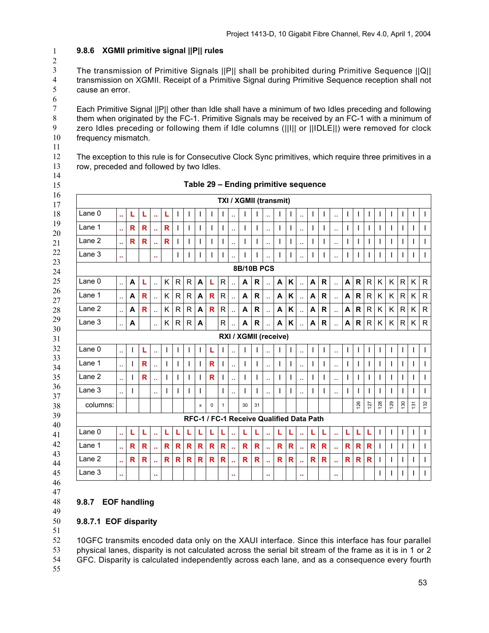# <span id="page-72-0"></span>**9.8.6 XGMII primitive signal ||P|| rules**

The transmission of Primitive Signals ||P|| shall be prohibited during Primitive Sequence ||Q|| transmission on XGMII. Receipt of a Primitive Signal during Primitive Sequence reception shall not cause an error.

 Each Primitive Signal ||P|| other than Idle shall have a minimum of two Idles preceding and following them when originated by the FC-1. Primitive Signals may be received by an FC-1 with a minimum of zero Idles preceding or following them if Idle columns (||I|| or ||IDLE||) were removed for clock frequency mismatch.

 The exception to this rule is for Consecutive Clock Sync primitives, which require three primitives in a row, preceded and followed by two Idles.

|          |                      |   |                         |                      |                         |    |              |                |                         |              | <b>TXI / XGMII (transmit)</b>            |                          |                             |              |   |                      |                          |              |                      |                |              |              |     |     |              |              |              |
|----------|----------------------|---|-------------------------|----------------------|-------------------------|----|--------------|----------------|-------------------------|--------------|------------------------------------------|--------------------------|-----------------------------|--------------|---|----------------------|--------------------------|--------------|----------------------|----------------|--------------|--------------|-----|-----|--------------|--------------|--------------|
| Lane 0   | ä.                   |   | L                       | ä.                   | L                       |    | $\mathbf{I}$ | L              |                         |              |                                          |                          | $\ddot{\phantom{a}}$        |              | L | $\ddot{\phantom{a}}$ | $\mathbf{I}$             |              | $\ddot{\phantom{a}}$ | T              | $\mathbf{I}$ |              |     |     | $\mathbf{I}$ | ı            |              |
| Lane 1   | ä.                   | R | R                       | ä.                   | $\mathbf R$             |    |              | L              |                         |              | ı                                        | $\overline{\phantom{a}}$ | $\ddot{\phantom{a}}$        |              | L | $\ddot{\phantom{a}}$ | $\overline{\phantom{a}}$ |              | $\ddot{\phantom{a}}$ | I              |              |              |     |     | $\mathbf{I}$ | I            |              |
| Lane 2   | $\ddot{\phantom{a}}$ | R | $\mathbf R$             | ä.                   | $\overline{\mathsf{R}}$ |    |              |                |                         |              | ı                                        |                          |                             |              | L | $\ddot{\phantom{a}}$ | $\overline{\phantom{a}}$ |              | $\ddot{\phantom{a}}$ | I              | J.           |              |     |     | $\mathsf{I}$ | I            |              |
| Lane 3   | $\mathbf{r}$         |   |                         | ä.                   |                         |    |              | L              |                         |              |                                          |                          |                             |              | L |                      | ı                        |              | $\ddot{\phantom{a}}$ | I              |              |              |     |     | $\mathsf{I}$ | $\mathsf{l}$ |              |
|          |                      |   |                         |                      |                         |    |              |                |                         |              | <b>8B/10B PCS</b>                        |                          |                             |              |   |                      |                          |              |                      |                |              |              |     |     |              |              |              |
| Lane 0   | $\ddotsc$            | A | L                       | $\ddotsc$            | K                       | R. | R            | A              | L                       | $\mathsf{R}$ | A                                        | $\mathsf{R}$             | $\ddotsc$                   | A            | Κ | $\ddot{\phantom{a}}$ | $\blacktriangle$         | $\mathsf{R}$ | $\ddotsc$            | A              | $\mathsf{R}$ | $\mathsf{R}$ | K.  | Κ   | $\mathsf{R}$ | Κ            | $\mathsf{R}$ |
| Lane 1   | $\ddot{\phantom{a}}$ | A | $\mathbf R$             | $\ddot{\phantom{a}}$ | K                       | R  | R            | A              | $\mathbf R$             | $\mathsf{R}$ | A                                        | $\mathsf{R}$             | $\mathcal{L}_{\mathcal{A}}$ | A            | Κ | $\ddot{\phantom{a}}$ | $\mathbf{A}$             | $\mathbf R$  | $\ddot{\phantom{a}}$ | A              | $\mathsf{R}$ | $\mathsf{R}$ | K   | Κ   | $\mathsf{R}$ | Κ            | $\mathsf{R}$ |
| Lane 2   | $\ddot{\phantom{a}}$ | A | $\overline{\mathsf{R}}$ | $\ddot{\phantom{a}}$ | K                       | R. | $\mathsf{R}$ | A              | $\overline{\mathsf{R}}$ | $\mathsf{R}$ | A                                        | $\mathsf{R}$             | $\ddotsc$                   | A            | K | $\ddot{\phantom{a}}$ | $\mathbf{A}$             | $\mathbf R$  | $\ddot{\phantom{a}}$ | A              | $\mathbf R$  | $\mathsf{R}$ | K   | K   | $\mathsf{R}$ | K            | $\mathsf{R}$ |
| Lane 3   | $\ddot{\phantom{a}}$ | A |                         | $\ddot{\phantom{a}}$ | K                       | R. | R            | $\overline{A}$ |                         | $\mathsf{R}$ | A                                        | $\mathsf{R}$             |                             | $\mathsf{A}$ | K |                      | A                        | $\mathsf{R}$ |                      | A              | $\mathsf{R}$ | $\mathsf{R}$ | K   | Κ   | $\mathsf{R}$ | K            | $\mathsf{R}$ |
|          |                      |   |                         |                      |                         |    |              |                |                         |              | RXI / XGMII (receive)                    |                          |                             |              |   |                      |                          |              |                      |                |              |              |     |     |              |              |              |
| Lane 0   | $\ddot{\phantom{a}}$ | I | L                       | $\ddotsc$            | I.                      |    |              | L              | L                       |              |                                          |                          |                             |              | L | $\ddot{\phantom{a}}$ | I.                       |              | $\ddot{\phantom{a}}$ | I              | J.           | I            |     |     | $\mathsf{I}$ | ı            |              |
| Lane 1   | $\ddot{\phantom{a}}$ | I | $\mathbf R$             | $\ddot{\phantom{a}}$ | ı                       | I  | $\mathbf{I}$ | $\mathbf{I}$   | $\mathsf{R}$            |              | $\mathbf{I}$                             |                          | $\ddot{\phantom{a}}$        |              | L |                      | $\mathbf{I}$             |              | $\ddot{\phantom{a}}$ | I              | J.           |              |     |     | $\mathsf{I}$ | $\mathbf{I}$ |              |
| Lane 2   | $\ddot{\phantom{a}}$ |   | R                       | $\ddotsc$            | T                       | ı  | $\mathbf{I}$ | $\mathbf{I}$   | $\overline{\mathsf{R}}$ |              | $\mathsf{I}$                             | $\mathbf{I}$             | $\ddot{\phantom{a}}$        |              | L | $\ddot{\phantom{a}}$ | $\mathbf{I}$             |              | $\ddot{\phantom{a}}$ | $\mathbf{I}$   | T            | ı            |     |     | $\mathbf{I}$ | ı            | I.           |
| Lane 3   | $\ddot{\phantom{a}}$ |   |                         | $\ddot{\phantom{a}}$ | I.                      |    | $\mathbf{I}$ | T              |                         | T            | $\mathbf{I}$                             |                          | $\ddot{\phantom{a}}$        |              | L |                      | $\mathbf{I}$             |              | $\ddot{\phantom{a}}$ | $\overline{1}$ | $\mathbf{I}$ |              |     |     | $\mathbf{I}$ | $\mathsf{l}$ | T            |
| columns: |                      |   |                         |                      |                         |    |              | $\mathsf{x}$   | $\mathbf 0$             | $\mathbf{1}$ | 30                                       | 31                       |                             |              |   |                      |                          |              |                      |                | 126          | 127          | 128 | 129 | 130          | 131          | 132          |
|          |                      |   |                         |                      |                         |    |              |                |                         |              | RFC-1 / FC-1 Receive Qualified Data Path |                          |                             |              |   |                      |                          |              |                      |                |              |              |     |     |              |              |              |
| Lane 0   | $\mathbf{r}$         |   | L                       | ä.                   | L                       |    | L            | L              | L                       |              | L                                        | L                        | 44                          |              | L | ä.                   | L                        | L            | ä.                   | L              | L            | L            |     |     | $\mathbf{I}$ | I            |              |
| Lane 1   | $\ddot{\phantom{a}}$ | R | $\mathbf R$             | ä.                   | $\overline{\mathbf{R}}$ | R. | R            | $\mathbf R$    | $\mathbf R$             | $\mathbf R$  | R                                        | $\mathbf R$              | $\ddot{\phantom{a}}$        | R            | R | $\ddot{\phantom{0}}$ | $\mathbf R$              | $\mathbf R$  | аń.                  | R              | $\mathbf R$  | $\mathbf R$  |     |     | $\mathbf{I}$ | ı            |              |
| Lane 2   | ä.                   | R | $\mathbf R$             | ä.                   | $\mathbf R$             | R. | R            | $\mathbf R$    | $\mathbf R$             | $\mathbf R$  | R                                        | R                        |                             | R            | R | ä.                   | $\mathbf R$              | $\mathbf R$  | ä.                   | R              | $\mathbf R$  | $\mathbf R$  |     |     | $\mathbf{I}$ | I            |              |
| Lane 3   | χý,                  |   |                         | à.                   |                         |    |              |                |                         |              |                                          |                          | à,                          |              |   | ä,                   |                          |              | 44                   |                |              |              |     |     |              |              |              |

 **Table 29 – Ending primitive sequence**

 

 

# **9.8.7 EOF handling**

#### **9.8.7.1 EOF disparity**

 10GFC transmits encoded data only on the XAUI interface. Since this interface has four parallel physical lanes, disparity is not calculated across the serial bit stream of the frame as it is in 1 or 2 GFC. Disparity is calculated independently across each lane, and as a consequence every fourth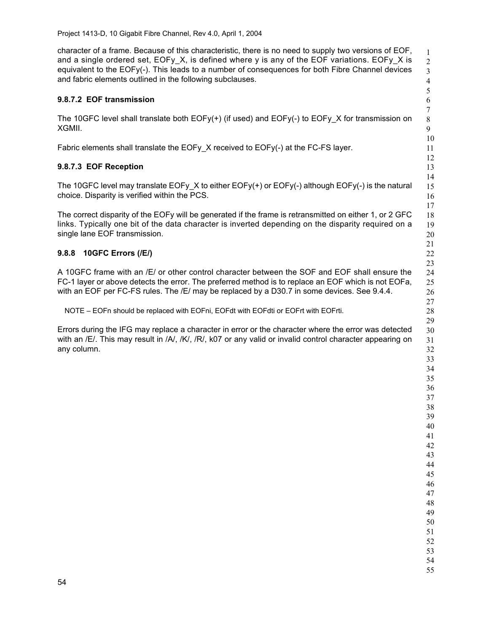character of a frame. Because of this characteristic, there is no need to supply two versions of EOF, and a single ordered set, EOFy\_X, is defined where y is any of the EOF variations. EOFy\_X is equivalent to the EOFy(-). This leads to a number of consequences for both Fibre Channel devices and fabric elements outlined in the following subclauses.

### **9.8.7.2 EOF transmission**

The 10GFC level shall translate both EOFy(+) (if used) and EOFy(-) to EOFy\_X for transmission on XGMII.

Fabric elements shall translate the EOFy\_X received to EOFy(-) at the FC-FS layer.

### **9.8.7.3 EOF Reception**

The 10GFC level may translate EOFy\_X to either EOFy(+) or EOFy(-) although EOFy(-) is the natural choice. Disparity is verified within the PCS.

The correct disparity of the EOFy will be generated if the frame is retransmitted on either 1, or 2 GFC links. Typically one bit of the data character is inverted depending on the disparity required on a single lane EOF transmission.

### **9.8.8 10GFC Errors (/E/)**

A 10GFC frame with an /E/ or other control character between the SOF and EOF shall ensure the FC-1 layer or above detects the error. The preferred method is to replace an EOF which is not EOFa, with an EOF per FC-FS rules. The /E/ may be replaced by a D30.7 in some devices. See [9.4.4](#page-65-0).

NOTE – EOFn should be replaced with EOFni, EOFdt with EOFdti or EOFrt with EOFrti.

Errors during the IFG may replace a character in error or the character where the error was detected with an /E/. This may result in /A/, /K/, /R/, k07 or any valid or invalid control character appearing on any column.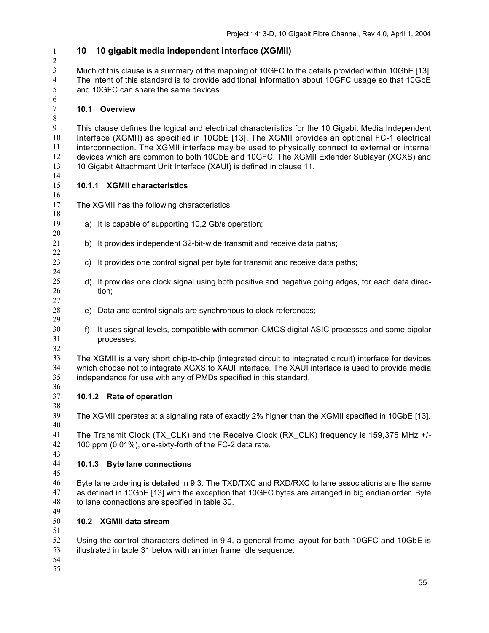# **10 10 gigabit media independent interface (XGMII)**

Much of this clause is a summary of the mapping of 10GFC to the details provided within [10GbE \[13\]](#page-21-0). The intent of this standard is to provide additional information about 10GFC usage so that 10GbE and 10GFC can share the same devices.

# **10.1 Overview**

 This clause defines the logical and electrical characteristics for the 10 Gigabit Media Independent Interface (XGMII) as specified in [10GbE \[13\]](#page-21-0). The XGMII provides an optional FC-1 electrical interconnection. The XGMII interface may be used to physically connect to external or internal devices which are common to both 10GbE and 10GFC. The XGMII Extender Sublayer (XGXS) and 10 Gigabit Attachment Unit Interface (XAUI) is defined in [clause 11.](#page-78-0)

 

# **10.1.1 XGMII characteristics**

 The XGMII has the following characteristics:

- a) It is capable of supporting 10,2 Gb/s operation;
- b) It provides independent 32-bit-wide transmit and receive data paths;
	- c) It provides one control signal per byte for transmit and receive data paths;
		- d) It provides one clock signal using both positive and negative going edges, for each data direction;
	- e) Data and control signals are synchronous to clock references;
	- f) It uses signal levels, compatible with common CMOS digital ASIC processes and some bipolar processes.

 The XGMII is a very short chip-to-chip (integrated circuit to integrated circuit) interface for devices which choose not to integrate XGXS to XAUI interface. The XAUI interface is used to provide media independence for use with any of PMDs specified in this standard.

#### **10.1.2 Rate of operation**

 The XGMII operates at a signaling rate of exactly 2% higher than the XGMII specified in [10GbE \[13\].](#page-21-0)

 The Transmit Clock (TX\_CLK) and the Receive Clock (RX\_CLK) frequency is 159,375 MHz +/- 100 ppm (0.01%), one-sixty-forth of the FC-2 data rate.

#### **10.1.3 Byte lane connections**

 Byte lane ordering is detailed in [9.3](#page-60-0). The TXD/TXC and RXD/RXC to lane associations are the same as defined in [10GbE \[13\]](#page-21-0) with the exception that 10GFC bytes are arranged in big endian order. Byte to lane connections are specified in [table 30](#page-75-0).

#### **10.2 XGMII data stream**

 Using the control characters defined in [9.4](#page-62-0), a general frame layout for both 10GFC and 10GbE is illustrated in [table 31](#page-75-1) below with an inter frame Idle sequence.

- 
-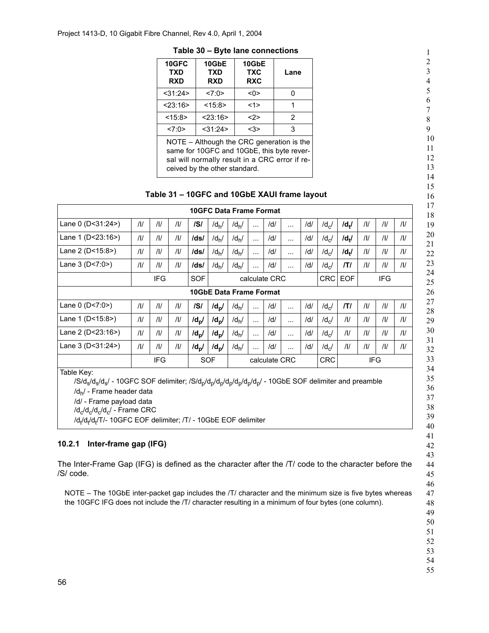<span id="page-75-0"></span>

| 10GFC<br><b>TXD</b><br><b>RXD</b>                                                                                                                                            | 10GbE<br><b>TXD</b><br><b>RXD</b> | 10GbE<br><b>TXC</b><br><b>RXC</b> | Lane |  |  |  |  |
|------------------------------------------------------------------------------------------------------------------------------------------------------------------------------|-----------------------------------|-----------------------------------|------|--|--|--|--|
| <31:24>                                                                                                                                                                      | 27:0>                             | <೧>                               |      |  |  |  |  |
| 23:16                                                                                                                                                                        | <15:8>                            | 1>                                |      |  |  |  |  |
| <15:8>                                                                                                                                                                       | 23:16                             | $2$                               | 2    |  |  |  |  |
| 27:0>                                                                                                                                                                        | <31:24>                           | <3>                               | 3    |  |  |  |  |
| NOTE $-$ Although the CRC generation is the<br>same for 10GFC and 10GbE, this byte rever-<br>sal will normally result in a CRC error if re-<br>ceived by the other standard. |                                   |                                   |      |  |  |  |  |

### **Table 30 – Byte lane connections**

#### **Table 31 – 10GFC and 10GbE XAUI frame layout**

<span id="page-75-1"></span>

|                                                                                                                                                                                                                                                                                                                                                                                        |     |            |     |            | 10GFC Data Frame Format |         |           |               |          |     |            |            |            |                      |     |
|----------------------------------------------------------------------------------------------------------------------------------------------------------------------------------------------------------------------------------------------------------------------------------------------------------------------------------------------------------------------------------------|-----|------------|-----|------------|-------------------------|---------|-----------|---------------|----------|-----|------------|------------|------------|----------------------|-----|
| Lane 0 (D<31:24>)                                                                                                                                                                                                                                                                                                                                                                      | /   | /          | /   | ISI        | $/dh$ /                 | $/dh$ / | $\ddotsc$ | /d/           | $\cdots$ | /d/ | $/d_c$     | $/d_t$     | /          | /                    | /   |
| Lane 1 (D<23:16>)                                                                                                                                                                                                                                                                                                                                                                      | /   | /          | /   | /ds/       | $/dh$ /                 | $/dh$ / | $\ddotsc$ | /d/           | $\cdots$ | /d/ | $/d_c$     | $/d_t$     | /          | /                    | /   |
| Lane 2 (D<15:8>)                                                                                                                                                                                                                                                                                                                                                                       | /1/ | /1/        | /1/ | /ds/       | $/dh$ /                 | $/dh$ / | $\ddotsc$ | /d/           | $\cdots$ | /d/ | $/d_c$     | $/d_t$     | /          | $\frac{1}{2}$        | /1/ |
| Lane $3(D < 7:0)$                                                                                                                                                                                                                                                                                                                                                                      | /   | /          | /   | /ds/       | $/dh$ /                 | $/dh$ / | $\ddotsc$ | /d/           | $\cdots$ | /d/ | $/d_c$     | /T/        | /          | /                    | /   |
|                                                                                                                                                                                                                                                                                                                                                                                        |     | <b>IFG</b> |     | <b>SOF</b> |                         |         |           | calculate CRC |          |     | <b>CRC</b> | <b>EOF</b> |            | IFG                  |     |
| <b>10GbE Data Frame Format</b>                                                                                                                                                                                                                                                                                                                                                         |     |            |     |            |                         |         |           |               |          |     |            |            |            |                      |     |
| Lane 0 (D<7:0>)                                                                                                                                                                                                                                                                                                                                                                        | /   | /          | /   | ISI        | $/d_{\rm p}/$           | $/dh$ / | $\ddotsc$ | /d/           | $\cdots$ | /d/ | $/d_c$     | /T/        | /          | /                    | /   |
| Lane 1 (D<15:8>)                                                                                                                                                                                                                                                                                                                                                                       | /   | /          | /   | $/d_p$     | $/d_p$                  | $/dh$ / | $\ddotsc$ | /d/           | $\cdots$ | /d/ | $/d_c$     | /          | /          | $\prime\prime\prime$ | /   |
| Lane 2 (D<23:16>)                                                                                                                                                                                                                                                                                                                                                                      | /   | /          | /   | $/d_p$     | $/d_p$                  | $/dh$ / | $\cdots$  | /d/           | $\cdots$ | /d/ | $/d_c$     | /          | /          | /                    | /   |
| Lane 3 $(D < 31:24)$                                                                                                                                                                                                                                                                                                                                                                   | /   | /          | /   | $/d_p$     | $/d_p$                  | $/d_h/$ | $\ddotsc$ | /d/           | $\cdots$ | /d/ | $/d_c$     | /          | /          | /                    | /   |
|                                                                                                                                                                                                                                                                                                                                                                                        |     | <b>IFG</b> |     | <b>SOF</b> |                         |         |           | calculate CRC |          |     | <b>CRC</b> |            | <b>IFG</b> |                      |     |
| Table Key:<br>$/S/d_s/d_s/d_s$ - 10GFC SOF delimiter; $/S/d_p/d_p/d_p/d_p/d_p/d_p/d_s$ - 10GbE SOF delimiter and preamble<br>/d <sub>h</sub> / - Frame header data<br>/d/ - Frame payload data<br>/d <sub>c</sub> /d <sub>c</sub> /d <sub>c</sub> /d <sub>c</sub> / - Frame CRC<br>/d <sub>t</sub> /d <sub>t</sub> /d <sub>t</sub> /T/- 10GFC EOF delimiter; /T/ - 10GbE EOF delimiter |     |            |     |            |                         |         |           |               |          |     |            |            |            |                      |     |

### **10.2.1 Inter-frame gap (IFG)**

The Inter-Frame Gap (IFG) is defined as the character after the /T/ code to the character before the /S/ code.

NOTE – The 10GbE inter-packet gap includes the /T/ character and the minimum size is five bytes whereas the 10GFC IFG does not include the /T/ character resulting in a minimum of four bytes (one column).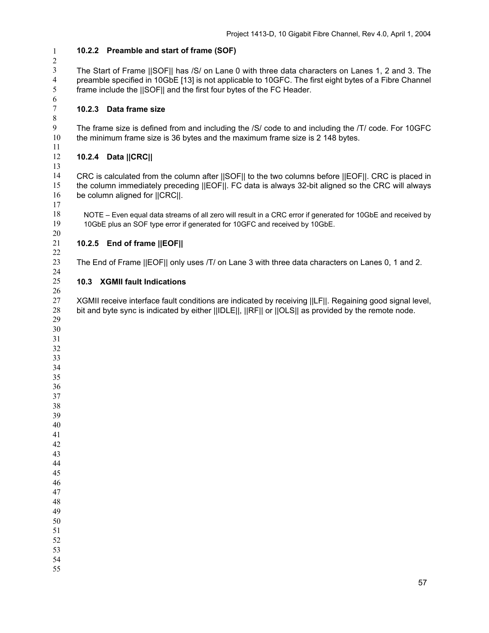# **10.2.2 Preamble and start of frame (SOF)**

The Start of Frame ||SOF|| has /S/ on Lane 0 with three data characters on Lanes 1, 2 and 3. The preamble specified in [10GbE \[13\]](#page-21-0) is not applicable to 10GFC. The first eight bytes of a Fibre Channel frame include the ||SOF|| and the first four bytes of the FC Header.

# **10.2.3 Data frame size**

The frame size is defined from and including the /S/ code to and including the /T/ code. For 10GFC the minimum frame size is 36 bytes and the maximum frame size is 2 148 bytes.

# **10.2.4 Data ||CRC||**

 CRC is calculated from the column after ||SOF|| to the two columns before ||EOF||. CRC is placed in the column immediately preceding ||EOF||. FC data is always 32-bit aligned so the CRC will always be column aligned for ||CRC||.

NOTE – Even equal data streams of all zero will result in a CRC error if generated for 10GbE and received by 10GbE plus an SOF type error if generated for 10GFC and received by 10GbE.

#### **10.2.5 End of frame ||EOF||**

 The End of Frame ||EOF|| only uses /T/ on Lane 3 with three data characters on Lanes 0, 1 and 2.

#### **10.3 XGMII fault Indications**

 XGMII receive interface fault conditions are indicated by receiving ||LF||. Regaining good signal level, bit and byte sync is indicated by either ||IDLE||, ||RF|| or ||OLS|| as provided by the remote node.

 

- 
- 
- 
- 
- 
- 
- 
- 
- 
- 
- 
- 
- 
- 
- 
- 
- 
- 
-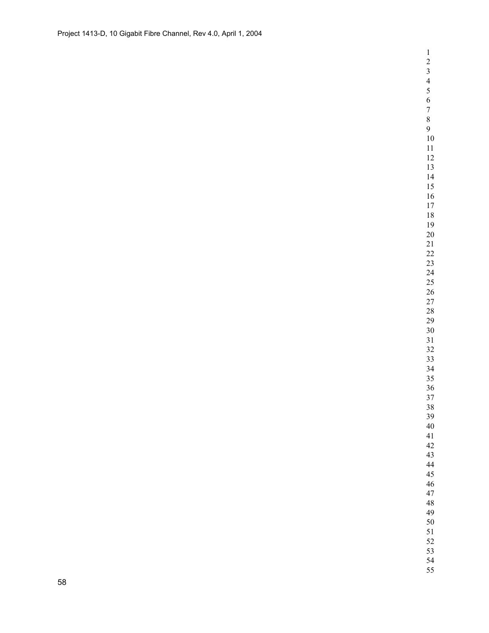| $\overline{\mathbf{c}}$ |
|-------------------------|
| $\frac{3}{4}$           |
|                         |
| 5                       |
| 6                       |
| $\overline{7}$          |
| 8                       |
| 9                       |
| 10                      |
| 11<br>12                |
| 13                      |
| 14                      |
| 15                      |
| 16                      |
| 17                      |
| 18                      |
| 19                      |
| 20                      |
| $\overline{21}$         |
| 22                      |
| 23                      |
| 24                      |
| 25                      |
| 26                      |
| 27                      |
| 28                      |
| 29                      |
| 30<br>31                |
| 32                      |
| 33                      |
| 34                      |
| 35                      |
| 36                      |
| 37                      |
| 38                      |
| 39                      |
| 40                      |
| 41                      |
| 42                      |
| 43                      |
| 44                      |
| 45<br>46                |
| 47                      |
| 48                      |
| 49                      |
| 50                      |
| 51                      |
| 52                      |
| 53                      |
| 54                      |
| 55                      |
|                         |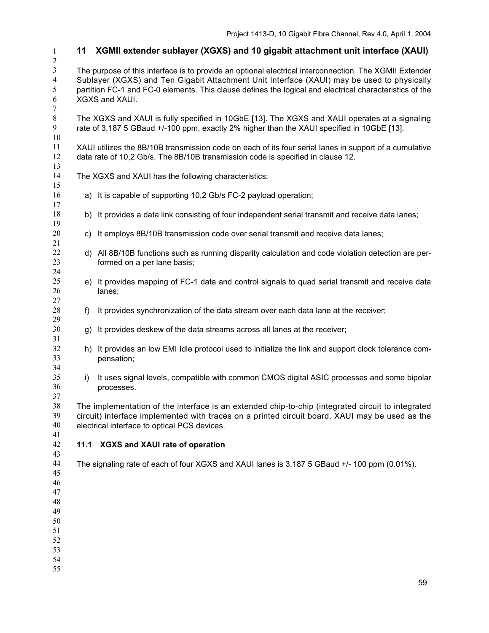# <span id="page-78-0"></span>**11 XGMII extender sublayer (XGXS) and 10 gigabit attachment unit interface (XAUI)**

 The purpose of this interface is to provide an optional electrical interconnection. The XGMII Extender Sublayer (XGXS) and Ten Gigabit Attachment Unit Interface (XAUI) may be used to physically partition FC-1 and FC-0 elements. This clause defines the logical and electrical characteristics of the XGXS and XAUI.

 The XGXS and XAUI is fully specified in [10GbE \[13\]](#page-21-0). The XGXS and XAUI operates at a signaling rate of 3,187 5 GBaud +/-100 ppm, exactly 2% higher than the XAUI specified in [10GbE \[13\].](#page-21-0)

 XAUI utilizes the 8B/10B transmission code on each of its four serial lanes in support of a cumulative data rate of 10,2 Gb/s. The 8B/10B transmission code is specified in [clause 12.](#page-80-0)

- The XGXS and XAUI has the following characteristics:
- a) It is capable of supporting 10,2 Gb/s FC-2 payload operation;
	- b) It provides a data link consisting of four independent serial transmit and receive data lanes;
- c) It employs 8B/10B transmission code over serial transmit and receive data lanes;
	- d) All 8B/10B functions such as running disparity calculation and code violation detection are performed on a per lane basis;
	- e) It provides mapping of FC-1 data and control signals to quad serial transmit and receive data lanes;
	- f) It provides synchronization of the data stream over each data lane at the receiver;
	- g) It provides deskew of the data streams across all lanes at the receiver;
	- h) It provides an low EMI Idle protocol used to initialize the link and support clock tolerance compensation;
	- i) It uses signal levels, compatible with common CMOS digital ASIC processes and some bipolar processes.

 The implementation of the interface is an extended chip-to-chip (integrated circuit to integrated circuit) interface implemented with traces on a printed circuit board. XAUI may be used as the electrical interface to optical PCS devices.

 

#### **11.1 XGXS and XAUI rate of operation**

- The signaling rate of each of four XGXS and XAUI lanes is 3,187 5 GBaud +/- 100 ppm (0.01%).
- 
- 
- 
- 
- 
- 
- 
-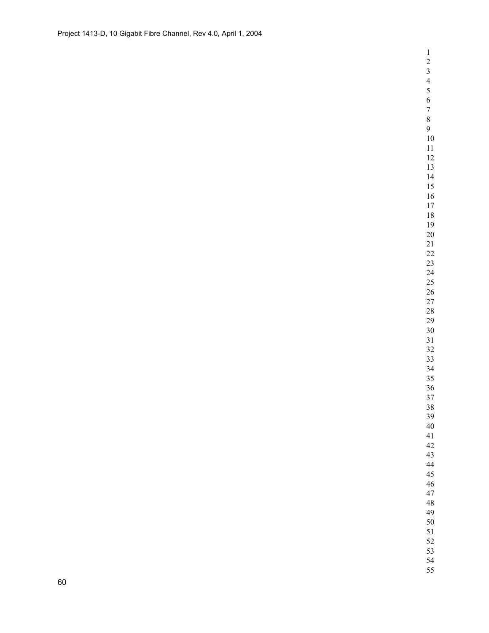| $\overline{\mathbf{c}}$ |
|-------------------------|
| $\frac{3}{4}$           |
|                         |
| 5                       |
| 6                       |
| 7                       |
| 8                       |
| 9                       |
| 10                      |
| 11                      |
| 12                      |
| 13                      |
| 14<br>15                |
| 16                      |
| 17                      |
| 18                      |
| 19                      |
| 20                      |
| $\overline{21}$         |
| 22                      |
| 23                      |
| 24                      |
| 25                      |
| 26                      |
| 27                      |
| 28                      |
| 29                      |
| 30<br>31<br>32          |
|                         |
|                         |
| 33                      |
| 34                      |
| 35                      |
| 36                      |
| 37<br>38                |
| 39                      |
| 40                      |
| 41                      |
| 42                      |
| 43                      |
| 44                      |
| 45                      |
| 46                      |
| 47                      |
| 48                      |
| 49                      |
| 50                      |
| 51                      |
| 52                      |
| 53                      |
| 54                      |
| 55                      |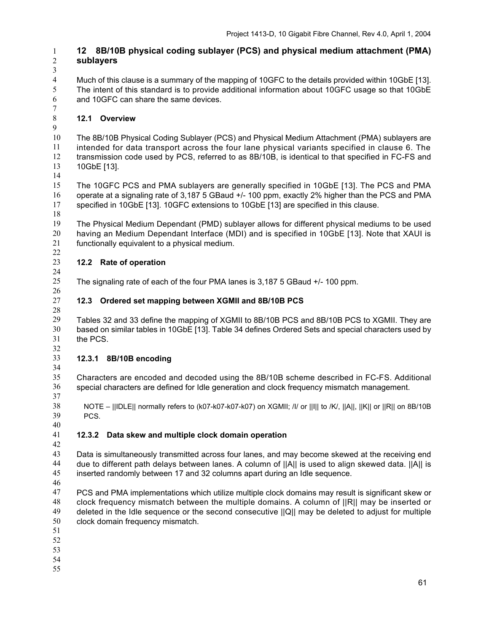#### <span id="page-80-0"></span> **12 8B/10B physical coding sublayer (PCS) and physical medium attachment (PMA) sublayers**

Much of this clause is a summary of the mapping of 10GFC to the details provided within [10GbE \[13\]](#page-21-0). The intent of this standard is to provide additional information about 10GFC usage so that 10GbE and 10GFC can share the same devices.

# **12.1 Overview**

 The 8B/10B Physical Coding Sublayer (PCS) and Physical Medium Attachment (PMA) sublayers are intended for data transport across the four lane physical variants specified in [clause 6](#page-38-0). The transmission code used by PCS, referred to as 8B/10B, is identical to that specified in FC-FS and [10GbE \[13\].](#page-21-0)

 The 10GFC PCS and PMA sublayers are generally specified in [10GbE \[13\]](#page-21-0). The PCS and PMA operate at a signaling rate of 3,187 5 GBaud +/- 100 ppm, exactly 2% higher than the PCS and PMA specified in [10GbE \[13\]](#page-21-0). 10GFC extensions to [10GbE \[13\]](#page-21-0) are specified in this clause.

 The Physical Medium Dependant (PMD) sublayer allows for different physical mediums to be used having an Medium Dependant Interface (MDI) and is specified in [10GbE \[13\].](#page-21-0) Note that XAUI is functionally equivalent to a physical medium.

#### **12.2 Rate of operation**

 The signaling rate of each of the four PMA lanes is 3,187 5 GBaud +/- 100 ppm.

#### **12.3 Ordered set mapping between XGMII and 8B/10B PCS**

 Tables [32](#page-81-0) and [33](#page-82-0) define the mapping of XGMII to 8B/10B PCS and 8B/10B PCS to XGMII. They are based on similar tables in [10GbE \[13\]](#page-21-0). [Table 34](#page-83-0) defines Ordered Sets and special characters used by the PCS.

#### **12.3.1 8B/10B encoding**

 Characters are encoded and decoded using the 8B/10B scheme described in FC-FS. Additional special characters are defined for Idle generation and clock frequency mismatch management.

 

  NOTE – ||IDLE|| normally refers to (k07-k07-k07-k07) on XGMII; /I/ or ||I|| to /K/, ||A||, ||K|| or ||R|| on 8B/10B PCS.

#### **12.3.2 Data skew and multiple clock domain operation**

 Data is simultaneously transmitted across four lanes, and may become skewed at the receiving end due to different path delays between lanes. A column of ||A|| is used to align skewed data. ||A|| is inserted randomly between 17 and 32 columns apart during an Idle sequence.

 PCS and PMA implementations which utilize multiple clock domains may result is significant skew or clock frequency mismatch between the multiple domains. A column of ||R|| may be inserted or deleted in the Idle sequence or the second consecutive ||Q|| may be deleted to adjust for multiple clock domain frequency mismatch.

- 
- 
- 
- 
-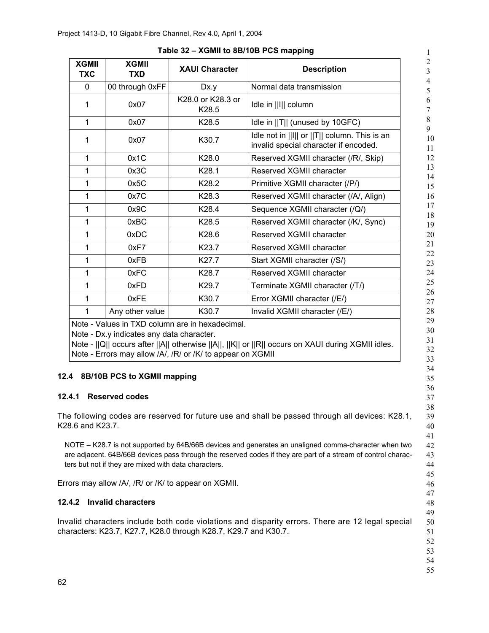<span id="page-81-0"></span>

| <b>XGMII</b><br><b>TXC</b> | <b>XGMII</b><br><b>TXD</b>                | <b>XAUI Character</b>                                                                                         | <b>Description</b>                                                                                 |
|----------------------------|-------------------------------------------|---------------------------------------------------------------------------------------------------------------|----------------------------------------------------------------------------------------------------|
| 0                          | 00 through 0xFF                           | Dx.y                                                                                                          | Normal data transmission                                                                           |
| 1                          | 0x07                                      | K28.0 or K28.3 or<br>K28.5                                                                                    | Idle in   I   column                                                                               |
| $\mathbf{1}$               | 0x07                                      | K28.5                                                                                                         | Idle in   T   (unused by 10GFC)                                                                    |
| 1                          | 0x07                                      | K30.7                                                                                                         | Idle not in   I   or   T   column. This is an<br>invalid special character if encoded.             |
| 1                          | 0x1C                                      | K28.0                                                                                                         | Reserved XGMII character (/R/, Skip)                                                               |
| 1                          | 0x3C                                      | K28.1                                                                                                         | Reserved XGMII character                                                                           |
| 1                          | 0x5C                                      | K28.2                                                                                                         | Primitive XGMII character (/P/)                                                                    |
| $\mathbf{1}$               | 0x7C                                      | K28.3                                                                                                         | Reserved XGMII character (/A/, Align)                                                              |
| 1                          | 0x9C                                      | K28.4                                                                                                         | Sequence XGMII character (/Q/)                                                                     |
| 1                          | 0xBC                                      | K28.5                                                                                                         | Reserved XGMII character (/K/, Sync)                                                               |
| $\mathbf{1}$               | 0xDC                                      | K28.6                                                                                                         | Reserved XGMII character                                                                           |
| $\mathbf{1}$               | 0xF7                                      | K23.7                                                                                                         | Reserved XGMII character                                                                           |
| $\mathbf{1}$               | 0xFB                                      | K27.7                                                                                                         | Start XGMII character (/S/)                                                                        |
| $\mathbf{1}$               | 0xFC                                      | K28.7                                                                                                         | Reserved XGMII character                                                                           |
| 1                          | 0xFD                                      | K29.7                                                                                                         | Terminate XGMII character (/T/)                                                                    |
| 1                          | 0xFE                                      | K30.7                                                                                                         | Error XGMII character (/E/)                                                                        |
| 1                          | Any other value                           | K30.7                                                                                                         | Invalid XGMII character (/E/)                                                                      |
|                            | Note - Dx.y indicates any data character. | Note - Values in TXD column are in hexadecimal.<br>Note - Errors may allow /A/, /R/ or /K/ to appear on XGMII | Note -   Q   occurs after   A   otherwise   A  ,   K   or   R   occurs on XAUI during XGMII idles. |

### **Table 32 – XGMII to 8B/10B PCS mapping**

# **12.4 8B/10B PCS to XGMII mapping**

### **12.4.1 Reserved codes**

The following codes are reserved for future use and shall be passed through all devices: K28.1, K28.6 and K23.7.

NOTE – K28.7 is not supported by 64B/66B devices and generates an unaligned comma-character when two are adjacent. 64B/66B devices pass through the reserved codes if they are part of a stream of control characters but not if they are mixed with data characters.

Errors may allow /A/, /R/ or /K/ to appear on XGMII.

### **12.4.2 Invalid characters**

Invalid characters include both code violations and disparity errors. There are 12 legal special characters: K23.7, K27.7, K28.0 through K28.7, K29.7 and K30.7.

<sup>50</sup> 51 52 53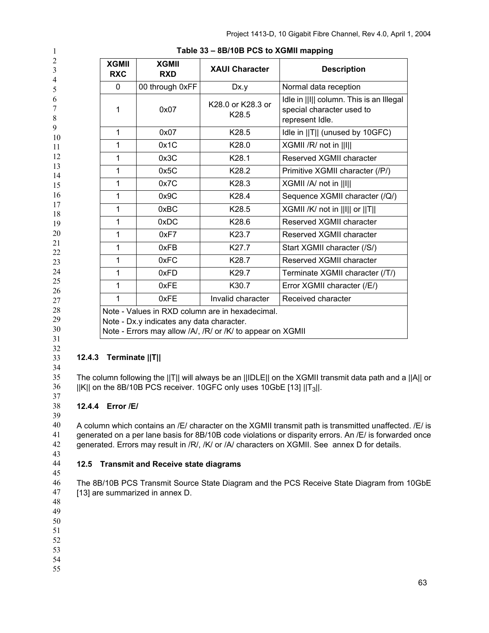| <b>XGMII</b><br><b>RXC</b> | <b>XGMII</b><br><b>RXD</b>                | <b>XAUI Character</b>                                                                                         | <b>Description</b>                                                                       |
|----------------------------|-------------------------------------------|---------------------------------------------------------------------------------------------------------------|------------------------------------------------------------------------------------------|
| $\mathbf{0}$               | 00 through 0xFF                           | Dx.y                                                                                                          | Normal data reception                                                                    |
| 1                          | 0x07                                      | K28.0 or K28.3 or<br>K28.5                                                                                    | Idle in   I   column. This is an Illegal<br>special character used to<br>represent Idle. |
| 1                          | 0x07                                      | K28.5                                                                                                         | Idle in   T   (unused by 10GFC)                                                          |
| 1                          | 0x1C                                      | K28.0                                                                                                         | XGMII /R/ not in   I                                                                     |
| 1                          | 0x3C                                      | K28.1                                                                                                         | Reserved XGMII character                                                                 |
| 1                          | 0x5C                                      | K28.2                                                                                                         | Primitive XGMII character (/P/)                                                          |
| 1                          | 0x7C                                      | K28.3                                                                                                         | XGMII /A/ not in   I                                                                     |
| 1                          | 0x9C                                      | K28.4                                                                                                         | Sequence XGMII character (/Q/)                                                           |
| 1                          | 0xBC                                      | K28.5                                                                                                         | XGMII /K/ not in   I   or   T                                                            |
| 1                          | 0xDC                                      | K28.6                                                                                                         | Reserved XGMII character                                                                 |
| 1                          | 0xF7                                      | K23.7                                                                                                         | Reserved XGMII character                                                                 |
| 1                          | 0xFB                                      | K27.7                                                                                                         | Start XGMII character (/S/)                                                              |
| 1                          | 0xFC                                      | K28.7                                                                                                         | Reserved XGMII character                                                                 |
| 1                          | 0xFD                                      | K29.7                                                                                                         | Terminate XGMII character (/T/)                                                          |
| 1                          | 0xFE                                      | K30.7                                                                                                         | Error XGMII character (/E/)                                                              |
| 1                          | 0xFE                                      | Invalid character                                                                                             | Received character                                                                       |
|                            | Note - Dx.y indicates any data character. | Note - Values in RXD column are in hexadecimal.<br>Note - Errors may allow /A/, /R/ or /K/ to appear on XGMII |                                                                                          |

### **Table 33 – 8B/10B PCS to XGMII mapping**

# **12.4.3 Terminate ||T||**

35 36 The column following the ||T|| will always be an ||IDLE|| on the XGMII transmit data path and a ||A|| or  $||K||$  on the 8B/10B PCS receiver. 10GFC only uses [10GbE \[13\]](#page-21-0)  $||T_3||$ .

# **12.4.4 Error /E/**

40 41 42 A column which contains an /E/ character on the XGMII transmit path is transmitted unaffected. /E/ is generated on a per lane basis for 8B/10B code violations or disparity errors. An /E/ is forwarded once generated. Errors may result in /R/, /K/ or /A/ characters on XGMII. See [annex D](#page-98-0) for details.

43 44

32 33 34

37 38 39

<span id="page-82-0"></span>1

# **12.5 Transmit and Receive state diagrams**

45

46 47 The 8B/10B PCS Transmit Source State Diagram and the PCS Receive State Diagram from [10GbE](#page-21-0) [\[13\]](#page-21-0) are summarized in [annex D.](#page-98-0)

- 48
- 49 50
- 51
- 52
- 53
- 54
- 55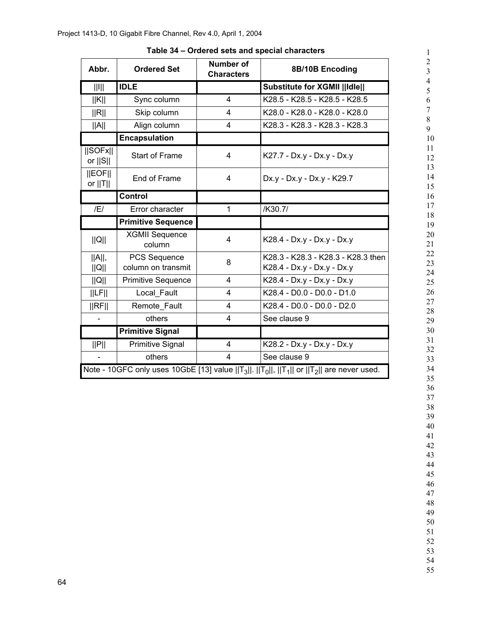<span id="page-83-0"></span>

| Abbr.                | <b>Ordered Set</b>                        | <b>Number of</b><br><b>Characters</b> | 8B/10B Encoding                                                  |
|----------------------|-------------------------------------------|---------------------------------------|------------------------------------------------------------------|
| $         $          | <b>IDLE</b>                               |                                       | Substitute for XGMII   Idle                                      |
| K                    | Sync column                               | 4                                     | K28.5 - K28.5 - K28.5 - K28.5                                    |
| $\ R\ $              | Skip column                               | 4                                     | K28.0 - K28.0 - K28.0 - K28.0                                    |
| A                    | Align column                              | 4                                     | K28.3 - K28.3 - K28.3 - K28.3                                    |
|                      | <b>Encapsulation</b>                      |                                       |                                                                  |
| SOFx  <br>or $\ S\ $ | <b>Start of Frame</b>                     | $\overline{4}$                        | K27.7 - Dx.y - Dx.y - Dx.y                                       |
| EOF  <br>or   T      | End of Frame                              | 4                                     | Dx.y - Dx.y - Dx.y - K29.7                                       |
|                      | <b>Control</b>                            |                                       |                                                                  |
| /E/                  | Error character                           | 1                                     | /K30.7/                                                          |
|                      |                                           |                                       |                                                                  |
|                      | <b>Primitive Sequence</b>                 |                                       |                                                                  |
| Q                    | <b>XGMII Sequence</b><br>column           | $\overline{4}$                        | K28.4 - Dx.y - Dx.y - Dx.y                                       |
| $  A  $ ,<br>  Q     | <b>PCS Sequence</b><br>column on transmit | 8                                     | K28.4 - Dx.y - Dx.y - Dx.y                                       |
| Q                    | <b>Primitive Sequence</b>                 | 4                                     | K28.3 - K28.3 - K28.3 - K28.3 then<br>K28.4 - Dx.y - Dx.y - Dx.y |
| LF                   | Local Fault                               | 4                                     | K28.4 - D0.0 - D0.0 - D1.0                                       |
| $\ RF\ $             | Remote_Fault                              | 4                                     | K28.4 - D0.0 - D0.0 - D2.0                                       |
| $\blacksquare$       | others                                    | 4                                     | See clause 9                                                     |
|                      | <b>Primitive Signal</b>                   |                                       |                                                                  |
| P                    | <b>Primitive Signal</b>                   | 4                                     | K28.2 - Dx.y - Dx.y - Dx.y                                       |

# **Table 34 – Ordered sets and special characters**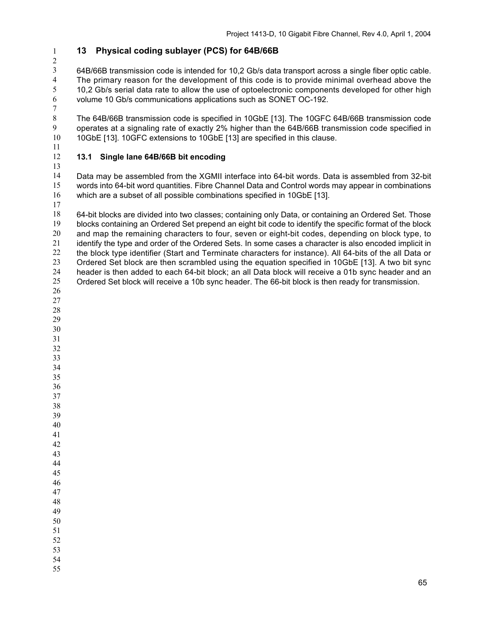# **13 Physical coding sublayer (PCS) for 64B/66B**

 64B/66B transmission code is intended for 10,2 Gb/s data transport across a single fiber optic cable. The primary reason for the development of this code is to provide minimal overhead above the 10,2 Gb/s serial data rate to allow the use of optoelectronic components developed for other high volume 10 Gb/s communications applications such as SONET OC-192.

 The 64B/66B transmission code is specified in [10GbE \[13\]](#page-21-0). The 10GFC 64B/66B transmission code operates at a signaling rate of exactly 2% higher than the 64B/66B transmission code specified in [10GbE \[13\].](#page-21-0) 10GFC extensions to [10GbE \[13\]](#page-21-0) are specified in this clause.

# **13.1 Single lane 64B/66B bit encoding**

 Data may be assembled from the XGMII interface into 64-bit words. Data is assembled from 32-bit words into 64-bit word quantities. Fibre Channel Data and Control words may appear in combinations which are a subset of all possible combinations specified in [10GbE \[13\]](#page-21-0).

 

 

 

 64-bit blocks are divided into two classes; containing only Data, or containing an Ordered Set. Those blocks containing an Ordered Set prepend an eight bit code to identify the specific format of the block and map the remaining characters to four, seven or eight-bit codes, depending on block type, to identify the type and order of the Ordered Sets. In some cases a character is also encoded implicit in the block type identifier (Start and Terminate characters for instance). All 64-bits of the all Data or Ordered Set block are then scrambled using the equation specified in [10GbE \[13\]](#page-21-0). A two bit sync header is then added to each 64-bit block; an all Data block will receive a 01b sync header and an Ordered Set block will receive a 10b sync header. The 66-bit block is then ready for transmission.

- 
- 
- 
- 
- 
- 
- 
- 
- 
- 
- 
- 
- 
- 
- 
- 
- 
- 
- 
- 
- 
- 
- 
- 
-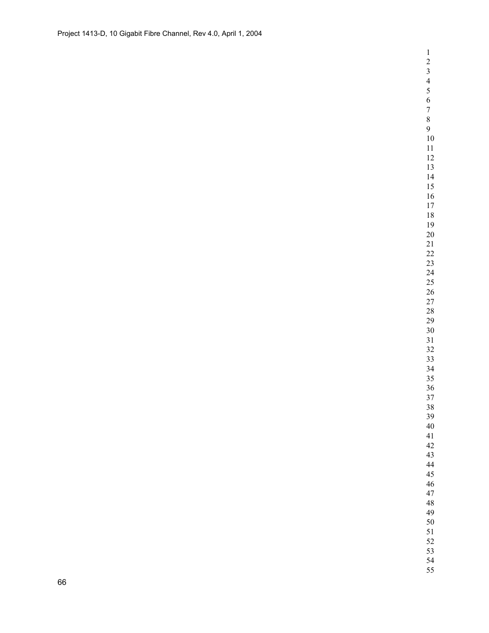| $\overline{\mathbf{c}}$ |
|-------------------------|
| $\frac{3}{4}$           |
|                         |
| 5                       |
| 6                       |
| 7                       |
| 8                       |
| 9                       |
| 10                      |
| 11<br>12                |
| 13                      |
| 14                      |
| 15                      |
| 16                      |
| 17                      |
| 18                      |
| 19                      |
| 20                      |
| $\overline{21}$         |
| 22                      |
| 23                      |
| 24                      |
| 25                      |
| 26                      |
| 27                      |
| 28                      |
| 29                      |
| 30<br>31<br>32          |
|                         |
| 33                      |
| 34                      |
| 35                      |
| 36                      |
| 37<br>38                |
|                         |
| 39                      |
| 40                      |
| 41                      |
| 42<br>43                |
| 44                      |
| 45                      |
| 46                      |
| 47                      |
| 48                      |
| 49                      |
| 50                      |
| 51                      |
| 52                      |
| 53                      |
| 54                      |
| 55                      |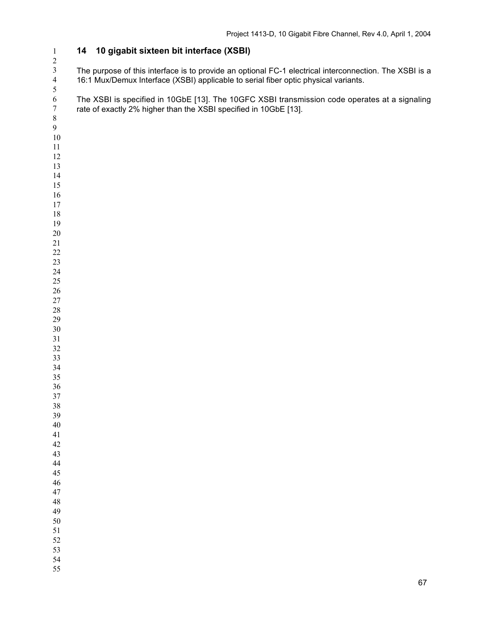# **14 10 gigabit sixteen bit interface (XSBI)**

The purpose of this interface is to provide an optional FC-1 electrical interconnection. The XSBI is a 16:1 Mux/Demux Interface (XSBI) applicable to serial fiber optic physical variants.

The XSBI is specified in [10GbE \[13\].](#page-21-0) The 10GFC XSBI transmission code operates at a signaling rate of exactly 2% higher than the XSBI specified in [10GbE \[13\].](#page-21-0)

- 
- 
- 

 

- 
- 
-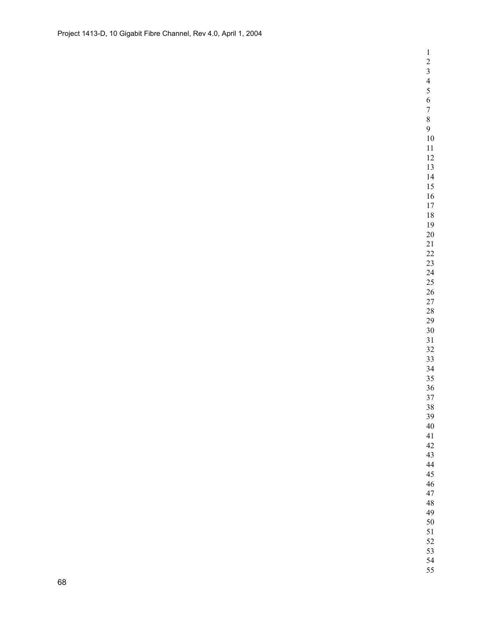| $\overline{\mathbf{c}}$ |
|-------------------------|
| $\frac{3}{4}$           |
|                         |
| 5                       |
| 6                       |
| 7                       |
| 8                       |
| 9                       |
| 10<br>11                |
| 12                      |
| 13                      |
| 14                      |
| 15                      |
| 16                      |
| 17                      |
| 18                      |
| 19                      |
| 20                      |
| $\overline{21}$         |
| 22                      |
| 23                      |
| 24                      |
| 25                      |
| 26                      |
| 27                      |
| 28<br>29                |
| 30                      |
|                         |
| 31<br>32                |
| 33                      |
| 34                      |
| 35                      |
| 36                      |
| 37                      |
| 38                      |
| 39                      |
| 40                      |
| 41                      |
| 42<br>43                |
| 44                      |
| 45                      |
| 46                      |
| 47                      |
| 48                      |
| 49                      |
| 50                      |
| 51                      |
| 52                      |
| 53                      |
| 54                      |
| 55                      |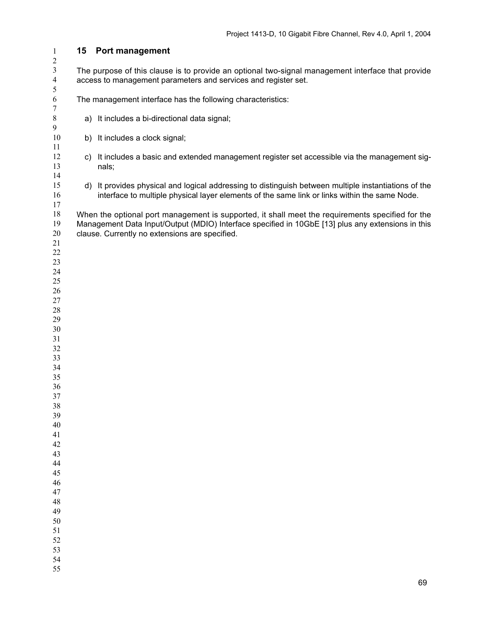| 1                                                                                                                                                                                                        | 15 | <b>Port management</b>                                                                                                                                                                                                                                  |
|----------------------------------------------------------------------------------------------------------------------------------------------------------------------------------------------------------|----|---------------------------------------------------------------------------------------------------------------------------------------------------------------------------------------------------------------------------------------------------------|
| 2<br>3<br>4<br>5                                                                                                                                                                                         |    | The purpose of this clause is to provide an optional two-signal management interface that provide<br>access to management parameters and services and register set.                                                                                     |
| 6<br>7                                                                                                                                                                                                   |    | The management interface has the following characteristics:                                                                                                                                                                                             |
| 8<br>9                                                                                                                                                                                                   |    | a) It includes a bi-directional data signal;                                                                                                                                                                                                            |
| 10<br>11                                                                                                                                                                                                 |    | b) It includes a clock signal;                                                                                                                                                                                                                          |
| 12<br>13<br>14                                                                                                                                                                                           |    | c) It includes a basic and extended management register set accessible via the management sig-<br>nals;                                                                                                                                                 |
| 15<br>16<br>17                                                                                                                                                                                           |    | d) It provides physical and logical addressing to distinguish between multiple instantiations of the<br>interface to multiple physical layer elements of the same link or links within the same Node.                                                   |
| 18<br>19<br>$20\,$<br>21<br>22<br>23<br>24<br>25<br>26<br>$27\,$<br>$28\,$<br>29<br>30<br>31<br>32<br>33<br>34<br>35<br>36<br>37<br>38<br>39<br>40<br>41<br>42<br>43<br>44<br>45<br>46<br>47<br>48<br>49 |    | When the optional port management is supported, it shall meet the requirements specified for the<br>Management Data Input/Output (MDIO) Interface specified in 10GbE [13] plus any extensions in this<br>clause. Currently no extensions are specified. |
| 50<br>51<br>52                                                                                                                                                                                           |    |                                                                                                                                                                                                                                                         |
| 53<br>54<br>55                                                                                                                                                                                           |    |                                                                                                                                                                                                                                                         |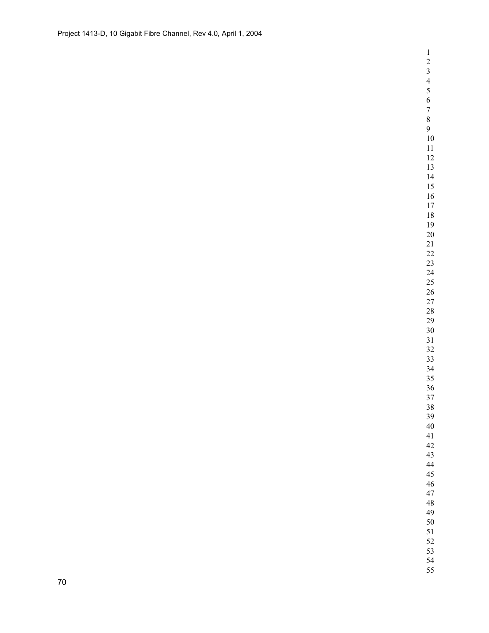| $\overline{\mathbf{c}}$ |
|-------------------------|
| $\frac{3}{4}$           |
|                         |
| 5                       |
| 6                       |
| 7                       |
| 8                       |
| 9                       |
| 10                      |
| 11<br>12                |
| 13                      |
| 14                      |
| 15                      |
| 16                      |
| 17                      |
| 18                      |
| 19                      |
| 20                      |
| $\overline{21}$         |
| 22                      |
| 23                      |
| 24                      |
| 25                      |
| 26                      |
| 27                      |
| 28                      |
| 29<br>30                |
| 31                      |
| 32                      |
| 33                      |
| 34                      |
| 35                      |
| 36                      |
| 37                      |
| 38                      |
| 39                      |
| 40                      |
| 41                      |
| 42<br>43                |
| 44                      |
| 45                      |
| 46                      |
| 47                      |
| 48                      |
| 49                      |
| 50                      |
| 51                      |
| 52                      |
| 53                      |
| 54                      |
| 55                      |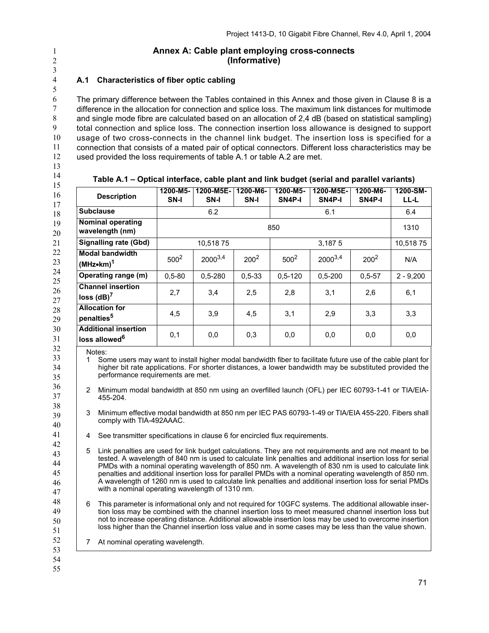# **Annex A: Cable plant employing cross-connects (Informative)**

#### **A.1 Characteristics of fiber optic cabling**

The primary difference between the Tables contained in this Annex and those given in Clause 8 is a difference in the allocation for connection and splice loss. The maximum link distances for multimode and single mode fibre are calculated based on an allocation of 2,4 dB (based on statistical sampling) total connection and splice loss. The connection insertion loss allowance is designed to support usage of two cross-connects in the channel link budget. The insertion loss is specified for a connection that consists of a mated pair of optical connectors. Different loss characteristics may be used provided the loss requirements of [table A.1](#page-90-0) or [table A.2](#page-91-0) are met.

| <b>Description</b>                                       | 1200-M5-<br>SN-I | 1200-M5E-<br>SN-I       | 1200-M6-<br>SN-I | 1200-M5-<br>SN <sub>4P-I</sub> | 1200-M5E-<br>SN4P-I | 1200-M6-<br>SN <sub>4</sub> P-I | 1200-SM-<br>LL-L |  |  |
|----------------------------------------------------------|------------------|-------------------------|------------------|--------------------------------|---------------------|---------------------------------|------------------|--|--|
| <b>Subclause</b>                                         |                  | 6.2                     |                  |                                | 6.1                 |                                 | 6.4              |  |  |
| <b>Nominal operating</b><br>wavelength (nm)              |                  |                         |                  | 850                            |                     |                                 | 1310             |  |  |
| <b>Signalling rate (Gbd)</b>                             |                  | 10,51875                |                  |                                | 10,518 75           |                                 |                  |  |  |
| <b>Modal bandwidth</b><br>$(MHz \cdot km)^{1}$           | $500^2$          | $2000^{3,4}$            | $200^2$          | 500 <sup>2</sup>               | $2000^{3,4}$        | $200^2$                         | N/A              |  |  |
| Operating range (m)                                      | $0,5 - 80$       | $0,5-33$<br>$0,5 - 280$ |                  | $0,5-120$                      | $0,5 - 200$         | $0,5 - 57$                      | $2 - 9,200$      |  |  |
| <b>Channel insertion</b><br>loss $(dB)^7$                | 2,7              | 3,4                     | 2,5              | 2,8                            | 3,1                 | 2,6                             | 6,1              |  |  |
| <b>Allocation for</b><br>penalties <sup>5</sup>          | 4,5              | 3,9                     | 4,5              | 3,1                            | 2,9                 | 3,3                             | 3,3              |  |  |
| <b>Additional insertion</b><br>loss allowed <sup>6</sup> | 0,1              | 0,0                     | 0,3              | 0,0                            | 0,0                 | 0,0                             | 0,0              |  |  |

#### <span id="page-90-0"></span>**Table A.1 – Optical interface, cable plant and link budget (serial and parallel variants)**

1 Some users may want to install higher modal bandwidth fiber to facilitate future use of the cable plant for higher bit rate applications. For shorter distances, a lower bandwidth may be substituted provided the performance requirements are met.

2 Minimum modal bandwidth at 850 nm using an overfilled launch (OFL) per IEC 60793-1-41 or TIA/EIA-455-204.

3 Minimum effective modal bandwidth at 850 nm per IEC PAS 60793-1-49 or TIA/EIA 455-220. Fibers shall comply with TIA-492AAAC.

4 See transmitter specifications in clause 6 for encircled flux requirements.

5 Link penalties are used for link budget calculations. They are not requirements and are not meant to be tested. A wavelength of 840 nm is used to calculate link penalties and additional insertion loss for serial PMDs with a nominal operating wavelength of 850 nm. A wavelength of 830 nm is used to calculate link penalties and additional insertion loss for parallel PMDs with a nominal operating wavelength of 850 nm. A wavelength of 1260 nm is used to calculate link penalties and additional insertion loss for serial PMDs with a nominal operating wavelength of 1310 nm.

- 6 This parameter is informational only and not required for 10GFC systems. The additional allowable insertion loss may be combined with the channel insertion loss to meet measured channel insertion loss but not to increase operating distance. Additional allowable insertion loss may be used to overcome insertion loss higher than the Channel insertion loss value and in some cases may be less than the value shown.
- 7 At nominal operating wavelength.
- 51 52 53

- 54
- 55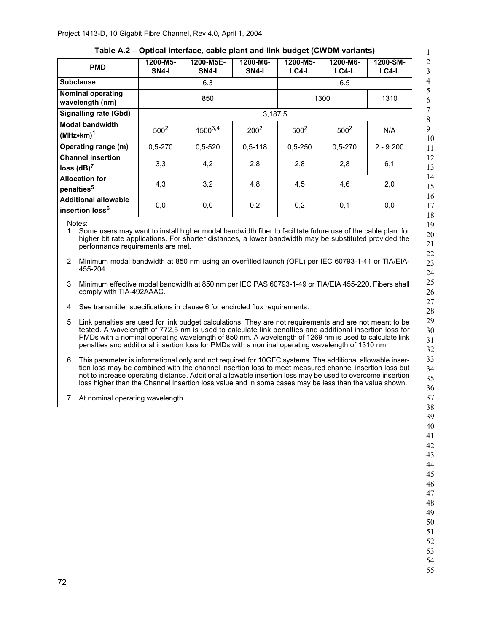<span id="page-91-0"></span>

| <b>PMD</b>                                                 | 1200-M5-<br><b>SN4-I</b> | 1200-M5E-<br><b>SN4-I</b> | 1200-M6-<br>SN <sub>4</sub> -I | 1200-M5-<br>$LCA-L$ | 1200-M6-<br>$LCA-L$ | 1200-SM-<br>$LCA-L$ |  |  |  |  |  |  |
|------------------------------------------------------------|--------------------------|---------------------------|--------------------------------|---------------------|---------------------|---------------------|--|--|--|--|--|--|
| <b>Subclause</b>                                           |                          | 6.3                       |                                |                     | 6.5                 |                     |  |  |  |  |  |  |
| <b>Nominal operating</b><br>wavelength (nm)                |                          | 850                       |                                | 1300                | 1310                |                     |  |  |  |  |  |  |
| <b>Signalling rate (Gbd)</b>                               |                          |                           |                                | 3,1875              |                     |                     |  |  |  |  |  |  |
| <b>Modal bandwidth</b><br>$(MHz \cdot km)^{1}$             | $500^2$                  | $1500^{3,4}$              | $200^2$                        | $500^2$             | $500^2$             | N/A                 |  |  |  |  |  |  |
| Operating range (m)                                        | $0.5 - 270$              | $0.5 - 520$               | $0,5-118$                      | $0,5 - 250$         | $0,5 - 270$         | $2 - 9200$          |  |  |  |  |  |  |
| <b>Channel insertion</b><br>loss $(dB)^7$                  | 3,3                      | 4,2                       | 2,8                            | 2,8                 | 2,8                 | 6,1                 |  |  |  |  |  |  |
| <b>Allocation for</b><br>penalties <sup>5</sup>            | 4,3                      | 3,2                       | 4,8                            | 4,5                 | 4,6                 | 2,0                 |  |  |  |  |  |  |
| <b>Additional allowable</b><br>insertion loss <sup>6</sup> | 0,0                      | 0,0                       | 0,2                            | 0,2                 | 0,1                 | 0,0                 |  |  |  |  |  |  |

### **Table A.2 – Optical interface, cable plant and link budget (CWDM variants)**

Notes:

1 Some users may want to install higher modal bandwidth fiber to facilitate future use of the cable plant for higher bit rate applications. For shorter distances, a lower bandwidth may be substituted provided the performance requirements are met.

2 Minimum modal bandwidth at 850 nm using an overfilled launch (OFL) per IEC 60793-1-41 or TIA/EIA-455-204.

3 Minimum effective modal bandwidth at 850 nm per IEC PAS 60793-1-49 or TIA/EIA 455-220. Fibers shall comply with TIA-492AAAC.

4 See transmitter specifications in clause 6 for encircled flux requirements.

5 Link penalties are used for link budget calculations. They are not requirements and are not meant to be tested. A wavelength of 772,5 nm is used to calculate link penalties and additional insertion loss for PMDs with a nominal operating wavelength of 850 nm. A wavelength of 1269 nm is used to calculate link penalties and additional insertion loss for PMDs with a nominal operating wavelength of 1310 nm.

6 This parameter is informational only and not required for 10GFC systems. The additional allowable insertion loss may be combined with the channel insertion loss to meet measured channel insertion loss but not to increase operating distance. Additional allowable insertion loss may be used to overcome insertion loss higher than the Channel insertion loss value and in some cases may be less than the value shown.

7 At nominal operating wavelength.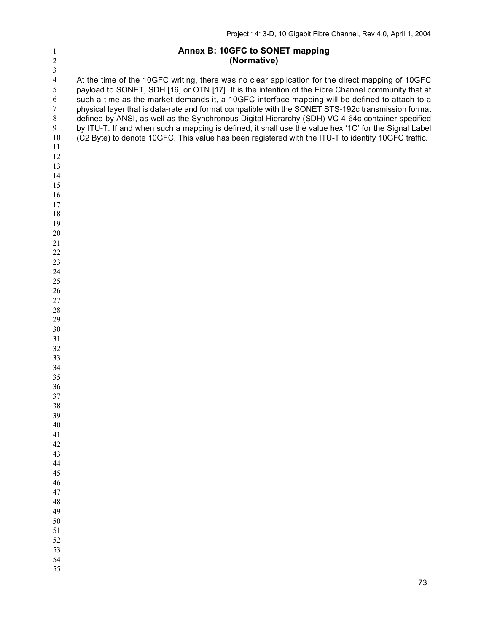### 

# **Annex B: 10GFC to SONET mapping (Normative)**

At the time of the 10GFC writing, there was no clear application for the direct mapping of 10GFC payload to SONET, SDH [[16\]](#page-22-0) or OTN [[17\]](#page-22-1). It is the intention of the Fibre Channel community that at such a time as the market demands it, a 10GFC interface mapping will be defined to attach to a physical layer that is data-rate and format compatible with the SONET STS-192c transmission format defined by ANSI, as well as the Synchronous Digital Hierarchy (SDH) VC-4-64c container specified by ITU-T. If and when such a mapping is defined, it shall use the value hex '1C' for the Signal Label (C2 Byte) to denote 10GFC. This value has been registered with the ITU-T to identify 10GFC traffic.

- 
- 

- 
- 
-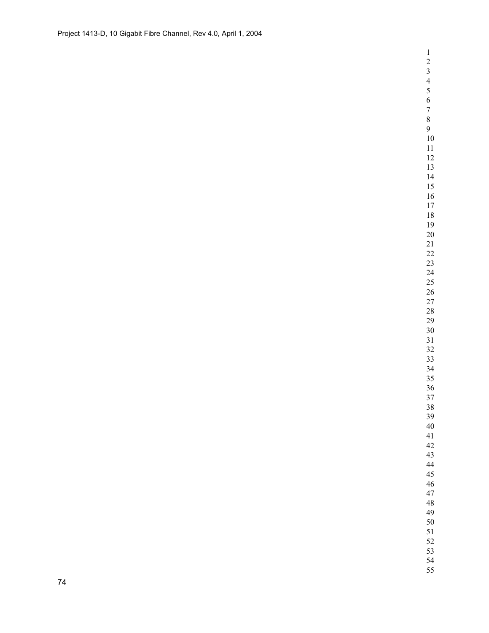| $\overline{\mathbf{c}}$ |
|-------------------------|
| $\frac{3}{4}$           |
|                         |
| 5                       |
| 6                       |
| 7                       |
| 8                       |
| 9                       |
| 10                      |
| 11                      |
| 12<br>13                |
| 14                      |
| 15                      |
| 16                      |
| 17                      |
| 18                      |
| 19                      |
| 20                      |
| $\overline{21}$         |
| 22                      |
| 23                      |
| 24                      |
| 25                      |
| 26                      |
| 27                      |
| 28                      |
| 29                      |
| 30                      |
| 31                      |
| 32                      |
| 33<br>34                |
| 35                      |
| 36                      |
| 37                      |
| 38                      |
| 39                      |
| 40                      |
| 41                      |
| 42                      |
| 43                      |
| 44                      |
| 45                      |
| 46                      |
| 47                      |
| 48                      |
| 49                      |
| 50                      |
| 51                      |
| 52                      |
| 53                      |
| 54                      |
| 55                      |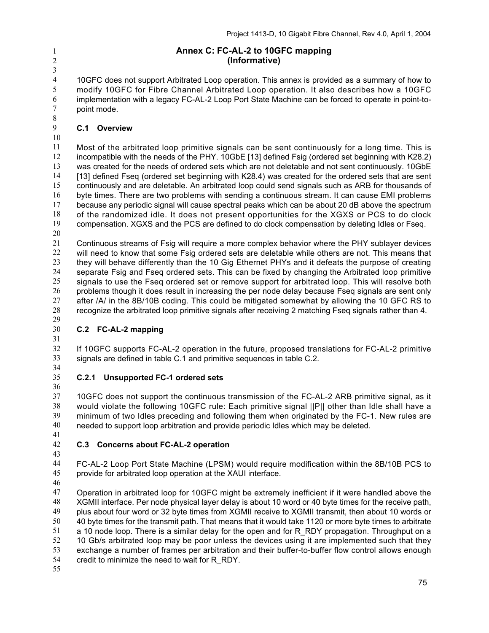# **Annex C: FC-AL-2 to 10GFC mapping (Informative)**

4 5 6 7 8 10GFC does not support Arbitrated Loop operation. This annex is provided as a summary of how to modify 10GFC for Fibre Channel Arbitrated Loop operation. It also describes how a 10GFC implementation with a legacy FC-AL-2 Loop Port State Machine can be forced to operate in point-topoint mode.

# **C.1 Overview**

1 2 3

9 10

11 12 13 14 15 16 17 18 19 20 Most of the arbitrated loop primitive signals can be sent continuously for a long time. This is incompatible with the needs of the PHY. [10GbE \[13\]](#page-21-0) defined Fsig (ordered set beginning with K28.2) was created for the needs of ordered sets which are not deletable and not sent continuously. [10GbE](#page-21-0) [\[13\]](#page-21-0) defined Fseq (ordered set beginning with K28.4) was created for the ordered sets that are sent continuously and are deletable. An arbitrated loop could send signals such as ARB for thousands of byte times. There are two problems with sending a continuous stream. It can cause EMI problems because any periodic signal will cause spectral peaks which can be about 20 dB above the spectrum of the randomized idle. It does not present opportunities for the XGXS or PCS to do clock compensation. XGXS and the PCS are defined to do clock compensation by deleting Idles or Fseq.

21 22 23 24 25 26 27 28 29 Continuous streams of Fsig will require a more complex behavior where the PHY sublayer devices will need to know that some Fsig ordered sets are deletable while others are not. This means that they will behave differently than the 10 Gig Ethernet PHYs and it defeats the purpose of creating separate Fsig and Fseq ordered sets. This can be fixed by changing the Arbitrated loop primitive signals to use the Fseq ordered set or remove support for arbitrated loop. This will resolve both problems though it does result in increasing the per node delay because Fseq signals are sent only after /A/ in the 8B/10B coding. This could be mitigated somewhat by allowing the 10 GFC RS to recognize the arbitrated loop primitive signals after receiving 2 matching Fseq signals rather than 4.

#### 30 **C.2 FC-AL-2 mapping**

31 32 33 If 10GFC supports FC-AL-2 operation in the future, proposed translations for FC-AL-2 primitive signals are defined in [table C.1](#page-95-0) and primitive sequences in [table C.2](#page-95-1).

#### 35 36 **C.2.1 Unsupported FC-1 ordered sets**

37 38 39 40 10GFC does not support the continuous transmission of the FC-AL-2 ARB primitive signal, as it would violate the following 10GFC rule: Each primitive signal ||P|| other than Idle shall have a minimum of two Idles preceding and following them when originated by the FC-1. New rules are needed to support loop arbitration and provide periodic Idles which may be deleted.

41 42 43

34

# **C.3 Concerns about FC-AL-2 operation**

44 45 FC-AL-2 Loop Port State Machine (LPSM) would require modification within the 8B/10B PCS to provide for arbitrated loop operation at the XAUI interface.

46

47 48 49 50 51 52 53 54 Operation in arbitrated loop for 10GFC might be extremely inefficient if it were handled above the XGMII interface. Per node physical layer delay is about 10 word or 40 byte times for the receive path, plus about four word or 32 byte times from XGMII receive to XGMII transmit, then about 10 words or 40 byte times for the transmit path. That means that it would take 1120 or more byte times to arbitrate a 10 node loop. There is a similar delay for the open and for R\_RDY propagation. Throughput on a 10 Gb/s arbitrated loop may be poor unless the devices using it are implemented such that they exchange a number of frames per arbitration and their buffer-to-buffer flow control allows enough credit to minimize the need to wait for R\_RDY.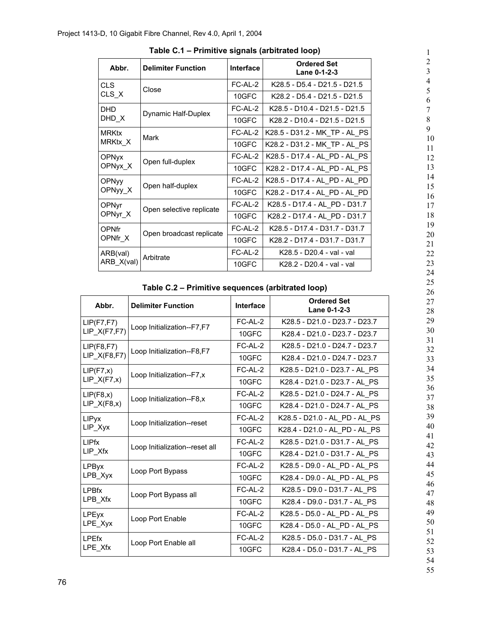<span id="page-95-0"></span>

| Abbr.                   | <b>Delimiter Function</b> | Interface | <b>Ordered Set</b><br>Lane 0-1-2-3 |
|-------------------------|---------------------------|-----------|------------------------------------|
| <b>CLS</b>              | Close                     | FC-AL-2   | K28.5 - D5.4 - D21.5 - D21.5       |
| CLS_X                   |                           | 10GFC     | K28.2 - D5.4 - D21.5 - D21.5       |
| DHD                     | Dynamic Half-Duplex       | FC-AL-2   | K28.5 - D10.4 - D21.5 - D21.5      |
| DHD X                   |                           | 10GFC     | K28.2 - D10.4 - D21.5 - D21.5      |
| <b>MRKtx</b>            | Mark                      | FC-AL-2   | K28.5 - D31.2 - MK TP - AL PS      |
| MRKtx X                 |                           | 10GFC     | K28.2 - D31.2 - MK TP - AL PS      |
| <b>OPNyx</b>            | Open full-duplex          | FC-AL-2   | K28.5 - D17.4 - AL PD - AL PS      |
| OPNyx X                 |                           | 10GFC     | K28.2 - D17.4 - AL PD - AL PS      |
| <b>OPN<sub>vv</sub></b> | Open half-duplex          | FC-AL-2   | K28.5 - D17.4 - AL_PD - AL_PD      |
| OPNyy_X                 |                           | 10GFC     | K28.2 - D17.4 - AL_PD - AL_PD      |
| OPNyr                   | Open selective replicate  | FC-AL-2   | K28.5 - D17.4 - AL PD - D31.7      |
| OPNyr_X                 |                           | 10GFC     | K28.2 - D17.4 - AL PD - D31.7      |
| OPNfr                   | Open broadcast replicate  | FC-AL-2   | K28.5 - D17.4 - D31.7 - D31.7      |
| OPNfr_X                 |                           | 10GFC     | K28.2 - D17.4 - D31.7 - D31.7      |
| ARB(val)                | Arbitrate                 | FC-AL-2   | K28.5 - D20.4 - val - val          |
| ARB_X(val)              |                           | 10GFC     | K28.2 - D20.4 - val - val          |

**Table C.1 – Primitive signals (arbitrated loop)**

**Table C.2 – Primitive sequences (arbitrated loop)**

<span id="page-95-1"></span>

| Abbr.          | <b>Delimiter Function</b>      | Interface | <b>Ordered Set</b><br>Lane 0-1-2-3 |
|----------------|--------------------------------|-----------|------------------------------------|
| LIP(F7, F7)    | Loop Initialization--F7,F7     | FC-AL-2   | K28.5 - D21.0 - D23.7 - D23.7      |
| $LIP_X(F7,F7)$ |                                | 10GFC     | K28.4 - D21.0 - D23.7 - D23.7      |
| LIP(F8, F7)    | Loop Initialization--F8,F7     | FC-AL-2   | K28.5 - D21.0 - D24.7 - D23.7      |
| LIP X(F8,F7)   |                                | 10GFC     | K28.4 - D21.0 - D24.7 - D23.7      |
| LIP(F7,x)      | Loop Initialization--F7,x      | FC-AL-2   | K28.5 - D21.0 - D23.7 - AL_PS      |
| $LIP_X(F7,x)$  |                                | 10GFC     | K28.4 - D21.0 - D23.7 - AL PS      |
| LIP(F8,x)      | Loop Initialization--F8,x      | FC-AL-2   | K28.5 - D21.0 - D24.7 - AL PS      |
| $LIP_X(F8,x)$  |                                | 10GFC     | K28.4 - D21.0 - D24.7 - AL PS      |
| LIPyx          | Loop Initialization--reset     | FC-AL-2   | K28.5 - D21.0 - AL PD - AL PS      |
| LIP_Xyx        |                                | 10GFC     | K28.4 - D21.0 - AL PD - AL PS      |
| <b>LIPfx</b>   | Loop Initialization--reset all | FC-AL-2   | K28.5 - D21.0 - D31.7 - AL PS      |
| LIP_Xfx        |                                | 10GFC     | K28.4 - D21.0 - D31.7 - AL PS      |
| LPByx          | Loop Port Bypass               | FC-AL-2   | K28.5 - D9.0 - AL_PD - AL_PS       |
| LPB_Xyx        |                                | 10GFC     | K28.4 - D9.0 - AL PD - AL PS       |
| I PRfx         | Loop Port Bypass all           | FC-AL-2   | K28.5 - D9.0 - D31.7 - AL PS       |
| LPB_Xfx        |                                | 10GFC     | K28.4 - D9.0 - D31.7 - AL PS       |
| <b>LPEyx</b>   | Loop Port Enable               | FC-AL-2   | K28.5 - D5.0 - AL PD - AL PS       |
| LPE_Xyx        |                                | 10GFC     | K28.4 - D5.0 - AL_PD - AL_PS       |
| I PFfx         | Loop Port Enable all           | FC-AL-2   | K28.5 - D5.0 - D31.7 - AL_PS       |
| LPE_Xfx        |                                | 10GFC     | K28.4 - D5.0 - D31.7 - AL PS       |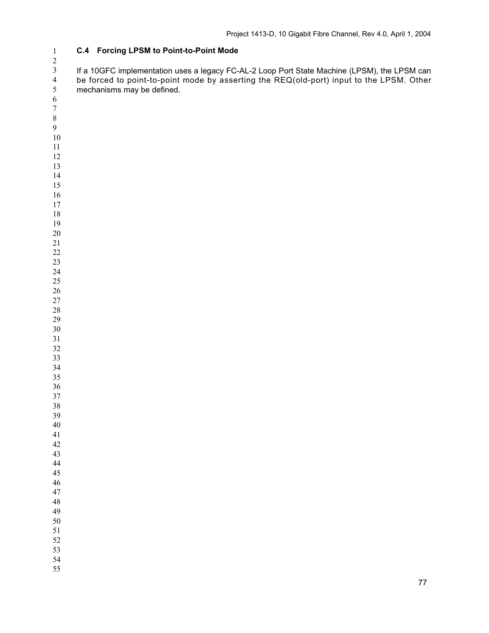### **C.4 Forcing LPSM to Point-to-Point Mode**

If a 10GFC implementation uses a legacy FC-AL-2 Loop Port State Machine (LPSM), the LPSM can be forced to point-to-point mode by asserting the REQ(old-port) input to the LPSM. Other mechanisms may be defined.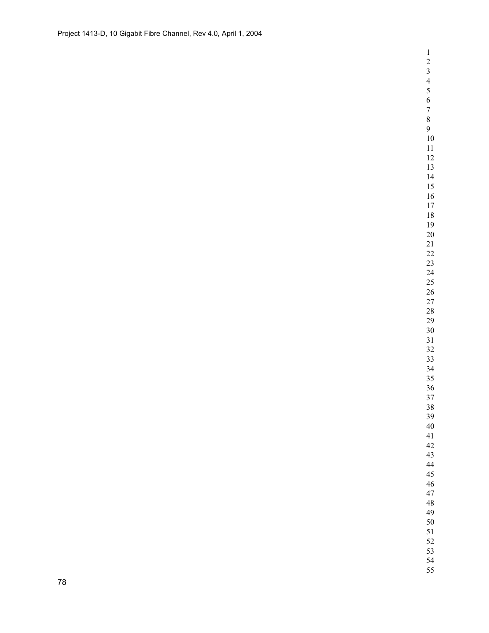| $\overline{\mathbf{c}}$ |
|-------------------------|
| $\frac{3}{4}$           |
|                         |
| 5                       |
| 6                       |
| 7                       |
| 8                       |
| 9                       |
| 10                      |
| 11                      |
| 12                      |
| 13                      |
| $\frac{14}{5}$          |
| 15<br>16                |
| 17                      |
| 18                      |
| 19                      |
| 20                      |
| $\overline{21}$         |
| 22                      |
| 23                      |
| 24                      |
| 25                      |
| 26                      |
| 27                      |
| 28                      |
| 29                      |
|                         |
| 30<br>31<br>32          |
|                         |
| 33                      |
| 34                      |
| 35                      |
| 36                      |
| 37<br>38                |
|                         |
| 39<br>40                |
| 41                      |
| 42                      |
| 43                      |
| 44                      |
| 45                      |
| 46                      |
| 47                      |
| 48                      |
| 49                      |
| 50                      |
| 51                      |
| 52                      |
| 53                      |
| 54                      |
| 55                      |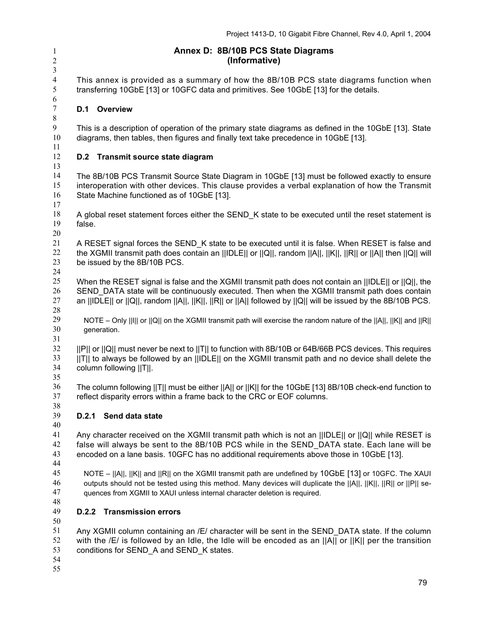# <span id="page-98-0"></span>**Annex D: 8B/10B PCS State Diagrams (Informative)**

This annex is provided as a summary of how the 8B/10B PCS state diagrams function when transferring [10GbE \[13\]](#page-21-0) or 10GFC data and primitives. See [10GbE \[13\]](#page-21-0) for the details.

# **D.1 Overview**

11 12 13

17

10 This is a description of operation of the primary state diagrams as defined in the [10GbE \[13\]](#page-21-0). State diagrams, then tables, then figures and finally text take precedence in [10GbE \[13\].](#page-21-0)

# **D.2 Transmit source state diagram**

14 15 16 The 8B/10B PCS Transmit Source State Diagram in [10GbE \[13\]](#page-21-0) must be followed exactly to ensure interoperation with other devices. This clause provides a verbal explanation of how the Transmit State Machine functioned as of [10GbE \[13\].](#page-21-0)

18 19 20 A global reset statement forces either the SEND\_K state to be executed until the reset statement is false.

21 22 23 24 A RESET signal forces the SEND K state to be executed until it is false. When RESET is false and the XGMII transmit path does contain an ||IDLE|| or ||Q||, random ||A||, ||K||, ||R|| or ||A|| then ||Q|| will be issued by the 8B/10B PCS.

25 26 27 28 When the RESET signal is false and the XGMII transmit path does not contain an ||IDLE|| or ||Q||, the SEND DATA state will be continuously executed. Then when the XGMII transmit path does contain an ||IDLE|| or ||Q||, random ||A||, ||K||, ||R|| or ||A|| followed by ||Q|| will be issued by the 8B/10B PCS.

29 30 NOTE – Only ||I|| or ||Q|| on the XGMII transmit path will exercise the random nature of the ||A||, ||K|| and ||R|| generation.

32 33 34 35 ||P|| or ||Q|| must never be next to ||T|| to function with 8B/10B or 64B/66B PCS devices. This requires ||T|| to always be followed by an ||IDLE|| on the XGMII transmit path and no device shall delete the column following ||T||.

36 37 The column following ||T|| must be either ||A|| or ||K|| for the [10GbE \[13\]](#page-21-0) 8B/10B check-end function to reflect disparity errors within a frame back to the CRC or EOF columns.

39 **D.2.1 Send data state**

41 42 43 Any character received on the XGMII transmit path which is not an ||IDLE|| or ||Q|| while RESET is false will always be sent to the 8B/10B PCS while in the SEND\_DATA state. Each lane will be encoded on a lane basis. 10GFC has no additional requirements above those in [10GbE \[13\].](#page-21-0)

44 45

46 47 48

38

40

31

NOTE – ||A||, ||K|| and ||R|| on the XGMII transmit path are undefined by [10GbE \[13\]](#page-21-0) or 10GFC. The XAUI outputs should not be tested using this method. Many devices will duplicate the  $||A||, ||K||, ||R||$  or  $||P||$  sequences from XGMII to XAUI unless internal character deletion is required.

#### 49 50 **D.2.2 Transmission errors**

51 52 53 Any XGMII column containing an /E/ character will be sent in the SEND\_DATA state. If the column with the /E/ is followed by an Idle, the Idle will be encoded as an ||A|| or ||K|| per the transition conditions for SEND\_A and SEND\_K states.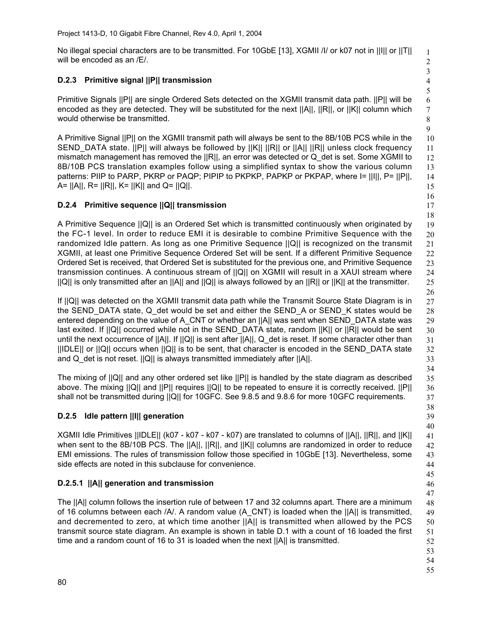No illegal special characters are to be transmitted. For [10GbE \[13\],](#page-21-0) XGMII /I/ or k07 not in ||I|| or ||T|| will be encoded as an /E/.

### **D.2.3 Primitive signal ||P|| transmission**

Primitive Signals ||P|| are single Ordered Sets detected on the XGMII transmit data path. ||P|| will be encoded as they are detected. They will be substituted for the next  $||A||$ ,  $||R||$ , or  $||K||$  column which would otherwise be transmitted.

A Primitive Signal ||P|| on the XGMII transmit path will always be sent to the 8B/10B PCS while in the SEND\_DATA state. ||P|| will always be followed by ||K|| ||R|| or ||A|| ||R|| unless clock frequency mismatch management has removed the ||R||, an error was detected or Q\_det is set. Some XGMII to 8B/10B PCS translation examples follow using a simplified syntax to show the various column patterns: PIIP to PARP, PKRP or PAQP; PIPIP to PKPKP, PAPKP or PKPAP, where I= ||I||, P= ||P||, A=  $||A||$ , R=  $||R||$ , K=  $||K||$  and Q=  $||Q||$ .

### **D.2.4 Primitive sequence ||Q|| transmission**

18 19 20 21 22 23 24 25 A Primitive Sequence ||Q|| is an Ordered Set which is transmitted continuously when originated by the FC-1 level. In order to reduce EMI it is desirable to combine Primitive Sequence with the randomized Idle pattern. As long as one Primitive Sequence ||Q|| is recognized on the transmit XGMII, at least one Primitive Sequence Ordered Set will be sent. If a different Primitive Sequence Ordered Set is received, that Ordered Set is substituted for the previous one, and Primitive Sequence transmission continues. A continuous stream of ||Q|| on XGMII will result in a XAUI stream where ||Q|| is only transmitted after an ||A|| and ||Q|| is always followed by an ||R|| or ||K|| at the transmitter.

27 28 29 30 31 32 33 If ||Q|| was detected on the XGMII transmit data path while the Transmit Source State Diagram is in the SEND\_DATA state, Q\_det would be set and either the SEND\_A or SEND\_K states would be entered depending on the value of A\_CNT or whether an  $||A||$  was sent when SEND\_DATA state was last exited. If ||Q|| occurred while not in the SEND\_DATA state, random ||K|| or ||R|| would be sent until the next occurrence of  $||A||$ . If  $||Q||$  is sent after  $||A||$ , Q det is reset. If some character other than ||IDLE|| or ||Q|| occurs when ||Q|| is to be sent, that character is encoded in the SEND\_DATA state and Q\_det is not reset. ||Q|| is always transmitted immediately after ||A||.

The mixing of ||Q|| and any other ordered set like ||P|| is handled by the state diagram as described above. The mixing ||Q|| and ||P|| requires ||Q|| to be repeated to ensure it is correctly received. ||P|| shall not be transmitted during  $||Q||$  for 10GFC. See [9.8.5](#page-71-0) and [9.8.6](#page-72-0) for more 10GFC requirements.

### **D.2.5 Idle pattern ||I|| generation**

XGMII Idle Primitives ||IDLE|| (k07 - k07 - k07 - k07) are translated to columns of ||A||, ||R||, and ||K|| when sent to the 8B/10B PCS. The  $||A||$ ,  $||R||$ , and  $||K||$  columns are randomized in order to reduce EMI emissions. The rules of transmission follow those specified in [10GbE \[13\].](#page-21-0) Nevertheless, some side effects are noted in this subclause for convenience.

### **D.2.5.1 ||A|| generation and transmission**

The ||A|| column follows the insertion rule of between 17 and 32 columns apart. There are a minimum of 16 columns between each /A/. A random value (A\_CNT) is loaded when the ||A|| is transmitted, and decremented to zero, at which time another ||A|| is transmitted when allowed by the PCS transmit source state diagram. An example is shown in [table D.1](#page-100-0) with a count of 16 loaded the first time and a random count of 16 to 31 is loaded when the next ||A|| is transmitted.

52 53

26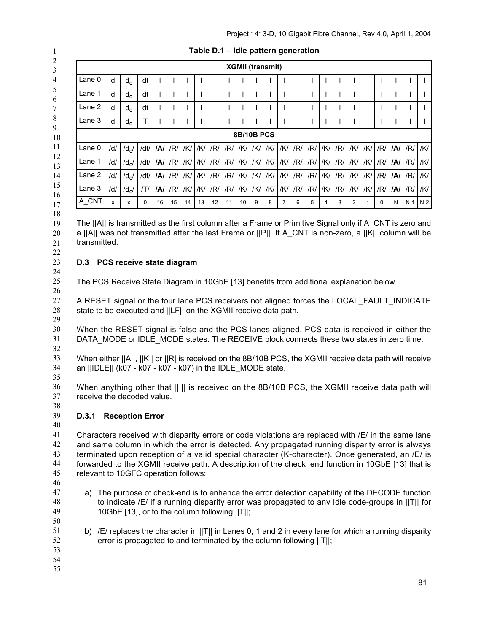|  |  | Table D.1 – Idle pattern generation |
|--|--|-------------------------------------|
|  |  |                                     |

<span id="page-100-0"></span>

|                   |     |        |      |      |     |     |     |     |     |     |     | <b>XGMII (transmit)</b> |     |     |     |     |     |     |     |     |     |       |
|-------------------|-----|--------|------|------|-----|-----|-----|-----|-----|-----|-----|-------------------------|-----|-----|-----|-----|-----|-----|-----|-----|-----|-------|
| Lane 0            | d   | $d_c$  | dt   |      |     |     |     |     |     |     |     |                         |     |     |     |     |     |     |     |     |     |       |
| Lane 1            | d   | $d_c$  | dt   |      |     |     |     |     |     |     |     |                         |     |     |     |     |     |     |     |     |     |       |
| Lane 2            | d   | $d_c$  | dt   |      |     |     |     |     |     |     |     |                         |     |     |     |     |     |     |     |     |     |       |
| Lane 3            | d   | $d_c$  | т    |      |     |     |     |     |     |     |     |                         |     |     |     |     |     |     |     |     |     |       |
| <b>8B/10B PCS</b> |     |        |      |      |     |     |     |     |     |     |     |                         |     |     |     |     |     |     |     |     |     |       |
| Lane 0            | /d/ | $/d_c$ | /dt/ | IAI  | /R/ | /K/ | /K/ | /R/ | /R/ | /K/ | /K/ | /K/                     | /K/ | /R/ | /R/ | /K/ | /R/ | /K/ | /K/ | /R/ | IAI | /R/   |
| Lane              | /d/ | $/d_c$ | /dt/ | A    | /R/ | /K/ | /K/ | /R/ | /R/ | /K/ | /K/ | /K/                     | /K/ | /R/ | /R/ | /K/ | /R/ | /K/ | /K/ | /R/ | IAI | /R/   |
| Lane 2            | /d/ | $/d_c$ | /dt/ | A    | /R/ | /K/ | /K/ | /R/ | /R/ | /K/ | /K/ | /K/                     | /K/ | /R/ | /R/ | /K/ | /R/ | /K/ | /K/ | /R/ | IAI | /R/   |
| Lane 3            | /d/ | $/d_c$ | /T/  | IAI. | /R/ | /K/ | /K/ | /R/ | /R/ | /K/ | /K/ | /K/                     | /K/ | /R/ | /R/ | /K/ | /R/ | /K/ | /K/ | /R/ | IAI | /R/   |
| A CNT             | x   | x      | 0    | 16   | 15  | 14  | 13  | 12  | 11  | 10  | 9   | 8                       |     | 6   | 5   | 4   | 3   | 2   |     | 0   | N   | $N-1$ |

The ||A|| is transmitted as the first column after a Frame or Primitive Signal only if A\_CNT is zero and a ||A|| was not transmitted after the last Frame or ||P||. If A\_CNT is non-zero, a ||K|| column will be transmitted.

# **D.3 PCS receive state diagram**

 The PCS Receive State Diagram in [10GbE \[13\]](#page-21-0) benefits from additional explanation below.

 A RESET signal or the four lane PCS receivers not aligned forces the LOCAL\_FAULT\_INDICATE state to be executed and ||LF|| on the XGMII receive data path.

 When the RESET signal is false and the PCS lanes aligned, PCS data is received in either the DATA\_MODE or IDLE\_MODE states. The RECEIVE block connects these two states in zero time.

 When either ||A||, ||K|| or ||R| is received on the 8B/10B PCS, the XGMII receive data path will receive an ||IDLE|| (k07 - k07 - k07 - k07) in the IDLE\_MODE state.

 When anything other that ||I|| is received on the 8B/10B PCS, the XGMII receive data path will receive the decoded value.

- **D.3.1 Reception Error**
- Characters received with disparity errors or code violations are replaced with /E/ in the same lane and same column in which the error is detected. Any propagated running disparity error is always terminated upon reception of a valid special character (K-character). Once generated, an /E/ is forwarded to the XGMII receive path. A description of the check\_end function in [10GbE \[13\]](#page-21-0) that is relevant to 10GFC operation follows:
	- a) The purpose of check-end is to enhance the error detection capability of the DECODE function to indicate /E/ if a running disparity error was propagated to any Idle code-groups in ||T|| for [10GbE \[13\],](#page-21-0) or to the column following ||T||;
	- b)  $/E/$  replaces the character in  $||T||$  in Lanes 0, 1 and 2 in every lane for which a running disparity error is propagated to and terminated by the column following ||T||;
-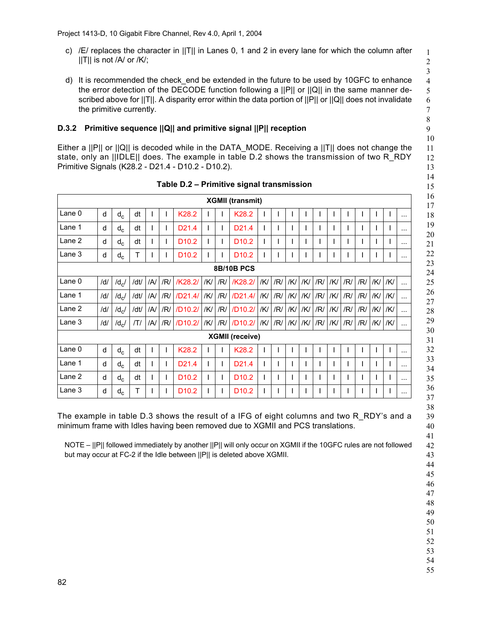- c)  $/E/$  replaces the character in  $||T||$  in Lanes 0, 1 and 2 in every lane for which the column after ||T|| is not /A/ or /K/;
- d) It is recommended the check\_end be extended in the future to be used by 10GFC to enhance the error detection of the DECODE function following a ||P|| or ||Q|| in the same manner described above for  $||T||$ . A disparity error within the data portion of  $||P||$  or  $||Q||$  does not invalidate the primitive currently.

# **D.3.2 Primitive sequence ||Q|| and primitive signal ||P|| reception**

Either a ||P|| or ||Q|| is decoded while in the DATA\_MODE. Receiving a ||T|| does not change the state, only an ||IDLE|| does. The example in [table D.2](#page-101-0) shows the transmission of two R\_RDY Primitive Signals (K28.2 - D21.4 - D10.2 - D10.2).

<span id="page-101-0"></span>

|        | <b>XGMII (transmit)</b> |          |      |                |     |                      |     |              |                        |     |     |     |     |     |     |     |     |     |     |          |
|--------|-------------------------|----------|------|----------------|-----|----------------------|-----|--------------|------------------------|-----|-----|-----|-----|-----|-----|-----|-----|-----|-----|----------|
| Lane 0 | d                       | $d_c$    | dt   |                |     | K28.2                |     |              | K28.2                  |     |     |     |     |     |     |     |     |     |     | $\cdots$ |
| Lane 1 | d                       | $d_c$    | dt   |                |     | D <sub>21.4</sub>    |     | I            | D <sub>21.4</sub>      |     |     |     |     |     |     |     |     |     |     | $\cdots$ |
| Lane 2 | d                       | $d_c$    | dt   |                |     | D <sub>10.2</sub>    |     | I            | D <sub>10.2</sub>      |     |     |     |     |     |     |     |     |     |     | $\cdots$ |
| Lane 3 | d                       | $d_c$    | T    |                |     | D <sub>10.2</sub>    |     | ı            | D <sub>10.2</sub>      |     |     |     |     |     |     |     |     |     |     | $\cdots$ |
|        | <b>8B/10B PCS</b>       |          |      |                |     |                      |     |              |                        |     |     |     |     |     |     |     |     |     |     |          |
| Lane 0 | /d/                     | $/d_{c}$ | /dt/ | $\overline{A}$ | /R/ | /K28.2/              | /K/ | /R/          | /K28.2/                | /K/ | /R/ | /K/ | /K/ | /R/ | /K/ | /R/ | /R/ | /K/ | /K/ | $\cdots$ |
| Lane 1 | /d/                     | $/d_c$   | /dt/ | /A/            | /R/ | /D21.4/              | /K/ | /R/          | /D21.4/                | /K/ | /R/ | /K/ | /K/ | /R/ | /K/ | /R/ | /R/ | /K/ | /K/ | $\cdots$ |
| Lane 2 | /d/                     | $/d_c$   | /dt/ | /A/            | /R/ | /D <sub>10.2</sub> / | /K/ | /R/          | /D <sub>10.2</sub> /   | /K/ | /R/ | /K/ | /K/ | /R/ | /K/ | /R/ | /R/ | /K/ | /K/ | $\cdots$ |
| Lane 3 | /d/                     | $/d_c$   | /T/  | /A/            | /R/ | /D <sub>10.2</sub> / | /K/ | /R/          | /D <sub>10.2</sub> /   | /K/ | /R/ | /K/ | /K/ | /R/ | /K/ | /R/ | /R/ | /K/ | /K/ | $\cdots$ |
|        |                         |          |      |                |     |                      |     |              | <b>XGMII</b> (receive) |     |     |     |     |     |     |     |     |     |     |          |
| Lane 0 | d                       | $d_c$    | dt   |                |     | K28.2                |     | $\mathsf{l}$ | K28.2                  |     |     |     |     |     |     |     |     |     |     | $\cdots$ |
| Lane 1 | d                       | $d_c$    | dt   |                |     | D <sub>21.4</sub>    |     | I            | D <sub>21.4</sub>      |     |     |     |     |     |     | ı   |     |     |     | $\cdots$ |
| Lane 2 | d                       | $d_c$    | dt   |                |     | D <sub>10.2</sub>    |     | $\mathsf{l}$ | D <sub>10.2</sub>      |     |     |     |     |     |     |     |     |     |     | $\cdots$ |
| Lane 3 | d                       | $d_c$    | Т    |                |     | D <sub>10.2</sub>    |     | I            | D <sub>10.2</sub>      |     |     |     |     |     |     |     |     |     |     | $\cdots$ |

### **Table D.2 – Primitive signal transmission**

The example in [table D.3](#page-102-0) shows the result of a IFG of eight columns and two R\_RDY's and a minimum frame with Idles having been removed due to XGMII and PCS translations.

NOTE – ||P|| followed immediately by another ||P|| will only occur on XGMII if the 10GFC rules are not followed but may occur at FC-2 if the Idle between  $||P||$  is deleted above XGMII.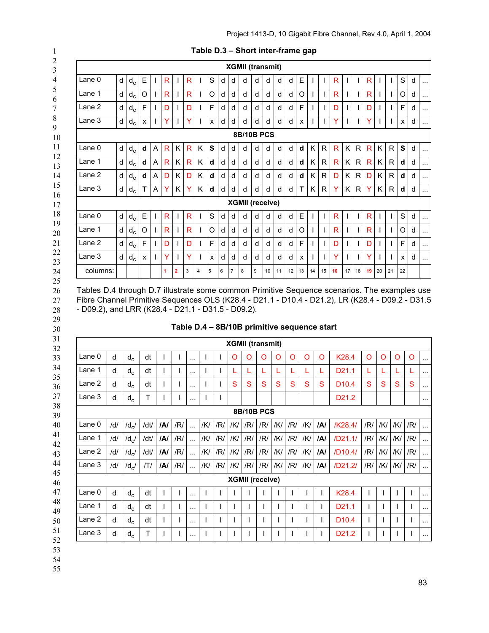|  |  |  | Project 1413-D, 10 Gigabit Fibre Channel, Rev 4.0, April 1, 2004 |  |
|--|--|--|------------------------------------------------------------------|--|
|--|--|--|------------------------------------------------------------------|--|

|  |  |  | Table D.3 – Short inter-frame gap |  |
|--|--|--|-----------------------------------|--|
|--|--|--|-----------------------------------|--|

 

<span id="page-102-0"></span>

|                   |   |         |   |   |              |                         |   |   |                           |   |                | <b>XGMII (transmit)</b> |   |    |    |    |    |    |              |    |    |              |    |    |              |             |   |           |
|-------------------|---|---------|---|---|--------------|-------------------------|---|---|---------------------------|---|----------------|-------------------------|---|----|----|----|----|----|--------------|----|----|--------------|----|----|--------------|-------------|---|-----------|
| Lane 0            | d | $d_c$   | E |   | R            |                         | R |   | S                         | d | d              | d                       | d | d  | d  | d  | E  |    |              | R  |    |              | R  |    |              | S           | d | $\ddotsc$ |
| Lane 1            | d | $d_c$   | O |   | R            |                         | R |   | O                         | d | d              | d                       | d | d  | d  | d  | O  |    |              | R  |    |              | R  |    |              | O           | d | $\ddotsc$ |
| Lane 2            | d | $d_c$   | F |   | D            |                         | D |   | F                         | d | d              | d                       | d | d  | d  | d  | F  |    |              | D  |    |              | D  |    |              | F           | d | $\cdots$  |
| Lane 3            | d | $d_c$   | x |   | ⋎            |                         | Y |   | $\boldsymbol{\mathsf{x}}$ | d | d              | d                       | d | d  | d  | d  | X  |    |              | Ÿ  | ı  |              | Y  |    |              | x           | d | $\cdots$  |
|                   |   |         |   |   |              |                         |   |   |                           |   |                | <b>8B/10B PCS</b>       |   |    |    |    |    |    |              |    |    |              |    |    |              |             |   |           |
| Lane 0            | d | $d_c$   | d | A | $\mathsf{R}$ | K.                      | R | Κ | S                         | d | d              | d                       | d | d  | d  | d  | d  | K  | $\mathsf{R}$ | R  | Κ  | $\mathsf{R}$ | R  | K. | R            | S           | d | $\cdots$  |
| Lane 1            | d | $d_c$   | d | A | R            | K.                      | R | Κ | d                         | d | d              | d                       | d | d  | d  | d  | d  | K  | $\mathsf{R}$ | R. | K. | $\mathsf{R}$ | R  | K  | R            | d           | d | $\ddotsc$ |
| Lane 2            | d | $d_c$   | d | A | D            | K                       | D | Κ | d                         | d | d              | d                       | d | d  | d  | d  | d  | K  | R            | D  | Κ  | R            | D  | K  | R.           | d           | d | $\cdots$  |
| Lane 3            | d | $d_c$   | т | A |              | K.                      | Y | Κ | d                         | d | d              | d                       | d | d  | d  | d  | т  | K  | $\mathsf{R}$ | Y  | K. | $\mathsf{R}$ | Y  | K. | $\mathsf{R}$ | $\mathbf d$ | d | $\cdots$  |
|                   |   |         |   |   |              |                         |   |   |                           |   |                | <b>XGMII</b> (receive)  |   |    |    |    |    |    |              |    |    |              |    |    |              |             |   |           |
| Lane <sub>0</sub> | d | $d_c$   | E |   | R            |                         | R |   | S                         | d | d              | d                       | d | d  | d  | d  | E  |    |              | R  |    |              | R  |    |              | S           | d | $\ddotsc$ |
| Lane 1            | d | $d_c$   | O |   | R            |                         | R |   | $\circ$                   | d | d              | d                       | d | d  | d  | d  | O  |    |              | R  |    |              | R  |    |              | O           | d | $\cdots$  |
| Lane 2            | d | $d_c$   | F |   | D            |                         | D |   | F                         | d | d              | d                       | d | d  | d  | d  | F  |    |              | D  |    |              | D  |    |              | F           | d | $\ddotsc$ |
| Lane 3            | d | $d_{c}$ | X |   |              |                         | Y |   | X                         | d | d              | d                       | d | d  | d  | d  | x  |    |              | Y  |    |              | Y  |    |              | X           | d | $\cdots$  |
| columns:          |   |         |   |   | 1            | $\overline{\mathbf{2}}$ | 3 | 4 | 5                         | 6 | $\overline{7}$ | 8                       | 9 | 10 | 11 | 12 | 13 | 14 | 15           | 16 | 17 | 18           | 19 | 20 | 21           | 22          |   |           |

Tables [D.4](#page-102-1) through [D.7](#page-104-0) illustrate some common Primitive Sequence scenarios. The examples use Fibre Channel Primitive Sequences OLS (K28.4 - D21.1 - D10.4 - D21.2), LR (K28.4 - D09.2 - D31.5 - D09.2), and LRR (K28.4 - D21.1 - D31.5 - D09.2).

<span id="page-102-1"></span>

|                   |     |          |      |            |     |           |          |     |     |     | <b>XGMII (transmit)</b> |     |     |         |            |                      |         |         |         |     |
|-------------------|-----|----------|------|------------|-----|-----------|----------|-----|-----|-----|-------------------------|-----|-----|---------|------------|----------------------|---------|---------|---------|-----|
| Lane 0            | d   | $d_c$    | dt   |            |     | .         |          |     | O   | O   | O                       | O   | O   | $\circ$ | O          | K28.4                | $\circ$ | $\circ$ | $\circ$ | O   |
| Lane 1            | d   | $d_c$    | dt   | L          |     | $\cdots$  | <b>I</b> |     | L   | L   | I.                      | L   | L   | L       | L          | D21.1                | L       | L       |         |     |
| Lane 2            | d   | $d_c$    | dt   | н          |     | $\ddotsc$ | I        |     | S   | S   | S                       | S   | S   | S       | S          | D <sub>10.4</sub>    | S       | S       | S       | S   |
| Lane 3            | d   | $d_c$    | Τ    | L          |     | $\cdots$  | I        |     |     |     |                         |     |     |         |            | D21.2                |         |         |         |     |
|                   |     |          |      |            |     |           |          |     |     |     | <b>8B/10B PCS</b>       |     |     |         |            |                      |         |         |         |     |
| Lane 0            | /d/ | $/d_c$   | /dt/ | IAI        | /R/ | $\ddotsc$ | /K/      | /R/ | /K/ | /R/ | /R/                     | /K/ | /R/ | /K/     | <b>IAI</b> | /K28.4/              | /R/     | /K/     | /K/     | /R/ |
| Lane 1            | /d/ | $/d_c$   | /dt/ | <b>IAI</b> | /R/ | $\ddotsc$ | /K/      | /R/ | /K/ | /R/ | /R/                     | /K/ | /R/ | /K/     | <b>IAI</b> | /D21.1/              | /R/     | /K/     | /K/     | /R/ |
| Lane 2            | /d/ | $/d_{c}$ | /dt/ | <b>IAI</b> | /R/ | $\ddotsc$ | /K/      | /R/ | /K/ | /R/ | /R/                     | K   | /R/ | /K/     | IAI        | /D <sub>10.4</sub> / | /R/     | /K/     | /K/     | /R/ |
| Lane 3            | /d/ | $/d_c$   | /T/  | IAI        | /R/ | $\cdot$   | /K/      | /R/ | /K/ | /R/ | /R/                     | /K/ | /R/ | /K/     | <b>IAI</b> | /D21.2/              | /R/     | /K/     | K       | /R/ |
|                   |     |          |      |            |     |           |          |     |     |     | <b>XGMII</b> (receive)  |     |     |         |            |                      |         |         |         |     |
| Lane <sub>0</sub> | d   | $d_c$    | dt   | L          |     | $\ddotsc$ |          |     |     |     |                         |     |     |         |            | K28.4                |         |         |         |     |
| Lane 1            | d   | $d_c$    | dt   | L          |     | $\ddotsc$ | ı        |     |     |     |                         |     | L   |         | L          | D21.1                |         |         |         |     |
| Lane 2            | d   | $d_c$    | dt   | ı          |     | $\ddotsc$ | <b>I</b> |     |     |     |                         |     | I.  |         | L          | D <sub>10.4</sub>    | I       | I.      |         |     |
| Lane 3            | d   | $d_c$    | т    |            |     | $\cdots$  | I        |     |     |     |                         |     |     |         | L          | D21.2                |         |         |         |     |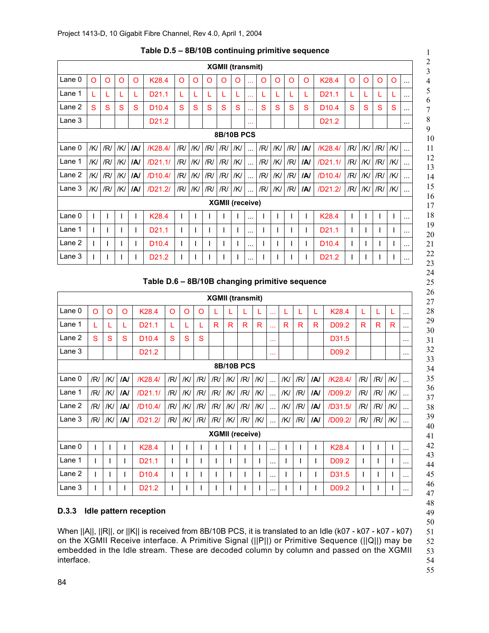|        |                   |     |     |     |                      |     |     |     | <b>XGMII (transmit)</b> |     |          |     |     |     |     |                      |     |     |     |         |           |
|--------|-------------------|-----|-----|-----|----------------------|-----|-----|-----|-------------------------|-----|----------|-----|-----|-----|-----|----------------------|-----|-----|-----|---------|-----------|
| Lane 0 | O                 | O   | O   | O   | K28.4                | O   | O   | O   | O                       | O   |          | O   | O   | O   | O   | K28.4                | O   | O   | O   | $\circ$ | $\cdots$  |
| Lane 1 | L                 |     | L   | L   | D <sub>21.1</sub>    | L   | L   | L   | L                       | L   |          | L   | L   | L   | L   | D <sub>21.1</sub>    |     |     | L   | L       | $\cdots$  |
| Lane 2 | S                 | S   | S   | S   | D <sub>10.4</sub>    | S   | S   | S   | S                       | S   |          | S   | S   | S   | S   | D <sub>10.4</sub>    | S   | S   | S   | S       | $\cdots$  |
| Lane 3 |                   |     |     |     | D <sub>21.2</sub>    |     |     |     |                         |     | $\cdots$ |     |     |     |     | D <sub>21.2</sub>    |     |     |     |         | $\cdots$  |
|        | <b>8B/10B PCS</b> |     |     |     |                      |     |     |     |                         |     |          |     |     |     |     |                      |     |     |     |         |           |
| Lane 0 | /K/               | /R/ | /K/ | IN  | /K28.4/              | /R/ | /K/ | /R/ | /R/                     | /K/ |          | /R/ | /K/ | /R/ | IN  | /K28.4/              | /R/ | /K/ | /R/ | /K/     | $\ddotsc$ |
| Lane 1 | /K/               | /R/ | /K/ | IN  | /D21.1/              | /R/ | /K/ | /R/ | /R/                     | /K/ |          | /R/ | /K/ | /R/ | IN. | /D21.1/              | /R/ | /K/ | /R/ | /K/     | $\ddotsc$ |
| Lane 2 | /K/               | /R/ | /K/ | /A/ | /D <sub>10.4</sub> / | /R/ | /K/ | /R/ | /R                      | /K/ |          | /R/ | /K/ | /R/ | IN  | /D <sub>10.4</sub> / | /R/ | /K/ | /R/ | /K/     | $\ddotsc$ |
| Lane 3 | /K/               | /R/ | /K/ | IN  | /D21.2/              | /R/ | /K/ | /R/ | /R/                     | /K/ |          | /R/ | /K/ | /R/ | IN. | /D21.2/              | /R/ | /K/ | /R/ | /K/     | $\cdots$  |
|        |                   |     |     |     |                      |     |     |     | <b>XGMII</b> (receive)  |     |          |     |     |     |     |                      |     |     |     |         |           |
| Lane 0 |                   |     |     |     | K28.4                |     |     |     |                         |     | $\cdots$ |     |     |     |     | K28.4                |     |     |     |         |           |
| Lane 1 |                   | I   |     |     | D <sub>21.1</sub>    |     |     |     | I                       | I.  |          |     |     | ı   | ı   | D <sub>21.1</sub>    |     |     |     |         |           |
| Lane 2 |                   |     |     |     | D <sub>10.4</sub>    |     |     |     |                         |     |          |     |     |     |     | D <sub>10.4</sub>    |     |     |     |         | $\cdots$  |
| Lane 3 |                   |     |     |     | D <sub>21.2</sub>    |     |     |     |                         |     |          |     |     |     |     | D <sub>21.2</sub>    |     |     |     |         | $\cdots$  |

**Table D.5 – 8B/10B continuing primitive sequence**

# **Table D.6 – 8B/10B changing primitive sequence**

|                   |          |     |    |                   |     |     |     |     |     | <b>XGMII (transmit)</b> |     |           |     |     |     |         |              |     |     |           |
|-------------------|----------|-----|----|-------------------|-----|-----|-----|-----|-----|-------------------------|-----|-----------|-----|-----|-----|---------|--------------|-----|-----|-----------|
| Lane 0            | $\Omega$ | O   | O  | K28.4             | O   | O   | O   |     |     |                         |     | .         |     | L   | L   | K28.4   | L            | L   | L   | $\cdots$  |
| Lane 1            | L        |     | L  | D <sub>21.1</sub> | I.  |     |     | R   | R   | R                       | R   |           | R   | R   | R   | D09.2   | R            | R   | R   | $\cdots$  |
| Lane 2            | S        | S   | S  | D <sub>10.4</sub> | S   | S   | S   |     |     |                         |     |           |     |     |     | D31.5   |              |     |     | $\cdots$  |
| Lane 3            |          |     |    | D <sub>21.2</sub> |     |     |     |     |     |                         |     |           |     |     |     | D09.2   |              |     |     | $\cdots$  |
| <b>8B/10B PCS</b> |          |     |    |                   |     |     |     |     |     |                         |     |           |     |     |     |         |              |     |     |           |
| Lane 0            | /R/      | /K/ | IN | /K28.4/           | /R/ | /K/ | /R/ | /R/ | /K/ | /R/                     | /K/ | $\ddotsc$ | /K/ | /R/ | IN  | /K28.4/ | /R/          | /R/ | /K/ | $\ddotsc$ |
| Lane 1            | /R/      | /K/ | IN | /D21.1/           | /R/ | /K/ | /R/ | /R/ | /K/ | /R/                     | /K/ | $\ddotsc$ | /K/ | /R/ | IN. | /D09.2/ | /R/          | /R/ | /K/ | $\cdots$  |
| Lane 2            | /R/      | /K/ | IN | /D10.4/           | /R/ | /K/ | /R/ | /R/ | /K/ | /R/                     | /K/ | $\ddotsc$ | /K/ | /R/ | IN  | /D31.5/ | /R/          | /R/ | /K/ | $\ddotsc$ |
| Lane 3            | /R/      | /K/ | IN | /D21.2/           | /R/ | /K/ | /R/ | /R/ | /K/ | /R/                     | /K/ | $\ddotsc$ | /K/ | /R/ | IN  | /D09.2/ | /R/          | /R/ | /K/ | .         |
|                   |          |     |    |                   |     |     |     |     |     | <b>XGMII</b> (receive)  |     |           |     |     |     |         |              |     |     |           |
| Lane 0            |          |     |    | K28.4             |     |     |     |     |     |                         |     | $\ddotsc$ |     |     |     | K28.4   | I            |     |     | $\cdots$  |
| Lane 1            |          |     |    | D <sub>21.1</sub> |     |     |     |     |     |                         |     | $\cdot$   | ı   | ш   |     | D09.2   | $\mathbf{I}$ |     |     | $\cdots$  |
| Lane 2            |          |     |    | D <sub>10.4</sub> |     |     |     |     |     |                         |     | .         |     |     |     | D31.5   | ı            |     |     | $\cdots$  |
| Lane 3            |          |     |    | D <sub>21.2</sub> |     |     |     |     |     |                         |     | .         |     |     |     | D09.2   | L            |     |     | $\cdots$  |

# **D.3.3 Idle pattern reception**

When  $||A||$ ,  $||R||$ , or  $||K||$  is received from 8B/10B PCS, it is translated to an Idle (k07 - k07 - k07 - k07) on the XGMII Receive interface. A Primitive Signal (||P||) or Primitive Sequence (||Q||) may be embedded in the Idle stream. These are decoded column by column and passed on the XGMII interface.

1 2

49 50 51

52 53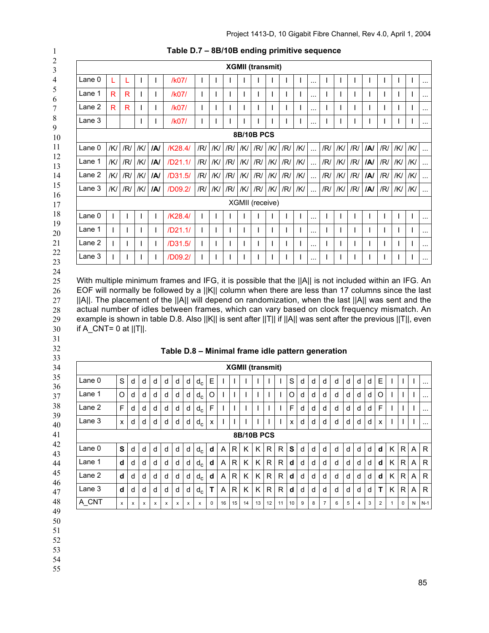<span id="page-104-0"></span>

|        |     |     |     |            |         |     |     |     |         | <b>XGMII (transmit)</b> |     |     |     |           |     |     |     |            |     |     |     |
|--------|-----|-----|-----|------------|---------|-----|-----|-----|---------|-------------------------|-----|-----|-----|-----------|-----|-----|-----|------------|-----|-----|-----|
| Lane 0 |     |     |     |            | /k07/   |     |     |     |         |                         |     |     |     |           |     |     |     |            |     |     |     |
| Lane 1 | R   | R   |     | ı.         | /k07/   |     | I.  |     |         |                         | I   |     |     | $\ddotsc$ |     |     |     |            |     |     |     |
| Lane 2 | R   | R   |     |            | /k07/   |     |     |     |         |                         |     |     |     | $\ddotsc$ |     |     |     |            |     |     |     |
| Lane 3 |     |     |     |            | /k07/   |     |     |     |         |                         |     |     |     | $\ddotsc$ |     |     |     |            |     |     |     |
|        |     |     |     |            |         |     |     |     |         | <b>8B/10B PCS</b>       |     |     |     |           |     |     |     |            |     |     |     |
| Lane 0 | /K/ | /R/ | /K/ | IAI        | /K28.4/ | /R/ | /K/ | /R/ | /K/     | /R/                     | /K/ | /R/ | /K/ | $\ddotsc$ | /R/ | /K/ | /R/ | <b>IAI</b> | /R/ | /K/ | /K/ |
| Lane 1 | /K/ | /R/ | /K/ | <b>IAI</b> | /D21.1/ | /R/ | /K/ |     | /R/ /K/ | /R/                     | /K/ | /R/ | /K/ | $\ddotsc$ | /R/ | /K/ | /R/ | IAI        | /R/ | /K/ | /K/ |
| Lane 2 | /K/ | /R/ | K   | <b>IAI</b> | /D31.5/ | /R/ | /K/ | /R/ | /K/     | /R/                     | /K/ | /R/ | /K/ | $\ddotsc$ | /R/ | /K/ | /R/ | IAI        | /R/ | /K/ | /K/ |
| Lane 3 | /K/ | /R/ | K   | IAI        | /D09.2/ | /R/ | /K/ | /R/ | /K/     | /R/                     | /K/ | /R/ | /K/ | $\ddotsc$ | /R/ | /K/ | /R/ | A          | IR/ | /K/ | /K/ |
|        |     |     |     |            |         |     |     |     |         | XGMII (receive)         |     |     |     |           |     |     |     |            |     |     |     |
| Lane 0 |     |     |     | I.         | /K28.4/ |     |     |     |         |                         |     |     |     |           |     |     |     |            |     |     |     |
| Lane 1 |     |     |     | I.         | /D21.1/ |     |     |     |         |                         | L   |     |     | $\ddotsc$ |     |     |     |            |     |     |     |
| Lane 2 |     |     |     |            | /D31.5/ |     |     |     |         |                         |     |     |     | $\ddotsc$ |     |     |     |            |     |     |     |
| Lane 3 |     |     |     |            | /D09.2/ |     |     |     |         |                         |     |     |     | .         |     |     |     |            |     |     |     |

**Table D.7 – 8B/10B ending primitive sequence**

 With multiple minimum frames and IFG, it is possible that the ||A|| is not included within an IFG. An EOF will normally be followed by a ||K|| column when there are less than 17 columns since the last ||A||. The placement of the ||A|| will depend on randomization, when the last ||A|| was sent and the actual number of idles between frames, which can vary based on clock frequency mismatch. An example is shown in [table D.8.](#page-104-1) Also  $||K||$  is sent after  $||T||$  if  $||A||$  was sent after the previous  $||T||$ , even if  $A_CNT = 0$  at  $||T||$ .

<span id="page-104-1"></span>**Table D.8 – Minimal frame idle pattern generation XGMII (transmit)** Lane 0 Sd d d d dddc E I I I I I I S d d d d d d d E I I I ... Lane 1 |O|d|d|d|d|d|d|d<sub>c</sub>|O|+|+|+|+|+|+|O|d|d|d|d|d|d|d|O|+|+|+|... Lane 2 Fd d d d dddc F I I I I I I F d d d d d d d F I I I ... Lane 3 x d d d d dddc x I I I I I I x d d d d d d d x I I I ... **8B/10B PCS** Lane 0 **S** d d d d dddc **d** ARK KRR **S** ddd dddd **d** KRAR Lane 1 **d** | **d** | d | d | d | d | d | d | d | A | R | K | K | R | **d** | d | d | d | d | d | d | d | K | R | A | R Lane 2 | **d** | d | d | d | d | d | d | d | d | A | R | K | K | R | **d** | d | d | d | d | d | d | d | K | R | A | R Lane 3 **d** d d d d dddc **T** ARK KRR **d** ddd dddd **T** KRAR A\_CNT x x x x x x x x 0 16 15 14 13 12 11 10 9 8 7 6 5 4 3 2 1 0 N N-1

 

 

 

 

- 
- 
- 
- 
-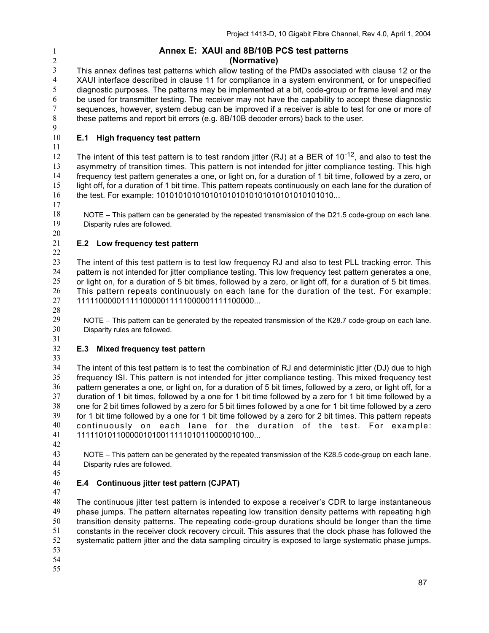# **Annex E: XAUI and 8B/10B PCS test patterns (Normative)**

3 4 5 6 7 8 9 This annex defines test patterns which allow testing of the PMDs associated with [clause 12](#page-80-0) or the XAUI interface described in [clause 11](#page-78-0) for compliance in a system environment, or for unspecified diagnostic purposes. The patterns may be implemented at a bit, code-group or frame level and may be used for transmitter testing. The receiver may not have the capability to accept these diagnostic sequences, however, system debug can be improved if a receiver is able to test for one or more of these patterns and report bit errors (e.g. 8B/10B decoder errors) back to the user.

#### 10 **E.1 High frequency test pattern**

12 13 14 15 16 The intent of this test pattern is to test random jitter (RJ) at a BER of 10<sup>-12</sup>, and also to test the asymmetry of transition times. This pattern is not intended for jitter compliance testing. This high frequency test pattern generates a one, or light on, for a duration of 1 bit time, followed by a zero, or light off, for a duration of 1 bit time. This pattern repeats continuously on each lane for the duration of the test. For example: 1010101010101010101010101010101010101010...

17 18

19 20

11

1 2

> NOTE – This pattern can be generated by the repeated transmission of the D21.5 code-group on each lane. Disparity rules are followed.

#### 21 22 **E.2 Low frequency test pattern**

23 24 25 26 27 The intent of this test pattern is to test low frequency RJ and also to test PLL tracking error. This pattern is not intended for jitter compliance testing. This low frequency test pattern generates a one, or light on, for a duration of 5 bit times, followed by a zero, or light off, for a duration of 5 bit times. This pattern repeats continuously on each lane for the duration of the test. For example: 1111100000111110000011111000001111100000...

28 29

30 31

NOTE – This pattern can be generated by the repeated transmission of the K28.7 code-group on each lane. Disparity rules are followed.

# **E.3 Mixed frequency test pattern**

32 33

43 44 45

34 35 36 37 38 39 40 41 42 The intent of this test pattern is to test the combination of RJ and deterministic jitter (DJ) due to high frequency ISI. This pattern is not intended for jitter compliance testing. This mixed frequency test pattern generates a one, or light on, for a duration of 5 bit times, followed by a zero, or light off, for a duration of 1 bit times, followed by a one for 1 bit time followed by a zero for 1 bit time followed by a one for 2 bit times followed by a zero for 5 bit times followed by a one for 1 bit time followed by a zero for 1 bit time followed by a one for 1 bit time followed by a zero for 2 bit times. This pattern repeats continuously on each lane for the duration of the test. For example: 1111101011000001010011111010110000010100...

NOTE – This pattern can be generated by the repeated transmission of the K28.5 code-group on each lane. Disparity rules are followed.

#### 46 47 **E.4 Continuous jitter test pattern (CJPAT)**

48 49 50 51 52 The continuous jitter test pattern is intended to expose a receiver's CDR to large instantaneous phase jumps. The pattern alternates repeating low transition density patterns with repeating high transition density patterns. The repeating code-group durations should be longer than the time constants in the receiver clock recovery circuit. This assures that the clock phase has followed the systematic pattern jitter and the data sampling circuitry is exposed to large systematic phase jumps.

- 53
- 54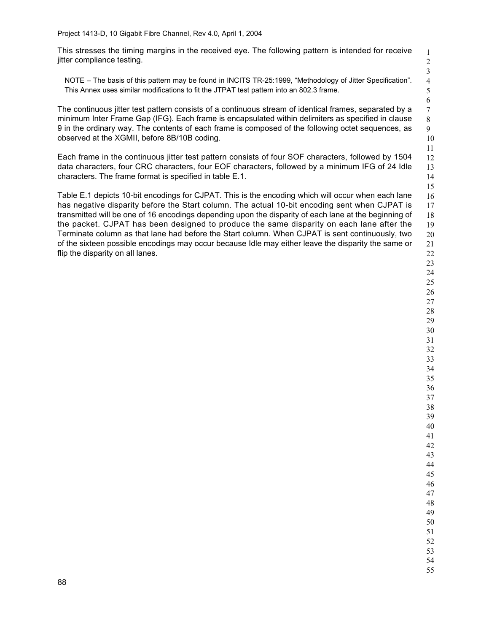This stresses the timing margins in the received eye. The following pattern is intended for receive jitter compliance testing.

NOTE – The basis of this pattern may be found in INCITS TR-25:1999, "Methodology of Jitter Specification". This Annex uses similar modifications to fit the JTPAT test pattern into an 802.3 frame.

The continuous jitter test pattern consists of a continuous stream of identical frames, separated by a minimum Inter Frame Gap (IFG). Each frame is encapsulated within delimiters as specified in [clause](#page-60-1) in the ordinary way. The contents of each frame is composed of the following octet sequences, as observed at the XGMII, before 8B/10B coding.

 Each frame in the continuous jitter test pattern consists of four SOF characters, followed by 1504 data characters, four CRC characters, four EOF characters, followed by a minimum IFG of 24 Idle characters. The frame format is specified in [table E.1.](#page-108-0)

 [Table E.1](#page-108-0) depicts 10-bit encodings for CJPAT. This is the encoding which will occur when each lane has negative disparity before the Start column. The actual 10-bit encoding sent when CJPAT is transmitted will be one of 16 encodings depending upon the disparity of each lane at the beginning of the packet. CJPAT has been designed to produce the same disparity on each lane after the Terminate column as that lane had before the Start column. When CJPAT is sent continuously, two of the sixteen possible encodings may occur because Idle may either leave the disparity the same or flip the disparity on all lanes.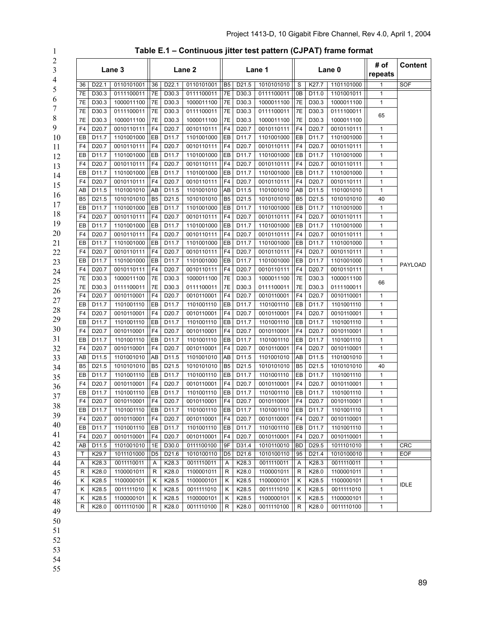| 1      | Table E.1 - Continuous jitter test pattern (CJPAT) frame format |                   |                          |                      |                   |                          |                |                   |                          |                             |                   |                          |                   |             |
|--------|-----------------------------------------------------------------|-------------------|--------------------------|----------------------|-------------------|--------------------------|----------------|-------------------|--------------------------|-----------------------------|-------------------|--------------------------|-------------------|-------------|
| 2<br>3 |                                                                 | Lane 3            |                          |                      | Lane <sub>2</sub> |                          |                | Lane 1            |                          |                             |                   | Lane 0                   | # of<br>repeats   | Content     |
| 4      | 36                                                              | D22.1             | 0110101001               | 36                   | D22.1             | 0110101001               | B <sub>5</sub> | D21.5             | 1010101010               | S                           | K27.7             | 1101101000               | 1                 | <b>SOF</b>  |
| 5      | 7E                                                              | D30.3             | 0111100011               | 7E                   | D30.3             | 0111100011               | 7E             | D30.3             | 0111100011               | 0B                          | D11.0             | 1101001011               | 1                 |             |
| 6      | 7E                                                              | D30.3             | 1000011100               | 7E                   | D30.3             | 1000011100               | 7E             | D30.3             | 1000011100               | 7E                          | D30.3             | 1000011100               | 1                 |             |
| 7      | 7E                                                              | D30.3             | 0111100011               | 7E                   | D30.3             | 0111100011               | 7E             | D30.3             | 0111100011               | 7E                          | D30.3             | 0111100011               |                   |             |
| 8      | 7E                                                              | D30.3             | 1000011100               | 7E                   | D30.3             | 1000011100               | 7E             | D30.3             | 1000011100               | 7E                          | D30.3             | 1000011100               | 65                |             |
| 9      | F <sub>4</sub>                                                  | D20.7             | 0010110111               | F <sub>4</sub>       | D20.7             | 0010110111               | F4             | D20.7             | 0010110111               | F <sub>4</sub>              | D20.7             | 0010110111               | 1                 |             |
| 10     | EB                                                              | D11.7             | 1101001000               | EB                   | D11.7             | 1101001000               | EB             | D11.7             | 1101001000               | EB                          | D11.7             | 1101001000               | 1                 |             |
| 11     | F4                                                              | D <sub>20.7</sub> | 0010110111               | F <sub>4</sub>       | D20.7             | 0010110111               | F <sub>4</sub> | D20.7             | 0010110111               | F <sub>4</sub>              | D20.7             | 0010110111               | 1                 |             |
| 12     | EВ                                                              | D11.7             | 1101001000               | EB                   | D11.7             | 1101001000               | EB             | D11.7             | 1101001000               | EB                          | D11.7             | 1101001000               | 1                 |             |
| 13     | F4                                                              | D20.7             | 0010110111               | F4                   | D20.7             | 0010110111               | F4             | D20.7             | 0010110111               | F <sub>4</sub>              | D20.7             | 0010110111               | $\mathbf{1}$      |             |
| 14     | EB                                                              | D11.7             | 1101001000               | EB                   | D11.7             | 1101001000               | EB             | D11.7             | 1101001000               | EB                          | D11.7             | 1101001000               | 1                 |             |
| 15     | F4                                                              | D20.7             | 0010110111               | F <sub>4</sub>       | D20.7             | 0010110111               | F <sub>4</sub> | D20.7             | 0010110111               | F <sub>4</sub>              | D20.7             | 0010110111               | $\mathbf{1}$      |             |
| 16     | AB                                                              | D11.5             | 1101001010               | AB                   | D11.5             | 1101001010               | AB             | D11.5             | 1101001010               | AB                          | D11.5             | 1101001010               | 1                 |             |
| 17     | B <sub>5</sub>                                                  | D21.5             | 1010101010               | <b>B5</b>            | D21.5             | 1010101010               | B <sub>5</sub> | D21.5             | 1010101010               | B <sub>5</sub>              | D21.5             | 1010101010               | 40                |             |
|        | EB                                                              | D11.7             | 1101001000               | EB                   | D11.7             | 1101001000               | EB             | D11.7             | 1101001000               | EB                          | D11.7             | 1101001000               | 1                 |             |
| 18     | F4                                                              | D20.7             | 0010110111               | F <sub>4</sub>       | D20.7             | 0010110111               | F <sub>4</sub> | D20.7             | 0010110111               | F <sub>4</sub>              | D20.7             | 0010110111               | $\mathbf{1}$      |             |
| 19     | EB                                                              | D11.7             | 1101001000               | EB                   | D11.7             | 1101001000               | EB             | D11.7             | 1101001000               | EB                          | D11.7             | 1101001000               | 1                 |             |
| 20     | F4                                                              | D20.7             | 0010110111               | F <sub>4</sub>       | D20.7             | 0010110111               | F <sub>4</sub> | D20.7             | 0010110111               | F <sub>4</sub>              | D20.7             | 0010110111               | $\mathbf{1}$      |             |
| 21     | EB                                                              | D11.7             | 1101001000               | EB                   | D11.7             | 1101001000               | EB             | D11.7             | 1101001000               | EB                          | D11.7             | 1101001000               | 1                 |             |
| 22     | F <sub>4</sub>                                                  | D <sub>20.7</sub> | 0010110111               | F <sub>4</sub>       | D20.7             | 0010110111               | F <sub>4</sub> | D <sub>20.7</sub> | 0010110111               | F <sub>4</sub>              | D <sub>20.7</sub> | 0010110111               | 1                 |             |
| 23     | EB                                                              | D11.7             | 1101001000               | EB                   | D11.7             | 1101001000               | EB             | D11.7             | 1101001000               | EB                          | D11.7             | 1101001000               | 1                 | PAYLOAD     |
| 24     | F4                                                              | D20.7             | 0010110111               | F4                   | D20.7             | 0010110111               | F4             | D20.7             | 0010110111               | F4                          | D20.7             | 0010110111               | 1                 |             |
| 25     | 7Е                                                              | D30.3             | 1000011100               | 7E                   | D30.3             | 1000011100               | 7E             | D30.3             | 1000011100               | 7E                          | D30.3             | 1000011100               | 66                |             |
| 26     | 7E                                                              | D30.3             | 0111100011               | 7E                   | D30.3             | 0111100011               | 7E             | D30.3             | 0111100011               | 7E                          | D30.3             | 0111100011               |                   |             |
| 27     | F <sub>4</sub>                                                  | D20.7             | 0010110001               | F <sub>4</sub>       | D20.7             | 0010110001               | F <sub>4</sub> | D20.7             | 0010110001               | F <sub>4</sub>              | D20.7             | 0010110001               | 1                 |             |
| 28     | EВ                                                              | D11.7             | 1101001110               | EB                   | D11.7             | 1101001110               | EB             | D11.7             | 1101001110               | EB                          | D11.7             | 1101001110               | 1                 |             |
| 29     | F4                                                              | D <sub>20.7</sub> | 0010110001               | F <sub>4</sub>       | D <sub>20.7</sub> | 0010110001               | F4             | D <sub>20.7</sub> | 0010110001               | F <sub>4</sub>              | D <sub>20.7</sub> | 0010110001               | 1                 |             |
|        | EB                                                              | D11.7             | 1101001110               | EB                   | D11.7             | 1101001110               | EB             | D11.7             | 1101001110               | EB                          | D11.7             | 1101001110               | $\mathbf{1}$      |             |
| 30     | F <sub>4</sub>                                                  | D20.7             | 0010110001               | F <sub>4</sub>       | D20.7             | 0010110001               | F4             | D20.7             | 0010110001               | F <sub>4</sub>              | D <sub>20.7</sub> | 0010110001               | $\mathbf{1}$      |             |
| 31     | EB                                                              | D11.7             | 1101001110               | EB                   | D11.7             | 1101001110               | EB             | D11.7             | 1101001110               | EB                          | D11.7             | 1101001110               | 1                 |             |
| 32     | F <sub>4</sub>                                                  | D20.7             | 0010110001               | F <sub>4</sub>       | D20.7             | 0010110001               | F4             | D20.7             | 0010110001               | F <sub>4</sub>              | D20.7             | 0010110001               | 1                 |             |
| 33     | AB                                                              | D11.5             | 1101001010               | AB                   | D <sub>11.5</sub> | 1101001010               | AB             | D11.5             | 1101001010               | AB                          | D11.5             | 1101001010               | 1                 |             |
| 34     | B <sub>5</sub>                                                  | D21.5             | 1010101010               | B <sub>5</sub>       | D21.5             | 1010101010               | B <sub>5</sub> | D21.5<br>D11.7    | 1010101010               | B <sub>5</sub>              | D21.5             | 1010101010               | 40                |             |
| 35     | EB                                                              | D11.7             | 1101001110               | EB                   | D11.7             | 1101001110               | EB             |                   | 1101001110               | EB                          | D11.7             | 1101001110               | 1                 |             |
| 36     | F4<br>EB                                                        | D20.7<br>D11.7    | 0010110001<br>1101001110 | F <sub>4</sub><br>EB | D20.7<br>D11.7    | 0010110001<br>1101001110 | F4<br>EB       | D20.7<br>D11.7    | 0010110001<br>1101001110 | F <sub>4</sub><br><b>EB</b> | D20.7<br>D11.7    | 0010110001               | 1<br>$\mathbf{1}$ |             |
| 37     | F4                                                              |                   | 0010110001   F4 D20.7    |                      |                   |                          | F <sub>4</sub> | D <sub>20.7</sub> |                          | F4                          |                   | 1101001110               | $\mathbf{1}$      |             |
| 38     | EB                                                              | D20.7<br>D11.7    |                          | EB                   | D11.7             | 0010110001               | EB             | D11.7             | 0010110001<br>1101001110 | EB                          | D20.7<br>D11.7    | 0010110001<br>1101001110 | 1                 |             |
| 39     | F4                                                              | D20.7             | 1101001110<br>0010110001 | F <sub>4</sub>       | D20.7             | 1101001110<br>0010110001 | F <sub>4</sub> | D20.7             | 0010110001               | F <sub>4</sub>              | D <sub>20.7</sub> | 0010110001               | $\mathbf{1}$      |             |
| 40     | EB                                                              | D11.7             | 1101001110               | EB                   | D11.7             | 1101001110               | EB             | D11.7             | 1101001110               | EB <sup>1</sup>             | D11.7             | 1101001110               | $\mathbf{1}$      |             |
| 41     | F <sub>4</sub>                                                  | D20.7             | 0010110001               | F <sub>4</sub>       | D20.7             | 0010110001               | F <sub>4</sub> | D20.7             | 0010110001               | F <sub>4</sub>              | D20.7             | 0010110001               | $\mathbf{1}$      |             |
| 42     | AB                                                              | D11.5             | 1101001010               | 1E                   | D30.0             | 0111100100               | 9F             | D31.4             | 1010110010               | <b>BD</b>                   | D29.5             | 1011101010               | 1                 | CRC         |
| 43     | т                                                               | K29.7             | 1011101000               | D <sub>5</sub>       | D21.6             | 1010100110               | D <sub>5</sub> | D21.6             | 1010100110               | 95                          | D <sub>21.4</sub> | 1010100010               | 1                 | <b>EOF</b>  |
| 44     | A                                                               | K28.3             | 0011110011               | Α                    | K28.3             | 0011110011               | A              | K28.3             | 0011110011               | Α                           | K28.3             | 0011110011               | 1                 |             |
|        | R                                                               | K28.0             | 1100001011               | R                    | K28.0             | 1100001011               | R              | K28.0             | 1100001011               | R                           | K28.0             | 1100001011               | $\mathbf{1}$      |             |
| 45     | Κ                                                               | K28.5             | 1100000101               | Κ                    | K28.5             | 1100000101               | Κ              | K28.5             | 1100000101               | Κ                           | K28.5             | 1100000101               | 1                 |             |
| 46     | Κ                                                               | K28.5             | 0011111010               | Κ                    | K28.5             | 0011111010               | Κ              | K28.5             | 0011111010               | Κ                           | K28.5             | 0011111010               | $\mathbf{1}$      | <b>IDLE</b> |
| 47     | Κ                                                               | K28.5             | 1100000101               | Κ                    | K28.5             | 1100000101               | Κ              | K28.5             | 1100000101               | Κ                           | K28.5             | 1100000101               | 1                 |             |
| 48     | R                                                               | K28.0             | 0011110100               | R                    | K28.0             | 0011110100               | R              | K28.0             | 0011110100               | R                           | K28.0             | 0011110100               | $\mathbf{1}$      |             |
| 49     |                                                                 |                   |                          |                      |                   |                          |                |                   |                          |                             |                   |                          |                   |             |

## **Table E.1 – Continuous jitter test pattern (CJPAT) frame format**

51

52

53

54

55

<sup>50</sup>